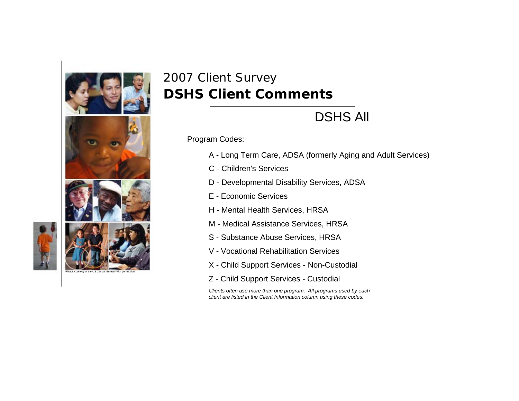

## 2007 Client Survey **DSHS Client Comments**

## DSHS All

Program Codes:

- A Long Term Care, ADSA (formerly Aging and Adult Services)
- C Children's Services
- D Developmental Disability Services, ADSA
- E Economic Services
- H Mental Health Services, HRSA
- M Medical Assistance Services, HRSA
- S Substance Abuse Services, HRSA
- V Vocational Rehabilitation Services
- X Child Support Services Non-Custodial
- Z Child Support Services Custodial

*Clients often use more than one program. All programs used by each client are listed in the Client Information column using these codes.*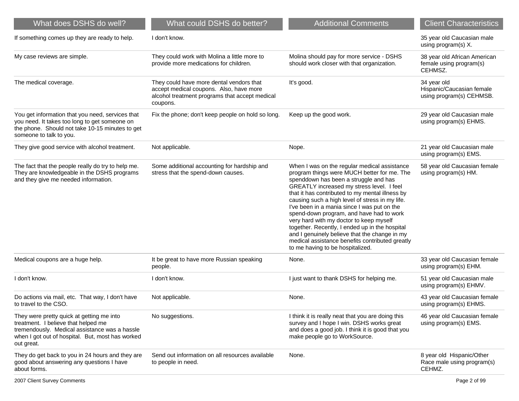| What does DSHS do well?                                                                                                                                                                             | What could DSHS do better?                                                                                                                        | <b>Additional Comments</b>                                                                                                                                                                                                                                                                                                                                                                                                                                                                                                                                                                                              | <b>Client Characteristics</b>                                        |
|-----------------------------------------------------------------------------------------------------------------------------------------------------------------------------------------------------|---------------------------------------------------------------------------------------------------------------------------------------------------|-------------------------------------------------------------------------------------------------------------------------------------------------------------------------------------------------------------------------------------------------------------------------------------------------------------------------------------------------------------------------------------------------------------------------------------------------------------------------------------------------------------------------------------------------------------------------------------------------------------------------|----------------------------------------------------------------------|
| If something comes up they are ready to help.                                                                                                                                                       | I don't know.                                                                                                                                     |                                                                                                                                                                                                                                                                                                                                                                                                                                                                                                                                                                                                                         | 35 year old Caucasian male<br>using program(s) X.                    |
| My case reviews are simple.                                                                                                                                                                         | They could work with Molina a little more to<br>provide more medications for children.                                                            | Molina should pay for more service - DSHS<br>should work closer with that organization.                                                                                                                                                                                                                                                                                                                                                                                                                                                                                                                                 | 38 year old African American<br>female using program(s)<br>CEHMSZ.   |
| The medical coverage.                                                                                                                                                                               | They could have more dental vendors that<br>accept medical coupons. Also, have more<br>alcohol treatment programs that accept medical<br>coupons. | It's good.                                                                                                                                                                                                                                                                                                                                                                                                                                                                                                                                                                                                              | 34 year old<br>Hispanic/Caucasian female<br>using program(s) CEHMSB. |
| You get information that you need, services that<br>you need. It takes too long to get someone on<br>the phone. Should not take 10-15 minutes to get<br>someone to talk to you.                     | Fix the phone; don't keep people on hold so long.                                                                                                 | Keep up the good work.                                                                                                                                                                                                                                                                                                                                                                                                                                                                                                                                                                                                  | 29 year old Caucasian male<br>using program(s) EHMS.                 |
| They give good service with alcohol treatment.                                                                                                                                                      | Not applicable.                                                                                                                                   | Nope.                                                                                                                                                                                                                                                                                                                                                                                                                                                                                                                                                                                                                   | 21 year old Caucasian male<br>using program(s) EMS.                  |
| The fact that the people really do try to help me.<br>They are knowledgeable in the DSHS programs<br>and they give me needed information.                                                           | Some additional accounting for hardship and<br>stress that the spend-down causes.                                                                 | When I was on the regular medical assistance<br>program things were MUCH better for me. The<br>spenddown has been a struggle and has<br>GREATLY increased my stress level. I feel<br>that it has contributed to my mental illness by<br>causing such a high level of stress in my life.<br>I've been in a mania since I was put on the<br>spend-down program, and have had to work<br>very hard with my doctor to keep myself<br>together. Recently, I ended up in the hospital<br>and I genuinely believe that the change in my<br>medical assistance benefits contributed greatly<br>to me having to be hospitalized. | 58 year old Caucasian female<br>using program(s) HM.                 |
| Medical coupons are a huge help.                                                                                                                                                                    | It be great to have more Russian speaking<br>people.                                                                                              | None.                                                                                                                                                                                                                                                                                                                                                                                                                                                                                                                                                                                                                   | 33 year old Caucasian female<br>using program(s) EHM.                |
| I don't know.                                                                                                                                                                                       | I don't know.                                                                                                                                     | I just want to thank DSHS for helping me.                                                                                                                                                                                                                                                                                                                                                                                                                                                                                                                                                                               | 51 year old Caucasian male<br>using program(s) EHMV.                 |
| Do actions via mail, etc. That way, I don't have<br>to travel to the CSO.                                                                                                                           | Not applicable.                                                                                                                                   | None.                                                                                                                                                                                                                                                                                                                                                                                                                                                                                                                                                                                                                   | 43 year old Caucasian female<br>using program(s) EHMS.               |
| They were pretty quick at getting me into<br>treatment. I believe that helped me<br>tremendously. Medical assistance was a hassle<br>when I got out of hospital. But, most has worked<br>out great. | No suggestions.                                                                                                                                   | I think it is really neat that you are doing this<br>survey and I hope I win. DSHS works great<br>and does a good job. I think it is good that you<br>make people go to WorkSource.                                                                                                                                                                                                                                                                                                                                                                                                                                     | 46 year old Caucasian female<br>using program(s) EMS.                |
| They do get back to you in 24 hours and they are<br>good about answering any questions I have<br>about forms.                                                                                       | Send out information on all resources available<br>to people in need.                                                                             | None.                                                                                                                                                                                                                                                                                                                                                                                                                                                                                                                                                                                                                   | 8 year old Hispanic/Other<br>Race male using program(s)<br>CEHMZ.    |
| 2007 Client Survey Comments                                                                                                                                                                         |                                                                                                                                                   |                                                                                                                                                                                                                                                                                                                                                                                                                                                                                                                                                                                                                         | Page 2 of 99                                                         |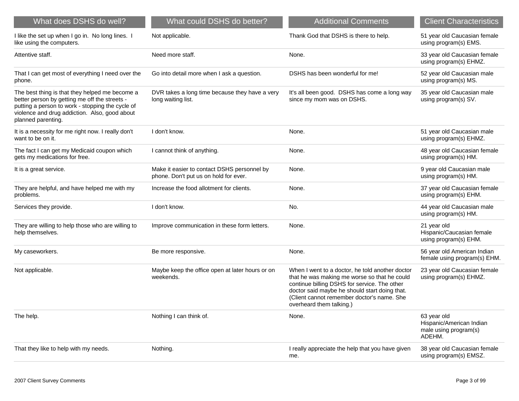| What does DSHS do well?                                                                                                                                                                                                    | What could DSHS do better?                                                           | <b>Additional Comments</b>                                                                                                                                                                                                                                                 | <b>Client Characteristics</b>                                              |
|----------------------------------------------------------------------------------------------------------------------------------------------------------------------------------------------------------------------------|--------------------------------------------------------------------------------------|----------------------------------------------------------------------------------------------------------------------------------------------------------------------------------------------------------------------------------------------------------------------------|----------------------------------------------------------------------------|
| I like the set up when I go in. No long lines. I<br>like using the computers.                                                                                                                                              | Not applicable.                                                                      | Thank God that DSHS is there to help.                                                                                                                                                                                                                                      | 51 year old Caucasian female<br>using program(s) EMS.                      |
| Attentive staff.                                                                                                                                                                                                           | Need more staff.                                                                     | None.                                                                                                                                                                                                                                                                      | 33 year old Caucasian female<br>using program(s) EHMZ.                     |
| That I can get most of everything I need over the<br>phone.                                                                                                                                                                | Go into detail more when I ask a question.                                           | DSHS has been wonderful for me!                                                                                                                                                                                                                                            | 52 year old Caucasian male<br>using program(s) MS.                         |
| The best thing is that they helped me become a<br>better person by getting me off the streets -<br>putting a person to work - stopping the cycle of<br>violence and drug addiction. Also, good about<br>planned parenting. | DVR takes a long time because they have a very<br>long waiting list.                 | It's all been good. DSHS has come a long way<br>since my mom was on DSHS.                                                                                                                                                                                                  | 35 year old Caucasian male<br>using program(s) SV.                         |
| It is a necessity for me right now. I really don't<br>want to be on it.                                                                                                                                                    | I don't know.                                                                        | None.                                                                                                                                                                                                                                                                      | 51 year old Caucasian male<br>using program(s) EHMZ.                       |
| The fact I can get my Medicaid coupon which<br>gets my medications for free.                                                                                                                                               | I cannot think of anything.                                                          | None.                                                                                                                                                                                                                                                                      | 48 year old Caucasian female<br>using program(s) HM.                       |
| It is a great service.                                                                                                                                                                                                     | Make it easier to contact DSHS personnel by<br>phone. Don't put us on hold for ever. | None.                                                                                                                                                                                                                                                                      | 9 year old Caucasian male<br>using program(s) HM.                          |
| They are helpful, and have helped me with my<br>problems.                                                                                                                                                                  | Increase the food allotment for clients.                                             | None.                                                                                                                                                                                                                                                                      | 37 year old Caucasian female<br>using program(s) EHM.                      |
| Services they provide.                                                                                                                                                                                                     | I don't know.                                                                        | No.                                                                                                                                                                                                                                                                        | 44 year old Caucasian male<br>using program(s) HM.                         |
| They are willing to help those who are willing to<br>help themselves.                                                                                                                                                      | Improve communication in these form letters.                                         | None.                                                                                                                                                                                                                                                                      | 21 year old<br>Hispanic/Caucasian female<br>using program(s) EHM.          |
| My caseworkers.                                                                                                                                                                                                            | Be more responsive.                                                                  | None.                                                                                                                                                                                                                                                                      | 56 year old American Indian<br>female using program(s) EHM.                |
| Not applicable.                                                                                                                                                                                                            | Maybe keep the office open at later hours or on<br>weekends.                         | When I went to a doctor, he told another doctor<br>that he was making me worse so that he could<br>continue billing DSHS for service. The other<br>doctor said maybe he should start doing that.<br>(Client cannot remember doctor's name. She<br>overheard them talking.) | 23 year old Caucasian female<br>using program(s) EHMZ.                     |
| The help.                                                                                                                                                                                                                  | Nothing I can think of.                                                              | None.                                                                                                                                                                                                                                                                      | 63 year old<br>Hispanic/American Indian<br>male using program(s)<br>ADEHM. |
| That they like to help with my needs.                                                                                                                                                                                      | Nothing.                                                                             | I really appreciate the help that you have given<br>me.                                                                                                                                                                                                                    | 38 year old Caucasian female<br>using program(s) EMSZ.                     |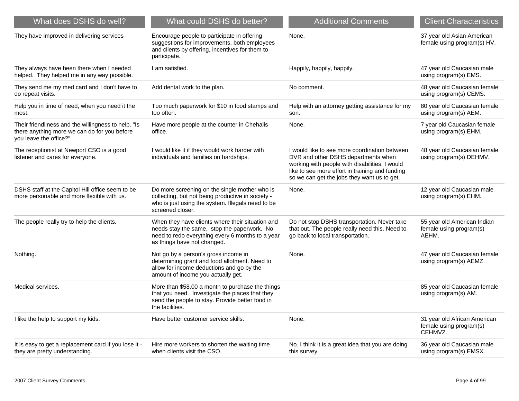| What does DSHS do well?                                                                                                       | What could DSHS do better?                                                                                                                                                         | <b>Additional Comments</b>                                                                                                                                                                                                               | <b>Client Characteristics</b>                                      |
|-------------------------------------------------------------------------------------------------------------------------------|------------------------------------------------------------------------------------------------------------------------------------------------------------------------------------|------------------------------------------------------------------------------------------------------------------------------------------------------------------------------------------------------------------------------------------|--------------------------------------------------------------------|
| They have improved in delivering services                                                                                     | Encourage people to participate in offering<br>suggestions for improvements, both employees<br>and clients by offering, incentives for them to<br>participate.                     | None.                                                                                                                                                                                                                                    | 37 year old Asian American<br>female using program(s) HV.          |
| They always have been there when I needed<br>helped. They helped me in any way possible.                                      | I am satisfied.                                                                                                                                                                    | Happily, happily, happily.                                                                                                                                                                                                               | 47 year old Caucasian male<br>using program(s) EMS.                |
| They send me my med card and I don't have to<br>do repeat visits.                                                             | Add dental work to the plan.                                                                                                                                                       | No comment.                                                                                                                                                                                                                              | 48 year old Caucasian female<br>using program(s) CEMS.             |
| Help you in time of need, when you need it the<br>most.                                                                       | Too much paperwork for \$10 in food stamps and<br>too often.                                                                                                                       | Help with an attorney getting assistance for my<br>son.                                                                                                                                                                                  | 80 year old Caucasian female<br>using program(s) AEM.              |
| Their friendliness and the willingness to help. "Is<br>there anything more we can do for you before<br>you leave the office?" | Have more people at the counter in Chehalis<br>office.                                                                                                                             | None.                                                                                                                                                                                                                                    | 7 year old Caucasian female<br>using program(s) EHM.               |
| The receptionist at Newport CSO is a good<br>listener and cares for everyone.                                                 | I would like it if they would work harder with<br>individuals and families on hardships.                                                                                           | I would like to see more coordination between<br>DVR and other DSHS departments when<br>working with people with disabilities. I would<br>like to see more effort in training and funding<br>so we can get the jobs they want us to get. | 48 year old Caucasian female<br>using program(s) DEHMV.            |
| DSHS staff at the Capitol Hill office seem to be<br>more personable and more flexible with us.                                | Do more screening on the single mother who is<br>collecting, but not being productive in society -<br>who is just using the system. Illegals need to be<br>screened closer.        | None.                                                                                                                                                                                                                                    | 12 year old Caucasian male<br>using program(s) EHM.                |
| The people really try to help the clients.                                                                                    | When they have clients where their situation and<br>needs stay the same, stop the paperwork. No<br>need to redo everything every 6 months to a year<br>as things have not changed. | Do not stop DSHS transportation. Never take<br>that out. The people really need this. Need to<br>go back to local transportation.                                                                                                        | 55 year old American Indian<br>female using program(s)<br>AEHM.    |
| Nothing.                                                                                                                      | Not go by a person's gross income in<br>determining grant and food allotment. Need to<br>allow for income deductions and go by the<br>amount of income you actually get.           | None.                                                                                                                                                                                                                                    | 47 year old Caucasian female<br>using program(s) AEMZ.             |
| Medical services.                                                                                                             | More than \$58.00 a month to purchase the things<br>that you need. Investigate the places that they<br>send the people to stay. Provide better food in<br>the facilities.          |                                                                                                                                                                                                                                          | 85 year old Caucasian female<br>using program(s) AM.               |
| I like the help to support my kids.                                                                                           | Have better customer service skills.                                                                                                                                               | None.                                                                                                                                                                                                                                    | 31 year old African American<br>female using program(s)<br>CEHMVZ. |
| It is easy to get a replacement card if you lose it -<br>they are pretty understanding.                                       | Hire more workers to shorten the waiting time<br>when clients visit the CSO.                                                                                                       | No. I think it is a great idea that you are doing<br>this survey.                                                                                                                                                                        | 36 year old Caucasian male<br>using program(s) EMSX.               |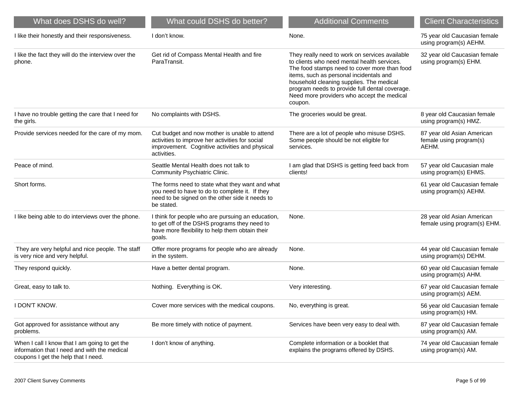| What does DSHS do well?                                                                                                              | What could DSHS do better?                                                                                                                                         | <b>Additional Comments</b>                                                                                                                                                                                                                                                                                                                      | <b>Client Characteristics</b>                                  |
|--------------------------------------------------------------------------------------------------------------------------------------|--------------------------------------------------------------------------------------------------------------------------------------------------------------------|-------------------------------------------------------------------------------------------------------------------------------------------------------------------------------------------------------------------------------------------------------------------------------------------------------------------------------------------------|----------------------------------------------------------------|
| I like their honestly and their responsiveness.                                                                                      | I don't know.                                                                                                                                                      | None.                                                                                                                                                                                                                                                                                                                                           | 75 year old Caucasian female<br>using program(s) AEHM.         |
| I like the fact they will do the interview over the<br>phone.                                                                        | Get rid of Compass Mental Health and fire<br>ParaTransit.                                                                                                          | They really need to work on services available<br>to clients who need mental health services.<br>The food stamps need to cover more than food<br>items, such as personal incidentals and<br>household cleaning supplies. The medical<br>program needs to provide full dental coverage.<br>Need more providers who accept the medical<br>coupon. | 32 year old Caucasian female<br>using program(s) EHM.          |
| I have no trouble getting the care that I need for<br>the girls.                                                                     | No complaints with DSHS.                                                                                                                                           | The groceries would be great.                                                                                                                                                                                                                                                                                                                   | 8 year old Caucasian female<br>using program(s) HMZ.           |
| Provide services needed for the care of my mom.                                                                                      | Cut budget and now mother is unable to attend<br>activities to improve her activities for social<br>improvement. Cognitive activities and physical<br>activities.  | There are a lot of people who misuse DSHS.<br>Some people should be not eligible for<br>services.                                                                                                                                                                                                                                               | 87 year old Asian American<br>female using program(s)<br>AEHM. |
| Peace of mind.                                                                                                                       | Seattle Mental Health does not talk to<br>Community Psychiatric Clinic.                                                                                            | I am glad that DSHS is getting feed back from<br>clients!                                                                                                                                                                                                                                                                                       | 57 year old Caucasian male<br>using program(s) EHMS.           |
| Short forms.                                                                                                                         | The forms need to state what they want and what<br>you need to have to do to complete it. If they<br>need to be signed on the other side it needs to<br>be stated. |                                                                                                                                                                                                                                                                                                                                                 | 61 year old Caucasian female<br>using program(s) AEHM.         |
| I like being able to do interviews over the phone.                                                                                   | I think for people who are pursuing an education,<br>to get off of the DSHS programs they need to<br>have more flexibility to help them obtain their<br>goals.     | None.                                                                                                                                                                                                                                                                                                                                           | 28 year old Asian American<br>female using program(s) EHM.     |
| They are very helpful and nice people. The staff<br>is very nice and very helpful.                                                   | Offer more programs for people who are already<br>in the system.                                                                                                   | None.                                                                                                                                                                                                                                                                                                                                           | 44 year old Caucasian female<br>using program(s) DEHM.         |
| They respond quickly.                                                                                                                | Have a better dental program.                                                                                                                                      | None.                                                                                                                                                                                                                                                                                                                                           | 60 year old Caucasian female<br>using program(s) AHM.          |
| Great, easy to talk to.                                                                                                              | Nothing. Everything is OK.                                                                                                                                         | Very interesting.                                                                                                                                                                                                                                                                                                                               | 67 year old Caucasian female<br>using program(s) AEM.          |
| I DON'T KNOW.                                                                                                                        | Cover more services with the medical coupons.                                                                                                                      | No, everything is great.                                                                                                                                                                                                                                                                                                                        | 56 year old Caucasian female<br>using program(s) HM.           |
| Got approved for assistance without any<br>problems.                                                                                 | Be more timely with notice of payment.                                                                                                                             | Services have been very easy to deal with.                                                                                                                                                                                                                                                                                                      | 87 year old Caucasian female<br>using program(s) AM.           |
| When I call I know that I am going to get the<br>information that I need and with the medical<br>coupons I get the help that I need. | I don't know of anything.                                                                                                                                          | Complete information or a booklet that<br>explains the programs offered by DSHS.                                                                                                                                                                                                                                                                | 74 year old Caucasian female<br>using program(s) AM.           |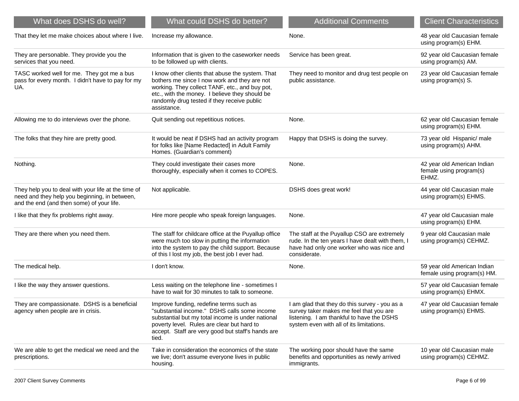| What does DSHS do well?                                                                                                                           | What could DSHS do better?                                                                                                                                                                                                                                         | <b>Additional Comments</b>                                                                                                                                                        | <b>Client Characteristics</b>                                   |
|---------------------------------------------------------------------------------------------------------------------------------------------------|--------------------------------------------------------------------------------------------------------------------------------------------------------------------------------------------------------------------------------------------------------------------|-----------------------------------------------------------------------------------------------------------------------------------------------------------------------------------|-----------------------------------------------------------------|
| That they let me make choices about where I live.                                                                                                 | Increase my allowance.                                                                                                                                                                                                                                             | None.                                                                                                                                                                             | 48 year old Caucasian female<br>using program(s) EHM.           |
| They are personable. They provide you the<br>services that you need.                                                                              | Information that is given to the caseworker needs<br>to be followed up with clients.                                                                                                                                                                               | Service has been great.                                                                                                                                                           | 92 year old Caucasian female<br>using program(s) AM.            |
| TASC worked well for me. They got me a bus<br>pass for every month. I didn't have to pay for my<br>UA.                                            | I know other clients that abuse the system. That<br>bothers me since I now work and they are not<br>working. They collect TANF, etc., and buy pot,<br>etc., with the money. I believe they should be<br>randomly drug tested if they receive public<br>assistance. | They need to monitor and drug test people on<br>public assistance.                                                                                                                | 23 year old Caucasian female<br>using program(s) S.             |
| Allowing me to do interviews over the phone.                                                                                                      | Quit sending out repetitious notices.                                                                                                                                                                                                                              | None.                                                                                                                                                                             | 62 year old Caucasian female<br>using program(s) EHM.           |
| The folks that they hire are pretty good.                                                                                                         | It would be neat if DSHS had an activity program<br>for folks like [Name Redacted] in Adult Family<br>Homes. (Guardian's comment)                                                                                                                                  | Happy that DSHS is doing the survey.                                                                                                                                              | 73 year old Hispanic/ male<br>using program(s) AHM.             |
| Nothing.                                                                                                                                          | They could investigate their cases more<br>thoroughly, especially when it comes to COPES.                                                                                                                                                                          | None.                                                                                                                                                                             | 42 year old American Indian<br>female using program(s)<br>EHMZ. |
| They help you to deal with your life at the time of<br>need and they help you beginning, in between,<br>and the end (and then some) of your life. | Not applicable.                                                                                                                                                                                                                                                    | DSHS does great work!                                                                                                                                                             | 44 year old Caucasian male<br>using program(s) EHMS.            |
| I like that they fix problems right away.                                                                                                         | Hire more people who speak foreign languages.                                                                                                                                                                                                                      | None.                                                                                                                                                                             | 47 year old Caucasian male<br>using program(s) EHM.             |
| They are there when you need them.                                                                                                                | The staff for childcare office at the Puyallup office<br>were much too slow in putting the information<br>into the system to pay the child support. Because<br>of this I lost my job, the best job I ever had.                                                     | The staff at the Puyallup CSO are extremely<br>rude. In the ten years I have dealt with them, I<br>have had only one worker who was nice and<br>considerate.                      | 9 year old Caucasian male<br>using program(s) CEHMZ.            |
| The medical help.                                                                                                                                 | I don't know.                                                                                                                                                                                                                                                      | None.                                                                                                                                                                             | 59 year old American Indian<br>female using program(s) HM.      |
| I like the way they answer questions.                                                                                                             | Less waiting on the telephone line - sometimes I<br>have to wait for 30 minutes to talk to someone.                                                                                                                                                                |                                                                                                                                                                                   | 57 year old Caucasian female<br>using program(s) EHMX.          |
| They are compassionate. DSHS is a beneficial<br>agency when people are in crisis.                                                                 | Improve funding, redefine terms such as<br>'substantial income." DSHS calls some income<br>substantial but my total income is under national<br>poverty level. Rules are clear but hard to<br>accept. Staff are very good but staff's hands are<br>tied.           | I am glad that they do this survey - you as a<br>survey taker makes me feel that you are<br>listening. I am thankful to have the DSHS<br>system even with all of its limitations. | 47 year old Caucasian female<br>using program(s) EHMS.          |
| We are able to get the medical we need and the<br>prescriptions.                                                                                  | Take in consideration the economics of the state<br>we live; don't assume everyone lives in public<br>housing.                                                                                                                                                     | The working poor should have the same<br>benefits and opportunities as newly arrived<br>immigrants.                                                                               | 10 year old Caucasian male<br>using program(s) CEHMZ.           |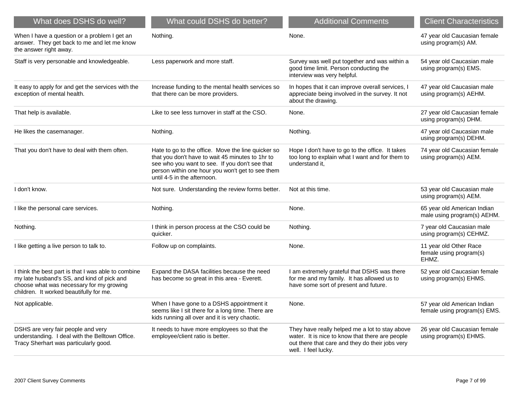| What does DSHS do well?                                                                                                                                                                  | What could DSHS do better?                                                                                                                                                                                                                  | <b>Additional Comments</b>                                                                                                                                                  | <b>Client Characteristics</b>                               |
|------------------------------------------------------------------------------------------------------------------------------------------------------------------------------------------|---------------------------------------------------------------------------------------------------------------------------------------------------------------------------------------------------------------------------------------------|-----------------------------------------------------------------------------------------------------------------------------------------------------------------------------|-------------------------------------------------------------|
| When I have a question or a problem I get an<br>answer. They get back to me and let me know<br>the answer right away.                                                                    | Nothing.                                                                                                                                                                                                                                    | None.                                                                                                                                                                       | 47 year old Caucasian female<br>using program(s) AM.        |
| Staff is very personable and knowledgeable.                                                                                                                                              | Less paperwork and more staff.                                                                                                                                                                                                              | Survey was well put together and was within a<br>good time limit. Person conducting the<br>interview was very helpful.                                                      | 54 year old Caucasian male<br>using program(s) EMS.         |
| It easy to apply for and get the services with the<br>exception of mental health.                                                                                                        | Increase funding to the mental health services so<br>that there can be more providers.                                                                                                                                                      | In hopes that it can improve overall services, I<br>appreciate being involved in the survey. It not<br>about the drawing.                                                   | 47 year old Caucasian male<br>using program(s) AEHM.        |
| That help is available.                                                                                                                                                                  | Like to see less turnover in staff at the CSO.                                                                                                                                                                                              | None.                                                                                                                                                                       | 27 year old Caucasian female<br>using program(s) DHM.       |
| He likes the casemanager.                                                                                                                                                                | Nothing.                                                                                                                                                                                                                                    | Nothing.                                                                                                                                                                    | 47 year old Caucasian male<br>using program(s) DEHM.        |
| That you don't have to deal with them often.                                                                                                                                             | Hate to go to the office. Move the line quicker so<br>that you don't have to wait 45 minutes to 1hr to<br>see who you want to see. If you don't see that<br>person within one hour you won't get to see them<br>until 4-5 in the afternoon. | Hope I don't have to go to the office. It takes<br>too long to explain what I want and for them to<br>understand it,                                                        | 74 year old Caucasian female<br>using program(s) AEM.       |
| I don't know.                                                                                                                                                                            | Not sure. Understanding the review forms better.                                                                                                                                                                                            | Not at this time.                                                                                                                                                           | 53 year old Caucasian male<br>using program(s) AEM.         |
| I like the personal care services.                                                                                                                                                       | Nothing.                                                                                                                                                                                                                                    | None.                                                                                                                                                                       | 65 year old American Indian<br>male using program(s) AEHM.  |
| Nothing.                                                                                                                                                                                 | I think in person process at the CSO could be<br>quicker.                                                                                                                                                                                   | Nothing.                                                                                                                                                                    | 7 year old Caucasian male<br>using program(s) CEHMZ.        |
| I like getting a live person to talk to.                                                                                                                                                 | Follow up on complaints.                                                                                                                                                                                                                    | None.                                                                                                                                                                       | 11 year old Other Race<br>female using program(s)<br>EHMZ.  |
| I think the best part is that I was able to combine<br>my late husband's SS, and kind of pick and<br>choose what was necessary for my growing<br>children. It worked beautifully for me. | Expand the DASA facilities because the need<br>has become so great in this area - Everett.                                                                                                                                                  | I am extremely grateful that DSHS was there<br>for me and my family. It has allowed us to<br>have some sort of present and future.                                          | 52 year old Caucasian female<br>using program(s) EHMS.      |
| Not applicable.                                                                                                                                                                          | When I have gone to a DSHS appointment it<br>seems like I sit there for a long time. There are<br>kids running all over and it is very chaotic.                                                                                             | None.                                                                                                                                                                       | 57 year old American Indian<br>female using program(s) EMS. |
| DSHS are very fair people and very<br>understanding. I deal with the Belltown Office.<br>Tracy Sherhart was particularly good.                                                           | It needs to have more employees so that the<br>employee/client ratio is better.                                                                                                                                                             | They have really helped me a lot to stay above<br>water. It is nice to know that there are people<br>out there that care and they do their jobs very<br>well. I feel lucky. | 26 year old Caucasian female<br>using program(s) EHMS.      |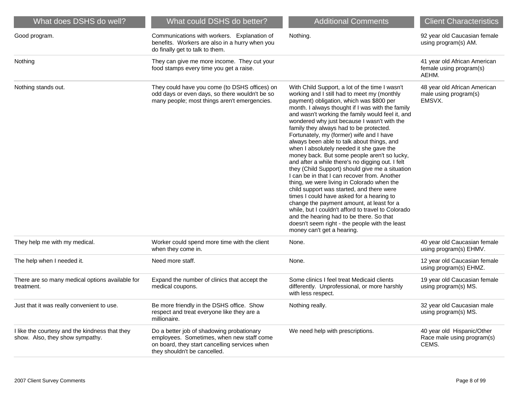| What does DSHS do well?                                                           | What could DSHS do better?                                                                                                                                              | <b>Additional Comments</b>                                                                                                                                                                                                                                                                                                                                                                                                                                                                                                                                                                                                                                                                                                                                                                                                                                                                                                                                                                                                                                      | <b>Client Characteristics</b>                                     |
|-----------------------------------------------------------------------------------|-------------------------------------------------------------------------------------------------------------------------------------------------------------------------|-----------------------------------------------------------------------------------------------------------------------------------------------------------------------------------------------------------------------------------------------------------------------------------------------------------------------------------------------------------------------------------------------------------------------------------------------------------------------------------------------------------------------------------------------------------------------------------------------------------------------------------------------------------------------------------------------------------------------------------------------------------------------------------------------------------------------------------------------------------------------------------------------------------------------------------------------------------------------------------------------------------------------------------------------------------------|-------------------------------------------------------------------|
| Good program.                                                                     | Communications with workers. Explanation of<br>benefits. Workers are also in a hurry when you<br>do finally get to talk to them.                                        | Nothing.                                                                                                                                                                                                                                                                                                                                                                                                                                                                                                                                                                                                                                                                                                                                                                                                                                                                                                                                                                                                                                                        | 92 year old Caucasian female<br>using program(s) AM.              |
| Nothing                                                                           | They can give me more income. They cut your<br>food stamps every time you get a raise.                                                                                  |                                                                                                                                                                                                                                                                                                                                                                                                                                                                                                                                                                                                                                                                                                                                                                                                                                                                                                                                                                                                                                                                 | 41 year old African American<br>female using program(s)<br>AEHM.  |
| Nothing stands out.                                                               | They could have you come (to DSHS offices) on<br>odd days or even days, so there wouldn't be so<br>many people; most things aren't emergencies.                         | With Child Support, a lot of the time I wasn't<br>working and I still had to meet my (monthly<br>payment) obligation, which was \$800 per<br>month. I always thought if I was with the family<br>and wasn't working the family would feel it, and<br>wondered why just because I wasn't with the<br>family they always had to be protected.<br>Fortunately, my (former) wife and I have<br>always been able to talk about things, and<br>when I absolutely needed it she gave the<br>money back. But some people aren't so lucky,<br>and after a while there's no digging out. I felt<br>they (Child Support) should give me a situation<br>I can be in that I can recover from. Another<br>thing, we were living in Colorado when the<br>child support was started, and there were<br>times I could have asked for a hearing to<br>change the payment amount, at least for a<br>while, but I couldn't afford to travel to Colorado<br>and the hearing had to be there. So that<br>doesn't seem right - the people with the least<br>money can't get a hearing. | 48 year old African American<br>male using program(s)<br>EMSVX.   |
| They help me with my medical.                                                     | Worker could spend more time with the client<br>when they come in.                                                                                                      | None.                                                                                                                                                                                                                                                                                                                                                                                                                                                                                                                                                                                                                                                                                                                                                                                                                                                                                                                                                                                                                                                           | 40 year old Caucasian female<br>using program(s) EHMV.            |
| The help when I needed it.                                                        | Need more staff.                                                                                                                                                        | None.                                                                                                                                                                                                                                                                                                                                                                                                                                                                                                                                                                                                                                                                                                                                                                                                                                                                                                                                                                                                                                                           | 12 year old Caucasian female<br>using program(s) EHMZ.            |
| There are so many medical options available for<br>treatment.                     | Expand the number of clinics that accept the<br>medical coupons.                                                                                                        | Some clinics I feel treat Medicaid clients<br>differently. Unprofessional, or more harshly<br>with less respect.                                                                                                                                                                                                                                                                                                                                                                                                                                                                                                                                                                                                                                                                                                                                                                                                                                                                                                                                                | 19 year old Caucasian female<br>using program(s) MS.              |
| Just that it was really convenient to use.                                        | Be more friendly in the DSHS office. Show<br>respect and treat everyone like they are a<br>millionaire.                                                                 | Nothing really.                                                                                                                                                                                                                                                                                                                                                                                                                                                                                                                                                                                                                                                                                                                                                                                                                                                                                                                                                                                                                                                 | 32 year old Caucasian male<br>using program(s) MS.                |
| I like the courtesy and the kindness that they<br>show. Also, they show sympathy. | Do a better job of shadowing probationary<br>employees. Sometimes, when new staff come<br>on board, they start cancelling services when<br>they shouldn't be cancelled. | We need help with prescriptions.                                                                                                                                                                                                                                                                                                                                                                                                                                                                                                                                                                                                                                                                                                                                                                                                                                                                                                                                                                                                                                | 40 year old Hispanic/Other<br>Race male using program(s)<br>CEMS. |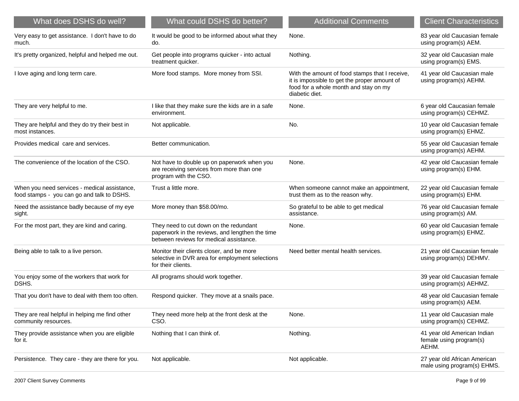| What does DSHS do well?                                                                    | What could DSHS do better?                                                                                                           | <b>Additional Comments</b>                                                                                                                                | <b>Client Characteristics</b>                                   |
|--------------------------------------------------------------------------------------------|--------------------------------------------------------------------------------------------------------------------------------------|-----------------------------------------------------------------------------------------------------------------------------------------------------------|-----------------------------------------------------------------|
| Very easy to get assistance. I don't have to do<br>much.                                   | It would be good to be informed about what they<br>do.                                                                               | None.                                                                                                                                                     | 83 year old Caucasian female<br>using program(s) AEM.           |
| It's pretty organized, helpful and helped me out.                                          | Get people into programs quicker - into actual<br>treatment quicker.                                                                 | Nothing.                                                                                                                                                  | 32 year old Caucasian male<br>using program(s) EMS.             |
| I love aging and long term care.                                                           | More food stamps. More money from SSI.                                                                                               | With the amount of food stamps that I receive,<br>it is impossible to get the proper amount of<br>food for a whole month and stay on my<br>diabetic diet. | 41 year old Caucasian male<br>using program(s) AEHM.            |
| They are very helpful to me.                                                               | I like that they make sure the kids are in a safe<br>environment.                                                                    | None.                                                                                                                                                     | 6 year old Caucasian female<br>using program(s) CEHMZ.          |
| They are helpful and they do try their best in<br>most instances.                          | Not applicable.                                                                                                                      | No.                                                                                                                                                       | 10 year old Caucasian female<br>using program(s) EHMZ.          |
| Provides medical care and services.                                                        | Better communication.                                                                                                                |                                                                                                                                                           | 55 year old Caucasian female<br>using program(s) AEHM.          |
| The convenience of the location of the CSO.                                                | Not have to double up on paperwork when you<br>are receiving services from more than one<br>program with the CSO.                    | None.                                                                                                                                                     | 42 year old Caucasian female<br>using program(s) EHM.           |
| When you need services - medical assistance,<br>food stamps - you can go and talk to DSHS. | Trust a little more.                                                                                                                 | When someone cannot make an appointment,<br>trust them as to the reason why.                                                                              | 22 year old Caucasian female<br>using program(s) EHM.           |
| Need the assistance badly because of my eye<br>sight.                                      | More money than \$58.00/mo.                                                                                                          | So grateful to be able to get medical<br>assistance.                                                                                                      | 76 year old Caucasian female<br>using program(s) AM.            |
| For the most part, they are kind and caring.                                               | They need to cut down on the redundant<br>paperwork in the reviews, and lengthen the time<br>between reviews for medical assistance. | None.                                                                                                                                                     | 60 year old Caucasian female<br>using program(s) EHMZ.          |
| Being able to talk to a live person.                                                       | Monitor their clients closer, and be more<br>selective in DVR area for employment selections<br>for their clients.                   | Need better mental health services.                                                                                                                       | 21 year old Caucasian female<br>using program(s) DEHMV.         |
| You enjoy some of the workers that work for<br>DSHS.                                       | All programs should work together.                                                                                                   |                                                                                                                                                           | 39 year old Caucasian female<br>using program(s) AEHMZ.         |
| That you don't have to deal with them too often.                                           | Respond quicker. They move at a snails pace.                                                                                         |                                                                                                                                                           | 48 year old Caucasian female<br>using program(s) AEM.           |
| They are real helpful in helping me find other<br>community resources.                     | They need more help at the front desk at the<br>CSO.                                                                                 | None.                                                                                                                                                     | 11 year old Caucasian male<br>using program(s) CEHMZ.           |
| They provide assistance when you are eligible<br>for it.                                   | Nothing that I can think of.                                                                                                         | Nothing.                                                                                                                                                  | 41 year old American Indian<br>female using program(s)<br>AEHM. |
| Persistence. They care - they are there for you.                                           | Not applicable.                                                                                                                      | Not applicable.                                                                                                                                           | 27 year old African American<br>male using program(s) EHMS.     |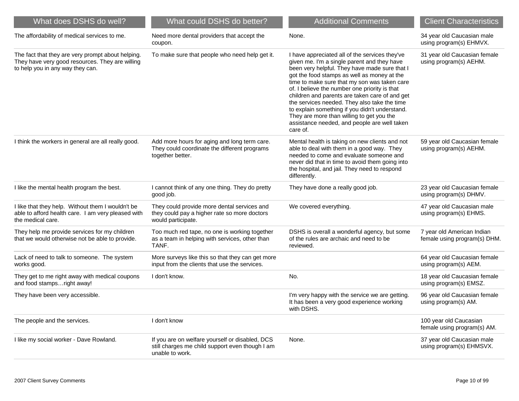| What does DSHS do well?                                                                                                                  | What could DSHS do better?                                                                                            | <b>Additional Comments</b>                                                                                                                                                                                                                                                                                                                                                                                                                                                                                                                                  | <b>Client Characteristics</b>                              |
|------------------------------------------------------------------------------------------------------------------------------------------|-----------------------------------------------------------------------------------------------------------------------|-------------------------------------------------------------------------------------------------------------------------------------------------------------------------------------------------------------------------------------------------------------------------------------------------------------------------------------------------------------------------------------------------------------------------------------------------------------------------------------------------------------------------------------------------------------|------------------------------------------------------------|
| The affordability of medical services to me.                                                                                             | Need more dental providers that accept the<br>coupon.                                                                 | None.                                                                                                                                                                                                                                                                                                                                                                                                                                                                                                                                                       | 34 year old Caucasian male<br>using program(s) EHMVX.      |
| The fact that they are very prompt about helping.<br>They have very good resources. They are willing<br>to help you in any way they can. | To make sure that people who need help get it.                                                                        | I have appreciated all of the services they've<br>given me. I'm a single parent and they have<br>been very helpful. They have made sure that I<br>got the food stamps as well as money at the<br>time to make sure that my son was taken care<br>of. I believe the number one priority is that<br>children and parents are taken care of and get<br>the services needed. They also take the time<br>to explain something if you didn't understand.<br>They are more than willing to get you the<br>assistance needed, and people are well taken<br>care of. | 31 year old Caucasian female<br>using program(s) AEHM.     |
| I think the workers in general are all really good.                                                                                      | Add more hours for aging and long term care.<br>They could coordinate the different programs<br>together better.      | Mental health is taking on new clients and not<br>able to deal with them in a good way. They<br>needed to come and evaluate someone and<br>never did that in time to avoid them going into<br>the hospital, and jail. They need to respond<br>differently.                                                                                                                                                                                                                                                                                                  | 59 year old Caucasian female<br>using program(s) AEHM.     |
| I like the mental health program the best.                                                                                               | I cannot think of any one thing. They do pretty<br>good job.                                                          | They have done a really good job.                                                                                                                                                                                                                                                                                                                                                                                                                                                                                                                           | 23 year old Caucasian female<br>using program(s) DHMV.     |
| I like that they help. Without them I wouldn't be<br>able to afford health care. I am very pleased with<br>the medical care.             | They could provide more dental services and<br>they could pay a higher rate so more doctors<br>would participate.     | We covered everything.                                                                                                                                                                                                                                                                                                                                                                                                                                                                                                                                      | 47 year old Caucasian male<br>using program(s) EHMS.       |
| They help me provide services for my children<br>that we would otherwise not be able to provide.                                         | Too much red tape, no one is working together<br>as a team in helping with services, other than<br>TANF.              | DSHS is overall a wonderful agency, but some<br>of the rules are archaic and need to be<br>reviewed.                                                                                                                                                                                                                                                                                                                                                                                                                                                        | 7 year old American Indian<br>female using program(s) DHM. |
| Lack of need to talk to someone. The system<br>works good.                                                                               | More surveys like this so that they can get more<br>input from the clients that use the services.                     |                                                                                                                                                                                                                                                                                                                                                                                                                                                                                                                                                             | 64 year old Caucasian female<br>using program(s) AEM.      |
| They get to me right away with medical coupons<br>and food stampsright away!                                                             | I don't know.                                                                                                         | No.                                                                                                                                                                                                                                                                                                                                                                                                                                                                                                                                                         | 18 year old Caucasian female<br>using program(s) EMSZ.     |
| They have been very accessible.                                                                                                          |                                                                                                                       | I'm very happy with the service we are getting.<br>It has been a very good experience working<br>with DSHS.                                                                                                                                                                                                                                                                                                                                                                                                                                                 | 96 year old Caucasian female<br>using program(s) AM.       |
| The people and the services.                                                                                                             | I don't know                                                                                                          |                                                                                                                                                                                                                                                                                                                                                                                                                                                                                                                                                             | 100 year old Caucasian<br>female using program(s) AM.      |
| I like my social worker - Dave Rowland.                                                                                                  | If you are on welfare yourself or disabled, DCS<br>still charges me child support even though I am<br>unable to work. | None.                                                                                                                                                                                                                                                                                                                                                                                                                                                                                                                                                       | 37 year old Caucasian male<br>using program(s) EHMSVX.     |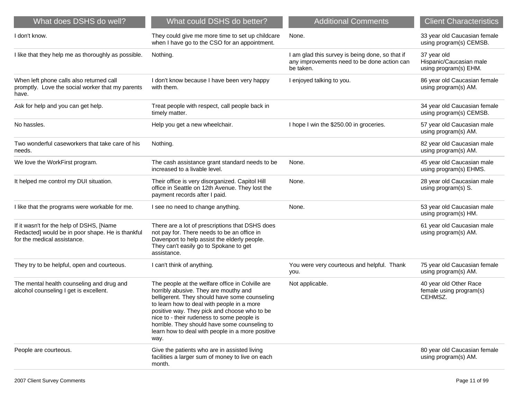| What does DSHS do well?                                                                                                     | What could DSHS do better?                                                                                                                                                                                                                                                                                                                                                                          | <b>Additional Comments</b>                                                                                  | <b>Client Characteristics</b>                                   |
|-----------------------------------------------------------------------------------------------------------------------------|-----------------------------------------------------------------------------------------------------------------------------------------------------------------------------------------------------------------------------------------------------------------------------------------------------------------------------------------------------------------------------------------------------|-------------------------------------------------------------------------------------------------------------|-----------------------------------------------------------------|
| I don't know.                                                                                                               | They could give me more time to set up childcare<br>when I have go to the CSO for an appointment.                                                                                                                                                                                                                                                                                                   | None.                                                                                                       | 33 year old Caucasian female<br>using program(s) CEMSB.         |
| I like that they help me as thoroughly as possible.                                                                         | Nothing.                                                                                                                                                                                                                                                                                                                                                                                            | I am glad this survey is being done, so that if<br>any improvements need to be done action can<br>be taken. | 37 year old<br>Hispanic/Caucasian male<br>using program(s) EHM. |
| When left phone calls also returned call<br>promptly. Love the social worker that my parents<br>have.                       | I don't know because I have been very happy<br>with them.                                                                                                                                                                                                                                                                                                                                           | I enjoyed talking to you.                                                                                   | 86 year old Caucasian female<br>using program(s) AM.            |
| Ask for help and you can get help.                                                                                          | Treat people with respect, call people back in<br>timely matter.                                                                                                                                                                                                                                                                                                                                    |                                                                                                             | 34 year old Caucasian female<br>using program(s) CEMSB.         |
| No hassles.                                                                                                                 | Help you get a new wheelchair.                                                                                                                                                                                                                                                                                                                                                                      | I hope I win the \$250.00 in groceries.                                                                     | 57 year old Caucasian male<br>using program(s) AM.              |
| Two wonderful caseworkers that take care of his<br>needs.                                                                   | Nothing.                                                                                                                                                                                                                                                                                                                                                                                            |                                                                                                             | 82 year old Caucasian male<br>using program(s) AM.              |
| We love the WorkFirst program.                                                                                              | The cash assistance grant standard needs to be<br>increased to a livable level.                                                                                                                                                                                                                                                                                                                     | None.                                                                                                       | 45 year old Caucasian male<br>using program(s) EHMS.            |
| It helped me control my DUI situation.                                                                                      | Their office is very disorganized. Capitol Hill<br>office in Seattle on 12th Avenue. They lost the<br>payment records after I paid.                                                                                                                                                                                                                                                                 | None.                                                                                                       | 28 year old Caucasian male<br>using program(s) S.               |
| I like that the programs were workable for me.                                                                              | I see no need to change anything.                                                                                                                                                                                                                                                                                                                                                                   | None.                                                                                                       | 53 year old Caucasian male<br>using program(s) HM.              |
| If it wasn't for the help of DSHS, [Name<br>Redacted] would be in poor shape. He is thankful<br>for the medical assistance. | There are a lot of prescriptions that DSHS does<br>not pay for. There needs to be an office in<br>Davenport to help assist the elderly people.<br>They can't easily go to Spokane to get<br>assistance.                                                                                                                                                                                             |                                                                                                             | 61 year old Caucasian male<br>using program(s) AM.              |
| They try to be helpful, open and courteous.                                                                                 | I can't think of anything.                                                                                                                                                                                                                                                                                                                                                                          | You were very courteous and helpful. Thank<br>you.                                                          | 75 year old Caucasian female<br>using program(s) AM.            |
| The mental health counseling and drug and<br>alcohol counseling I get is excellent.                                         | The people at the welfare office in Colville are<br>horribly abusive. They are mouthy and<br>belligerent. They should have some counseling<br>to learn how to deal with people in a more<br>positive way. They pick and choose who to be<br>nice to - their rudeness to some people is<br>horrible. They should have some counseling to<br>learn how to deal with people in a more positive<br>way. | Not applicable.                                                                                             | 40 year old Other Race<br>female using program(s)<br>CEHMSZ.    |
| People are courteous.                                                                                                       | Give the patients who are in assisted living<br>facilities a larger sum of money to live on each<br>month.                                                                                                                                                                                                                                                                                          |                                                                                                             | 80 year old Caucasian female<br>using program(s) AM.            |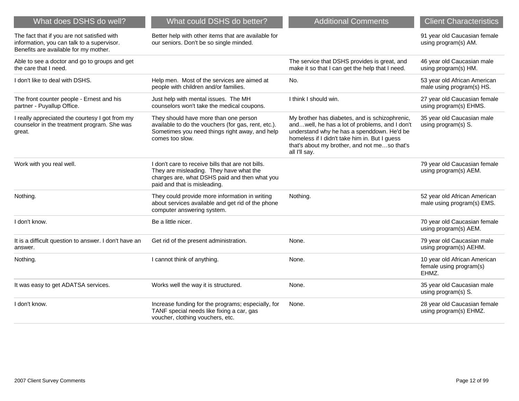| What does DSHS do well?                                                                                                            | What could DSHS do better?                                                                                                                                                    | <b>Additional Comments</b>                                                                                                                                                                                                                                       | <b>Client Characteristics</b>                                    |
|------------------------------------------------------------------------------------------------------------------------------------|-------------------------------------------------------------------------------------------------------------------------------------------------------------------------------|------------------------------------------------------------------------------------------------------------------------------------------------------------------------------------------------------------------------------------------------------------------|------------------------------------------------------------------|
| The fact that if you are not satisfied with<br>information, you can talk to a supervisor.<br>Benefits are available for my mother. | Better help with other items that are available for<br>our seniors. Don't be so single minded.                                                                                |                                                                                                                                                                                                                                                                  | 91 year old Caucasian female<br>using program(s) AM.             |
| Able to see a doctor and go to groups and get<br>the care that I need.                                                             |                                                                                                                                                                               | The service that DSHS provides is great, and<br>make it so that I can get the help that I need.                                                                                                                                                                  | 46 year old Caucasian male<br>using program(s) HM.               |
| I don't like to deal with DSHS.                                                                                                    | Help men. Most of the services are aimed at<br>people with children and/or families.                                                                                          | No.                                                                                                                                                                                                                                                              | 53 year old African American<br>male using program(s) HS.        |
| The front counter people - Ernest and his<br>partner - Puyallup Office.                                                            | Just help with mental issues. The MH<br>counselors won't take the medical coupons.                                                                                            | I think I should win.                                                                                                                                                                                                                                            | 27 year old Caucasian female<br>using program(s) EHMS.           |
| I really appreciated the courtesy I got from my<br>counselor in the treatment program. She was<br>great.                           | They should have more than one person<br>available to do the vouchers (for gas, rent, etc.).<br>Sometimes you need things right away, and help<br>comes too slow.             | My brother has diabetes, and is schizophrenic,<br>andwell, he has a lot of problems, and I don't<br>understand why he has a spenddown. He'd be<br>homeless if I didn't take him in. But I guess<br>that's about my brother, and not meso that's<br>all I'll say. | 35 year old Caucasian male<br>using program(s) S.                |
| Work with you real well.                                                                                                           | I don't care to receive bills that are not bills.<br>They are misleading. They have what the<br>charges are, what DSHS paid and then what you<br>paid and that is misleading. |                                                                                                                                                                                                                                                                  | 79 year old Caucasian female<br>using program(s) AEM.            |
| Nothing.                                                                                                                           | They could provide more information in writing<br>about services available and get rid of the phone<br>computer answering system.                                             | Nothing.                                                                                                                                                                                                                                                         | 52 year old African American<br>male using program(s) EMS.       |
| I don't know.                                                                                                                      | Be a little nicer.                                                                                                                                                            |                                                                                                                                                                                                                                                                  | 70 year old Caucasian female<br>using program(s) AEM.            |
| It is a difficult question to answer. I don't have an<br>answer.                                                                   | Get rid of the present administration.                                                                                                                                        | None.                                                                                                                                                                                                                                                            | 79 year old Caucasian male<br>using program(s) AEHM.             |
| Nothing.                                                                                                                           | I cannot think of anything.                                                                                                                                                   | None.                                                                                                                                                                                                                                                            | 10 year old African American<br>female using program(s)<br>EHMZ. |
| It was easy to get ADATSA services.                                                                                                | Works well the way it is structured.                                                                                                                                          | None.                                                                                                                                                                                                                                                            | 35 year old Caucasian male<br>using program(s) S.                |
| I don't know.                                                                                                                      | Increase funding for the programs; especially, for<br>TANF special needs like fixing a car, gas<br>voucher, clothing vouchers, etc.                                           | None.                                                                                                                                                                                                                                                            | 28 year old Caucasian female<br>using program(s) EHMZ.           |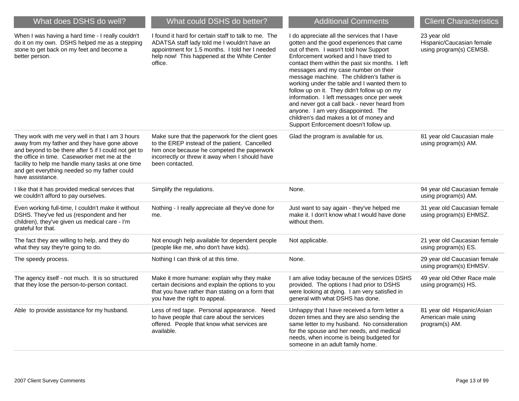| What does DSHS do well?                                                                                                                                                                                                                                                                                                           | What could DSHS do better?                                                                                                                                                                                            | <b>Additional Comments</b>                                                                                                                                                                                                                                                                                                                                                                                                                                                                                                                                                                                                                      | <b>Client Characteristics</b>                                       |
|-----------------------------------------------------------------------------------------------------------------------------------------------------------------------------------------------------------------------------------------------------------------------------------------------------------------------------------|-----------------------------------------------------------------------------------------------------------------------------------------------------------------------------------------------------------------------|-------------------------------------------------------------------------------------------------------------------------------------------------------------------------------------------------------------------------------------------------------------------------------------------------------------------------------------------------------------------------------------------------------------------------------------------------------------------------------------------------------------------------------------------------------------------------------------------------------------------------------------------------|---------------------------------------------------------------------|
| When I was having a hard time - I really couldn't<br>do it on my own. DSHS helped me as a stepping<br>stone to get back on my feet and become a<br>better person.                                                                                                                                                                 | I found it hard for certain staff to talk to me. The<br>ADATSA staff lady told me I wouldn't have an<br>appointment for 1.5 months. I told her I needed<br>help now! This happened at the White Center<br>office.     | I do appreciate all the services that I have<br>gotten and the good experiences that came<br>out of them. I wasn't told how Support<br>Enforcement worked and I have tried to<br>contact them within the past six months. I left<br>messages and my case number on their<br>message machine. The children's father is<br>working under the table and I wanted them to<br>follow up on it. They didn't follow up on my<br>information. I left messages once per week<br>and never got a call back - never heard from<br>anyone. I am very disappointed. The<br>children's dad makes a lot of money and<br>Support Enforcement doesn't follow up. | 23 year old<br>Hispanic/Caucasian female<br>using program(s) CEMSB. |
| They work with me very well in that I am 3 hours<br>away from my father and they have gone above<br>and beyond to be there after 5 if I could not get to<br>the office in time. Caseworker met me at the<br>facility to help me handle many tasks at one time<br>and get everything needed so my father could<br>have assistance. | Make sure that the paperwork for the client goes<br>to the EREP instead of the patient. Cancelled<br>him once because he competed the paperwork<br>incorrectly or threw it away when I should have<br>been contacted. | Glad the program is available for us.                                                                                                                                                                                                                                                                                                                                                                                                                                                                                                                                                                                                           | 81 year old Caucasian male<br>using program(s) AM.                  |
| I like that it has provided medical services that<br>we couldn't afford to pay ourselves.                                                                                                                                                                                                                                         | Simplify the regulations.                                                                                                                                                                                             | None.                                                                                                                                                                                                                                                                                                                                                                                                                                                                                                                                                                                                                                           | 94 year old Caucasian female<br>using program(s) AM.                |
| Even working full-time, I couldn't make it without<br>DSHS. They've fed us (respondent and her<br>children), they've given us medical care - I'm<br>grateful for that.                                                                                                                                                            | Nothing - I really appreciate all they've done for<br>me.                                                                                                                                                             | Just want to say again - they've helped me<br>make it. I don't know what I would have done<br>without them.                                                                                                                                                                                                                                                                                                                                                                                                                                                                                                                                     | 31 year old Caucasian female<br>using program(s) EHMSZ.             |
| The fact they are willing to help, and they do<br>what they say they're going to do.                                                                                                                                                                                                                                              | Not enough help available for dependent people<br>(people like me, who don't have kids).                                                                                                                              | Not applicable.                                                                                                                                                                                                                                                                                                                                                                                                                                                                                                                                                                                                                                 | 21 year old Caucasian female<br>using program(s) ES.                |
| The speedy process.                                                                                                                                                                                                                                                                                                               | Nothing I can think of at this time.                                                                                                                                                                                  | None.                                                                                                                                                                                                                                                                                                                                                                                                                                                                                                                                                                                                                                           | 29 year old Caucasian female<br>using program(s) EHMSV.             |
| The agency itself - not much. It is so structured<br>that they lose the person-to-person contact.                                                                                                                                                                                                                                 | Make it more humane: explain why they make<br>certain decisions and explain the options to you<br>that you have rather than stating on a form that<br>you have the right to appeal.                                   | I am alive today because of the services DSHS<br>provided. The options I had prior to DSHS<br>were looking at dying. I am very satisfied in<br>general with what DSHS has done.                                                                                                                                                                                                                                                                                                                                                                                                                                                                 | 49 year old Other Race male<br>using program(s) HS.                 |
| Able to provide assistance for my husband.                                                                                                                                                                                                                                                                                        | Less of red tape. Personal appearance. Need<br>to have people that care about the services<br>offered. People that know what services are<br>available.                                                               | Unhappy that I have received a form letter a<br>dozen times and they are also sending the<br>same letter to my husband. No consideration<br>for the spouse and her needs, and medical<br>needs, when income is being budgeted for<br>someone in an adult family home.                                                                                                                                                                                                                                                                                                                                                                           | 81 year old Hispanic/Asian<br>American male using<br>program(s) AM. |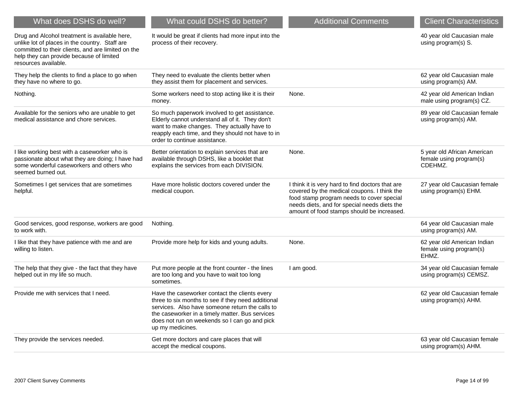| What does DSHS do well?                                                                                                                                                                                                   | What could DSHS do better?                                                                                                                                                                                                                                                     | <b>Additional Comments</b>                                                                                                                                                                                                                 | <b>Client Characteristics</b>                                     |
|---------------------------------------------------------------------------------------------------------------------------------------------------------------------------------------------------------------------------|--------------------------------------------------------------------------------------------------------------------------------------------------------------------------------------------------------------------------------------------------------------------------------|--------------------------------------------------------------------------------------------------------------------------------------------------------------------------------------------------------------------------------------------|-------------------------------------------------------------------|
| Drug and Alcohol treatment is available here,<br>unlike lot of places in the country. Staff are<br>committed to their clients, and are limited on the<br>help they can provide because of limited<br>resources available. | It would be great if clients had more input into the<br>process of their recovery.                                                                                                                                                                                             |                                                                                                                                                                                                                                            | 40 year old Caucasian male<br>using program(s) S.                 |
| They help the clients to find a place to go when<br>they have no where to go.                                                                                                                                             | They need to evaluate the clients better when<br>they assist them for placement and services.                                                                                                                                                                                  |                                                                                                                                                                                                                                            | 62 year old Caucasian male<br>using program(s) AM.                |
| Nothing.                                                                                                                                                                                                                  | Some workers need to stop acting like it is their<br>money.                                                                                                                                                                                                                    | None.                                                                                                                                                                                                                                      | 42 year old American Indian<br>male using program(s) CZ.          |
| Available for the seniors who are unable to get<br>medical assistance and chore services.                                                                                                                                 | So much paperwork involved to get assistance.<br>Elderly cannot understand all of it. They don't<br>want to make changes. They actually have to<br>reapply each time, and they should not have to in<br>order to continue assistance.                                          |                                                                                                                                                                                                                                            | 89 year old Caucasian female<br>using program(s) AM.              |
| I like working best with a caseworker who is<br>passionate about what they are doing; I have had<br>some wonderful caseworkers and others who<br>seemed burned out.                                                       | Better orientation to explain services that are<br>available through DSHS, like a booklet that<br>explains the services from each DIVISION.                                                                                                                                    | None.                                                                                                                                                                                                                                      | 5 year old African American<br>female using program(s)<br>CDEHMZ. |
| Sometimes I get services that are sometimes<br>helpful.                                                                                                                                                                   | Have more holistic doctors covered under the<br>medical coupon.                                                                                                                                                                                                                | I think it is very hard to find doctors that are<br>covered by the medical coupons. I think the<br>food stamp program needs to cover special<br>needs diets, and for special needs diets the<br>amount of food stamps should be increased. | 27 year old Caucasian female<br>using program(s) EHM.             |
| Good services, good response, workers are good<br>to work with.                                                                                                                                                           | Nothing.                                                                                                                                                                                                                                                                       |                                                                                                                                                                                                                                            | 64 year old Caucasian male<br>using program(s) AM.                |
| I like that they have patience with me and are<br>willing to listen.                                                                                                                                                      | Provide more help for kids and young adults.                                                                                                                                                                                                                                   | None.                                                                                                                                                                                                                                      | 62 year old American Indian<br>female using program(s)<br>EHMZ.   |
| The help that they give - the fact that they have<br>helped out in my life so much.                                                                                                                                       | Put more people at the front counter - the lines<br>are too long and you have to wait too long<br>sometimes.                                                                                                                                                                   | I am good.                                                                                                                                                                                                                                 | 34 year old Caucasian female<br>using program(s) CEMSZ.           |
| Provide me with services that I need.                                                                                                                                                                                     | Have the caseworker contact the clients every<br>three to six months to see if they need additional<br>services. Also have someone return the calls to<br>the caseworker in a timely matter. Bus services<br>does not run on weekends so I can go and pick<br>up my medicines. |                                                                                                                                                                                                                                            | 62 year old Caucasian female<br>using program(s) AHM.             |
| They provide the services needed.                                                                                                                                                                                         | Get more doctors and care places that will<br>accept the medical coupons.                                                                                                                                                                                                      |                                                                                                                                                                                                                                            | 63 year old Caucasian female<br>using program(s) AHM.             |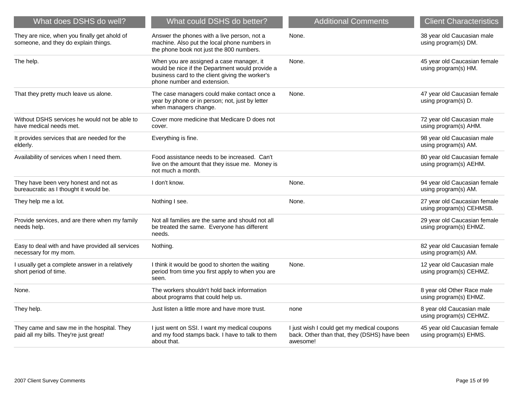| What does DSHS do well?                                                              | What could DSHS do better?                                                                                                                                                    | <b>Additional Comments</b>                                                                             | <b>Client Characteristics</b>                            |
|--------------------------------------------------------------------------------------|-------------------------------------------------------------------------------------------------------------------------------------------------------------------------------|--------------------------------------------------------------------------------------------------------|----------------------------------------------------------|
| They are nice, when you finally get ahold of<br>someone, and they do explain things. | Answer the phones with a live person, not a<br>machine. Also put the local phone numbers in<br>the phone book not just the 800 numbers.                                       | None.                                                                                                  | 38 year old Caucasian male<br>using program(s) DM.       |
| The help.                                                                            | When you are assigned a case manager, it<br>would be nice if the Department would provide a<br>business card to the client giving the worker's<br>phone number and extension. | None.                                                                                                  | 45 year old Caucasian female<br>using program(s) HM.     |
| That they pretty much leave us alone.                                                | The case managers could make contact once a<br>year by phone or in person; not, just by letter<br>when managers change.                                                       | None.                                                                                                  | 47 year old Caucasian female<br>using program(s) D.      |
| Without DSHS services he would not be able to<br>have medical needs met.             | Cover more medicine that Medicare D does not<br>cover.                                                                                                                        |                                                                                                        | 72 year old Caucasian male<br>using program(s) AHM.      |
| It provides services that are needed for the<br>elderly.                             | Everything is fine.                                                                                                                                                           |                                                                                                        | 98 year old Caucasian male<br>using program(s) AM.       |
| Availability of services when I need them.                                           | Food assistance needs to be increased. Can't<br>live on the amount that they issue me. Money is<br>not much a month.                                                          |                                                                                                        | 80 year old Caucasian female<br>using program(s) AEHM.   |
| They have been very honest and not as<br>bureaucratic as I thought it would be.      | I don't know.                                                                                                                                                                 | None.                                                                                                  | 94 year old Caucasian female<br>using program(s) AM.     |
| They help me a lot.                                                                  | Nothing I see.                                                                                                                                                                | None.                                                                                                  | 27 year old Caucasian female<br>using program(s) CEHMSB. |
| Provide services, and are there when my family<br>needs help.                        | Not all families are the same and should not all<br>be treated the same. Everyone has different<br>needs.                                                                     |                                                                                                        | 29 year old Caucasian female<br>using program(s) EHMZ.   |
| Easy to deal with and have provided all services<br>necessary for my mom.            | Nothing.                                                                                                                                                                      |                                                                                                        | 82 year old Caucasian female<br>using program(s) AM.     |
| I usually get a complete answer in a relatively<br>short period of time.             | I think it would be good to shorten the waiting<br>period from time you first apply to when you are<br>seen.                                                                  | None.                                                                                                  | 12 year old Caucasian male<br>using program(s) CEHMZ.    |
| None.                                                                                | The workers shouldn't hold back information<br>about programs that could help us.                                                                                             |                                                                                                        | 8 year old Other Race male<br>using program(s) EHMZ.     |
| They help.                                                                           | Just listen a little more and have more trust.                                                                                                                                | none                                                                                                   | 8 year old Caucasian male<br>using program(s) CEHMZ.     |
| They came and saw me in the hospital. They<br>paid all my bills. They're just great! | I just went on SSI. I want my medical coupons<br>and my food stamps back. I have to talk to them<br>about that.                                                               | I just wish I could get my medical coupons<br>back. Other than that, they (DSHS) have been<br>awesome! | 45 year old Caucasian female<br>using program(s) EHMS.   |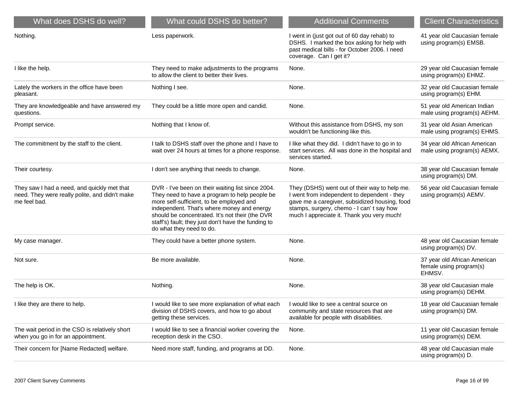| What does DSHS do well?                                                                                       | What could DSHS do better?                                                                                                                                                                                                                                                                                                         | <b>Additional Comments</b>                                                                                                                                                                                                              | <b>Client Characteristics</b>                                     |
|---------------------------------------------------------------------------------------------------------------|------------------------------------------------------------------------------------------------------------------------------------------------------------------------------------------------------------------------------------------------------------------------------------------------------------------------------------|-----------------------------------------------------------------------------------------------------------------------------------------------------------------------------------------------------------------------------------------|-------------------------------------------------------------------|
| Nothing.                                                                                                      | Less paperwork.                                                                                                                                                                                                                                                                                                                    | I went in (just got out of 60 day rehab) to<br>DSHS. I marked the box asking for help with<br>past medical bills - for October 2006. I need<br>coverage. Can I get it?                                                                  | 41 year old Caucasian female<br>using program(s) EMSB.            |
| I like the help.                                                                                              | They need to make adjustments to the programs<br>to allow the client to better their lives.                                                                                                                                                                                                                                        | None.                                                                                                                                                                                                                                   | 29 year old Caucasian female<br>using program(s) EHMZ.            |
| Lately the workers in the office have been<br>pleasant.                                                       | Nothing I see.                                                                                                                                                                                                                                                                                                                     | None.                                                                                                                                                                                                                                   | 32 year old Caucasian female<br>using program(s) EHM.             |
| They are knowledgeable and have answered my<br>questions.                                                     | They could be a little more open and candid.                                                                                                                                                                                                                                                                                       | None.                                                                                                                                                                                                                                   | 51 year old American Indian<br>male using program(s) AEHM.        |
| Prompt service.                                                                                               | Nothing that I know of.                                                                                                                                                                                                                                                                                                            | Without this assistance from DSHS, my son<br>wouldn't be functioning like this.                                                                                                                                                         | 31 year old Asian American<br>male using program(s) EHMS.         |
| The commitment by the staff to the client.                                                                    | I talk to DSHS staff over the phone and I have to<br>wait over 24 hours at times for a phone response.                                                                                                                                                                                                                             | I like what they did. I didn't have to go in to<br>start services. All was done in the hospital and<br>services started.                                                                                                                | 34 year old African American<br>male using program(s) AEMX.       |
| Their courtesy.                                                                                               | I don't see anything that needs to change.                                                                                                                                                                                                                                                                                         | None.                                                                                                                                                                                                                                   | 38 year old Caucasian female<br>using program(s) DM.              |
| They saw I had a need, and quickly met that<br>need. They were really polite, and didn't make<br>me feel bad. | DVR - I've been on their waiting list since 2004.<br>They need to have a program to help people be<br>more self-sufficient, to be employed and<br>independent. That's where money and energy<br>should be concentrated. It's not their (the DVR<br>staff's) fault; they just don't have the funding to<br>do what they need to do. | They (DSHS) went out of their way to help me.<br>I went from independent to dependent - they<br>gave me a caregiver, subsidized housing, food<br>stamps, surgery, chemo - I can't say how<br>much I appreciate it. Thank you very much! | 56 year old Caucasian female<br>using program(s) AEMV.            |
| My case manager.                                                                                              | They could have a better phone system.                                                                                                                                                                                                                                                                                             | None.                                                                                                                                                                                                                                   | 48 year old Caucasian female<br>using program(s) DV.              |
| Not sure.                                                                                                     | Be more available.                                                                                                                                                                                                                                                                                                                 | None.                                                                                                                                                                                                                                   | 37 year old African American<br>female using program(s)<br>EHMSV. |
| The help is OK.                                                                                               | Nothing.                                                                                                                                                                                                                                                                                                                           | None.                                                                                                                                                                                                                                   | 38 year old Caucasian male<br>using program(s) DEHM.              |
| I like they are there to help.                                                                                | I would like to see more explanation of what each<br>division of DSHS covers, and how to go about<br>getting these services.                                                                                                                                                                                                       | I would like to see a central source on<br>community and state resources that are<br>available for people with disabilities.                                                                                                            | 18 year old Caucasian female<br>using program(s) DM.              |
| The wait period in the CSO is relatively short<br>when you go in for an appointment.                          | I would like to see a financial worker covering the<br>reception desk in the CSO.                                                                                                                                                                                                                                                  | None.                                                                                                                                                                                                                                   | 11 year old Caucasian female<br>using program(s) DEM.             |
| Their concern for [Name Redacted] welfare.                                                                    | Need more staff, funding, and programs at DD.                                                                                                                                                                                                                                                                                      | None.                                                                                                                                                                                                                                   | 48 year old Caucasian male<br>using program(s) D.                 |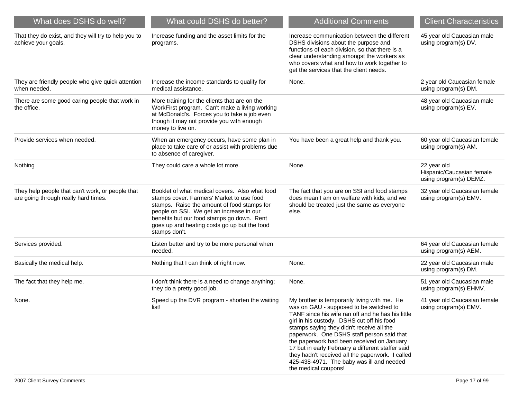| What does DSHS do well?                                                                  | What could DSHS do better?                                                                                                                                                                                                                                                                            | <b>Additional Comments</b>                                                                                                                                                                                                                                                                                                                                                                                                                                                                                        | <b>Client Characteristics</b>                                      |
|------------------------------------------------------------------------------------------|-------------------------------------------------------------------------------------------------------------------------------------------------------------------------------------------------------------------------------------------------------------------------------------------------------|-------------------------------------------------------------------------------------------------------------------------------------------------------------------------------------------------------------------------------------------------------------------------------------------------------------------------------------------------------------------------------------------------------------------------------------------------------------------------------------------------------------------|--------------------------------------------------------------------|
| That they do exist, and they will try to help you to<br>achieve your goals.              | Increase funding and the asset limits for the<br>programs.                                                                                                                                                                                                                                            | Increase communication between the different<br>DSHS divisions about the purpose and<br>functions of each division. so that there is a<br>clear understanding amongst the workers as<br>who covers what and how to work together to<br>get the services that the client needs.                                                                                                                                                                                                                                    | 45 year old Caucasian male<br>using program(s) DV.                 |
| They are friendly people who give quick attention<br>when needed.                        | Increase the income standards to qualify for<br>medical assistance.                                                                                                                                                                                                                                   | None.                                                                                                                                                                                                                                                                                                                                                                                                                                                                                                             | 2 year old Caucasian female<br>using program(s) DM.                |
| There are some good caring people that work in<br>the office.                            | More training for the clients that are on the<br>WorkFirst program. Can't make a living working<br>at McDonald's. Forces you to take a job even<br>though it may not provide you with enough<br>money to live on.                                                                                     |                                                                                                                                                                                                                                                                                                                                                                                                                                                                                                                   | 48 year old Caucasian male<br>using program(s) EV.                 |
| Provide services when needed.                                                            | When an emergency occurs, have some plan in<br>place to take care of or assist with problems due<br>to absence of caregiver.                                                                                                                                                                          | You have been a great help and thank you.                                                                                                                                                                                                                                                                                                                                                                                                                                                                         | 60 year old Caucasian female<br>using program(s) AM.               |
| Nothing                                                                                  | They could care a whole lot more.                                                                                                                                                                                                                                                                     | None.                                                                                                                                                                                                                                                                                                                                                                                                                                                                                                             | 22 year old<br>Hispanic/Caucasian female<br>using program(s) DEMZ. |
| They help people that can't work, or people that<br>are going through really hard times. | Booklet of what medical covers. Also what food<br>stamps cover. Farmers' Market to use food<br>stamps. Raise the amount of food stamps for<br>people on SSI. We get an increase in our<br>benefits but our food stamps go down. Rent<br>goes up and heating costs go up but the food<br>stamps don't. | The fact that you are on SSI and food stamps<br>does mean I am on welfare with kids, and we<br>should be treated just the same as everyone<br>else.                                                                                                                                                                                                                                                                                                                                                               | 32 year old Caucasian female<br>using program(s) EMV.              |
| Services provided.                                                                       | Listen better and try to be more personal when<br>needed.                                                                                                                                                                                                                                             |                                                                                                                                                                                                                                                                                                                                                                                                                                                                                                                   | 64 year old Caucasian female<br>using program(s) AEM.              |
| Basically the medical help.                                                              | Nothing that I can think of right now.                                                                                                                                                                                                                                                                | None.                                                                                                                                                                                                                                                                                                                                                                                                                                                                                                             | 22 year old Caucasian male<br>using program(s) DM.                 |
| The fact that they help me.                                                              | I don't think there is a need to change anything;<br>they do a pretty good job.                                                                                                                                                                                                                       | None.                                                                                                                                                                                                                                                                                                                                                                                                                                                                                                             | 51 year old Caucasian male<br>using program(s) EHMV.               |
| None.                                                                                    | Speed up the DVR program - shorten the waiting<br>list!                                                                                                                                                                                                                                               | My brother is temporarily living with me. He<br>was on GAU - supposed to be switched to<br>TANF since his wife ran off and he has his little<br>girl in his custody. DSHS cut off his food<br>stamps saying they didn't receive all the<br>paperwork. One DSHS staff person said that<br>the paperwork had been received on January<br>17 but in early February a different staffer said<br>they hadn't received all the paperwork. I called<br>425-438-4971. The baby was ill and needed<br>the medical coupons! | 41 year old Caucasian female<br>using program(s) EMV.              |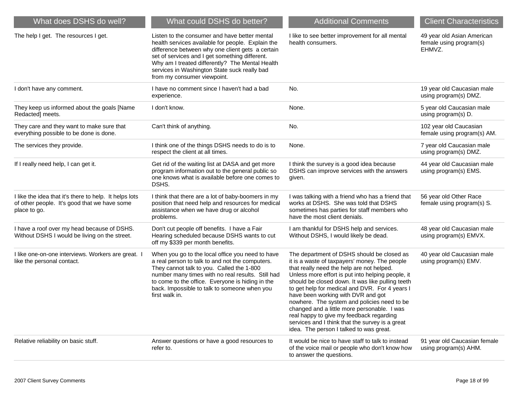| What does DSHS do well?                                                                                                | What could DSHS do better?                                                                                                                                                                                                                                                                                                                 | <b>Additional Comments</b>                                                                                                                                                                                                                                                                                                                                                                                                                                                                                                                                                        | <b>Client Characteristics</b>                                   |
|------------------------------------------------------------------------------------------------------------------------|--------------------------------------------------------------------------------------------------------------------------------------------------------------------------------------------------------------------------------------------------------------------------------------------------------------------------------------------|-----------------------------------------------------------------------------------------------------------------------------------------------------------------------------------------------------------------------------------------------------------------------------------------------------------------------------------------------------------------------------------------------------------------------------------------------------------------------------------------------------------------------------------------------------------------------------------|-----------------------------------------------------------------|
| The help I get. The resources I get.                                                                                   | Listen to the consumer and have better mental<br>health services available for people. Explain the<br>difference between why one client gets a certain<br>set of services and I get something different.<br>Why am I treated differently? The Mental Health<br>services in Washington State suck really bad<br>from my consumer viewpoint. | I like to see better improvement for all mental<br>health consumers.                                                                                                                                                                                                                                                                                                                                                                                                                                                                                                              | 49 year old Asian American<br>female using program(s)<br>EHMVZ. |
| I don't have any comment.                                                                                              | I have no comment since I haven't had a bad<br>experience.                                                                                                                                                                                                                                                                                 | No.                                                                                                                                                                                                                                                                                                                                                                                                                                                                                                                                                                               | 19 year old Caucasian male<br>using program(s) DMZ.             |
| They keep us informed about the goals [Name<br>Redacted] meets.                                                        | I don't know.                                                                                                                                                                                                                                                                                                                              | None.                                                                                                                                                                                                                                                                                                                                                                                                                                                                                                                                                                             | 5 year old Caucasian male<br>using program(s) D.                |
| They care and they want to make sure that<br>everything possible to be done is done.                                   | Can't think of anything.                                                                                                                                                                                                                                                                                                                   | No.                                                                                                                                                                                                                                                                                                                                                                                                                                                                                                                                                                               | 102 year old Caucasian<br>female using program(s) AM.           |
| The services they provide.                                                                                             | I think one of the things DSHS needs to do is to<br>respect the client at all times.                                                                                                                                                                                                                                                       | None.                                                                                                                                                                                                                                                                                                                                                                                                                                                                                                                                                                             | 7 year old Caucasian male<br>using program(s) DMZ.              |
| If I really need help, I can get it.                                                                                   | Get rid of the waiting list at DASA and get more<br>program information out to the general public so<br>one knows what is available before one comes to<br>DSHS.                                                                                                                                                                           | I think the survey is a good idea because<br>DSHS can improve services with the answers<br>given.                                                                                                                                                                                                                                                                                                                                                                                                                                                                                 | 44 year old Caucasian male<br>using program(s) EMS.             |
| I like the idea that it's there to help. It helps lots<br>of other people. It's good that we have some<br>place to go. | I think that there are a lot of baby-boomers in my<br>position that need help and resources for medical<br>assistance when we have drug or alcohol<br>problems.                                                                                                                                                                            | I was talking with a friend who has a friend that<br>works at DSHS. She was told that DSHS<br>sometimes has parties for staff members who<br>have the most client denials.                                                                                                                                                                                                                                                                                                                                                                                                        | 56 year old Other Race<br>female using program(s) S.            |
| I have a roof over my head because of DSHS.<br>Without DSHS I would be living on the street.                           | Don't cut people off benefits. I have a Fair<br>Hearing scheduled because DSHS wants to cut<br>off my \$339 per month benefits.                                                                                                                                                                                                            | I am thankful for DSHS help and services.<br>Without DSHS, I would likely be dead.                                                                                                                                                                                                                                                                                                                                                                                                                                                                                                | 48 year old Caucasian male<br>using program(s) EMVX.            |
| I like one-on-one interviews. Workers are great. I<br>like the personal contact.                                       | When you go to the local office you need to have<br>a real person to talk to and not the computers.<br>They cannot talk to you. Called the 1-800<br>number many times with no real results. Still had<br>to come to the office. Everyone is hiding in the<br>back. Impossible to talk to someone when you<br>first walk in.                | The department of DSHS should be closed as<br>it is a waste of taxpayers' money. The people<br>that really need the help are not helped.<br>Unless more effort is put into helping people, it<br>should be closed down. It was like pulling teeth<br>to get help for medical and DVR. For 4 years I<br>have been working with DVR and got<br>nowhere. The system and policies need to be<br>changed and a little more personable. I was<br>real happy to give my feedback regarding<br>services and I think that the survey is a great<br>idea. The person I talked to was great. | 40 year old Caucasian male<br>using program(s) EMV.             |
| Relative reliability on basic stuff.                                                                                   | Answer questions or have a good resources to<br>refer to.                                                                                                                                                                                                                                                                                  | It would be nice to have staff to talk to instead<br>of the voice mail or people who don't know how<br>to answer the questions.                                                                                                                                                                                                                                                                                                                                                                                                                                                   | 91 year old Caucasian female<br>using program(s) AHM.           |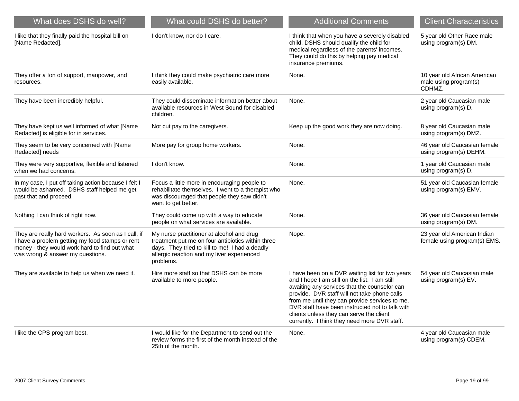| What does DSHS do well?                                                                                                                                                                     | What could DSHS do better?                                                                                                                                                                                  | <b>Additional Comments</b>                                                                                                                                                                                                                                                                                                                                                                        | <b>Client Characteristics</b>                                   |
|---------------------------------------------------------------------------------------------------------------------------------------------------------------------------------------------|-------------------------------------------------------------------------------------------------------------------------------------------------------------------------------------------------------------|---------------------------------------------------------------------------------------------------------------------------------------------------------------------------------------------------------------------------------------------------------------------------------------------------------------------------------------------------------------------------------------------------|-----------------------------------------------------------------|
| I like that they finally paid the hospital bill on<br>[Name Redacted].                                                                                                                      | I don't know, nor do I care.                                                                                                                                                                                | I think that when you have a severely disabled<br>child, DSHS should qualify the child for<br>medical regardless of the parents' incomes.<br>They could do this by helping pay medical<br>insurance premiums.                                                                                                                                                                                     | 5 year old Other Race male<br>using program(s) DM.              |
| They offer a ton of support, manpower, and<br>resources.                                                                                                                                    | I think they could make psychiatric care more<br>easily available.                                                                                                                                          | None.                                                                                                                                                                                                                                                                                                                                                                                             | 10 year old African American<br>male using program(s)<br>CDHMZ. |
| They have been incredibly helpful.                                                                                                                                                          | They could disseminate information better about<br>available resources in West Sound for disabled<br>children.                                                                                              | None.                                                                                                                                                                                                                                                                                                                                                                                             | 2 year old Caucasian male<br>using program(s) D.                |
| They have kept us well informed of what [Name<br>Redacted] is eligible for in services.                                                                                                     | Not cut pay to the caregivers.                                                                                                                                                                              | Keep up the good work they are now doing.                                                                                                                                                                                                                                                                                                                                                         | 8 year old Caucasian male<br>using program(s) DMZ.              |
| They seem to be very concerned with [Name<br>Redacted] needs                                                                                                                                | More pay for group home workers.                                                                                                                                                                            | None.                                                                                                                                                                                                                                                                                                                                                                                             | 46 year old Caucasian female<br>using program(s) DEHM.          |
| They were very supportive, flexible and listened<br>when we had concerns.                                                                                                                   | I don't know.                                                                                                                                                                                               | None.                                                                                                                                                                                                                                                                                                                                                                                             | 1 year old Caucasian male<br>using program(s) D.                |
| In my case, I put off taking action because I felt I<br>would be ashamed. DSHS staff helped me get<br>past that and proceed.                                                                | Focus a little more in encouraging people to<br>rehabilitate themselves. I went to a therapist who<br>was discouraged that people they saw didn't<br>want to get better.                                    | None.                                                                                                                                                                                                                                                                                                                                                                                             | 51 year old Caucasian female<br>using program(s) EMV.           |
| Nothing I can think of right now.                                                                                                                                                           | They could come up with a way to educate<br>people on what services are available.                                                                                                                          | None.                                                                                                                                                                                                                                                                                                                                                                                             | 36 year old Caucasian female<br>using program(s) DM.            |
| They are really hard workers. As soon as I call, if<br>I have a problem getting my food stamps or rent<br>money - they would work hard to find out what<br>was wrong & answer my questions. | My nurse practitioner at alcohol and drug<br>treatment put me on four antibiotics within three<br>days. They tried to kill to me! I had a deadly<br>allergic reaction and my liver experienced<br>problems. | Nope.                                                                                                                                                                                                                                                                                                                                                                                             | 23 year old American Indian<br>female using program(s) EMS.     |
| They are available to help us when we need it.                                                                                                                                              | Hire more staff so that DSHS can be more<br>available to more people.                                                                                                                                       | I have been on a DVR waiting list for two years<br>and I hope I am still on the list. I am still<br>awaiting any services that the counselor can<br>provide. DVR staff will not take phone calls<br>from me until they can provide services to me.<br>DVR staff have been instructed not to talk with<br>clients unless they can serve the client<br>currently. I think they need more DVR staff. | 54 year old Caucasian male<br>using program(s) EV.              |
| I like the CPS program best.                                                                                                                                                                | I would like for the Department to send out the<br>review forms the first of the month instead of the<br>25th of the month.                                                                                 | None.                                                                                                                                                                                                                                                                                                                                                                                             | 4 year old Caucasian male<br>using program(s) CDEM.             |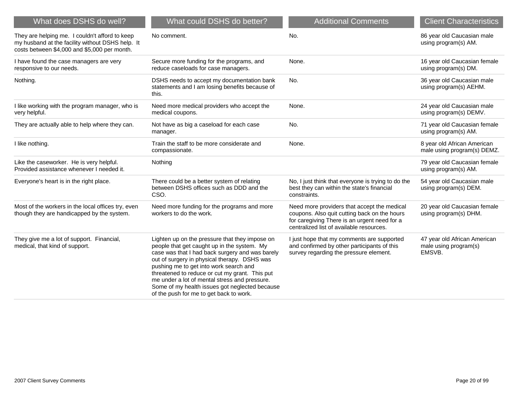| What does DSHS do well?                                                                                                                            | What could DSHS do better?                                                                                                                                                                                                                                                                                                                                                                                                                 | <b>Additional Comments</b>                                                                                                                                                              | <b>Client Characteristics</b>                                   |
|----------------------------------------------------------------------------------------------------------------------------------------------------|--------------------------------------------------------------------------------------------------------------------------------------------------------------------------------------------------------------------------------------------------------------------------------------------------------------------------------------------------------------------------------------------------------------------------------------------|-----------------------------------------------------------------------------------------------------------------------------------------------------------------------------------------|-----------------------------------------------------------------|
| They are helping me. I couldn't afford to keep<br>my husband at the facility without DSHS help. It<br>costs between \$4,000 and \$5,000 per month. | No comment.                                                                                                                                                                                                                                                                                                                                                                                                                                | No.                                                                                                                                                                                     | 86 year old Caucasian male<br>using program(s) AM.              |
| I have found the case managers are very<br>responsive to our needs.                                                                                | Secure more funding for the programs, and<br>reduce caseloads for case managers.                                                                                                                                                                                                                                                                                                                                                           | None.                                                                                                                                                                                   | 16 year old Caucasian female<br>using program(s) DM.            |
| Nothing.                                                                                                                                           | DSHS needs to accept my documentation bank<br>statements and I am losing benefits because of<br>this.                                                                                                                                                                                                                                                                                                                                      | No.                                                                                                                                                                                     | 36 year old Caucasian male<br>using program(s) AEHM.            |
| I like working with the program manager, who is<br>very helpful.                                                                                   | Need more medical providers who accept the<br>medical coupons.                                                                                                                                                                                                                                                                                                                                                                             | None.                                                                                                                                                                                   | 24 year old Caucasian male<br>using program(s) DEMV.            |
| They are actually able to help where they can.                                                                                                     | Not have as big a caseload for each case<br>manager.                                                                                                                                                                                                                                                                                                                                                                                       | No.                                                                                                                                                                                     | 71 year old Caucasian female<br>using program(s) AM.            |
| I like nothing.                                                                                                                                    | Train the staff to be more considerate and<br>compassionate.                                                                                                                                                                                                                                                                                                                                                                               | None.                                                                                                                                                                                   | 8 year old African American<br>male using program(s) DEMZ.      |
| Like the caseworker. He is very helpful.<br>Provided assistance whenever I needed it.                                                              | Nothing                                                                                                                                                                                                                                                                                                                                                                                                                                    |                                                                                                                                                                                         | 79 year old Caucasian female<br>using program(s) AM.            |
| Everyone's heart is in the right place.                                                                                                            | There could be a better system of relating<br>between DSHS offices such as DDD and the<br>CSO.                                                                                                                                                                                                                                                                                                                                             | No, I just think that everyone is trying to do the<br>best they can within the state's financial<br>constraints.                                                                        | 54 year old Caucasian male<br>using program(s) DEM.             |
| Most of the workers in the local offices try, even<br>though they are handicapped by the system.                                                   | Need more funding for the programs and more<br>workers to do the work.                                                                                                                                                                                                                                                                                                                                                                     | Need more providers that accept the medical<br>coupons. Also quit cutting back on the hours<br>for caregiving There is an urgent need for a<br>centralized list of available resources. | 20 year old Caucasian female<br>using program(s) DHM.           |
| They give me a lot of support. Financial,<br>medical, that kind of support.                                                                        | Lighten up on the pressure that they impose on<br>people that get caught up in the system. My<br>case was that I had back surgery and was barely<br>out of surgery in physical therapy. DSHS was<br>pushing me to get into work search and<br>threatened to reduce or cut my grant. This put<br>me under a lot of mental stress and pressure.<br>Some of my health issues got neglected because<br>of the push for me to get back to work. | I just hope that my comments are supported<br>and confirmed by other participants of this<br>survey regarding the pressure element.                                                     | 47 year old African American<br>male using program(s)<br>EMSVB. |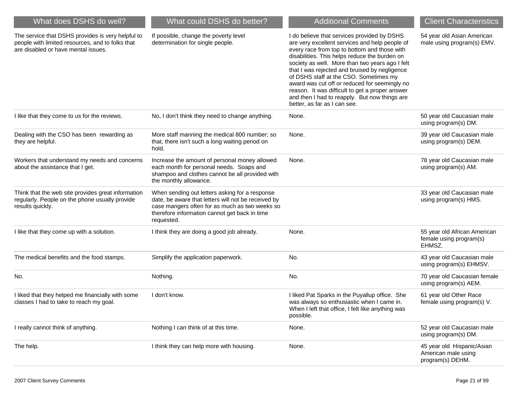| What does DSHS do well?                                                                                                                      | What could DSHS do better?                                                                                                                                                                                             | <b>Additional Comments</b>                                                                                                                                                                                                                                                                                                                                                                                                                                                                                                        | <b>Client Characteristics</b>                                         |
|----------------------------------------------------------------------------------------------------------------------------------------------|------------------------------------------------------------------------------------------------------------------------------------------------------------------------------------------------------------------------|-----------------------------------------------------------------------------------------------------------------------------------------------------------------------------------------------------------------------------------------------------------------------------------------------------------------------------------------------------------------------------------------------------------------------------------------------------------------------------------------------------------------------------------|-----------------------------------------------------------------------|
| The service that DSHS provides is very helpful to<br>people with limited resources, and to folks that<br>are disabled or have mental issues. | If possible, change the poverty level<br>determination for single people.                                                                                                                                              | I do believe that services provided by DSHS<br>are very excellent services and help people of<br>every race from top to bottom and those with<br>disabilities. This helps reduce the burden on<br>society as well. More than two years ago I felt<br>that I was rejected and bruised by negligence<br>of DSHS staff at the CSO. Sometimes my<br>award was cut off or reduced for seemingly no<br>reason. It was difficult to get a proper answer<br>and then I had to reapply. But now things are<br>better, as far as I can see. | 54 year old Asian American<br>male using program(s) EMV.              |
| I like that they come to us for the reviews.                                                                                                 | No, I don't think they need to change anything.                                                                                                                                                                        | None.                                                                                                                                                                                                                                                                                                                                                                                                                                                                                                                             | 50 year old Caucasian male<br>using program(s) DM.                    |
| Dealing with the CSO has been rewarding as<br>they are helpful.                                                                              | More staff manning the medical 800 number; so<br>that, there isn't such a long waiting period on<br>hold.                                                                                                              | None.                                                                                                                                                                                                                                                                                                                                                                                                                                                                                                                             | 39 year old Caucasian male<br>using program(s) DEM.                   |
| Workers that understand my needs and concerns<br>about the assistance that I get.                                                            | Increase the amount of personal money allowed<br>each month for personal needs. Soaps and<br>shampoo and clothes cannot be all provided with<br>the monthly allowance.                                                 | None.                                                                                                                                                                                                                                                                                                                                                                                                                                                                                                                             | 78 year old Caucasian male<br>using program(s) AM.                    |
| Think that the web site provides great information<br>regularly. People on the phone usually provide<br>results quickly.                     | When sending out letters asking for a response<br>date, be aware that letters will not be received by<br>case mangers often for as much as two weeks so<br>therefore information cannot get back in time<br>requested. |                                                                                                                                                                                                                                                                                                                                                                                                                                                                                                                                   | 33 year old Caucasian male<br>using program(s) HMS.                   |
| I like that they come up with a solution.                                                                                                    | I think they are doing a good job already.                                                                                                                                                                             | None.                                                                                                                                                                                                                                                                                                                                                                                                                                                                                                                             | 55 year old African American<br>female using program(s)<br>EHMSZ.     |
| The medical benefits and the food stamps.                                                                                                    | Simplify the application paperwork.                                                                                                                                                                                    | No.                                                                                                                                                                                                                                                                                                                                                                                                                                                                                                                               | 43 year old Caucasian male<br>using program(s) EHMSV.                 |
| No.                                                                                                                                          | Nothing.                                                                                                                                                                                                               | No.                                                                                                                                                                                                                                                                                                                                                                                                                                                                                                                               | 70 year old Caucasian female<br>using program(s) AEM.                 |
| I liked that they helped me financially with some<br>classes I had to take to reach my goal.                                                 | I don't know.                                                                                                                                                                                                          | I liked Pat Sparks in the Puyallup office. She<br>was always so enthusiastic when I came in.<br>When I left that office, I felt like anything was<br>possible.                                                                                                                                                                                                                                                                                                                                                                    | 61 year old Other Race<br>female using program(s) V.                  |
| I really cannot think of anything.                                                                                                           | Nothing I can think of at this time.                                                                                                                                                                                   | None.                                                                                                                                                                                                                                                                                                                                                                                                                                                                                                                             | 52 year old Caucasian male<br>using program(s) DM.                    |
| The help.                                                                                                                                    | I think they can help more with housing.                                                                                                                                                                               | None.                                                                                                                                                                                                                                                                                                                                                                                                                                                                                                                             | 45 year old Hispanic/Asian<br>American male using<br>program(s) DEHM. |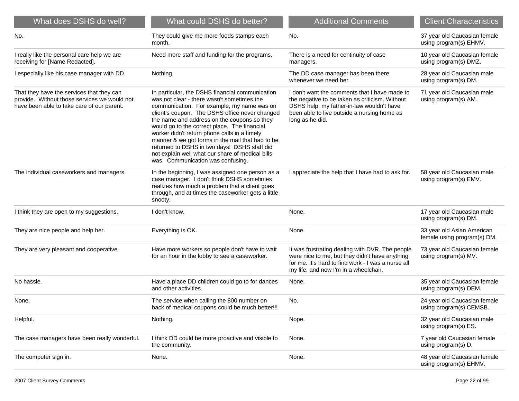| What does DSHS do well?                                                                                                                 | What could DSHS do better?                                                                                                                                                                                                                                                                                                                                                                                                                                                                                                                | <b>Additional Comments</b>                                                                                                                                                                                     | <b>Client Characteristics</b>                             |
|-----------------------------------------------------------------------------------------------------------------------------------------|-------------------------------------------------------------------------------------------------------------------------------------------------------------------------------------------------------------------------------------------------------------------------------------------------------------------------------------------------------------------------------------------------------------------------------------------------------------------------------------------------------------------------------------------|----------------------------------------------------------------------------------------------------------------------------------------------------------------------------------------------------------------|-----------------------------------------------------------|
| No.                                                                                                                                     | They could give me more foods stamps each<br>month.                                                                                                                                                                                                                                                                                                                                                                                                                                                                                       | No.                                                                                                                                                                                                            | 37 year old Caucasian female<br>using program(s) EHMV.    |
| I really like the personal care help we are<br>receiving for [Name Redacted].                                                           | Need more staff and funding for the programs.                                                                                                                                                                                                                                                                                                                                                                                                                                                                                             | There is a need for continuity of case<br>managers.                                                                                                                                                            | 10 year old Caucasian female<br>using program(s) DMZ.     |
| I especially like his case manager with DD.                                                                                             | Nothing.                                                                                                                                                                                                                                                                                                                                                                                                                                                                                                                                  | The DD case manager has been there<br>whenever we need her.                                                                                                                                                    | 28 year old Caucasian male<br>using program(s) DM.        |
| That they have the services that they can<br>provide. Without those services we would not<br>have been able to take care of our parent. | In particular, the DSHS financial communication<br>was not clear - there wasn't sometimes the<br>communication. For example, my name was on<br>client's coupon. The DSHS office never changed<br>the name and address on the coupons so they<br>would go to the correct place. The financial<br>worker didn't return phone calls in a timely<br>manner & we got forms in the mail that had to be<br>returned to DSHS in two days! DSHS staff did<br>not explain well what our share of medical bills<br>was. Communication was confusing. | I don't want the comments that I have made to<br>the negative to be taken as criticism. Without<br>DSHS help, my father-in-law wouldn't have<br>been able to live outside a nursing home as<br>long as he did. | 71 year old Caucasian male<br>using program(s) AM.        |
| The individual caseworkers and managers.                                                                                                | In the beginning, I was assigned one person as a<br>case manager. I don't think DSHS sometimes<br>realizes how much a problem that a client goes<br>through, and at times the caseworker gets a little<br>snooty.                                                                                                                                                                                                                                                                                                                         | appreciate the help that I have had to ask for.                                                                                                                                                                | 58 year old Caucasian male<br>using program(s) EMV.       |
| I think they are open to my suggestions.                                                                                                | I don't know.                                                                                                                                                                                                                                                                                                                                                                                                                                                                                                                             | None.                                                                                                                                                                                                          | 17 year old Caucasian male<br>using program(s) DM.        |
| They are nice people and help her.                                                                                                      | Everything is OK.                                                                                                                                                                                                                                                                                                                                                                                                                                                                                                                         | None.                                                                                                                                                                                                          | 33 year old Asian American<br>female using program(s) DM. |
| They are very pleasant and cooperative.                                                                                                 | Have more workers so people don't have to wait<br>for an hour in the lobby to see a caseworker.                                                                                                                                                                                                                                                                                                                                                                                                                                           | It was frustrating dealing with DVR. The people<br>were nice to me, but they didn't have anything<br>for me. It's hard to find work - I was a nurse all<br>my life, and now I'm in a wheelchair.               | 73 year old Caucasian female<br>using program(s) MV.      |
| No hassle.                                                                                                                              | Have a place DD children could go to for dances<br>and other activities.                                                                                                                                                                                                                                                                                                                                                                                                                                                                  | None.                                                                                                                                                                                                          | 35 year old Caucasian female<br>using program(s) DEM.     |
| None.                                                                                                                                   | The service when calling the 800 number on<br>back of medical coupons could be much better!!!                                                                                                                                                                                                                                                                                                                                                                                                                                             | No.                                                                                                                                                                                                            | 24 year old Caucasian female<br>using program(s) CEMSB.   |
| Helpful.                                                                                                                                | Nothing.                                                                                                                                                                                                                                                                                                                                                                                                                                                                                                                                  | Nope.                                                                                                                                                                                                          | 32 year old Caucasian male<br>using program(s) ES.        |
| The case managers have been really wonderful.                                                                                           | I think DD could be more proactive and visible to<br>the community.                                                                                                                                                                                                                                                                                                                                                                                                                                                                       | None.                                                                                                                                                                                                          | 7 year old Caucasian female<br>using program(s) D.        |
| The computer sign in.                                                                                                                   | None.                                                                                                                                                                                                                                                                                                                                                                                                                                                                                                                                     | None.                                                                                                                                                                                                          | 48 year old Caucasian female<br>using program(s) EHMV.    |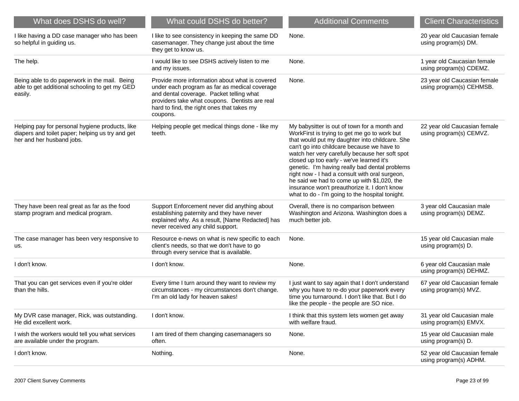| What does DSHS do well?                                                                                                          | What could DSHS do better?                                                                                                                                                                                                                              | <b>Additional Comments</b>                                                                                                                                                                                                                                                                                                                                                                                                                                                                                                                        | <b>Client Characteristics</b>                            |
|----------------------------------------------------------------------------------------------------------------------------------|---------------------------------------------------------------------------------------------------------------------------------------------------------------------------------------------------------------------------------------------------------|---------------------------------------------------------------------------------------------------------------------------------------------------------------------------------------------------------------------------------------------------------------------------------------------------------------------------------------------------------------------------------------------------------------------------------------------------------------------------------------------------------------------------------------------------|----------------------------------------------------------|
| I like having a DD case manager who has been<br>so helpful in guiding us.                                                        | I like to see consistency in keeping the same DD<br>casemanager. They change just about the time<br>they get to know us.                                                                                                                                | None.                                                                                                                                                                                                                                                                                                                                                                                                                                                                                                                                             | 20 year old Caucasian female<br>using program(s) DM.     |
| The help.                                                                                                                        | I would like to see DSHS actively listen to me<br>and my issues.                                                                                                                                                                                        | None.                                                                                                                                                                                                                                                                                                                                                                                                                                                                                                                                             | 1 year old Caucasian female<br>using program(s) CDEMZ.   |
| Being able to do paperwork in the mail. Being<br>able to get additional schooling to get my GED<br>easily.                       | Provide more information about what is covered<br>under each program as far as medical coverage<br>and dental coverage. Packet telling what<br>providers take what coupons. Dentists are real<br>hard to find, the right ones that takes my<br>coupons. | None.                                                                                                                                                                                                                                                                                                                                                                                                                                                                                                                                             | 23 year old Caucasian female<br>using program(s) CEHMSB. |
| Helping pay for personal hygiene products, like<br>diapers and toilet paper; helping us try and get<br>her and her husband jobs. | Helping people get medical things done - like my<br>teeth.                                                                                                                                                                                              | My babysitter is out of town for a month and<br>WorkFirst is trying to get me go to work but<br>that would put my daughter into childcare. She<br>can't go into childcare because we have to<br>watch her very carefully because her soft spot<br>closed up too early - we've learned it's<br>genetic. I'm having really bad dental problems<br>right now - I had a consult with oral surgeon,<br>he said we had to come up with \$1,020, the<br>insurance won't preauthorize it. I don't know<br>what to do - I'm going to the hospital tonight. | 22 year old Caucasian female<br>using program(s) CEMVZ.  |
| They have been real great as far as the food<br>stamp program and medical program.                                               | Support Enforcement never did anything about<br>establishing paternity and they have never<br>explained why. As a result, [Name Redacted] has<br>never received any child support.                                                                      | Overall, there is no comparison between<br>Washington and Arizona. Washington does a<br>much better job.                                                                                                                                                                                                                                                                                                                                                                                                                                          | 3 year old Caucasian male<br>using program(s) DEMZ.      |
| The case manager has been very responsive to<br>us.                                                                              | Resource e-news on what is new specific to each<br>client's needs, so that we don't have to go<br>through every service that is available.                                                                                                              | None.                                                                                                                                                                                                                                                                                                                                                                                                                                                                                                                                             | 15 year old Caucasian male<br>using program(s) D.        |
| I don't know.                                                                                                                    | I don't know.                                                                                                                                                                                                                                           | None.                                                                                                                                                                                                                                                                                                                                                                                                                                                                                                                                             | 6 year old Caucasian male<br>using program(s) DEHMZ.     |
| That you can get services even if you're older<br>than the hills.                                                                | Every time I turn around they want to review my<br>circumstances - my circumstances don't change.<br>I'm an old lady for heaven sakes!                                                                                                                  | I just want to say again that I don't understand<br>why you have to re-do your paperwork every<br>time you turnaround. I don't like that. But I do<br>like the people - the people are SO nice.                                                                                                                                                                                                                                                                                                                                                   | 67 year old Caucasian female<br>using program(s) MVZ.    |
| My DVR case manager, Rick, was outstanding.<br>He did excellent work.                                                            | I don't know.                                                                                                                                                                                                                                           | I think that this system lets women get away<br>with welfare fraud.                                                                                                                                                                                                                                                                                                                                                                                                                                                                               | 31 year old Caucasian male<br>using program(s) EMVX.     |
| I wish the workers would tell you what services<br>are available under the program.                                              | I am tired of them changing casemanagers so<br>often.                                                                                                                                                                                                   | None.                                                                                                                                                                                                                                                                                                                                                                                                                                                                                                                                             | 15 year old Caucasian male<br>using program(s) D.        |
| I don't know.                                                                                                                    | Nothing.                                                                                                                                                                                                                                                | None.                                                                                                                                                                                                                                                                                                                                                                                                                                                                                                                                             | 52 year old Caucasian female<br>using program(s) ADHM.   |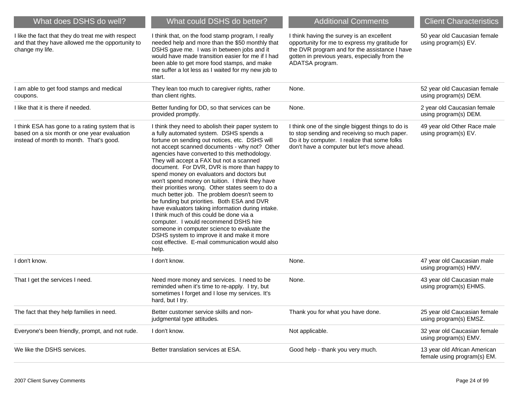| What does DSHS do well?                                                                                                                   | What could DSHS do better?                                                                                                                                                                                                                                                                                                                                                                                                                                                                                                                                                                                                                                                                                                                                                                                                                                                                          | <b>Additional Comments</b>                                                                                                                                                                                       | <b>Client Characteristics</b>                               |
|-------------------------------------------------------------------------------------------------------------------------------------------|-----------------------------------------------------------------------------------------------------------------------------------------------------------------------------------------------------------------------------------------------------------------------------------------------------------------------------------------------------------------------------------------------------------------------------------------------------------------------------------------------------------------------------------------------------------------------------------------------------------------------------------------------------------------------------------------------------------------------------------------------------------------------------------------------------------------------------------------------------------------------------------------------------|------------------------------------------------------------------------------------------------------------------------------------------------------------------------------------------------------------------|-------------------------------------------------------------|
| I like the fact that they do treat me with respect<br>and that they have allowed me the opportunity to<br>change my life.                 | I think that, on the food stamp program, I really<br>needed help and more than the \$50 monthly that<br>DSHS gave me. I was in between jobs and it<br>would have made transition easier for me if I had<br>been able to get more food stamps, and make<br>me suffer a lot less as I waited for my new job to<br>start.                                                                                                                                                                                                                                                                                                                                                                                                                                                                                                                                                                              | I think having the survey is an excellent<br>opportunity for me to express my gratitude for<br>the DVR program and for the assistance I have<br>gotten in previous years, especially from the<br>ADATSA program. | 50 year old Caucasian female<br>using program(s) EV.        |
| I am able to get food stamps and medical<br>coupons.                                                                                      | They lean too much to caregiver rights, rather<br>than client rights.                                                                                                                                                                                                                                                                                                                                                                                                                                                                                                                                                                                                                                                                                                                                                                                                                               | None.                                                                                                                                                                                                            | 52 year old Caucasian female<br>using program(s) DEM.       |
| I like that it is there if needed.                                                                                                        | Better funding for DD, so that services can be<br>provided promptly.                                                                                                                                                                                                                                                                                                                                                                                                                                                                                                                                                                                                                                                                                                                                                                                                                                | None.                                                                                                                                                                                                            | 2 year old Caucasian female<br>using program(s) DEM.        |
| I think ESA has gone to a rating system that is<br>based on a six month or one year evaluation<br>instead of month to month. That's good. | I think they need to abolish their paper system to<br>a fully automated system. DSHS spends a<br>fortune on sending out notices, etc. DSHS will<br>not accept scanned documents - why not? Other<br>agencies have converted to this methodology.<br>They will accept a FAX but not a scanned<br>document. For DVR, DVR is more than happy to<br>spend money on evaluators and doctors but<br>won't spend money on tuition. I think they have<br>their priorities wrong. Other states seem to do a<br>much better job. The problem doesn't seem to<br>be funding but priorities. Both ESA and DVR<br>have evaluators taking information during intake.<br>I think much of this could be done via a<br>computer. I would recommend DSHS hire<br>someone in computer science to evaluate the<br>DSHS system to improve it and make it more<br>cost effective. E-mail communication would also<br>help. | I think one of the single biggest things to do is<br>to stop sending and receiving so much paper.<br>Do it by computer. I realize that some folks<br>don't have a computer but let's move ahead.                 | 49 year old Other Race male<br>using program(s) EV.         |
| I don't know.                                                                                                                             | I don't know.                                                                                                                                                                                                                                                                                                                                                                                                                                                                                                                                                                                                                                                                                                                                                                                                                                                                                       | None.                                                                                                                                                                                                            | 47 year old Caucasian male<br>using program(s) HMV.         |
| That I get the services I need.                                                                                                           | Need more money and services. I need to be<br>reminded when it's time to re-apply. I try, but<br>sometimes I forget and I lose my services. It's<br>hard, but I try.                                                                                                                                                                                                                                                                                                                                                                                                                                                                                                                                                                                                                                                                                                                                | None.                                                                                                                                                                                                            | 43 year old Caucasian male<br>using program(s) EHMS.        |
| The fact that they help families in need.                                                                                                 | Better customer service skills and non-<br>judgmental type attitudes.                                                                                                                                                                                                                                                                                                                                                                                                                                                                                                                                                                                                                                                                                                                                                                                                                               | Thank you for what you have done.                                                                                                                                                                                | 25 year old Caucasian female<br>using program(s) EMSZ.      |
| Everyone's been friendly, prompt, and not rude.                                                                                           | I don't know.                                                                                                                                                                                                                                                                                                                                                                                                                                                                                                                                                                                                                                                                                                                                                                                                                                                                                       | Not applicable.                                                                                                                                                                                                  | 32 year old Caucasian female<br>using program(s) EMV.       |
| We like the DSHS services.                                                                                                                | Better translation services at ESA.                                                                                                                                                                                                                                                                                                                                                                                                                                                                                                                                                                                                                                                                                                                                                                                                                                                                 | Good help - thank you very much.                                                                                                                                                                                 | 13 year old African American<br>female using program(s) EM. |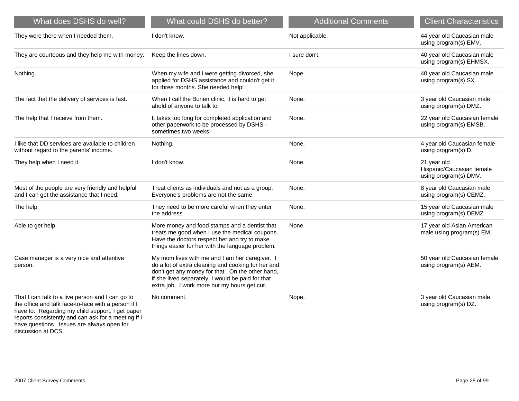| What does DSHS do well?                                                                                                                                                                                                                                                                | What could DSHS do better?                                                                                                                                                                                                                                    | <b>Additional Comments</b> | <b>Client Characteristics</b>                                     |
|----------------------------------------------------------------------------------------------------------------------------------------------------------------------------------------------------------------------------------------------------------------------------------------|---------------------------------------------------------------------------------------------------------------------------------------------------------------------------------------------------------------------------------------------------------------|----------------------------|-------------------------------------------------------------------|
| They were there when I needed them.                                                                                                                                                                                                                                                    | I don't know.                                                                                                                                                                                                                                                 | Not applicable.            | 44 year old Caucasian male<br>using program(s) EMV.               |
| They are courteous and they help me with money.                                                                                                                                                                                                                                        | Keep the lines down.                                                                                                                                                                                                                                          | I sure don't.              | 40 year old Caucasian male<br>using program(s) EHMSX.             |
| Nothing.                                                                                                                                                                                                                                                                               | When my wife and I were getting divorced, she<br>applied for DSHS assistance and couldn't get it<br>for three months. She needed help!                                                                                                                        | Nope.                      | 40 year old Caucasian male<br>using program(s) SX.                |
| The fact that the delivery of services is fast.                                                                                                                                                                                                                                        | When I call the Burien clinic, it is hard to get<br>ahold of anyone to talk to.                                                                                                                                                                               | None.                      | 3 year old Caucasian male<br>using program(s) DMZ.                |
| The help that I receive from them.                                                                                                                                                                                                                                                     | It takes too long for completed application and<br>other paperwork to be processed by DSHS -<br>sometimes two weeks!                                                                                                                                          | None.                      | 22 year old Caucasian female<br>using program(s) EMSB.            |
| I like that DD services are available to children<br>without regard to the parents' income.                                                                                                                                                                                            | Nothing.                                                                                                                                                                                                                                                      | None.                      | 4 year old Caucasian female<br>using program(s) D.                |
| They help when I need it.                                                                                                                                                                                                                                                              | I don't know.                                                                                                                                                                                                                                                 | None.                      | 21 year old<br>Hispanic/Caucasian female<br>using program(s) DMV. |
| Most of the people are very friendly and helpful<br>and I can get the assistance that I need.                                                                                                                                                                                          | Treat clients as individuals and not as a group.<br>Everyone's problems are not the same.                                                                                                                                                                     | None.                      | 8 year old Caucasian male<br>using program(s) CEMZ.               |
| The help                                                                                                                                                                                                                                                                               | They need to be more careful when they enter<br>the address.                                                                                                                                                                                                  | None.                      | 15 year old Caucasian male<br>using program(s) DEMZ.              |
| Able to get help.                                                                                                                                                                                                                                                                      | More money and food stamps and a dentist that<br>treats me good when I use the medical coupons.<br>Have the doctors respect her and try to make<br>things easier for her with the language problem.                                                           | None.                      | 17 year old Asian American<br>male using program(s) EM.           |
| Case manager is a very nice and attentive<br>person.                                                                                                                                                                                                                                   | My mom lives with me and I am her caregiver. I<br>do a lot of extra cleaning and cooking for her and<br>don't get any money for that. On the other hand,<br>if she lived separately, I would be paid for that<br>extra job. I work more but my hours get cut. |                            | 50 year old Caucasian female<br>using program(s) AEM.             |
| That I can talk to a live person and I can go to<br>the office and talk face-to-face with a person if I<br>have to. Regarding my child support, I get paper<br>reports consistently and can ask for a meeting if I<br>have questions. Issues are always open for<br>discussion at DCS. | No comment.                                                                                                                                                                                                                                                   | Nope.                      | 3 year old Caucasian male<br>using program(s) DZ.                 |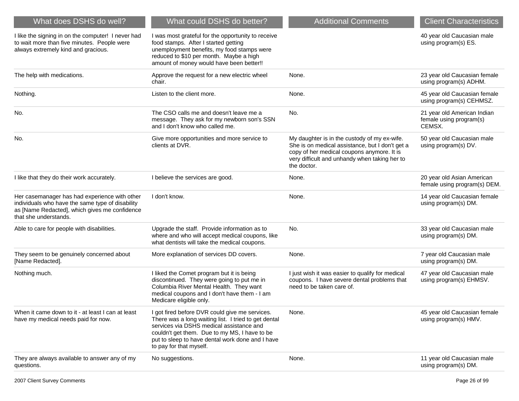| What does DSHS do well?                                                                                                                                                     | What could DSHS do better?                                                                                                                                                                                                                                                         | <b>Additional Comments</b>                                                                                                                                                                                    | <b>Client Characteristics</b>                                    |
|-----------------------------------------------------------------------------------------------------------------------------------------------------------------------------|------------------------------------------------------------------------------------------------------------------------------------------------------------------------------------------------------------------------------------------------------------------------------------|---------------------------------------------------------------------------------------------------------------------------------------------------------------------------------------------------------------|------------------------------------------------------------------|
| I like the signing in on the computer! I never had<br>to wait more than five minutes. People were<br>always extremely kind and gracious.                                    | I was most grateful for the opportunity to receive<br>food stamps. After I started getting<br>unemployment benefits, my food stamps were<br>reduced to \$10 per month. Maybe a high<br>amount of money would have been better!!                                                    |                                                                                                                                                                                                               | 40 year old Caucasian male<br>using program(s) ES.               |
| The help with medications.                                                                                                                                                  | Approve the request for a new electric wheel<br>chair.                                                                                                                                                                                                                             | None.                                                                                                                                                                                                         | 23 year old Caucasian female<br>using program(s) ADHM.           |
| Nothing.                                                                                                                                                                    | Listen to the client more.                                                                                                                                                                                                                                                         | None.                                                                                                                                                                                                         | 45 year old Caucasian female<br>using program(s) CEHMSZ.         |
| No.                                                                                                                                                                         | The CSO calls me and doesn't leave me a<br>message. They ask for my newborn son's SSN<br>and I don't know who called me.                                                                                                                                                           | No.                                                                                                                                                                                                           | 21 year old American Indian<br>female using program(s)<br>CEMSX. |
| No.                                                                                                                                                                         | Give more opportunities and more service to<br>clients at DVR.                                                                                                                                                                                                                     | My daughter is in the custody of my ex-wife.<br>She is on medical assistance, but I don't get a<br>copy of her medical coupons anymore. It is<br>very difficult and unhandy when taking her to<br>the doctor. | 50 year old Caucasian male<br>using program(s) DV.               |
| I like that they do their work accurately.                                                                                                                                  | I believe the services are good.                                                                                                                                                                                                                                                   | None.                                                                                                                                                                                                         | 20 year old Asian American<br>female using program(s) DEM.       |
| Her casemanager has had experience with other<br>individuals who have the same type of disability<br>as [Name Redacted], which gives me confidence<br>that she understands. | I don't know.                                                                                                                                                                                                                                                                      | None.                                                                                                                                                                                                         | 14 year old Caucasian female<br>using program(s) DM.             |
| Able to care for people with disabilities.                                                                                                                                  | Upgrade the staff. Provide information as to<br>where and who will accept medical coupons, like<br>what dentists will take the medical coupons.                                                                                                                                    | No.                                                                                                                                                                                                           | 33 year old Caucasian male<br>using program(s) DM.               |
| They seem to be genuinely concerned about<br>[Name Redacted].                                                                                                               | More explanation of services DD covers.                                                                                                                                                                                                                                            | None.                                                                                                                                                                                                         | 7 year old Caucasian male<br>using program(s) DM.                |
| Nothing much.                                                                                                                                                               | I liked the Comet program but it is being<br>discontinued. They were going to put me in<br>Columbia River Mental Health. They want<br>medical coupons and I don't have them - I am<br>Medicare eligible only.                                                                      | I just wish it was easier to qualify for medical<br>coupons. I have severe dental problems that<br>need to be taken care of.                                                                                  | 47 year old Caucasian male<br>using program(s) EHMSV.            |
| When it came down to it - at least I can at least<br>have my medical needs paid for now.                                                                                    | I got fired before DVR could give me services.<br>There was a long waiting list. I tried to get dental<br>services via DSHS medical assistance and<br>couldn't get them. Due to my MS, I have to be<br>put to sleep to have dental work done and I have<br>to pay for that myself. | None.                                                                                                                                                                                                         | 45 year old Caucasian female<br>using program(s) HMV.            |
| They are always available to answer any of my<br>questions.                                                                                                                 | No suggestions.                                                                                                                                                                                                                                                                    | None.                                                                                                                                                                                                         | 11 year old Caucasian male<br>using program(s) DM.               |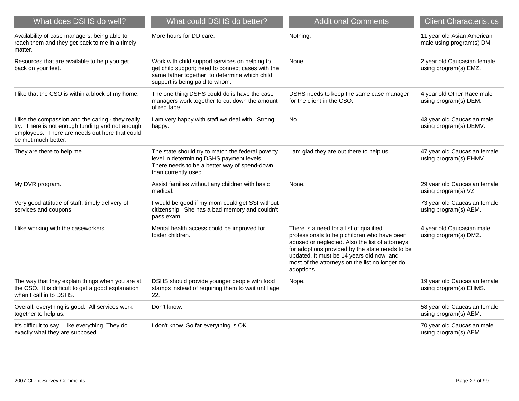| What does DSHS do well?                                                                                                                                                        | What could DSHS do better?                                                                                                                                                              | <b>Additional Comments</b>                                                                                                                                                                                                                                                                                 | <b>Client Characteristics</b>                           |
|--------------------------------------------------------------------------------------------------------------------------------------------------------------------------------|-----------------------------------------------------------------------------------------------------------------------------------------------------------------------------------------|------------------------------------------------------------------------------------------------------------------------------------------------------------------------------------------------------------------------------------------------------------------------------------------------------------|---------------------------------------------------------|
| Availability of case managers; being able to<br>reach them and they get back to me in a timely<br>matter.                                                                      | More hours for DD care.                                                                                                                                                                 | Nothing.                                                                                                                                                                                                                                                                                                   | 11 year old Asian American<br>male using program(s) DM. |
| Resources that are available to help you get<br>back on your feet.                                                                                                             | Work with child support services on helping to<br>get child support; need to connect cases with the<br>same father together, to determine which child<br>support is being paid to whom. | None.                                                                                                                                                                                                                                                                                                      | 2 year old Caucasian female<br>using program(s) EMZ.    |
| I like that the CSO is within a block of my home.                                                                                                                              | The one thing DSHS could do is have the case<br>managers work together to cut down the amount<br>of red tape.                                                                           | DSHS needs to keep the same case manager<br>for the client in the CSO.                                                                                                                                                                                                                                     | 4 year old Other Race male<br>using program(s) DEM.     |
| I like the compassion and the caring - they really<br>try. There is not enough funding and not enough<br>employees. There are needs out here that could<br>be met much better. | I am very happy with staff we deal with. Strong<br>happy.                                                                                                                               | No.                                                                                                                                                                                                                                                                                                        | 43 year old Caucasian male<br>using program(s) DEMV.    |
| They are there to help me.                                                                                                                                                     | The state should try to match the federal poverty<br>level in determining DSHS payment levels.<br>There needs to be a better way of spend-down<br>than currently used.                  | I am glad they are out there to help us.                                                                                                                                                                                                                                                                   | 47 year old Caucasian female<br>using program(s) EHMV.  |
| My DVR program.                                                                                                                                                                | Assist families without any children with basic<br>medical.                                                                                                                             | None.                                                                                                                                                                                                                                                                                                      | 29 year old Caucasian female<br>using program(s) VZ.    |
| Very good attitude of staff; timely delivery of<br>services and coupons.                                                                                                       | I would be good if my mom could get SSI without<br>citizenship. She has a bad memory and couldn't<br>pass exam.                                                                         |                                                                                                                                                                                                                                                                                                            | 73 year old Caucasian female<br>using program(s) AEM.   |
| I like working with the caseworkers.                                                                                                                                           | Mental health access could be improved for<br>foster children.                                                                                                                          | There is a need for a list of qualified<br>professionals to help children who have been<br>abused or neglected. Also the list of attorneys<br>for adoptions provided by the state needs to be<br>updated. It must be 14 years old now, and<br>most of the attorneys on the list no longer do<br>adoptions. | 4 year old Caucasian male<br>using program(s) DMZ.      |
| The way that they explain things when you are at<br>the CSO. It is difficult to get a good explanation<br>when I call in to DSHS.                                              | DSHS should provide younger people with food<br>stamps instead of requiring them to wait until age<br>22.                                                                               | Nope.                                                                                                                                                                                                                                                                                                      | 19 year old Caucasian female<br>using program(s) EHMS.  |
| Overall, everything is good. All services work<br>together to help us.                                                                                                         | Don't know.                                                                                                                                                                             |                                                                                                                                                                                                                                                                                                            | 58 year old Caucasian female<br>using program(s) AEM.   |
| It's difficult to say I like everything. They do<br>exactly what they are supposed                                                                                             | I don't know So far everything is OK.                                                                                                                                                   |                                                                                                                                                                                                                                                                                                            | 70 year old Caucasian male<br>using program(s) AEM.     |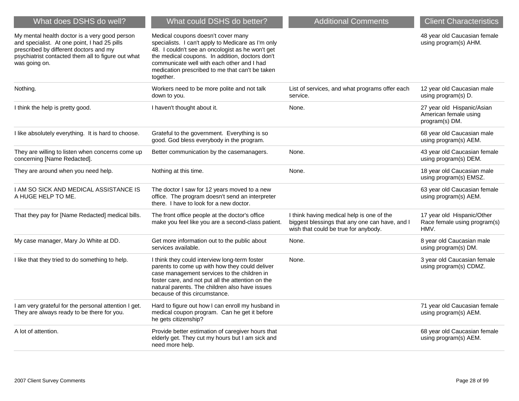| What does DSHS do well?                                                                                                                                                                                        | What could DSHS do better?                                                                                                                                                                                                                                                                                    | <b>Additional Comments</b>                                                                                                          | <b>Client Characteristics</b>                                         |
|----------------------------------------------------------------------------------------------------------------------------------------------------------------------------------------------------------------|---------------------------------------------------------------------------------------------------------------------------------------------------------------------------------------------------------------------------------------------------------------------------------------------------------------|-------------------------------------------------------------------------------------------------------------------------------------|-----------------------------------------------------------------------|
| My mental health doctor is a very good person<br>and specialist. At one point, I had 25 pills<br>prescribed by different doctors and my<br>psychiatrist contacted them all to figure out what<br>was going on. | Medical coupons doesn't cover many<br>specialists. I can't apply to Medicare as I'm only<br>48. I couldn't see an oncologist as he won't get<br>the medical coupons. In addition, doctors don't<br>communicate well with each other and I had<br>medication prescribed to me that can't be taken<br>together. |                                                                                                                                     | 48 year old Caucasian female<br>using program(s) AHM.                 |
| Nothing.                                                                                                                                                                                                       | Workers need to be more polite and not talk<br>down to you.                                                                                                                                                                                                                                                   | List of services, and what programs offer each<br>service.                                                                          | 12 year old Caucasian male<br>using program(s) D.                     |
| I think the help is pretty good.                                                                                                                                                                               | I haven't thought about it.                                                                                                                                                                                                                                                                                   | None.                                                                                                                               | 27 year old Hispanic/Asian<br>American female using<br>program(s) DM. |
| I like absolutely everything. It is hard to choose.                                                                                                                                                            | Grateful to the government. Everything is so<br>good. God bless everybody in the program.                                                                                                                                                                                                                     |                                                                                                                                     | 68 year old Caucasian male<br>using program(s) AEM.                   |
| They are willing to listen when concerns come up<br>concerning [Name Redacted].                                                                                                                                | Better communication by the casemanagers.                                                                                                                                                                                                                                                                     | None.                                                                                                                               | 43 year old Caucasian female<br>using program(s) DEM.                 |
| They are around when you need help.                                                                                                                                                                            | Nothing at this time.                                                                                                                                                                                                                                                                                         | None.                                                                                                                               | 18 year old Caucasian male<br>using program(s) EMSZ.                  |
| I AM SO SICK AND MEDICAL ASSISTANCE IS<br>A HUGE HELP TO ME.                                                                                                                                                   | The doctor I saw for 12 years moved to a new<br>office. The program doesn't send an interpreter<br>there. I have to look for a new doctor.                                                                                                                                                                    |                                                                                                                                     | 63 year old Caucasian female<br>using program(s) AEM.                 |
| That they pay for [Name Redacted] medical bills.                                                                                                                                                               | The front office people at the doctor's office<br>make you feel like you are a second-class patient.                                                                                                                                                                                                          | I think having medical help is one of the<br>biggest blessings that any one can have, and I<br>wish that could be true for anybody. | 17 year old Hispanic/Other<br>Race female using program(s)<br>HMV.    |
| My case manager, Mary Jo White at DD.                                                                                                                                                                          | Get more information out to the public about<br>services available.                                                                                                                                                                                                                                           | None.                                                                                                                               | 8 year old Caucasian male<br>using program(s) DM.                     |
| I like that they tried to do something to help.                                                                                                                                                                | I think they could interview long-term foster<br>parents to come up with how they could deliver<br>case management services to the children in<br>foster care, and not put all the attention on the<br>natural parents. The children also have issues<br>because of this circumstance.                        | None.                                                                                                                               | 3 year old Caucasian female<br>using program(s) CDMZ.                 |
| I am very grateful for the personal attention I get.<br>They are always ready to be there for you.                                                                                                             | Hard to figure out how I can enroll my husband in<br>medical coupon program. Can he get it before<br>he gets citizenship?                                                                                                                                                                                     |                                                                                                                                     | 71 year old Caucasian female<br>using program(s) AEM.                 |
| A lot of attention.                                                                                                                                                                                            | Provide better estimation of caregiver hours that<br>elderly get. They cut my hours but I am sick and<br>need more help.                                                                                                                                                                                      |                                                                                                                                     | 68 year old Caucasian female<br>using program(s) AEM.                 |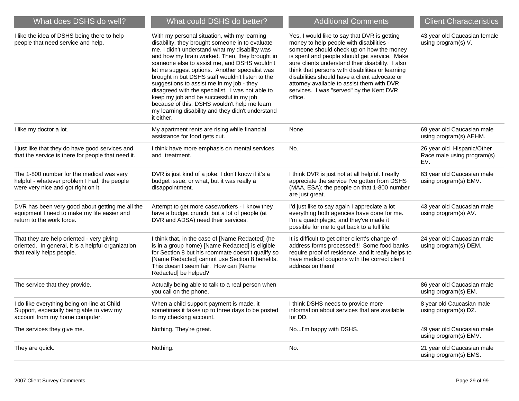| What does DSHS do well?                                                                                                          | What could DSHS do better?                                                                                                                                                                                                                                                                                                                                                                                                                                                                                                                                                                                               | <b>Additional Comments</b>                                                                                                                                                                                                                                                                                                                                                                                                                         | <b>Client Characteristics</b>                                   |
|----------------------------------------------------------------------------------------------------------------------------------|--------------------------------------------------------------------------------------------------------------------------------------------------------------------------------------------------------------------------------------------------------------------------------------------------------------------------------------------------------------------------------------------------------------------------------------------------------------------------------------------------------------------------------------------------------------------------------------------------------------------------|----------------------------------------------------------------------------------------------------------------------------------------------------------------------------------------------------------------------------------------------------------------------------------------------------------------------------------------------------------------------------------------------------------------------------------------------------|-----------------------------------------------------------------|
| I like the idea of DSHS being there to help<br>people that need service and help.                                                | With my personal situation, with my learning<br>disability, they brought someone in to evaluate<br>me. I didn't understand what my disability was<br>and how my brain worked. Then, they brought in<br>someone else to assist me, and DSHS wouldn't<br>let me suggest options. Another specialist was<br>brought in but DSHS staff wouldn't listen to the<br>suggestions to assist me in my job - they<br>disagreed with the specialist. I was not able to<br>keep my job and be successful in my job<br>because of this. DSHS wouldn't help me learn<br>my learning disability and they didn't understand<br>it either. | Yes, I would like to say that DVR is getting<br>money to help people with disabilities -<br>someone should check up on how the money<br>is spent and people should get service. Make<br>sure clients understand their disability. I also<br>think that persons with disabilities or learning<br>disabilities should have a client advocate or<br>attorney available to assist them with DVR<br>services. I was "served" by the Kent DVR<br>office. | 43 year old Caucasian female<br>using program(s) V.             |
| I like my doctor a lot.                                                                                                          | My apartment rents are rising while financial<br>assistance for food gets cut.                                                                                                                                                                                                                                                                                                                                                                                                                                                                                                                                           | None.                                                                                                                                                                                                                                                                                                                                                                                                                                              | 69 year old Caucasian male<br>using program(s) AEHM.            |
| I just like that they do have good services and<br>that the service is there for people that need it.                            | I think have more emphasis on mental services<br>and treatment.                                                                                                                                                                                                                                                                                                                                                                                                                                                                                                                                                          | No.                                                                                                                                                                                                                                                                                                                                                                                                                                                | 26 year old Hispanic/Other<br>Race male using program(s)<br>EV. |
| The 1-800 number for the medical was very<br>helpful - whatever problem I had, the people<br>were very nice and got right on it. | DVR is just kind of a joke. I don't know if it's a<br>budget issue, or what, but it was really a<br>disappointment.                                                                                                                                                                                                                                                                                                                                                                                                                                                                                                      | I think DVR is just not at all helpful. I really<br>appreciate the service I've gotten from DSHS<br>(MAA, ESA); the people on that 1-800 number<br>are just great.                                                                                                                                                                                                                                                                                 | 63 year old Caucasian male<br>using program(s) EMV.             |
| DVR has been very good about getting me all the<br>equipment I need to make my life easier and<br>return to the work force.      | Attempt to get more caseworkers - I know they<br>have a budget crunch, but a lot of people (at<br>DVR and ADSA) need their services.                                                                                                                                                                                                                                                                                                                                                                                                                                                                                     | I'd just like to say again I appreciate a lot<br>everything both agencies have done for me.<br>I'm a quadriplegic, and they've made it<br>possible for me to get back to a full life.                                                                                                                                                                                                                                                              | 43 year old Caucasian male<br>using program(s) AV.              |
| That they are help oriented - very giving<br>oriented. In general, it is a helpful organization<br>that really helps people.     | I think that, in the case of [Name Redacted] (he<br>is in a group home) [Name Redacted] is eligible<br>for Section 8 but his roommate doesn't qualify so<br>[Name Redacted] cannot use Section 8 benefits.<br>This doesn't seem fair. How can [Name<br>Redacted] be helped?                                                                                                                                                                                                                                                                                                                                              | It is difficult to get other client's change-of-<br>address forms processed!!! Some food banks<br>require proof of residence, and it really helps to<br>have medical coupons with the correct client<br>address on them!                                                                                                                                                                                                                           | 24 year old Caucasian male<br>using program(s) DEM.             |
| The service that they provide.                                                                                                   | Actually being able to talk to a real person when<br>you call on the phone.                                                                                                                                                                                                                                                                                                                                                                                                                                                                                                                                              |                                                                                                                                                                                                                                                                                                                                                                                                                                                    | 86 year old Caucasian male<br>using program(s) EM.              |
| I do like everything being on-line at Child<br>Support, especially being able to view my<br>account from my home computer.       | When a child support payment is made, it<br>sometimes it takes up to three days to be posted<br>to my checking account.                                                                                                                                                                                                                                                                                                                                                                                                                                                                                                  | I think DSHS needs to provide more<br>information about services that are available<br>for DD.                                                                                                                                                                                                                                                                                                                                                     | 8 year old Caucasian male<br>using program(s) DZ.               |
| The services they give me.                                                                                                       | Nothing. They're great.                                                                                                                                                                                                                                                                                                                                                                                                                                                                                                                                                                                                  | NoI'm happy with DSHS.                                                                                                                                                                                                                                                                                                                                                                                                                             | 49 year old Caucasian male<br>using program(s) EMV.             |
| They are quick.                                                                                                                  | Nothing.                                                                                                                                                                                                                                                                                                                                                                                                                                                                                                                                                                                                                 | No.                                                                                                                                                                                                                                                                                                                                                                                                                                                | 21 year old Caucasian male<br>using program(s) EMS.             |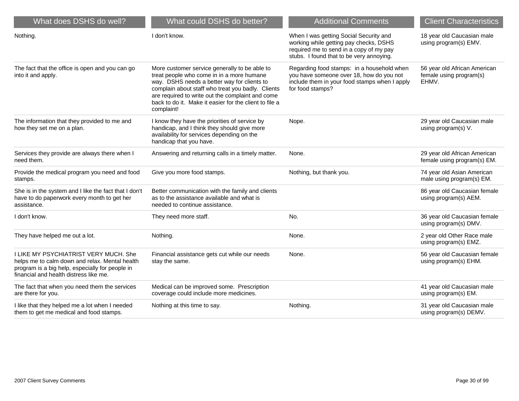| What does DSHS do well?                                                                                                                                                              | What could DSHS do better?                                                                                                                                                                                                                                                                                                 | <b>Additional Comments</b>                                                                                                                                              | <b>Client Characteristics</b>                                    |
|--------------------------------------------------------------------------------------------------------------------------------------------------------------------------------------|----------------------------------------------------------------------------------------------------------------------------------------------------------------------------------------------------------------------------------------------------------------------------------------------------------------------------|-------------------------------------------------------------------------------------------------------------------------------------------------------------------------|------------------------------------------------------------------|
| Nothing.                                                                                                                                                                             | I don't know.                                                                                                                                                                                                                                                                                                              | When I was getting Social Security and<br>working while getting pay checks, DSHS<br>required me to send in a copy of my pay<br>stubs. I found that to be very annoying. | 18 year old Caucasian male<br>using program(s) EMV.              |
| The fact that the office is open and you can go<br>into it and apply.                                                                                                                | More customer service generally to be able to<br>treat people who come in in a more humane<br>way. DSHS needs a better way for clients to<br>complain about staff who treat you badly. Clients<br>are required to write out the complaint and come<br>back to do it. Make it easier for the client to file a<br>complaint! | Regarding food stamps: in a household when<br>you have someone over 18, how do you not<br>include them in your food stamps when I apply<br>for food stamps?             | 56 year old African American<br>female using program(s)<br>EHMV. |
| The information that they provided to me and<br>how they set me on a plan.                                                                                                           | I know they have the priorities of service by<br>handicap, and I think they should give more<br>availability for services depending on the<br>handicap that you have.                                                                                                                                                      | Nope.                                                                                                                                                                   | 29 year old Caucasian male<br>using program(s) V.                |
| Services they provide are always there when I<br>need them.                                                                                                                          | Answering and returning calls in a timely matter.                                                                                                                                                                                                                                                                          | None.                                                                                                                                                                   | 29 year old African American<br>female using program(s) EM.      |
| Provide the medical program you need and food<br>stamps.                                                                                                                             | Give you more food stamps.                                                                                                                                                                                                                                                                                                 | Nothing, but thank you.                                                                                                                                                 | 74 year old Asian American<br>male using program(s) EM.          |
| She is in the system and I like the fact that I don't<br>have to do paperwork every month to get her<br>assistance.                                                                  | Better communication with the family and clients<br>as to the assistance available and what is<br>needed to continue assistance.                                                                                                                                                                                           |                                                                                                                                                                         | 86 year old Caucasian female<br>using program(s) AEM.            |
| I don't know.                                                                                                                                                                        | They need more staff.                                                                                                                                                                                                                                                                                                      | No.                                                                                                                                                                     | 36 year old Caucasian female<br>using program(s) DMV.            |
| They have helped me out a lot.                                                                                                                                                       | Nothing.                                                                                                                                                                                                                                                                                                                   | None.                                                                                                                                                                   | 2 year old Other Race male<br>using program(s) EMZ.              |
| I LIKE MY PSYCHIATRIST VERY MUCH. She<br>helps me to calm down and relax. Mental health<br>program is a big help, especially for people in<br>financial and health distress like me. | Financial assistance gets cut while our needs<br>stay the same.                                                                                                                                                                                                                                                            | None.                                                                                                                                                                   | 56 year old Caucasian female<br>using program(s) EHM.            |
| The fact that when you need them the services<br>are there for you.                                                                                                                  | Medical can be improved some. Prescription<br>coverage could include more medicines.                                                                                                                                                                                                                                       |                                                                                                                                                                         | 41 year old Caucasian male<br>using program(s) EM.               |
| I like that they helped me a lot when I needed<br>them to get me medical and food stamps.                                                                                            | Nothing at this time to say.                                                                                                                                                                                                                                                                                               | Nothing.                                                                                                                                                                | 31 year old Caucasian male<br>using program(s) DEMV.             |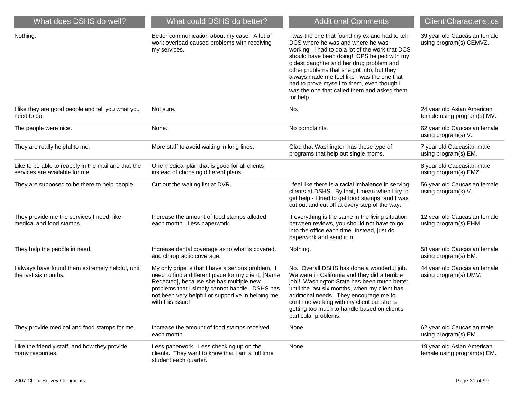| What does DSHS do well?                                                               | What could DSHS do better?                                                                                                                                                                                                                                                     | <b>Additional Comments</b>                                                                                                                                                                                                                                                                                                                                                                                                              | <b>Client Characteristics</b>                             |
|---------------------------------------------------------------------------------------|--------------------------------------------------------------------------------------------------------------------------------------------------------------------------------------------------------------------------------------------------------------------------------|-----------------------------------------------------------------------------------------------------------------------------------------------------------------------------------------------------------------------------------------------------------------------------------------------------------------------------------------------------------------------------------------------------------------------------------------|-----------------------------------------------------------|
| Nothing.                                                                              | Better communication about my case. A lot of<br>work overload caused problems with receiving<br>my services.                                                                                                                                                                   | I was the one that found my ex and had to tell<br>DCS where he was and where he was<br>working. I had to do a lot of the work that DCS<br>should have been doing! CPS helped with my<br>oldest daughter and her drug problem and<br>other problems that she got into, but they<br>always made me feel like I was the one that<br>had to prove myself to them, even though I<br>was the one that called them and asked them<br>for help. | 39 year old Caucasian female<br>using program(s) CEMVZ.   |
| I like they are good people and tell you what you<br>need to do.                      | Not sure.                                                                                                                                                                                                                                                                      | No.                                                                                                                                                                                                                                                                                                                                                                                                                                     | 24 year old Asian American<br>female using program(s) MV. |
| The people were nice.                                                                 | None.                                                                                                                                                                                                                                                                          | No complaints.                                                                                                                                                                                                                                                                                                                                                                                                                          | 62 year old Caucasian female<br>using program(s) V.       |
| They are really helpful to me.                                                        | More staff to avoid waiting in long lines.                                                                                                                                                                                                                                     | Glad that Washington has these type of<br>programs that help out single moms.                                                                                                                                                                                                                                                                                                                                                           | 7 year old Caucasian male<br>using program(s) EM.         |
| Like to be able to reapply in the mail and that the<br>services are available for me. | One medical plan that is good for all clients<br>instead of choosing different plans.                                                                                                                                                                                          |                                                                                                                                                                                                                                                                                                                                                                                                                                         | 8 year old Caucasian male<br>using program(s) EMZ.        |
| They are supposed to be there to help people.                                         | Cut out the waiting list at DVR.                                                                                                                                                                                                                                               | I feel like there is a racial imbalance in serving<br>clients at DSHS. By that, I mean when I try to<br>get help - I tried to get food stamps, and I was<br>cut out and cut off at every step of the way.                                                                                                                                                                                                                               | 56 year old Caucasian female<br>using program(s) V.       |
| They provide me the services I need, like<br>medical and food stamps.                 | Increase the amount of food stamps allotted<br>each month. Less paperwork.                                                                                                                                                                                                     | If everything is the same in the living situation<br>between reviews, you should not have to go<br>into the office each time. Instead, just do<br>paperwork and send it in.                                                                                                                                                                                                                                                             | 12 year old Caucasian female<br>using program(s) EHM.     |
| They help the people in need.                                                         | Increase dental coverage as to what is covered,<br>and chiropractic coverage.                                                                                                                                                                                                  | Nothing.                                                                                                                                                                                                                                                                                                                                                                                                                                | 58 year old Caucasian female<br>using program(s) EM.      |
| I always have found them extremely helpful, until<br>the last six months.             | My only gripe is that I have a serious problem. I<br>need to find a different place for my client, [Name<br>Redacted], because she has multiple new<br>problems that I simply cannot handle. DSHS has<br>not been very helpful or supportive in helping me<br>with this issue! | No. Overall DSHS has done a wonderful job.<br>We were in California and they did a terrible<br>job!! Washington State has been much better<br>until the last six months, when my client has<br>additional needs. They encourage me to<br>continue working with my client but she is<br>getting too much to handle based on client's<br>particular problems.                                                                             | 44 year old Caucasian female<br>using program(s) DMV.     |
| They provide medical and food stamps for me.                                          | Increase the amount of food stamps received<br>each month.                                                                                                                                                                                                                     | None.                                                                                                                                                                                                                                                                                                                                                                                                                                   | 62 year old Caucasian male<br>using program(s) EM.        |
| Like the friendly staff, and how they provide<br>many resources.                      | Less paperwork. Less checking up on the<br>clients. They want to know that I am a full time<br>student each quarter.                                                                                                                                                           | None.                                                                                                                                                                                                                                                                                                                                                                                                                                   | 19 year old Asian American<br>female using program(s) EM. |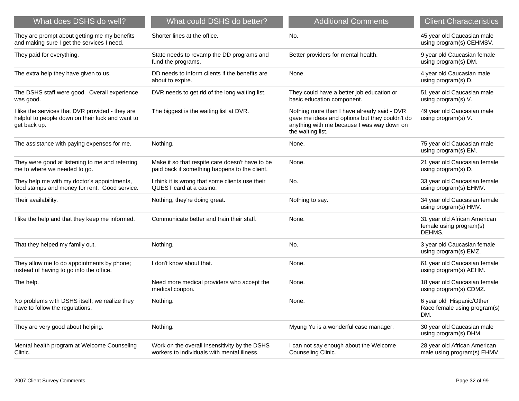| What does DSHS do well?                                                                                              | What could DSHS do better?                                                                       | <b>Additional Comments</b>                                                                                                                                       | <b>Client Characteristics</b>                                     |
|----------------------------------------------------------------------------------------------------------------------|--------------------------------------------------------------------------------------------------|------------------------------------------------------------------------------------------------------------------------------------------------------------------|-------------------------------------------------------------------|
| They are prompt about getting me my benefits<br>and making sure I get the services I need.                           | Shorter lines at the office.                                                                     | No.                                                                                                                                                              | 45 year old Caucasian male<br>using program(s) CEHMSV.            |
| They paid for everything.                                                                                            | State needs to revamp the DD programs and<br>fund the programs.                                  | Better providers for mental health.                                                                                                                              | 9 year old Caucasian female<br>using program(s) DM.               |
| The extra help they have given to us.                                                                                | DD needs to inform clients if the benefits are<br>about to expire.                               | None.                                                                                                                                                            | 4 year old Caucasian male<br>using program(s) D.                  |
| The DSHS staff were good. Overall experience<br>was good.                                                            | DVR needs to get rid of the long waiting list.                                                   | They could have a better job education or<br>basic education component.                                                                                          | 51 year old Caucasian male<br>using program(s) V.                 |
| I like the services that DVR provided - they are<br>helpful to people down on their luck and want to<br>get back up. | The biggest is the waiting list at DVR.                                                          | Nothing more than I have already said - DVR<br>gave me ideas and options but they couldn't do<br>anything with me because I was way down on<br>the waiting list. | 49 year old Caucasian male<br>using program(s) V.                 |
| The assistance with paying expenses for me.                                                                          | Nothing.                                                                                         | None.                                                                                                                                                            | 75 year old Caucasian male<br>using program(s) EM.                |
| They were good at listening to me and referring<br>me to where we needed to go.                                      | Make it so that respite care doesn't have to be<br>paid back if something happens to the client. | None.                                                                                                                                                            | 21 year old Caucasian female<br>using program(s) D.               |
| They help me with my doctor's appointments,<br>food stamps and money for rent. Good service.                         | I think it is wrong that some clients use their<br>QUEST card at a casino.                       | No.                                                                                                                                                              | 33 year old Caucasian female<br>using program(s) EHMV.            |
| Their availability.                                                                                                  | Nothing, they're doing great.                                                                    | Nothing to say.                                                                                                                                                  | 34 year old Caucasian female<br>using program(s) HMV.             |
| I like the help and that they keep me informed.                                                                      | Communicate better and train their staff.                                                        | None.                                                                                                                                                            | 31 year old African American<br>female using program(s)<br>DEHMS. |
| That they helped my family out.                                                                                      | Nothing.                                                                                         | No.                                                                                                                                                              | 3 year old Caucasian female<br>using program(s) EMZ.              |
| They allow me to do appointments by phone;<br>instead of having to go into the office.                               | I don't know about that.                                                                         | None.                                                                                                                                                            | 61 year old Caucasian female<br>using program(s) AEHM.            |
| The help.                                                                                                            | Need more medical providers who accept the<br>medical coupon.                                    | None.                                                                                                                                                            | 18 year old Caucasian female<br>using program(s) CDMZ.            |
| No problems with DSHS itself; we realize they<br>have to follow the regulations.                                     | Nothing.                                                                                         | None.                                                                                                                                                            | 6 year old Hispanic/Other<br>Race female using program(s)<br>DM.  |
| They are very good about helping.                                                                                    | Nothing.                                                                                         | Myung Yu is a wonderful case manager.                                                                                                                            | 30 year old Caucasian male<br>using program(s) DHM.               |
| Mental health program at Welcome Counseling<br>Clinic.                                                               | Work on the overall insensitivity by the DSHS<br>workers to individuals with mental illness.     | I can not say enough about the Welcome<br>Counseling Clinic.                                                                                                     | 28 year old African American<br>male using program(s) EHMV.       |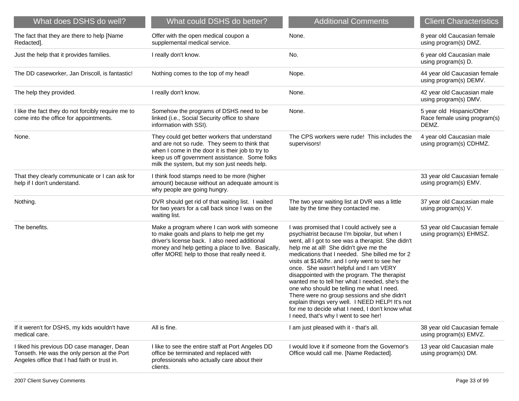| What does DSHS do well?                                                                                                                   | What could DSHS do better?                                                                                                                                                                                                                          | <b>Additional Comments</b>                                                                                                                                                                                                                                                                                                                                                                                                                                                                                                                                                                                                                                                            | <b>Client Characteristics</b>                                      |
|-------------------------------------------------------------------------------------------------------------------------------------------|-----------------------------------------------------------------------------------------------------------------------------------------------------------------------------------------------------------------------------------------------------|---------------------------------------------------------------------------------------------------------------------------------------------------------------------------------------------------------------------------------------------------------------------------------------------------------------------------------------------------------------------------------------------------------------------------------------------------------------------------------------------------------------------------------------------------------------------------------------------------------------------------------------------------------------------------------------|--------------------------------------------------------------------|
| The fact that they are there to help [Name<br>Redacted].                                                                                  | Offer with the open medical coupon a<br>supplemental medical service.                                                                                                                                                                               | None.                                                                                                                                                                                                                                                                                                                                                                                                                                                                                                                                                                                                                                                                                 | 8 year old Caucasian female<br>using program(s) DMZ.               |
| Just the help that it provides families.                                                                                                  | I really don't know.                                                                                                                                                                                                                                | No.                                                                                                                                                                                                                                                                                                                                                                                                                                                                                                                                                                                                                                                                                   | 6 year old Caucasian male<br>using program(s) D.                   |
| The DD caseworker, Jan Driscoll, is fantastic!                                                                                            | Nothing comes to the top of my head!                                                                                                                                                                                                                | Nope.                                                                                                                                                                                                                                                                                                                                                                                                                                                                                                                                                                                                                                                                                 | 44 year old Caucasian female<br>using program(s) DEMV.             |
| The help they provided.                                                                                                                   | I really don't know.                                                                                                                                                                                                                                | None.                                                                                                                                                                                                                                                                                                                                                                                                                                                                                                                                                                                                                                                                                 | 42 year old Caucasian male<br>using program(s) DMV.                |
| I like the fact they do not forcibly require me to<br>come into the office for appointments.                                              | Somehow the programs of DSHS need to be<br>linked (i.e., Social Security office to share<br>information with SSI).                                                                                                                                  | None.                                                                                                                                                                                                                                                                                                                                                                                                                                                                                                                                                                                                                                                                                 | 5 year old Hispanic/Other<br>Race female using program(s)<br>DEMZ. |
| None.                                                                                                                                     | They could get better workers that understand<br>and are not so rude. They seem to think that<br>when I come in the door it is their job to try to<br>keep us off government assistance. Some folks<br>milk the system, but my son just needs help. | The CPS workers were rude! This includes the<br>supervisors!                                                                                                                                                                                                                                                                                                                                                                                                                                                                                                                                                                                                                          | 4 year old Caucasian male<br>using program(s) CDHMZ.               |
| That they clearly communicate or I can ask for<br>help if I don't understand.                                                             | I think food stamps need to be more (higher<br>amount) because without an adequate amount is<br>why people are going hungry.                                                                                                                        |                                                                                                                                                                                                                                                                                                                                                                                                                                                                                                                                                                                                                                                                                       | 33 year old Caucasian female<br>using program(s) EMV.              |
| Nothing.                                                                                                                                  | DVR should get rid of that waiting list. I waited<br>for two years for a call back since I was on the<br>waiting list.                                                                                                                              | The two year waiting list at DVR was a little<br>late by the time they contacted me.                                                                                                                                                                                                                                                                                                                                                                                                                                                                                                                                                                                                  | 37 year old Caucasian male<br>using program(s) V.                  |
| The benefits.                                                                                                                             | Make a program where I can work with someone<br>to make goals and plans to help me get my<br>driver's license back. I also need additional<br>money and help getting a place to live. Basically,<br>offer MORE help to those that really need it.   | I was promised that I could actively see a<br>psychiatrist because I'm bipolar, but when I<br>went, all I got to see was a therapist. She didn't<br>help me at all! She didn't give me the<br>medications that I needed. She billed me for 2<br>visits at \$140/hr. and I only went to see her<br>once. She wasn't helpful and I am VERY<br>disappointed with the program. The therapist<br>wanted me to tell her what I needed, she's the<br>one who should be telling me what I need.<br>There were no group sessions and she didn't<br>explain things very well. I NEED HELP! It's not<br>for me to decide what I need, I don't know what<br>I need, that's why I went to see her! | 53 year old Caucasian female<br>using program(s) EHMSZ.            |
| If it weren't for DSHS, my kids wouldn't have<br>medical care.                                                                            | All is fine.                                                                                                                                                                                                                                        | I am just pleased with it - that's all.                                                                                                                                                                                                                                                                                                                                                                                                                                                                                                                                                                                                                                               | 38 year old Caucasian female<br>using program(s) EMVZ.             |
| I liked his previous DD case manager, Dean<br>Tonseth. He was the only person at the Port<br>Angeles office that I had faith or trust in. | I like to see the entire staff at Port Angeles DD<br>office be terminated and replaced with<br>professionals who actually care about their<br>clients.                                                                                              | I would love it if someone from the Governor's<br>Office would call me. [Name Redacted].                                                                                                                                                                                                                                                                                                                                                                                                                                                                                                                                                                                              | 13 year old Caucasian male<br>using program(s) DM.                 |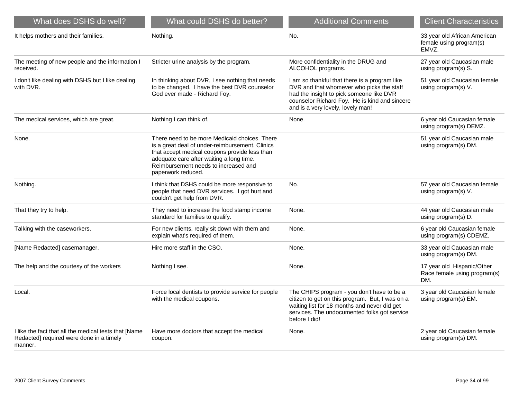| What does DSHS do well?                                                                                      | What could DSHS do better?                                                                                                                                                                                                                                  | <b>Additional Comments</b>                                                                                                                                                                                                   | <b>Client Characteristics</b>                                     |
|--------------------------------------------------------------------------------------------------------------|-------------------------------------------------------------------------------------------------------------------------------------------------------------------------------------------------------------------------------------------------------------|------------------------------------------------------------------------------------------------------------------------------------------------------------------------------------------------------------------------------|-------------------------------------------------------------------|
| It helps mothers and their families.                                                                         | Nothing.                                                                                                                                                                                                                                                    | No.                                                                                                                                                                                                                          | 33 year old African American<br>female using program(s)<br>EMVZ.  |
| The meeting of new people and the information I<br>received.                                                 | Stricter urine analysis by the program.                                                                                                                                                                                                                     | More confidentiality in the DRUG and<br>ALCOHOL programs.                                                                                                                                                                    | 27 year old Caucasian male<br>using program(s) S.                 |
| I don't like dealing with DSHS but I like dealing<br>with DVR.                                               | In thinking about DVR, I see nothing that needs<br>to be changed. I have the best DVR counselor<br>God ever made - Richard Foy.                                                                                                                             | I am so thankful that there is a program like<br>DVR and that whomever who picks the staff<br>had the insight to pick someone like DVR<br>counselor Richard Foy. He is kind and sincere<br>and is a very lovely, lovely man! | 51 year old Caucasian female<br>using program(s) V.               |
| The medical services, which are great.                                                                       | Nothing I can think of.                                                                                                                                                                                                                                     | None.                                                                                                                                                                                                                        | 6 year old Caucasian female<br>using program(s) DEMZ.             |
| None.                                                                                                        | There need to be more Medicaid choices. There<br>is a great deal of under-reimbursement. Clinics<br>that accept medical coupons provide less than<br>adequate care after waiting a long time.<br>Reimbursement needs to increased and<br>paperwork reduced. |                                                                                                                                                                                                                              | 51 year old Caucasian male<br>using program(s) DM.                |
| Nothing.                                                                                                     | I think that DSHS could be more responsive to<br>people that need DVR services. I got hurt and<br>couldn't get help from DVR.                                                                                                                               | No.                                                                                                                                                                                                                          | 57 year old Caucasian female<br>using program(s) V.               |
| That they try to help.                                                                                       | They need to increase the food stamp income<br>standard for families to qualify.                                                                                                                                                                            | None.                                                                                                                                                                                                                        | 44 year old Caucasian male<br>using program(s) D.                 |
| Talking with the caseworkers.                                                                                | For new clients, really sit down with them and<br>explain what's required of them.                                                                                                                                                                          | None.                                                                                                                                                                                                                        | 6 year old Caucasian female<br>using program(s) CDEMZ.            |
| [Name Redacted] casemanager.                                                                                 | Hire more staff in the CSO.                                                                                                                                                                                                                                 | None.                                                                                                                                                                                                                        | 33 year old Caucasian male<br>using program(s) DM.                |
| The help and the courtesy of the workers                                                                     | Nothing I see.                                                                                                                                                                                                                                              | None.                                                                                                                                                                                                                        | 17 year old Hispanic/Other<br>Race female using program(s)<br>DM. |
| Local.                                                                                                       | Force local dentists to provide service for people<br>with the medical coupons.                                                                                                                                                                             | The CHIPS program - you don't have to be a<br>citizen to get on this program. But, I was on a<br>waiting list for 18 months and never did get<br>services. The undocumented folks got service<br>before I did!               | 3 year old Caucasian female<br>using program(s) EM.               |
| I like the fact that all the medical tests that [Name<br>Redacted] required were done in a timely<br>manner. | Have more doctors that accept the medical<br>coupon.                                                                                                                                                                                                        | None.                                                                                                                                                                                                                        | 2 year old Caucasian female<br>using program(s) DM.               |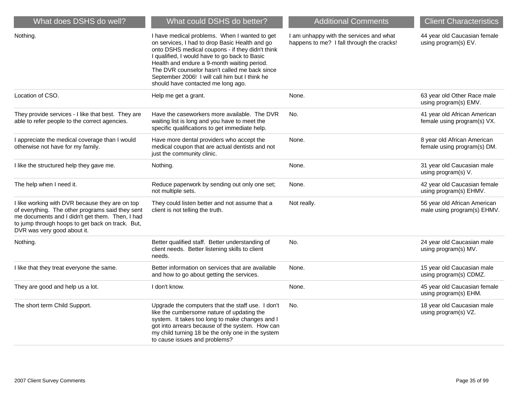| What does DSHS do well?                                                                                                                                                                                                                   | What could DSHS do better?                                                                                                                                                                                                                                                                                                                                                                   | <b>Additional Comments</b>                                                           | <b>Client Characteristics</b>                               |
|-------------------------------------------------------------------------------------------------------------------------------------------------------------------------------------------------------------------------------------------|----------------------------------------------------------------------------------------------------------------------------------------------------------------------------------------------------------------------------------------------------------------------------------------------------------------------------------------------------------------------------------------------|--------------------------------------------------------------------------------------|-------------------------------------------------------------|
| Nothing.                                                                                                                                                                                                                                  | I have medical problems. When I wanted to get<br>on services, I had to drop Basic Health and go<br>onto DSHS medical coupons - if they didn't think<br>I qualified, I would have to go back to Basic<br>Health and endure a 9-month waiting period.<br>The DVR counselor hasn't called me back since<br>September 2006! I will call him but I think he<br>should have contacted me long ago. | I am unhappy with the services and what<br>happens to me? I fall through the cracks! | 44 year old Caucasian female<br>using program(s) EV.        |
| Location of CSO.                                                                                                                                                                                                                          | Help me get a grant.                                                                                                                                                                                                                                                                                                                                                                         | None.                                                                                | 63 year old Other Race male<br>using program(s) EMV.        |
| They provide services - I like that best. They are<br>able to refer people to the correct agencies.                                                                                                                                       | Have the caseworkers more available. The DVR<br>waiting list is long and you have to meet the<br>specific qualifications to get immediate help.                                                                                                                                                                                                                                              | No.                                                                                  | 41 year old African American<br>female using program(s) VX. |
| I appreciate the medical coverage than I would<br>otherwise not have for my family.                                                                                                                                                       | Have more dental providers who accept the<br>medical coupon that are actual dentists and not<br>just the community clinic.                                                                                                                                                                                                                                                                   | None.                                                                                | 8 year old African American<br>female using program(s) DM.  |
| I like the structured help they gave me.                                                                                                                                                                                                  | Nothing.                                                                                                                                                                                                                                                                                                                                                                                     | None.                                                                                | 31 year old Caucasian male<br>using program(s) V.           |
| The help when I need it.                                                                                                                                                                                                                  | Reduce paperwork by sending out only one set;<br>not multiple sets.                                                                                                                                                                                                                                                                                                                          | None.                                                                                | 42 year old Caucasian female<br>using program(s) EHMV.      |
| I like working with DVR because they are on top<br>of everything. The other programs said they sent<br>me documents and I didn't get them. Then, I had<br>to jump through hoops to get back on track. But,<br>DVR was very good about it. | They could listen better and not assume that a<br>client is not telling the truth.                                                                                                                                                                                                                                                                                                           | Not really.                                                                          | 56 year old African American<br>male using program(s) EHMV. |
| Nothing.                                                                                                                                                                                                                                  | Better qualified staff. Better understanding of<br>client needs. Better listening skills to client<br>needs.                                                                                                                                                                                                                                                                                 | No.                                                                                  | 24 year old Caucasian male<br>using program(s) MV.          |
| I like that they treat everyone the same.                                                                                                                                                                                                 | Better information on services that are available<br>and how to go about getting the services.                                                                                                                                                                                                                                                                                               | None.                                                                                | 15 year old Caucasian male<br>using program(s) CDMZ.        |
| They are good and help us a lot.                                                                                                                                                                                                          | I don't know.                                                                                                                                                                                                                                                                                                                                                                                | None.                                                                                | 45 year old Caucasian female<br>using program(s) EHM.       |
| The short term Child Support.                                                                                                                                                                                                             | Upgrade the computers that the staff use. I don't<br>like the cumbersome nature of updating the<br>system. It takes too long to make changes and I<br>got into arrears because of the system. How can<br>my child turning 18 be the only one in the system<br>to cause issues and problems?                                                                                                  | No.                                                                                  | 18 year old Caucasian male<br>using program(s) VZ.          |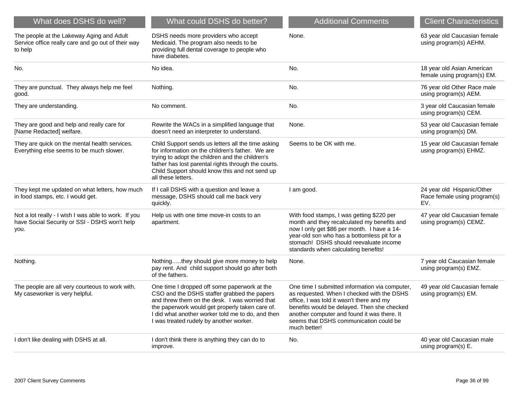| What does DSHS do well?                                                                                       | What could DSHS do better?                                                                                                                                                                                                                                                                       | <b>Additional Comments</b>                                                                                                                                                                                                                                                                        | <b>Client Characteristics</b>                                     |
|---------------------------------------------------------------------------------------------------------------|--------------------------------------------------------------------------------------------------------------------------------------------------------------------------------------------------------------------------------------------------------------------------------------------------|---------------------------------------------------------------------------------------------------------------------------------------------------------------------------------------------------------------------------------------------------------------------------------------------------|-------------------------------------------------------------------|
| The people at the Lakeway Aging and Adult<br>Service office really care and go out of their way<br>to help    | DSHS needs more providers who accept<br>Medicaid. The program also needs to be<br>providing full dental coverage to people who<br>have diabetes.                                                                                                                                                 | None.                                                                                                                                                                                                                                                                                             | 63 year old Caucasian female<br>using program(s) AEHM.            |
| No.                                                                                                           | No idea.                                                                                                                                                                                                                                                                                         | No.                                                                                                                                                                                                                                                                                               | 18 year old Asian American<br>female using program(s) EM.         |
| They are punctual. They always help me feel<br>good.                                                          | Nothing.                                                                                                                                                                                                                                                                                         | No.                                                                                                                                                                                                                                                                                               | 76 year old Other Race male<br>using program(s) AEM.              |
| They are understanding.                                                                                       | No comment.                                                                                                                                                                                                                                                                                      | No.                                                                                                                                                                                                                                                                                               | 3 year old Caucasian female<br>using program(s) CEM.              |
| They are good and help and really care for<br>[Name Redacted] welfare.                                        | Rewrite the WACs in a simplified language that<br>doesn't need an interpreter to understand.                                                                                                                                                                                                     | None.                                                                                                                                                                                                                                                                                             | 53 year old Caucasian female<br>using program(s) DM.              |
| They are quick on the mental health services.<br>Everything else seems to be much slower.                     | Child Support sends us letters all the time asking<br>for information on the children's father. We are<br>trying to adopt the children and the children's<br>father has lost parental rights through the courts.<br>Child Support should know this and not send up<br>all these letters.         | Seems to be OK with me.                                                                                                                                                                                                                                                                           | 15 year old Caucasian female<br>using program(s) EHMZ.            |
| They kept me updated on what letters, how much<br>in food stamps, etc. I would get.                           | If I call DSHS with a question and leave a<br>message, DSHS should call me back very<br>quickly.                                                                                                                                                                                                 | I am good.                                                                                                                                                                                                                                                                                        | 24 year old Hispanic/Other<br>Race female using program(s)<br>EV. |
| Not a lot really - I wish I was able to work. If you<br>have Social Security or SSI - DSHS won't help<br>you. | Help us with one time move-in costs to an<br>apartment.                                                                                                                                                                                                                                          | With food stamps, I was getting \$220 per<br>month and they recalculated my benefits and<br>now I only get \$86 per month. I have a 14-<br>year-old son who has a bottomless pit for a<br>stomach! DSHS should reevaluate income<br>standards when calculating benefits!                          | 47 year old Caucasian female<br>using program(s) CEMZ.            |
| Nothing.                                                                                                      | Nothingthey should give more money to help<br>pay rent. And child support should go after both<br>of the fathers.                                                                                                                                                                                | None.                                                                                                                                                                                                                                                                                             | 7 year old Caucasian female<br>using program(s) EMZ.              |
| The people are all very courteous to work with.<br>My caseworker is very helpful.                             | One time I dropped off some paperwork at the<br>CSO and the DSHS staffer grabbed the papers<br>and threw them on the desk. I was worried that<br>the paperwork would get properly taken care of.<br>I did what another worker told me to do, and then<br>I was treated rudely by another worker. | One time I submitted information via computer,<br>as requested. When I checked with the DSHS<br>office, I was told it wasn't there and my<br>benefits would be delayed. Then she checked<br>another computer and found it was there. It<br>seems that DSHS communication could be<br>much better! | 49 year old Caucasian female<br>using program(s) EM.              |
| I don't like dealing with DSHS at all.                                                                        | I don't think there is anything they can do to<br>improve.                                                                                                                                                                                                                                       | No.                                                                                                                                                                                                                                                                                               | 40 year old Caucasian male<br>using program(s) E.                 |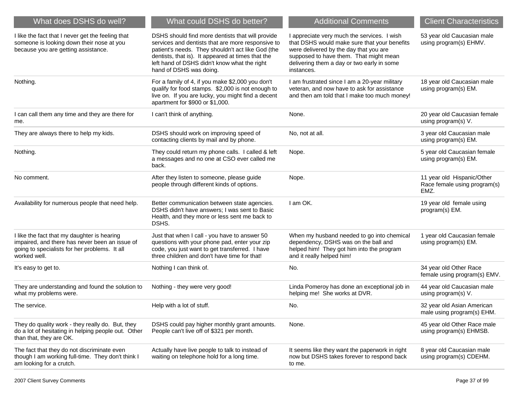| What does DSHS do well?                                                                                                                                        | What could DSHS do better?                                                                                                                                                                                                                                                                 | <b>Additional Comments</b>                                                                                                                                                                                                                  | <b>Client Characteristics</b>                                      |
|----------------------------------------------------------------------------------------------------------------------------------------------------------------|--------------------------------------------------------------------------------------------------------------------------------------------------------------------------------------------------------------------------------------------------------------------------------------------|---------------------------------------------------------------------------------------------------------------------------------------------------------------------------------------------------------------------------------------------|--------------------------------------------------------------------|
| I like the fact that I never get the feeling that<br>someone is looking down their nose at you<br>because you are getting assistance.                          | DSHS should find more dentists that will provide<br>services and dentists that are more responsive to<br>patient's needs. They shouldn't act like God (the<br>dentists, that is). It appeared at times that the<br>left hand of DSHS didn't know what the right<br>hand of DSHS was doing. | I appreciate very much the services. I wish<br>that DSHS would make sure that your benefits<br>were delivered by the day that you are<br>supposed to have them. That might mean<br>delivering them a day or two early in some<br>instances. | 53 year old Caucasian male<br>using program(s) EHMV.               |
| Nothing.                                                                                                                                                       | For a family of 4, if you make \$2,000 you don't<br>qualify for food stamps. \$2,000 is not enough to<br>live on. If you are lucky, you might find a decent<br>apartment for \$900 or \$1,000.                                                                                             | I am frustrated since I am a 20-year military<br>veteran, and now have to ask for assistance<br>and then am told that I make too much money!                                                                                                | 18 year old Caucasian male<br>using program(s) EM.                 |
| I can call them any time and they are there for<br>me.                                                                                                         | I can't think of anything.                                                                                                                                                                                                                                                                 | None.                                                                                                                                                                                                                                       | 20 year old Caucasian female<br>using program(s) V.                |
| They are always there to help my kids.                                                                                                                         | DSHS should work on improving speed of<br>contacting clients by mail and by phone.                                                                                                                                                                                                         | No, not at all.                                                                                                                                                                                                                             | 3 year old Caucasian male<br>using program(s) EM.                  |
| Nothing.                                                                                                                                                       | They could return my phone calls. I called & left<br>a messages and no one at CSO ever called me<br>back.                                                                                                                                                                                  | Nope.                                                                                                                                                                                                                                       | 5 year old Caucasian female<br>using program(s) EM.                |
| No comment.                                                                                                                                                    | After they listen to someone, please guide<br>people through different kinds of options.                                                                                                                                                                                                   | Nope.                                                                                                                                                                                                                                       | 11 year old Hispanic/Other<br>Race female using program(s)<br>EMZ. |
| Availability for numerous people that need help.                                                                                                               | Better communication between state agencies.<br>DSHS didn't have answers; I was sent to Basic<br>Health, and they more or less sent me back to<br>DSHS.                                                                                                                                    | I am OK.                                                                                                                                                                                                                                    | 19 year old female using<br>program(s) EM.                         |
| I like the fact that my daughter is hearing<br>impaired, and there has never been an issue of<br>going to specialists for her problems. It all<br>worked well. | Just that when I call - you have to answer 50<br>questions with your phone pad, enter your zip<br>code, you just want to get transferred. I have<br>three children and don't have time for that!                                                                                           | When my husband needed to go into chemical<br>dependency, DSHS was on the ball and<br>helped him! They got him into the program<br>and it really helped him!                                                                                | 1 year old Caucasian female<br>using program(s) EM.                |
| It's easy to get to.                                                                                                                                           | Nothing I can think of.                                                                                                                                                                                                                                                                    | No.                                                                                                                                                                                                                                         | 34 year old Other Race<br>female using program(s) EMV.             |
| They are understanding and found the solution to<br>what my problems were.                                                                                     | Nothing - they were very good!                                                                                                                                                                                                                                                             | Linda Pomeroy has done an exceptional job in<br>helping me! She works at DVR.                                                                                                                                                               | 44 year old Caucasian male<br>using program(s) V.                  |
| The service.                                                                                                                                                   | Help with a lot of stuff.                                                                                                                                                                                                                                                                  | No.                                                                                                                                                                                                                                         | 32 year old Asian American<br>male using program(s) EHM.           |
| They do quality work - they really do. But, they<br>do a lot of hesitating in helping people out. Other<br>than that, they are OK.                             | DSHS could pay higher monthly grant amounts.<br>People can't live off of \$321 per month.                                                                                                                                                                                                  | None.                                                                                                                                                                                                                                       | 45 year old Other Race male<br>using program(s) EHMSB.             |
| The fact that they do not discriminate even<br>though I am working full-time. They don't think I<br>am looking for a crutch.                                   | Actually have live people to talk to instead of<br>waiting on telephone hold for a long time.                                                                                                                                                                                              | It seems like they want the paperwork in right<br>now but DSHS takes forever to respond back<br>to me.                                                                                                                                      | 8 year old Caucasian male<br>using program(s) CDEHM.               |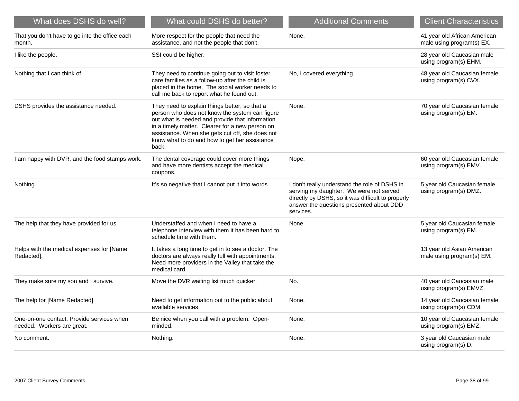| What does DSHS do well?                                                 | What could DSHS do better?                                                                                                                                                                                                                                                                                         | <b>Additional Comments</b>                                                                                                                                                                             | <b>Client Characteristics</b>                             |
|-------------------------------------------------------------------------|--------------------------------------------------------------------------------------------------------------------------------------------------------------------------------------------------------------------------------------------------------------------------------------------------------------------|--------------------------------------------------------------------------------------------------------------------------------------------------------------------------------------------------------|-----------------------------------------------------------|
| That you don't have to go into the office each<br>month.                | More respect for the people that need the<br>assistance, and not the people that don't.                                                                                                                                                                                                                            | None.                                                                                                                                                                                                  | 41 year old African American<br>male using program(s) EX. |
| I like the people.                                                      | SSI could be higher.                                                                                                                                                                                                                                                                                               |                                                                                                                                                                                                        | 28 year old Caucasian male<br>using program(s) EHM.       |
| Nothing that I can think of.                                            | They need to continue going out to visit foster<br>care families as a follow-up after the child is<br>placed in the home. The social worker needs to<br>call me back to report what he found out.                                                                                                                  | No, I covered everything.                                                                                                                                                                              | 48 year old Caucasian female<br>using program(s) CVX.     |
| DSHS provides the assistance needed.                                    | They need to explain things better, so that a<br>person who does not know the system can figure<br>out what is needed and provide that information<br>in a timely matter. Clearer for a new person on<br>assistance. When she gets cut off, she does not<br>know what to do and how to get her assistance<br>back. | None.                                                                                                                                                                                                  | 70 year old Caucasian female<br>using program(s) EM.      |
| I am happy with DVR, and the food stamps work.                          | The dental coverage could cover more things<br>and have more dentists accept the medical<br>coupons.                                                                                                                                                                                                               | Nope.                                                                                                                                                                                                  | 60 year old Caucasian female<br>using program(s) EMV.     |
| Nothing.                                                                | It's so negative that I cannot put it into words.                                                                                                                                                                                                                                                                  | I don't really understand the role of DSHS in<br>serving my daughter. We were not served<br>directly by DSHS, so it was difficult to properly<br>answer the questions presented about DDD<br>services. | 5 year old Caucasian female<br>using program(s) DMZ.      |
| The help that they have provided for us.                                | Understaffed and when I need to have a<br>telephone interview with them it has been hard to<br>schedule time with them.                                                                                                                                                                                            | None.                                                                                                                                                                                                  | 5 year old Caucasian female<br>using program(s) EM.       |
| Helps with the medical expenses for [Name<br>Redacted].                 | It takes a long time to get in to see a doctor. The<br>doctors are always really full with appointments.<br>Need more providers in the Valley that take the<br>medical card.                                                                                                                                       |                                                                                                                                                                                                        | 13 year old Asian American<br>male using program(s) EM.   |
| They make sure my son and I survive.                                    | Move the DVR waiting list much quicker.                                                                                                                                                                                                                                                                            | No.                                                                                                                                                                                                    | 40 year old Caucasian male<br>using program(s) EMVZ.      |
| The help for [Name Redacted]                                            | Need to get information out to the public about<br>available services.                                                                                                                                                                                                                                             | None.                                                                                                                                                                                                  | 14 year old Caucasian female<br>using program(s) CDM.     |
| One-on-one contact. Provide services when<br>needed. Workers are great. | Be nice when you call with a problem. Open-<br>minded.                                                                                                                                                                                                                                                             | None.                                                                                                                                                                                                  | 10 year old Caucasian female<br>using program(s) EMZ.     |
| No comment.                                                             | Nothing.                                                                                                                                                                                                                                                                                                           | None.                                                                                                                                                                                                  | 3 year old Caucasian male<br>using program(s) D.          |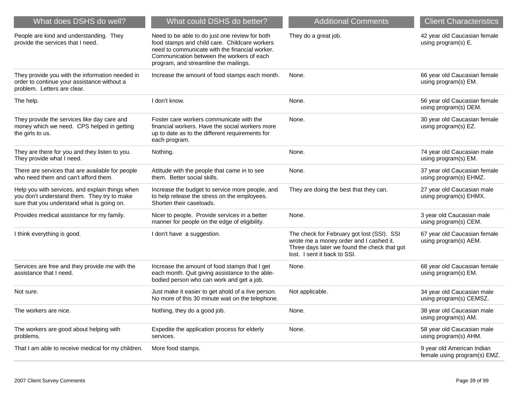| What does DSHS do well?                                                                                                                      | What could DSHS do better?                                                                                                                                                                                                              | <b>Additional Comments</b>                                                                                                                                            | <b>Client Characteristics</b>                              |
|----------------------------------------------------------------------------------------------------------------------------------------------|-----------------------------------------------------------------------------------------------------------------------------------------------------------------------------------------------------------------------------------------|-----------------------------------------------------------------------------------------------------------------------------------------------------------------------|------------------------------------------------------------|
| People are kind and understanding. They<br>provide the services that I need.                                                                 | Need to be able to do just one review for both<br>food stamps and child care. Childcare workers<br>need to communicate with the financial worker.<br>Communication between the workers of each<br>program, and streamline the mailings. | They do a great job.                                                                                                                                                  | 42 year old Caucasian female<br>using program(s) E.        |
| They provide you with the information needed in<br>order to continue your assistance without a<br>problem. Letters are clear.                | Increase the amount of food stamps each month.                                                                                                                                                                                          | None.                                                                                                                                                                 | 66 year old Caucasian female<br>using program(s) EM.       |
| The help.                                                                                                                                    | I don't know.                                                                                                                                                                                                                           | None.                                                                                                                                                                 | 56 year old Caucasian female<br>using program(s) DEM.      |
| They provide the services like day care and<br>money which we need. CPS helped in getting<br>the girls to us.                                | Foster care workers communicate with the<br>financial workers. Have the social workers more<br>up to date as to the different requirements for<br>each program.                                                                         | None.                                                                                                                                                                 | 30 year old Caucasian female<br>using program(s) EZ.       |
| They are there for you and they listen to you.<br>They provide what I need.                                                                  | Nothing.                                                                                                                                                                                                                                | None.                                                                                                                                                                 | 74 year old Caucasian male<br>using program(s) EM.         |
| There are services that are available for people<br>who need them and can't afford them.                                                     | Attitude with the people that came in to see<br>them. Better social skills.                                                                                                                                                             | None.                                                                                                                                                                 | 37 year old Caucasian female<br>using program(s) EHMZ.     |
| Help you with services, and explain things when<br>you don't understand them. They try to make<br>sure that you understand what is going on. | Increase the budget to service more people, and<br>to help release the stress on the employees.<br>Shorten their caseloads.                                                                                                             | They are doing the best that they can.                                                                                                                                | 27 year old Caucasian male<br>using program(s) EHMX.       |
| Provides medical assistance for my family.                                                                                                   | Nicer to people. Provide services in a better<br>manner for people on the edge of eligibility.                                                                                                                                          | None.                                                                                                                                                                 | 3 year old Caucasian male<br>using program(s) CEM.         |
| I think everything is good.                                                                                                                  | I don't have a suggestion.                                                                                                                                                                                                              | The check for February got lost (SSI). SSI<br>wrote me a money order and I cashed it.<br>Three days later we found the check that got<br>lost. I sent it back to SSI. | 67 year old Caucasian female<br>using program(s) AEM.      |
| Services are free and they provide me with the<br>assistance that I need.                                                                    | Increase the amount of food stamps that I get<br>each month. Quit giving assistance to the able-<br>bodied person who can work and get a job.                                                                                           | None.                                                                                                                                                                 | 68 year old Caucasian female<br>using program(s) EM.       |
| Not sure.                                                                                                                                    | Just make it easier to get ahold of a live person.<br>No more of this 30 minute wait on the telephone.                                                                                                                                  | Not applicable.                                                                                                                                                       | 34 year old Caucasian male<br>using program(s) CEMSZ.      |
| The workers are nice.                                                                                                                        | Nothing, they do a good job.                                                                                                                                                                                                            | None.                                                                                                                                                                 | 38 year old Caucasian male<br>using program(s) AM.         |
| The workers are good about helping with<br>problems.                                                                                         | Expedite the application process for elderly<br>services.                                                                                                                                                                               | None.                                                                                                                                                                 | 58 year old Caucasian male<br>using program(s) AHM.        |
| That I am able to receive medical for my children.                                                                                           | More food stamps.                                                                                                                                                                                                                       |                                                                                                                                                                       | 9 year old American Indian<br>female using program(s) EMZ. |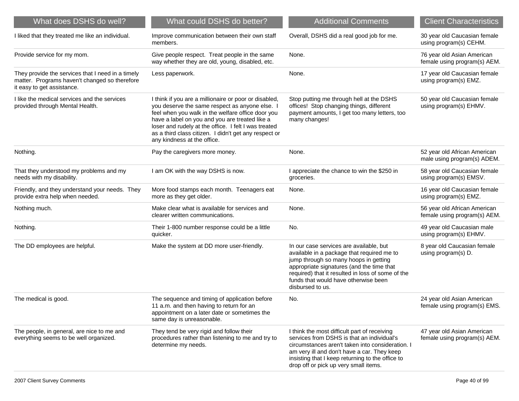| What does DSHS do well?                                                                                                          | What could DSHS do better?                                                                                                                                                                                                                                                                                                                                     | <b>Additional Comments</b>                                                                                                                                                                                                                                                                   | <b>Client Characteristics</b>                                |
|----------------------------------------------------------------------------------------------------------------------------------|----------------------------------------------------------------------------------------------------------------------------------------------------------------------------------------------------------------------------------------------------------------------------------------------------------------------------------------------------------------|----------------------------------------------------------------------------------------------------------------------------------------------------------------------------------------------------------------------------------------------------------------------------------------------|--------------------------------------------------------------|
| I liked that they treated me like an individual.                                                                                 | Improve communication between their own staff<br>members.                                                                                                                                                                                                                                                                                                      | Overall, DSHS did a real good job for me.                                                                                                                                                                                                                                                    | 30 year old Caucasian female<br>using program(s) CEHM.       |
| Provide service for my mom.                                                                                                      | Give people respect. Treat people in the same<br>way whether they are old, young, disabled, etc.                                                                                                                                                                                                                                                               | None.                                                                                                                                                                                                                                                                                        | 76 year old Asian American<br>female using program(s) AEM.   |
| They provide the services that I need in a timely<br>matter. Programs haven't changed so therefore<br>it easy to get assistance. | Less paperwork.                                                                                                                                                                                                                                                                                                                                                | None.                                                                                                                                                                                                                                                                                        | 17 year old Caucasian female<br>using program(s) EMZ.        |
| I like the medical services and the services<br>provided through Mental Health.                                                  | I think if you are a millionaire or poor or disabled,<br>you deserve the same respect as anyone else. I<br>feel when you walk in the welfare office door you<br>have a label on you and you are treated like a<br>loser and rudely at the office. I felt I was treated<br>as a third class citizen. I didn't get any respect or<br>any kindness at the office. | Stop putting me through hell at the DSHS<br>offices! Stop changing things, different<br>payment amounts, I get too many letters, too<br>many changes!                                                                                                                                        | 50 year old Caucasian female<br>using program(s) EHMV.       |
| Nothing.                                                                                                                         | Pay the caregivers more money.                                                                                                                                                                                                                                                                                                                                 | None.                                                                                                                                                                                                                                                                                        | 52 year old African American<br>male using program(s) ADEM.  |
| That they understood my problems and my<br>needs with my disability.                                                             | I am OK with the way DSHS is now.                                                                                                                                                                                                                                                                                                                              | I appreciate the chance to win the \$250 in<br>groceries.                                                                                                                                                                                                                                    | 58 year old Caucasian female<br>using program(s) EMSV.       |
| Friendly, and they understand your needs. They<br>provide extra help when needed.                                                | More food stamps each month. Teenagers eat<br>more as they get older.                                                                                                                                                                                                                                                                                          | None.                                                                                                                                                                                                                                                                                        | 16 year old Caucasian female<br>using program(s) EMZ.        |
| Nothing much.                                                                                                                    | Make clear what is available for services and<br>clearer written communications.                                                                                                                                                                                                                                                                               | None.                                                                                                                                                                                                                                                                                        | 56 year old African American<br>female using program(s) AEM. |
| Nothing.                                                                                                                         | Their 1-800 number response could be a little<br>quicker.                                                                                                                                                                                                                                                                                                      | No.                                                                                                                                                                                                                                                                                          | 49 year old Caucasian male<br>using program(s) EHMV.         |
| The DD employees are helpful.                                                                                                    | Make the system at DD more user-friendly.                                                                                                                                                                                                                                                                                                                      | In our case services are available, but<br>available in a package that required me to<br>jump through so many hoops in getting<br>appropriate signatures (and the time that<br>required) that it resulted in loss of some of the<br>funds that would have otherwise been<br>disbursed to us. | 8 year old Caucasian female<br>using program(s) D.           |
| The medical is good.                                                                                                             | The sequence and timing of application before<br>11 a.m. and then having to return for an<br>appointment on a later date or sometimes the<br>same day is unreasonable.                                                                                                                                                                                         | No.                                                                                                                                                                                                                                                                                          | 24 year old Asian American<br>female using program(s) EMS.   |
| The people, in general, are nice to me and<br>everything seems to be well organized.                                             | They tend be very rigid and follow their<br>procedures rather than listening to me and try to<br>determine my needs.                                                                                                                                                                                                                                           | I think the most difficult part of receiving<br>services from DSHS is that an individual's<br>circumstances aren't taken into consideration. I<br>am very ill and don't have a car. They keep<br>insisting that I keep returning to the office to<br>drop off or pick up very small items.   | 47 year old Asian American<br>female using program(s) AEM.   |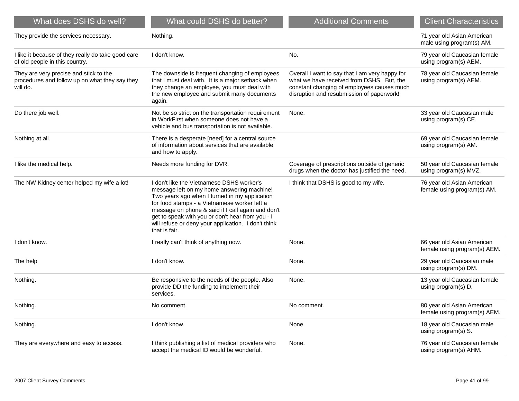| What does DSHS do well?                                                                              | What could DSHS do better?                                                                                                                                                                                                                                                                                                                                                | <b>Additional Comments</b>                                                                                                                                                             | <b>Client Characteristics</b>                              |
|------------------------------------------------------------------------------------------------------|---------------------------------------------------------------------------------------------------------------------------------------------------------------------------------------------------------------------------------------------------------------------------------------------------------------------------------------------------------------------------|----------------------------------------------------------------------------------------------------------------------------------------------------------------------------------------|------------------------------------------------------------|
| They provide the services necessary.                                                                 | Nothing.                                                                                                                                                                                                                                                                                                                                                                  |                                                                                                                                                                                        | 71 year old Asian American<br>male using program(s) AM.    |
| I like it because of they really do take good care<br>of old people in this country.                 | I don't know.                                                                                                                                                                                                                                                                                                                                                             | No.                                                                                                                                                                                    | 79 year old Caucasian female<br>using program(s) AEM.      |
| They are very precise and stick to the<br>procedures and follow up on what they say they<br>will do. | The downside is frequent changing of employees<br>that I must deal with. It is a major setback when<br>they change an employee, you must deal with<br>the new employee and submit many documents<br>again.                                                                                                                                                                | Overall I want to say that I am very happy for<br>what we have received from DSHS. But, the<br>constant changing of employees causes much<br>disruption and resubmission of paperwork! | 78 year old Caucasian female<br>using program(s) AEM.      |
| Do there job well.                                                                                   | Not be so strict on the transportation requirement<br>in WorkFirst when someone does not have a<br>vehicle and bus transportation is not available.                                                                                                                                                                                                                       | None.                                                                                                                                                                                  | 33 year old Caucasian male<br>using program(s) CE.         |
| Nothing at all.                                                                                      | There is a desperate [need] for a central source<br>of information about services that are available<br>and how to apply.                                                                                                                                                                                                                                                 |                                                                                                                                                                                        | 69 year old Caucasian female<br>using program(s) AM.       |
| I like the medical help.                                                                             | Needs more funding for DVR.                                                                                                                                                                                                                                                                                                                                               | Coverage of prescriptions outside of generic<br>drugs when the doctor has justified the need.                                                                                          | 50 year old Caucasian female<br>using program(s) MVZ.      |
| The NW Kidney center helped my wife a lot!                                                           | I don't like the Vietnamese DSHS worker's<br>message left on my home answering machine!<br>Two years ago when I turned in my application<br>for food stamps - a Vietnamese worker left a<br>message on phone & said if I call again and don't<br>get to speak with you or don't hear from you - I<br>will refuse or deny your application. I don't think<br>that is fair. | I think that DSHS is good to my wife.                                                                                                                                                  | 76 year old Asian American<br>female using program(s) AM.  |
| I don't know.                                                                                        | I really can't think of anything now.                                                                                                                                                                                                                                                                                                                                     | None.                                                                                                                                                                                  | 66 year old Asian American<br>female using program(s) AEM. |
| The help                                                                                             | I don't know.                                                                                                                                                                                                                                                                                                                                                             | None.                                                                                                                                                                                  | 29 year old Caucasian male<br>using program(s) DM.         |
| Nothing.                                                                                             | Be responsive to the needs of the people. Also<br>provide DD the funding to implement their<br>services.                                                                                                                                                                                                                                                                  | None.                                                                                                                                                                                  | 13 year old Caucasian female<br>using program(s) D.        |
| Nothing.                                                                                             | No comment.                                                                                                                                                                                                                                                                                                                                                               | No comment.                                                                                                                                                                            | 80 year old Asian American<br>female using program(s) AEM. |
| Nothing.                                                                                             | I don't know.                                                                                                                                                                                                                                                                                                                                                             | None.                                                                                                                                                                                  | 18 year old Caucasian male<br>using program(s) S.          |
| They are everywhere and easy to access.                                                              | I think publishing a list of medical providers who<br>accept the medical ID would be wonderful.                                                                                                                                                                                                                                                                           | None.                                                                                                                                                                                  | 76 year old Caucasian female<br>using program(s) AHM.      |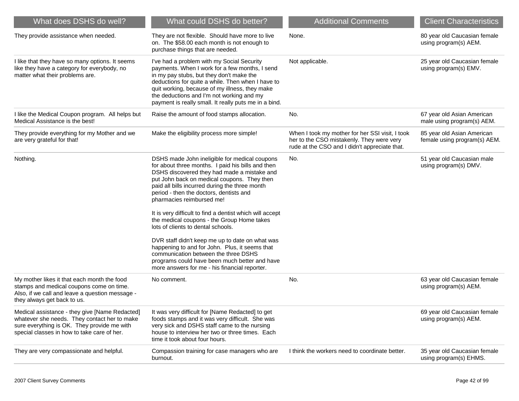| What does DSHS do well?                                                                                                                                                                      | What could DSHS do better?                                                                                                                                                                                                                                                                                                                                                                                                                                                                                                                                                                                                                                                                                                | <b>Additional Comments</b>                                                                                                                    | <b>Client Characteristics</b>                              |
|----------------------------------------------------------------------------------------------------------------------------------------------------------------------------------------------|---------------------------------------------------------------------------------------------------------------------------------------------------------------------------------------------------------------------------------------------------------------------------------------------------------------------------------------------------------------------------------------------------------------------------------------------------------------------------------------------------------------------------------------------------------------------------------------------------------------------------------------------------------------------------------------------------------------------------|-----------------------------------------------------------------------------------------------------------------------------------------------|------------------------------------------------------------|
| They provide assistance when needed.                                                                                                                                                         | They are not flexible. Should have more to live<br>on. The \$58.00 each month is not enough to<br>purchase things that are needed.                                                                                                                                                                                                                                                                                                                                                                                                                                                                                                                                                                                        | None.                                                                                                                                         | 80 year old Caucasian female<br>using program(s) AEM.      |
| I like that they have so many options. It seems<br>like they have a category for everybody, no<br>matter what their problems are.                                                            | I've had a problem with my Social Security<br>payments. When I work for a few months, I send<br>in my pay stubs, but they don't make the<br>deductions for quite a while. Then when I have to<br>quit working, because of my illness, they make<br>the deductions and I'm not working and my<br>payment is really small. It really puts me in a bind.                                                                                                                                                                                                                                                                                                                                                                     | Not applicable.                                                                                                                               | 25 year old Caucasian female<br>using program(s) EMV.      |
| I like the Medical Coupon program. All helps but<br>Medical Assistance is the best!                                                                                                          | Raise the amount of food stamps allocation.                                                                                                                                                                                                                                                                                                                                                                                                                                                                                                                                                                                                                                                                               | No.                                                                                                                                           | 67 year old Asian American<br>male using program(s) AEM.   |
| They provide everything for my Mother and we<br>are very grateful for that!                                                                                                                  | Make the eligibility process more simple!                                                                                                                                                                                                                                                                                                                                                                                                                                                                                                                                                                                                                                                                                 | When I took my mother for her SSI visit, I took<br>her to the CSO mistakenly. They were very<br>rude at the CSO and I didn't appreciate that. | 85 year old Asian American<br>female using program(s) AEM. |
| Nothing.                                                                                                                                                                                     | DSHS made John ineligible for medical coupons<br>for about three months. I paid his bills and then<br>DSHS discovered they had made a mistake and<br>put John back on medical coupons. They then<br>paid all bills incurred during the three month<br>period - then the doctors, dentists and<br>pharmacies reimbursed me!<br>It is very difficult to find a dentist which will accept<br>the medical coupons - the Group Home takes<br>lots of clients to dental schools.<br>DVR staff didn't keep me up to date on what was<br>happening to and for John. Plus, it seems that<br>communication between the three DSHS<br>programs could have been much better and have<br>more answers for me - his financial reporter. | No.                                                                                                                                           | 51 year old Caucasian male<br>using program(s) DMV.        |
| My mother likes it that each month the food<br>stamps and medical coupons come on time.<br>Also, if we call and leave a question message -<br>they always get back to us.                    | No comment.                                                                                                                                                                                                                                                                                                                                                                                                                                                                                                                                                                                                                                                                                                               | No.                                                                                                                                           | 63 year old Caucasian female<br>using program(s) AEM.      |
| Medical assistance - they give [Name Redacted]<br>whatever she needs. They contact her to make<br>sure everything is OK. They provide me with<br>special classes in how to take care of her. | It was very difficult for [Name Redacted] to get<br>foods stamps and it was very difficult. She was<br>very sick and DSHS staff came to the nursing<br>house to interview her two or three times. Each<br>time it took about four hours.                                                                                                                                                                                                                                                                                                                                                                                                                                                                                  |                                                                                                                                               | 69 year old Caucasian female<br>using program(s) AEM.      |
| They are very compassionate and helpful.                                                                                                                                                     | Compassion training for case managers who are<br>burnout.                                                                                                                                                                                                                                                                                                                                                                                                                                                                                                                                                                                                                                                                 | I think the workers need to coordinate better.                                                                                                | 35 year old Caucasian female<br>using program(s) EHMS.     |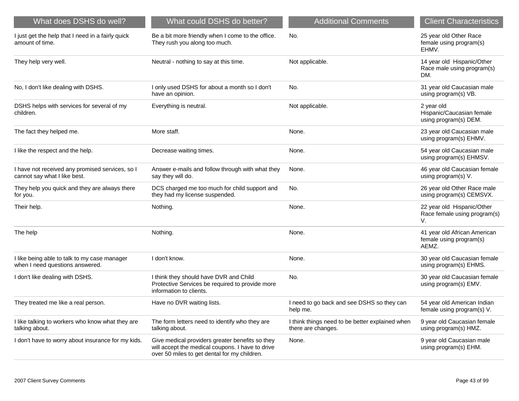| What does DSHS do well?                                                         | What could DSHS do better?                                                                                                                          | <b>Additional Comments</b>                                            | <b>Client Characteristics</b>                                    |
|---------------------------------------------------------------------------------|-----------------------------------------------------------------------------------------------------------------------------------------------------|-----------------------------------------------------------------------|------------------------------------------------------------------|
| I just get the help that I need in a fairly quick<br>amount of time.            | Be a bit more friendly when I come to the office.<br>They rush you along too much.                                                                  | No.                                                                   | 25 year old Other Race<br>female using program(s)<br>EHMV.       |
| They help very well.                                                            | Neutral - nothing to say at this time.                                                                                                              | Not applicable.                                                       | 14 year old Hispanic/Other<br>Race male using program(s)<br>DM.  |
| No, I don't like dealing with DSHS.                                             | I only used DSHS for about a month so I don't<br>have an opinion.                                                                                   | No.                                                                   | 31 year old Caucasian male<br>using program(s) VB.               |
| DSHS helps with services for several of my<br>children.                         | Everything is neutral.                                                                                                                              | Not applicable.                                                       | 2 year old<br>Hispanic/Caucasian female<br>using program(s) DEM. |
| The fact they helped me.                                                        | More staff.                                                                                                                                         | None.                                                                 | 23 year old Caucasian male<br>using program(s) EHMV.             |
| I like the respect and the help.                                                | Decrease waiting times.                                                                                                                             | None.                                                                 | 54 year old Caucasian male<br>using program(s) EHMSV.            |
| I have not received any promised services, so I<br>cannot say what I like best. | Answer e-mails and follow through with what they<br>say they will do.                                                                               | None.                                                                 | 46 year old Caucasian female<br>using program(s) V.              |
| They help you quick and they are always there<br>for you.                       | DCS charged me too much for child support and<br>they had my license suspended.                                                                     | No.                                                                   | 26 year old Other Race male<br>using program(s) CEMSVX.          |
| Their help.                                                                     | Nothing.                                                                                                                                            | None.                                                                 | 22 year old Hispanic/Other<br>Race female using program(s)<br>V. |
| The help                                                                        | Nothing.                                                                                                                                            | None.                                                                 | 41 year old African American<br>female using program(s)<br>AEMZ. |
| I like being able to talk to my case manager<br>when I need questions answered. | I don't know.                                                                                                                                       | None.                                                                 | 30 year old Caucasian female<br>using program(s) EHMS.           |
| I don't like dealing with DSHS.                                                 | I think they should have DVR and Child<br>Protective Services be required to provide more<br>information to clients.                                | No.                                                                   | 30 year old Caucasian female<br>using program(s) EMV.            |
| They treated me like a real person.                                             | Have no DVR waiting lists.                                                                                                                          | I need to go back and see DSHS so they can<br>help me.                | 54 year old American Indian<br>female using program(s) V.        |
| I like talking to workers who know what they are<br>talking about.              | The form letters need to identify who they are<br>talking about.                                                                                    | I think things need to be better explained when<br>there are changes. | 9 year old Caucasian female<br>using program(s) HMZ.             |
| I don't have to worry about insurance for my kids.                              | Give medical providers greater benefits so they<br>will accept the medical coupons. I have to drive<br>over 50 miles to get dental for my children. | None.                                                                 | 9 year old Caucasian male<br>using program(s) EHM.               |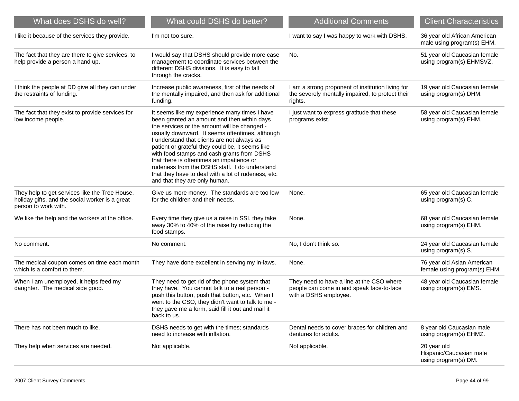| What does DSHS do well?                                                                                                   | What could DSHS do better?                                                                                                                                                                                                                                                                                                                                                                                                                                                                                                             | <b>Additional Comments</b>                                                                                       | <b>Client Characteristics</b>                                  |
|---------------------------------------------------------------------------------------------------------------------------|----------------------------------------------------------------------------------------------------------------------------------------------------------------------------------------------------------------------------------------------------------------------------------------------------------------------------------------------------------------------------------------------------------------------------------------------------------------------------------------------------------------------------------------|------------------------------------------------------------------------------------------------------------------|----------------------------------------------------------------|
| I like it because of the services they provide.                                                                           | I'm not too sure.                                                                                                                                                                                                                                                                                                                                                                                                                                                                                                                      | I want to say I was happy to work with DSHS.                                                                     | 36 year old African American<br>male using program(s) EHM.     |
| The fact that they are there to give services, to<br>help provide a person a hand up.                                     | I would say that DSHS should provide more case<br>management to coordinate services between the<br>different DSHS divisions. It is easy to fall<br>through the cracks.                                                                                                                                                                                                                                                                                                                                                                 | No.                                                                                                              | 51 year old Caucasian female<br>using program(s) EHMSVZ.       |
| I think the people at DD give all they can under<br>the restraints of funding.                                            | Increase public awareness, first of the needs of<br>the mentally impaired, and then ask for additional<br>funding.                                                                                                                                                                                                                                                                                                                                                                                                                     | I am a strong proponent of institution living for<br>the severely mentally impaired, to protect their<br>rights. | 19 year old Caucasian female<br>using program(s) DHM.          |
| The fact that they exist to provide services for<br>low income people.                                                    | It seems like my experience many times I have<br>been granted an amount and then within days<br>the services or the amount will be changed -<br>usually downward. It seems oftentimes, although<br>I understand that clients are not always as<br>patient or grateful they could be, it seems like<br>with food stamps and cash grants from DSHS<br>that there is oftentimes an impatience or<br>rudeness from the DSHS staff. I do understand<br>that they have to deal with a lot of rudeness, etc.<br>and that they are only human. | I just want to express gratitude that these<br>programs exist.                                                   | 58 year old Caucasian female<br>using program(s) EHM.          |
| They help to get services like the Tree House,<br>holiday gifts, and the social worker is a great<br>person to work with. | Give us more money. The standards are too low<br>for the children and their needs.                                                                                                                                                                                                                                                                                                                                                                                                                                                     | None.                                                                                                            | 65 year old Caucasian female<br>using program(s) C.            |
| We like the help and the workers at the office.                                                                           | Every time they give us a raise in SSI, they take<br>away 30% to 40% of the raise by reducing the<br>food stamps.                                                                                                                                                                                                                                                                                                                                                                                                                      | None.                                                                                                            | 68 year old Caucasian female<br>using program(s) EHM.          |
| No comment.                                                                                                               | No comment.                                                                                                                                                                                                                                                                                                                                                                                                                                                                                                                            | No, I don't think so.                                                                                            | 24 year old Caucasian female<br>using program(s) S.            |
| The medical coupon comes on time each month<br>which is a comfort to them.                                                | They have done excellent in serving my in-laws.                                                                                                                                                                                                                                                                                                                                                                                                                                                                                        | None.                                                                                                            | 76 year old Asian American<br>female using program(s) EHM.     |
| When I am unemployed, it helps feed my<br>daughter. The medical side good.                                                | They need to get rid of the phone system that<br>they have. You cannot talk to a real person -<br>push this button, push that button, etc. When I<br>went to the CSO, they didn't want to talk to me -<br>they gave me a form, said fill it out and mail it<br>back to us.                                                                                                                                                                                                                                                             | They need to have a line at the CSO where<br>people can come in and speak face-to-face<br>with a DSHS employee.  | 48 year old Caucasian female<br>using program(s) EMS.          |
| There has not been much to like.                                                                                          | DSHS needs to get with the times; standards<br>need to increase with inflation.                                                                                                                                                                                                                                                                                                                                                                                                                                                        | Dental needs to cover braces for children and<br>dentures for adults.                                            | 8 year old Caucasian male<br>using program(s) EHMZ.            |
| They help when services are needed.                                                                                       | Not applicable.                                                                                                                                                                                                                                                                                                                                                                                                                                                                                                                        | Not applicable.                                                                                                  | 20 year old<br>Hispanic/Caucasian male<br>using program(s) DM. |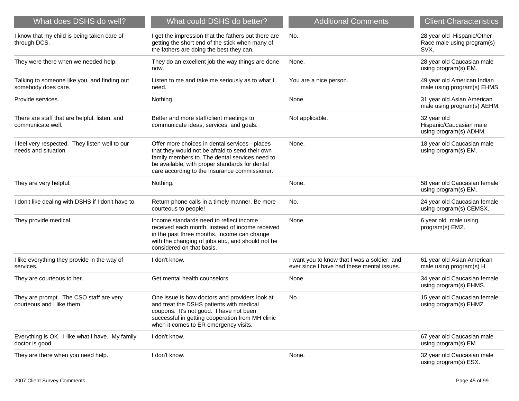| What does DSHS do well?                                                | What could DSHS do better?                                                                                                                                                                                                                             | <b>Additional Comments</b>                                                                 | <b>Client Characteristics</b>                                    |
|------------------------------------------------------------------------|--------------------------------------------------------------------------------------------------------------------------------------------------------------------------------------------------------------------------------------------------------|--------------------------------------------------------------------------------------------|------------------------------------------------------------------|
| I know that my child is being taken care of<br>through DCS.            | I get the impression that the fathers out there are<br>getting the short end of the stick when many of<br>the fathers are doing the best they can.                                                                                                     | No.                                                                                        | 28 year old Hispanic/Other<br>Race male using program(s)<br>SVX. |
| They were there when we needed help.                                   | They do an excellent job the way things are done<br>now.                                                                                                                                                                                               | None.                                                                                      | 28 year old Caucasian male<br>using program(s) EM.               |
| Talking to someone like you, and finding out<br>somebody does care.    | Listen to me and take me seriously as to what I<br>need.                                                                                                                                                                                               | You are a nice person.                                                                     | 49 year old American Indian<br>male using program(s) EHMS.       |
| Provide services.                                                      | Nothing.                                                                                                                                                                                                                                               | None.                                                                                      | 31 year old Asian American<br>male using program(s) AEHM.        |
| There are staff that are helpful, listen, and<br>communicate well.     | Better and more staff/client meetings to<br>communicate ideas, services, and goals.                                                                                                                                                                    | Not applicable.                                                                            | 32 year old<br>Hispanic/Caucasian male<br>using program(s) ADHM. |
| I feel very respected. They listen well to our<br>needs and situation. | Offer more choices in dental services - places<br>that they would not be afraid to send their own<br>family members to. The dental services need to<br>be available, with proper standards for dental<br>care according to the insurance commissioner. | None.                                                                                      | 18 year old Caucasian male<br>using program(s) EM.               |
| They are very helpful.                                                 | Nothing.                                                                                                                                                                                                                                               | None.                                                                                      | 58 year old Caucasian female<br>using program(s) EM.             |
| I don't like dealing with DSHS if I don't have to.                     | Return phone calls in a timely manner. Be more<br>courteous to people!                                                                                                                                                                                 | No.                                                                                        | 24 year old Caucasian female<br>using program(s) CEMSX.          |
| They provide medical.                                                  | Income standards need to reflect income<br>received each month, instead of income received<br>in the past three months. Income can change<br>with the changing of jobs etc., and should not be<br>considered on that basis.                            | None.                                                                                      | 6 year old male using<br>program(s) EMZ.                         |
| I like everything they provide in the way of<br>services.              | I don't know.                                                                                                                                                                                                                                          | I want you to know that I was a soldier, and<br>ever since I have had these mental issues. | 61 year old Asian American<br>male using program(s) H.           |
| They are courteous to her.                                             | Get mental health counselors.                                                                                                                                                                                                                          | None.                                                                                      | 34 year old Caucasian female<br>using program(s) EHMS.           |
| They are prompt. The CSO staff are very<br>courteous and I like them.  | One issue is how doctors and providers look at<br>and treat the DSHS patients with medical<br>coupons. It's not good. I have not been<br>successful in getting cooperation from MH clinic<br>when it comes to ER emergency visits.                     | No.                                                                                        | 15 year old Caucasian female<br>using program(s) EHMZ.           |
| Everything is OK. I like what I have. My family<br>doctor is good.     | I don't know.                                                                                                                                                                                                                                          |                                                                                            | 67 year old Caucasian male<br>using program(s) EM.               |
| They are there when you need help.                                     | I don't know.                                                                                                                                                                                                                                          | None.                                                                                      | 32 year old Caucasian male<br>using program(s) ESX.              |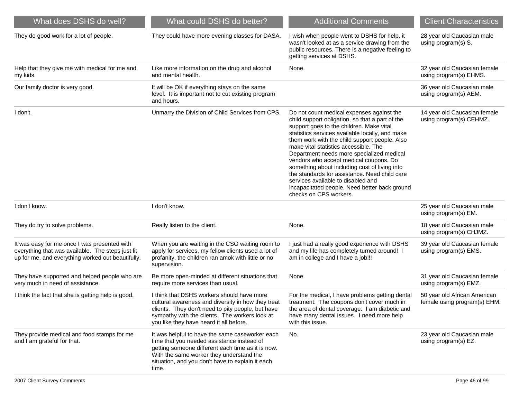| What does DSHS do well?                                                                                                                                | What could DSHS do better?                                                                                                                                                                                                                                  | <b>Additional Comments</b>                                                                                                                                                                                                                                                                                                                                                                                                                                                                                                                                                                      | <b>Client Characteristics</b>                                |
|--------------------------------------------------------------------------------------------------------------------------------------------------------|-------------------------------------------------------------------------------------------------------------------------------------------------------------------------------------------------------------------------------------------------------------|-------------------------------------------------------------------------------------------------------------------------------------------------------------------------------------------------------------------------------------------------------------------------------------------------------------------------------------------------------------------------------------------------------------------------------------------------------------------------------------------------------------------------------------------------------------------------------------------------|--------------------------------------------------------------|
| They do good work for a lot of people.                                                                                                                 | They could have more evening classes for DASA.                                                                                                                                                                                                              | I wish when people went to DSHS for help, it<br>wasn't looked at as a service drawing from the<br>public resources. There is a negative feeling to<br>getting services at DSHS.                                                                                                                                                                                                                                                                                                                                                                                                                 | 28 year old Caucasian male<br>using program(s) S.            |
| Help that they give me with medical for me and<br>my kids.                                                                                             | Like more information on the drug and alcohol<br>and mental health.                                                                                                                                                                                         | None.                                                                                                                                                                                                                                                                                                                                                                                                                                                                                                                                                                                           | 32 year old Caucasian female<br>using program(s) EHMS.       |
| Our family doctor is very good.                                                                                                                        | It will be OK if everything stays on the same<br>level. It is important not to cut existing program<br>and hours.                                                                                                                                           |                                                                                                                                                                                                                                                                                                                                                                                                                                                                                                                                                                                                 | 36 year old Caucasian male<br>using program(s) AEM.          |
| I don't.                                                                                                                                               | Unmarry the Division of Child Services from CPS.                                                                                                                                                                                                            | Do not count medical expenses against the<br>child support obligation, so that a part of the<br>support goes to the children. Make vital<br>statistics services available locally, and make<br>them work with the child support people. Also<br>make vital statistics accessible. The<br>Department needs more specialized medical<br>vendors who accept medical coupons. Do<br>something about including cost of living into<br>the standards for assistance. Need child care<br>services available to disabled and<br>incapacitated people. Need better back ground<br>checks on CPS workers. | 14 year old Caucasian female<br>using program(s) CEHMZ.      |
| I don't know.                                                                                                                                          | I don't know.                                                                                                                                                                                                                                               |                                                                                                                                                                                                                                                                                                                                                                                                                                                                                                                                                                                                 | 25 year old Caucasian male<br>using program(s) EM.           |
| They do try to solve problems.                                                                                                                         | Really listen to the client.                                                                                                                                                                                                                                | None.                                                                                                                                                                                                                                                                                                                                                                                                                                                                                                                                                                                           | 18 year old Caucasian male<br>using program(s) CHJMZ.        |
| It was easy for me once I was presented with<br>everything that was available. The steps just lit<br>up for me, and everything worked out beautifully. | When you are waiting in the CSO waiting room to<br>apply for services, my fellow clients used a lot of<br>profanity, the children ran amok with little or no<br>supervision.                                                                                | I just had a really good experience with DSHS<br>and my life has completely turned around! I<br>am in college and I have a job!!!                                                                                                                                                                                                                                                                                                                                                                                                                                                               | 39 year old Caucasian female<br>using program(s) EMS.        |
| They have supported and helped people who are<br>very much in need of assistance.                                                                      | Be more open-minded at different situations that<br>require more services than usual.                                                                                                                                                                       | None.                                                                                                                                                                                                                                                                                                                                                                                                                                                                                                                                                                                           | 31 year old Caucasian female<br>using program(s) EMZ.        |
| I think the fact that she is getting help is good.                                                                                                     | I think that DSHS workers should have more<br>cultural awareness and diversity in how they treat<br>clients. They don't need to pity people, but have<br>sympathy with the clients. The workers look at<br>you like they have heard it all before.          | For the medical, I have problems getting dental<br>treatment. The coupons don't cover much in<br>the area of dental coverage. I am diabetic and<br>have many dental issues. I need more help<br>with this issue.                                                                                                                                                                                                                                                                                                                                                                                | 50 year old African American<br>female using program(s) EHM. |
| They provide medical and food stamps for me<br>and I am grateful for that.                                                                             | It was helpful to have the same caseworker each<br>time that you needed assistance instead of<br>getting someone different each time as it is now.<br>With the same worker they understand the<br>situation, and you don't have to explain it each<br>time. | No.                                                                                                                                                                                                                                                                                                                                                                                                                                                                                                                                                                                             | 23 year old Caucasian male<br>using program(s) EZ.           |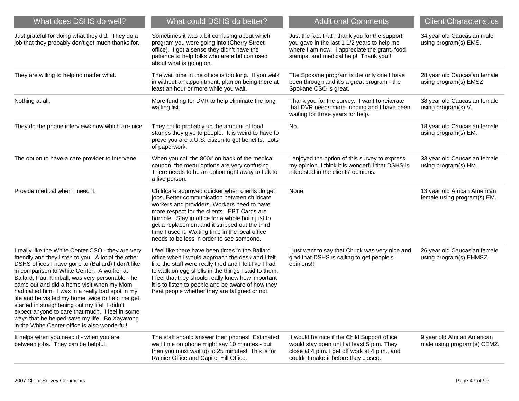| What does DSHS do well?                                                                                                                                                                                                                                                                                                                                                                                                                                                                                                                                                                                                      | What could DSHS do better?                                                                                                                                                                                                                                                                                                                                                                            | <b>Additional Comments</b>                                                                                                                                                             | <b>Client Characteristics</b>                               |
|------------------------------------------------------------------------------------------------------------------------------------------------------------------------------------------------------------------------------------------------------------------------------------------------------------------------------------------------------------------------------------------------------------------------------------------------------------------------------------------------------------------------------------------------------------------------------------------------------------------------------|-------------------------------------------------------------------------------------------------------------------------------------------------------------------------------------------------------------------------------------------------------------------------------------------------------------------------------------------------------------------------------------------------------|----------------------------------------------------------------------------------------------------------------------------------------------------------------------------------------|-------------------------------------------------------------|
| Just grateful for doing what they did. They do a<br>job that they probably don't get much thanks for.                                                                                                                                                                                                                                                                                                                                                                                                                                                                                                                        | Sometimes it was a bit confusing about which<br>program you were going into (Cherry Street<br>office). I got a sense they didn't have the<br>patience to help folks who are a bit confused<br>about what is going on.                                                                                                                                                                                 | Just the fact that I thank you for the support<br>you gave in the last 1 1/2 years to help me<br>where I am now. I appreciate the grant, food<br>stamps, and medical help! Thank you!! | 34 year old Caucasian male<br>using program(s) EMS.         |
| They are willing to help no matter what.                                                                                                                                                                                                                                                                                                                                                                                                                                                                                                                                                                                     | The wait time in the office is too long. If you walk<br>in without an appointment, plan on being there at<br>least an hour or more while you wait.                                                                                                                                                                                                                                                    | The Spokane program is the only one I have<br>been through and it's a great program - the<br>Spokane CSO is great.                                                                     | 28 year old Caucasian female<br>using program(s) EMSZ.      |
| Nothing at all.                                                                                                                                                                                                                                                                                                                                                                                                                                                                                                                                                                                                              | More funding for DVR to help eliminate the long<br>waiting list.                                                                                                                                                                                                                                                                                                                                      | Thank you for the survey. I want to reiterate<br>that DVR needs more funding and I have been<br>waiting for three years for help.                                                      | 38 year old Caucasian female<br>using program(s) V.         |
| They do the phone interviews now which are nice.                                                                                                                                                                                                                                                                                                                                                                                                                                                                                                                                                                             | They could probably up the amount of food<br>stamps they give to people. It is weird to have to<br>prove you are a U.S. citizen to get benefits. Lots<br>of paperwork.                                                                                                                                                                                                                                | No.                                                                                                                                                                                    | 18 year old Caucasian female<br>using program(s) EM.        |
| The option to have a care provider to intervene.                                                                                                                                                                                                                                                                                                                                                                                                                                                                                                                                                                             | When you call the 800# on back of the medical<br>coupon, the menu options are very confusing.<br>There needs to be an option right away to talk to<br>a live person.                                                                                                                                                                                                                                  | I enjoyed the option of this survey to express<br>my opinion. I think it is wonderful that DSHS is<br>interested in the clients' opinions.                                             | 33 year old Caucasian female<br>using program(s) HM.        |
| Provide medical when I need it.                                                                                                                                                                                                                                                                                                                                                                                                                                                                                                                                                                                              | Childcare approved quicker when clients do get<br>jobs. Better communication between childcare<br>workers and providers. Workers need to have<br>more respect for the clients. EBT Cards are<br>horrible. Stay in office for a whole hour just to<br>get a replacement and it stripped out the third<br>time I used it. Waiting time in the local office<br>needs to be less in order to see someone. | None.                                                                                                                                                                                  | 13 year old African American<br>female using program(s) EM. |
| I really like the White Center CSO - they are very<br>friendly and they listen to you. A lot of the other<br>DSHS offices I have gone to (Ballard) I don't like<br>in comparison to White Center. A worker at<br>Ballard, Paul Kimball, was very personable - he<br>came out and did a home visit when my Mom<br>had called him. I was in a really bad spot in my<br>life and he visited my home twice to help me get<br>started in straightening out my life! I didn't<br>expect anyone to care that much. I feel in some<br>ways that he helped save my life. Bo Xayavong<br>in the White Center office is also wonderful! | I feel like there have been times in the Ballard<br>office when I would approach the desk and I felt<br>like the staff were really tired and I felt like I had<br>to walk on egg shells in the things I said to them.<br>I feel that they should really know how important<br>it is to listen to people and be aware of how they<br>treat people whether they are fatigued or not.                    | I just want to say that Chuck was very nice and<br>glad that DSHS is calling to get people's<br>opinions!!                                                                             | 26 year old Caucasian female<br>using program(s) EHMSZ.     |
| It helps when you need it - when you are<br>between jobs. They can be helpful.                                                                                                                                                                                                                                                                                                                                                                                                                                                                                                                                               | The staff should answer their phones! Estimated<br>wait time on phone might say 10 minutes - but<br>then you must wait up to 25 minutes! This is for<br>Rainier Office and Capitol Hill Office.                                                                                                                                                                                                       | It would be nice if the Child Support office<br>would stay open until at least 5 p.m. They<br>close at 4 p.m. I get off work at 4 p.m., and<br>couldn't make it before they closed.    | 9 year old African American<br>male using program(s) CEMZ.  |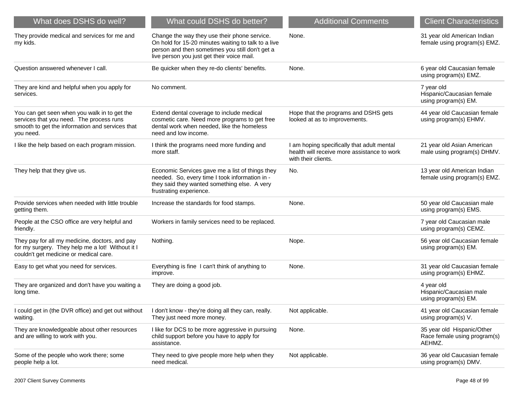| What does DSHS do well?                                                                                                                                  | What could DSHS do better?                                                                                                                                                                           | <b>Additional Comments</b>                                                                                       | <b>Client Characteristics</b>                                        |
|----------------------------------------------------------------------------------------------------------------------------------------------------------|------------------------------------------------------------------------------------------------------------------------------------------------------------------------------------------------------|------------------------------------------------------------------------------------------------------------------|----------------------------------------------------------------------|
| They provide medical and services for me and<br>my kids.                                                                                                 | Change the way they use their phone service.<br>On hold for 15-20 minutes waiting to talk to a live<br>person and then sometimes you still don't get a<br>live person you just get their voice mail. | None.                                                                                                            | 31 year old American Indian<br>female using program(s) EMZ.          |
| Question answered whenever I call.                                                                                                                       | Be quicker when they re-do clients' benefits.                                                                                                                                                        | None.                                                                                                            | 6 year old Caucasian female<br>using program(s) EMZ.                 |
| They are kind and helpful when you apply for<br>services.                                                                                                | No comment.                                                                                                                                                                                          |                                                                                                                  | 7 year old<br>Hispanic/Caucasian female<br>using program(s) EM.      |
| You can get seen when you walk in to get the<br>services that you need. The process runs<br>smooth to get the information and services that<br>you need. | Extend dental coverage to include medical<br>cosmetic care. Need more programs to get free<br>dental work when needed, like the homeless<br>need and low income.                                     | Hope that the programs and DSHS gets<br>looked at as to improvements.                                            | 44 year old Caucasian female<br>using program(s) EHMV.               |
| I like the help based on each program mission.                                                                                                           | I think the programs need more funding and<br>more staff.                                                                                                                                            | I am hoping specifically that adult mental<br>health will receive more assistance to work<br>with their clients. | 21 year old Asian American<br>male using program(s) DHMV.            |
| They help that they give us.                                                                                                                             | Economic Services gave me a list of things they<br>needed. So, every time I took information in -<br>they said they wanted something else. A very<br>frustrating experience.                         | No.                                                                                                              | 13 year old American Indian<br>female using program(s) EMZ.          |
| Provide services when needed with little trouble<br>getting them.                                                                                        | Increase the standards for food stamps.                                                                                                                                                              | None.                                                                                                            | 50 year old Caucasian male<br>using program(s) EMS.                  |
| People at the CSO office are very helpful and<br>friendly.                                                                                               | Workers in family services need to be replaced.                                                                                                                                                      |                                                                                                                  | 7 year old Caucasian male<br>using program(s) CEMZ.                  |
| They pay for all my medicine, doctors, and pay<br>for my surgery. They help me a lot! Without it I<br>couldn't get medicine or medical care.             | Nothing.                                                                                                                                                                                             | Nope.                                                                                                            | 56 year old Caucasian female<br>using program(s) EM.                 |
| Easy to get what you need for services.                                                                                                                  | Everything is fine I can't think of anything to<br>improve.                                                                                                                                          | None.                                                                                                            | 31 year old Caucasian female<br>using program(s) EHMZ.               |
| They are organized and don't have you waiting a<br>long time.                                                                                            | They are doing a good job.                                                                                                                                                                           |                                                                                                                  | 4 year old<br>Hispanic/Caucasian male<br>using program(s) EM.        |
| I could get in (the DVR office) and get out without I don't know - they're doing all they can, really.<br>waiting.                                       | They just need more money.                                                                                                                                                                           | Not applicable.                                                                                                  | 41 year old Caucasian female<br>using program(s) V.                  |
| They are knowledgeable about other resources<br>and are willing to work with you.                                                                        | I like for DCS to be more aggressive in pursuing<br>child support before you have to apply for<br>assistance.                                                                                        | None.                                                                                                            | 35 year old Hispanic/Other<br>Race female using program(s)<br>AEHMZ. |
| Some of the people who work there; some<br>people help a lot.                                                                                            | They need to give people more help when they<br>need medical.                                                                                                                                        | Not applicable.                                                                                                  | 36 year old Caucasian female<br>using program(s) DMV.                |
|                                                                                                                                                          |                                                                                                                                                                                                      |                                                                                                                  |                                                                      |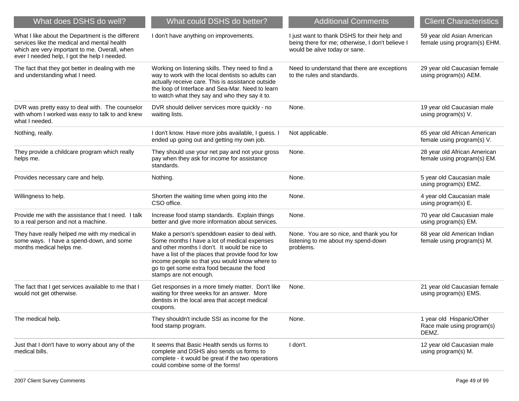| What does DSHS do well?                                                                                                                                                                           | What could DSHS do better?                                                                                                                                                                                                                                                                                                      | <b>Additional Comments</b>                                                                                                        | <b>Client Characteristics</b>                                    |
|---------------------------------------------------------------------------------------------------------------------------------------------------------------------------------------------------|---------------------------------------------------------------------------------------------------------------------------------------------------------------------------------------------------------------------------------------------------------------------------------------------------------------------------------|-----------------------------------------------------------------------------------------------------------------------------------|------------------------------------------------------------------|
| What I like about the Department is the different<br>services like the medical and mental health<br>which are very important to me. Overall, when<br>ever I needed help, I got the help I needed. | I don't have anything on improvements.                                                                                                                                                                                                                                                                                          | I just want to thank DSHS for their help and<br>being there for me; otherwise, I don't believe I<br>would be alive today or sane. | 59 year old Asian American<br>female using program(s) EHM.       |
| The fact that they got better in dealing with me<br>and understanding what I need.                                                                                                                | Working on listening skills. They need to find a<br>way to work with the local dentists so adults can<br>actually receive care. This is assistance outside<br>the loop of Interface and Sea-Mar. Need to learn<br>to watch what they say and who they say it to.                                                                | Need to understand that there are exceptions<br>to the rules and standards.                                                       | 29 year old Caucasian female<br>using program(s) AEM.            |
| DVR was pretty easy to deal with. The counselor<br>with whom I worked was easy to talk to and knew<br>what I needed.                                                                              | DVR should deliver services more quickly - no<br>waiting lists.                                                                                                                                                                                                                                                                 | None.                                                                                                                             | 19 year old Caucasian male<br>using program(s) V.                |
| Nothing, really.                                                                                                                                                                                  | I don't know. Have more jobs available, I guess. I<br>ended up going out and getting my own job.                                                                                                                                                                                                                                | Not applicable.                                                                                                                   | 65 year old African American<br>female using program(s) V.       |
| They provide a childcare program which really<br>helps me.                                                                                                                                        | They should use your net pay and not your gross<br>pay when they ask for income for assistance<br>standards.                                                                                                                                                                                                                    | None.                                                                                                                             | 28 year old African American<br>female using program(s) EM.      |
| Provides necessary care and help.                                                                                                                                                                 | Nothing.                                                                                                                                                                                                                                                                                                                        | None.                                                                                                                             | 5 year old Caucasian male<br>using program(s) EMZ.               |
| Willingness to help.                                                                                                                                                                              | Shorten the waiting time when going into the<br>CSO office.                                                                                                                                                                                                                                                                     | None.                                                                                                                             | 4 year old Caucasian male<br>using program(s) E.                 |
| Provide me with the assistance that I need. I talk<br>to a real person and not a machine.                                                                                                         | Increase food stamp standards. Explain things<br>better and give more information about services.                                                                                                                                                                                                                               | None.                                                                                                                             | 70 year old Caucasian male<br>using program(s) EM.               |
| They have really helped me with my medical in<br>some ways. I have a spend-down, and some<br>months medical helps me.                                                                             | Make a person's spenddown easier to deal with.<br>Some months I have a lot of medical expenses<br>and other months I don't. It would be nice to<br>have a list of the places that provide food for low<br>income people so that you would know where to<br>go to get some extra food because the food<br>stamps are not enough. | None. You are so nice, and thank you for<br>listening to me about my spend-down<br>problems.                                      | 68 year old American Indian<br>female using program(s) M.        |
| The fact that I get services available to me that I<br>would not get otherwise.                                                                                                                   | Get responses in a more timely matter. Don't like<br>waiting for three weeks for an answer. More<br>dentists in the local area that accept medical<br>coupons.                                                                                                                                                                  | None.                                                                                                                             | 21 year old Caucasian female<br>using program(s) EMS.            |
| The medical help.                                                                                                                                                                                 | They shouldn't include SSI as income for the<br>food stamp program.                                                                                                                                                                                                                                                             | None.                                                                                                                             | 1 year old Hispanic/Other<br>Race male using program(s)<br>DEMZ. |
| Just that I don't have to worry about any of the<br>medical bills.                                                                                                                                | It seems that Basic Health sends us forms to<br>complete and DSHS also sends us forms to<br>complete - it would be great if the two operations<br>could combine some of the forms!                                                                                                                                              | I don't.                                                                                                                          | 12 year old Caucasian male<br>using program(s) M.                |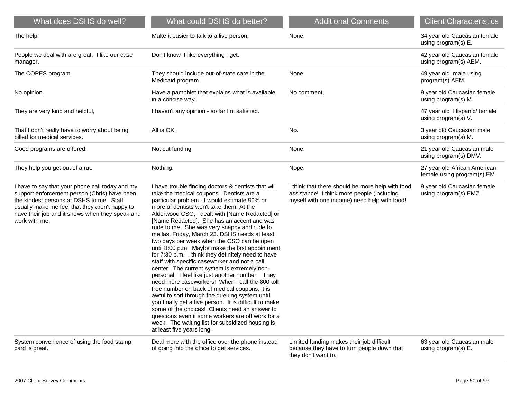| What does DSHS do well?                                                                                                                                                                                                                                           | What could DSHS do better?                                                                                                                                                                                                                                                                                                                                                                                                                                                                                                                                                                                                                                                                                                                                                                                                                                                                                                                                                                                                                                                                                     | <b>Additional Comments</b>                                                                                                                     | <b>Client Characteristics</b>                               |
|-------------------------------------------------------------------------------------------------------------------------------------------------------------------------------------------------------------------------------------------------------------------|----------------------------------------------------------------------------------------------------------------------------------------------------------------------------------------------------------------------------------------------------------------------------------------------------------------------------------------------------------------------------------------------------------------------------------------------------------------------------------------------------------------------------------------------------------------------------------------------------------------------------------------------------------------------------------------------------------------------------------------------------------------------------------------------------------------------------------------------------------------------------------------------------------------------------------------------------------------------------------------------------------------------------------------------------------------------------------------------------------------|------------------------------------------------------------------------------------------------------------------------------------------------|-------------------------------------------------------------|
| The help.                                                                                                                                                                                                                                                         | Make it easier to talk to a live person.                                                                                                                                                                                                                                                                                                                                                                                                                                                                                                                                                                                                                                                                                                                                                                                                                                                                                                                                                                                                                                                                       | None.                                                                                                                                          | 34 year old Caucasian female<br>using program(s) E.         |
| People we deal with are great. I like our case<br>manager.                                                                                                                                                                                                        | Don't know I like everything I get.                                                                                                                                                                                                                                                                                                                                                                                                                                                                                                                                                                                                                                                                                                                                                                                                                                                                                                                                                                                                                                                                            |                                                                                                                                                | 42 year old Caucasian female<br>using program(s) AEM.       |
| The COPES program.                                                                                                                                                                                                                                                | They should include out-of-state care in the<br>Medicaid program.                                                                                                                                                                                                                                                                                                                                                                                                                                                                                                                                                                                                                                                                                                                                                                                                                                                                                                                                                                                                                                              | None.                                                                                                                                          | 49 year old male using<br>program(s) AEM.                   |
| No opinion.                                                                                                                                                                                                                                                       | Have a pamphlet that explains what is available<br>in a concise way.                                                                                                                                                                                                                                                                                                                                                                                                                                                                                                                                                                                                                                                                                                                                                                                                                                                                                                                                                                                                                                           | No comment.                                                                                                                                    | 9 year old Caucasian female<br>using program(s) M.          |
| They are very kind and helpful,                                                                                                                                                                                                                                   | I haven't any opinion - so far I'm satisfied.                                                                                                                                                                                                                                                                                                                                                                                                                                                                                                                                                                                                                                                                                                                                                                                                                                                                                                                                                                                                                                                                  |                                                                                                                                                | 47 year old Hispanic/ female<br>using program(s) V.         |
| That I don't really have to worry about being<br>billed for medical services.                                                                                                                                                                                     | All is OK.                                                                                                                                                                                                                                                                                                                                                                                                                                                                                                                                                                                                                                                                                                                                                                                                                                                                                                                                                                                                                                                                                                     | No.                                                                                                                                            | 3 year old Caucasian male<br>using program(s) M.            |
| Good programs are offered.                                                                                                                                                                                                                                        | Not cut funding.                                                                                                                                                                                                                                                                                                                                                                                                                                                                                                                                                                                                                                                                                                                                                                                                                                                                                                                                                                                                                                                                                               | None.                                                                                                                                          | 21 year old Caucasian male<br>using program(s) DMV.         |
| They help you get out of a rut.                                                                                                                                                                                                                                   | Nothing.                                                                                                                                                                                                                                                                                                                                                                                                                                                                                                                                                                                                                                                                                                                                                                                                                                                                                                                                                                                                                                                                                                       | Nope.                                                                                                                                          | 27 year old African American<br>female using program(s) EM. |
| I have to say that your phone call today and my<br>support enforcement person (Chris) have been<br>the kindest persons at DSHS to me. Staff<br>usually make me feel that they aren't happy to<br>have their job and it shows when they speak and<br>work with me. | I have trouble finding doctors & dentists that will<br>take the medical coupons. Dentists are a<br>particular problem - I would estimate 90% or<br>more of dentists won't take them. At the<br>Alderwood CSO, I dealt with [Name Redacted] or<br>[Name Redacted]. She has an accent and was<br>rude to me. She was very snappy and rude to<br>me last Friday, March 23. DSHS needs at least<br>two days per week when the CSO can be open<br>until 8:00 p.m. Maybe make the last appointment<br>for 7:30 p.m. I think they definitely need to have<br>staff with specific caseworker and not a call<br>center. The current system is extremely non-<br>personal. I feel like just another number! They<br>need more caseworkers! When I call the 800 toll<br>free number on back of medical coupons, it is<br>awful to sort through the queuing system until<br>you finally get a live person. It is difficult to make<br>some of the choices! Clients need an answer to<br>questions even if some workers are off work for a<br>week. The waiting list for subsidized housing is<br>at least five years long! | I think that there should be more help with food<br>assistance! I think more people (including<br>myself with one income) need help with food! | 9 year old Caucasian female<br>using program(s) EMZ.        |
| System convenience of using the food stamp<br>card is great.                                                                                                                                                                                                      | Deal more with the office over the phone instead<br>of going into the office to get services.                                                                                                                                                                                                                                                                                                                                                                                                                                                                                                                                                                                                                                                                                                                                                                                                                                                                                                                                                                                                                  | Limited funding makes their job difficult<br>because they have to turn people down that<br>they don't want to.                                 | 63 year old Caucasian male<br>using program(s) E.           |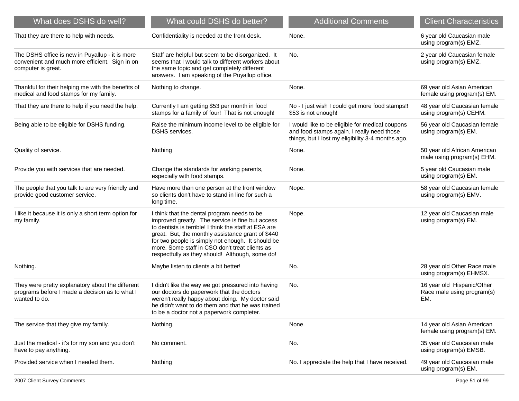| What does DSHS do well?                                                                                                 | What could DSHS do better?                                                                                                                                                                                                                                                                                                                                              | <b>Additional Comments</b>                                                                                                                         | <b>Client Characteristics</b>                                   |
|-------------------------------------------------------------------------------------------------------------------------|-------------------------------------------------------------------------------------------------------------------------------------------------------------------------------------------------------------------------------------------------------------------------------------------------------------------------------------------------------------------------|----------------------------------------------------------------------------------------------------------------------------------------------------|-----------------------------------------------------------------|
| That they are there to help with needs.                                                                                 | Confidentiality is needed at the front desk.                                                                                                                                                                                                                                                                                                                            | None.                                                                                                                                              | 6 year old Caucasian male<br>using program(s) EMZ.              |
| The DSHS office is new in Puyallup - it is more<br>convenient and much more efficient. Sign in on<br>computer is great. | Staff are helpful but seem to be disorganized. It<br>seems that I would talk to different workers about<br>the same topic and get completely different<br>answers. I am speaking of the Puyallup office.                                                                                                                                                                | No.                                                                                                                                                | 2 year old Caucasian female<br>using program(s) EMZ.            |
| Thankful for their helping me with the benefits of<br>medical and food stamps for my family.                            | Nothing to change.                                                                                                                                                                                                                                                                                                                                                      | None.                                                                                                                                              | 69 year old Asian American<br>female using program(s) EM.       |
| That they are there to help if you need the help.                                                                       | Currently I am getting \$53 per month in food<br>stamps for a family of four! That is not enough!                                                                                                                                                                                                                                                                       | No - I just wish I could get more food stamps!!<br>\$53 is not enough!                                                                             | 48 year old Caucasian female<br>using program(s) CEHM.          |
| Being able to be eligible for DSHS funding.                                                                             | Raise the minimum income level to be eligible for<br>DSHS services.                                                                                                                                                                                                                                                                                                     | I would like to be eligible for medical coupons<br>and food stamps again. I really need those<br>things, but I lost my eligibility 3-4 months ago. | 56 year old Caucasian female<br>using program(s) EM.            |
| Quality of service.                                                                                                     | Nothing                                                                                                                                                                                                                                                                                                                                                                 | None.                                                                                                                                              | 50 year old African American<br>male using program(s) EHM.      |
| Provide you with services that are needed.                                                                              | Change the standards for working parents,<br>especially with food stamps.                                                                                                                                                                                                                                                                                               | None.                                                                                                                                              | 5 year old Caucasian male<br>using program(s) EM.               |
| The people that you talk to are very friendly and<br>provide good customer service.                                     | Have more than one person at the front window<br>so clients don't have to stand in line for such a<br>long time.                                                                                                                                                                                                                                                        | Nope.                                                                                                                                              | 58 year old Caucasian female<br>using program(s) EMV.           |
| I like it because it is only a short term option for<br>my family.                                                      | I think that the dental program needs to be<br>improved greatly. The service is fine but access<br>to dentists is terrible! I think the staff at ESA are<br>great. But, the monthly assistance grant of \$440<br>for two people is simply not enough. It should be<br>more. Some staff in CSO don't treat clients as<br>respectfully as they should! Although, some do! | Nope.                                                                                                                                              | 12 year old Caucasian male<br>using program(s) EM.              |
| Nothing.                                                                                                                | Maybe listen to clients a bit better!                                                                                                                                                                                                                                                                                                                                   | No.                                                                                                                                                | 28 year old Other Race male<br>using program(s) EHMSX.          |
| They were pretty explanatory about the different<br>programs before I made a decision as to what I<br>wanted to do.     | I didn't like the way we got pressured into having<br>our doctors do paperwork that the doctors<br>weren't really happy about doing. My doctor said<br>he didn't want to do them and that he was trained<br>to be a doctor not a paperwork completer.                                                                                                                   | No.                                                                                                                                                | 16 year old Hispanic/Other<br>Race male using program(s)<br>EM. |
| The service that they give my family.                                                                                   | Nothing.                                                                                                                                                                                                                                                                                                                                                                | None.                                                                                                                                              | 14 year old Asian American<br>female using program(s) EM.       |
| Just the medical - it's for my son and you don't<br>have to pay anything.                                               | No comment.                                                                                                                                                                                                                                                                                                                                                             | No.                                                                                                                                                | 35 year old Caucasian male<br>using program(s) EMSB.            |
| Provided service when I needed them.                                                                                    | Nothing                                                                                                                                                                                                                                                                                                                                                                 | No. I appreciate the help that I have received.                                                                                                    | 49 year old Caucasian male<br>using program(s) EM.              |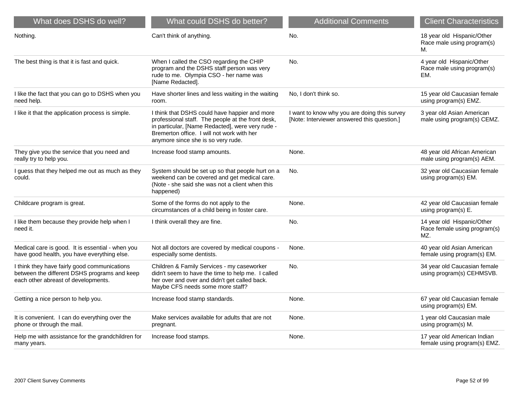| What does DSHS do well?                                                                                                             | What could DSHS do better?                                                                                                                                                                                                                 | <b>Additional Comments</b>                                                                  | <b>Client Characteristics</b>                                     |
|-------------------------------------------------------------------------------------------------------------------------------------|--------------------------------------------------------------------------------------------------------------------------------------------------------------------------------------------------------------------------------------------|---------------------------------------------------------------------------------------------|-------------------------------------------------------------------|
| Nothing.                                                                                                                            | Can't think of anything.                                                                                                                                                                                                                   | No.                                                                                         | 18 year old Hispanic/Other<br>Race male using program(s)<br>М.    |
| The best thing is that it is fast and quick.                                                                                        | When I called the CSO regarding the CHIP<br>program and the DSHS staff person was very<br>rude to me. Olympia CSO - her name was<br>[Name Redacted].                                                                                       | No.                                                                                         | 4 year old Hispanic/Other<br>Race male using program(s)<br>EM.    |
| I like the fact that you can go to DSHS when you<br>need help.                                                                      | Have shorter lines and less waiting in the waiting<br>room.                                                                                                                                                                                | No, I don't think so.                                                                       | 15 year old Caucasian female<br>using program(s) EMZ.             |
| I like it that the application process is simple.                                                                                   | I think that DSHS could have happier and more<br>professional staff. The people at the front desk,<br>in particular, [Name Redacted], were very rude -<br>Bremerton office. I will not work with her<br>anymore since she is so very rude. | I want to know why you are doing this survey<br>[Note: Interviewer answered this question.] | 3 year old Asian American<br>male using program(s) CEMZ.          |
| They give you the service that you need and<br>really try to help you.                                                              | Increase food stamp amounts.                                                                                                                                                                                                               | None.                                                                                       | 48 year old African American<br>male using program(s) AEM.        |
| I guess that they helped me out as much as they<br>could.                                                                           | System should be set up so that people hurt on a<br>weekend can be covered and get medical care.<br>(Note - she said she was not a client when this<br>happened)                                                                           | No.                                                                                         | 32 year old Caucasian female<br>using program(s) EM.              |
| Childcare program is great.                                                                                                         | Some of the forms do not apply to the<br>circumstances of a child being in foster care.                                                                                                                                                    | None.                                                                                       | 42 year old Caucasian female<br>using program(s) E.               |
| I like them because they provide help when I<br>need it.                                                                            | I think overall they are fine.                                                                                                                                                                                                             | No.                                                                                         | 14 year old Hispanic/Other<br>Race female using program(s)<br>MZ. |
| Medical care is good. It is essential - when you<br>have good health, you have everything else.                                     | Not all doctors are covered by medical coupons -<br>especially some dentists.                                                                                                                                                              | None.                                                                                       | 40 year old Asian American<br>female using program(s) EM.         |
| I think they have fairly good communications<br>between the different DSHS programs and keep<br>each other abreast of developments. | Children & Family Services - my caseworker<br>didn't seem to have the time to help me. I called<br>her over and over and didn't get called back.<br>Maybe CFS needs some more staff?                                                       | No.                                                                                         | 34 year old Caucasian female<br>using program(s) CEHMSVB.         |
| Getting a nice person to help you.                                                                                                  | Increase food stamp standards.                                                                                                                                                                                                             | None.                                                                                       | 67 year old Caucasian female<br>using program(s) EM.              |
| It is convenient. I can do everything over the<br>phone or through the mail.                                                        | Make services available for adults that are not<br>pregnant.                                                                                                                                                                               | None.                                                                                       | 1 year old Caucasian male<br>using program(s) M.                  |
| Help me with assistance for the grandchildren for<br>many years.                                                                    | Increase food stamps.                                                                                                                                                                                                                      | None.                                                                                       | 17 year old American Indian<br>female using program(s) EMZ.       |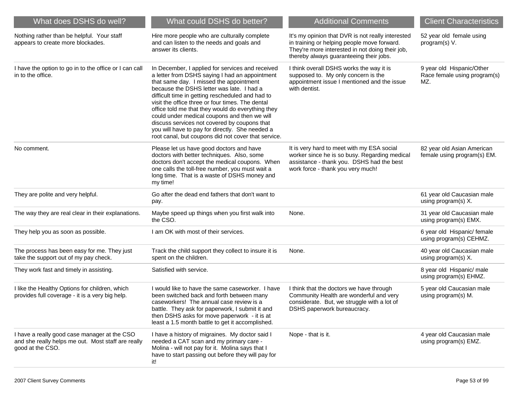| What does DSHS do well?                                                                                                | What could DSHS do better?                                                                                                                                                                                                                                                                                                                                                                                                                                                                                                                                        | <b>Additional Comments</b>                                                                                                                                                                     | <b>Client Characteristics</b>                                    |
|------------------------------------------------------------------------------------------------------------------------|-------------------------------------------------------------------------------------------------------------------------------------------------------------------------------------------------------------------------------------------------------------------------------------------------------------------------------------------------------------------------------------------------------------------------------------------------------------------------------------------------------------------------------------------------------------------|------------------------------------------------------------------------------------------------------------------------------------------------------------------------------------------------|------------------------------------------------------------------|
| Nothing rather than be helpful. Your staff<br>appears to create more blockades.                                        | Hire more people who are culturally complete<br>and can listen to the needs and goals and<br>answer its clients.                                                                                                                                                                                                                                                                                                                                                                                                                                                  | It's my opinion that DVR is not really interested<br>in training or helping people move forward.<br>They're more interested in not doing their job,<br>thereby always guaranteeing their jobs. | 52 year old female using<br>program(s) V.                        |
| I have the option to go in to the office or I can call<br>in to the office.                                            | In December, I applied for services and received<br>a letter from DSHS saying I had an appointment<br>that same day. I missed the appointment<br>because the DSHS letter was late. I had a<br>difficult time in getting rescheduled and had to<br>visit the office three or four times. The dental<br>office told me that they would do everything they<br>could under medical coupons and then we will<br>discuss services not covered by coupons that<br>you will have to pay for directly. She needed a<br>root canal, but coupons did not cover that service. | I think overall DSHS works the way it is<br>supposed to. My only concern is the<br>appointment issue I mentioned and the issue<br>with dentist.                                                | 9 year old Hispanic/Other<br>Race female using program(s)<br>MZ. |
| No comment.                                                                                                            | Please let us have good doctors and have<br>doctors with better techniques. Also, some<br>doctors don't accept the medical coupons. When<br>one calls the toll-free number, you must wait a<br>long time. That is a waste of DSHS money and<br>my time!                                                                                                                                                                                                                                                                                                           | It is very hard to meet with my ESA social<br>worker since he is so busy. Regarding medical<br>assistance - thank you. DSHS had the best<br>work force - thank you very much!                  | 82 year old Asian American<br>female using program(s) EM.        |
| They are polite and very helpful.                                                                                      | Go after the dead end fathers that don't want to<br>pay.                                                                                                                                                                                                                                                                                                                                                                                                                                                                                                          |                                                                                                                                                                                                | 61 year old Caucasian male<br>using program(s) X.                |
| The way they are real clear in their explanations.                                                                     | Maybe speed up things when you first walk into<br>the CSO.                                                                                                                                                                                                                                                                                                                                                                                                                                                                                                        | None.                                                                                                                                                                                          | 31 year old Caucasian male<br>using program(s) EMX.              |
| They help you as soon as possible.                                                                                     | I am OK with most of their services.                                                                                                                                                                                                                                                                                                                                                                                                                                                                                                                              |                                                                                                                                                                                                | 6 year old Hispanic/ female<br>using program(s) CEHMZ.           |
| The process has been easy for me. They just<br>take the support out of my pay check.                                   | Track the child support they collect to insure it is<br>spent on the children.                                                                                                                                                                                                                                                                                                                                                                                                                                                                                    | None.                                                                                                                                                                                          | 40 year old Caucasian male<br>using program(s) X.                |
| They work fast and timely in assisting.                                                                                | Satisfied with service.                                                                                                                                                                                                                                                                                                                                                                                                                                                                                                                                           |                                                                                                                                                                                                | 8 year old Hispanic/ male<br>using program(s) EHMZ.              |
| I like the Healthy Options for children, which<br>provides full coverage - it is a very big help.                      | I would like to have the same caseworker. I have<br>been switched back and forth between many<br>caseworkers! The annual case review is a<br>battle. They ask for paperwork, I submit it and<br>then DSHS asks for move paperwork - it is at<br>least a 1.5 month battle to get it accomplished.                                                                                                                                                                                                                                                                  | I think that the doctors we have through<br>Community Health are wonderful and very<br>considerate. But, we struggle with a lot of<br>DSHS paperwork bureaucracy.                              | 5 year old Caucasian male<br>using program(s) M.                 |
| I have a really good case manager at the CSO<br>and she really helps me out. Most staff are really<br>good at the CSO. | I have a history of migraines. My doctor said I<br>needed a CAT scan and my primary care -<br>Molina - will not pay for it. Molina says that I<br>have to start passing out before they will pay for<br>it!                                                                                                                                                                                                                                                                                                                                                       | Nope - that is it.                                                                                                                                                                             | 4 year old Caucasian male<br>using program(s) EMZ.               |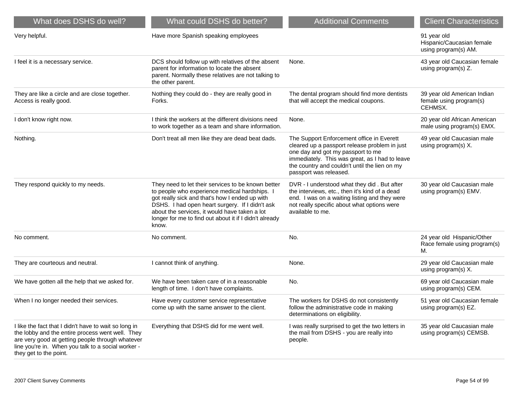| What does DSHS do well?                                                                                                                                                                                                                       | What could DSHS do better?                                                                                                                                                                                                                                                                                                   | <b>Additional Comments</b>                                                                                                                                                                                                                                   | <b>Client Characteristics</b>                                     |
|-----------------------------------------------------------------------------------------------------------------------------------------------------------------------------------------------------------------------------------------------|------------------------------------------------------------------------------------------------------------------------------------------------------------------------------------------------------------------------------------------------------------------------------------------------------------------------------|--------------------------------------------------------------------------------------------------------------------------------------------------------------------------------------------------------------------------------------------------------------|-------------------------------------------------------------------|
| Very helpful.                                                                                                                                                                                                                                 | Have more Spanish speaking employees                                                                                                                                                                                                                                                                                         |                                                                                                                                                                                                                                                              | 91 year old<br>Hispanic/Caucasian female<br>using program(s) AM.  |
| I feel it is a necessary service.                                                                                                                                                                                                             | DCS should follow up with relatives of the absent<br>parent for information to locate the absent<br>parent. Normally these relatives are not talking to<br>the other parent.                                                                                                                                                 | None.                                                                                                                                                                                                                                                        | 43 year old Caucasian female<br>using program(s) Z.               |
| They are like a circle and are close together.<br>Access is really good.                                                                                                                                                                      | Nothing they could do - they are really good in<br>Forks.                                                                                                                                                                                                                                                                    | The dental program should find more dentists<br>that will accept the medical coupons.                                                                                                                                                                        | 39 year old American Indian<br>female using program(s)<br>CEHMSX. |
| I don't know right now.                                                                                                                                                                                                                       | I think the workers at the different divisions need<br>to work together as a team and share information.                                                                                                                                                                                                                     | None.                                                                                                                                                                                                                                                        | 20 year old African American<br>male using program(s) EMX.        |
| Nothing.                                                                                                                                                                                                                                      | Don't treat all men like they are dead beat dads.                                                                                                                                                                                                                                                                            | The Support Enforcement office in Everett<br>cleared up a passport release problem in just<br>one day and got my passport to me<br>immediately. This was great, as I had to leave<br>the country and couldn't until the lien on my<br>passport was released. | 49 year old Caucasian male<br>using program(s) X.                 |
| They respond quickly to my needs.                                                                                                                                                                                                             | They need to let their services to be known better<br>to people who experience medical hardships. I<br>got really sick and that's how I ended up with<br>DSHS. I had open heart surgery. If I didn't ask<br>about the services, it would have taken a lot<br>longer for me to find out about it if I didn't already<br>know. | DVR - I understood what they did. But after<br>the interviews, etc., then it's kind of a dead<br>end. I was on a waiting listing and they were<br>not really specific about what options were<br>available to me.                                            | 30 year old Caucasian male<br>using program(s) EMV.               |
| No comment.                                                                                                                                                                                                                                   | No comment.                                                                                                                                                                                                                                                                                                                  | No.                                                                                                                                                                                                                                                          | 24 year old Hispanic/Other<br>Race female using program(s)<br>М.  |
| They are courteous and neutral.                                                                                                                                                                                                               | I cannot think of anything.                                                                                                                                                                                                                                                                                                  | None.                                                                                                                                                                                                                                                        | 29 year old Caucasian male<br>using program(s) X.                 |
| We have gotten all the help that we asked for.                                                                                                                                                                                                | We have been taken care of in a reasonable<br>length of time. I don't have complaints.                                                                                                                                                                                                                                       | No.                                                                                                                                                                                                                                                          | 69 year old Caucasian male<br>using program(s) CEM.               |
| When I no longer needed their services.                                                                                                                                                                                                       | Have every customer service representative<br>come up with the same answer to the client.                                                                                                                                                                                                                                    | The workers for DSHS do not consistently<br>follow the administrative code in making<br>determinations on eligibility.                                                                                                                                       | 51 year old Caucasian female<br>using program(s) EZ.              |
| I like the fact that I didn't have to wait so long in<br>the lobby and the entire process went well. They<br>are very good at getting people through whatever<br>line you're in. When you talk to a social worker -<br>they get to the point. | Everything that DSHS did for me went well.                                                                                                                                                                                                                                                                                   | I was really surprised to get the two letters in<br>the mail from DSHS - you are really into<br>people.                                                                                                                                                      | 35 year old Caucasian male<br>using program(s) CEMSB.             |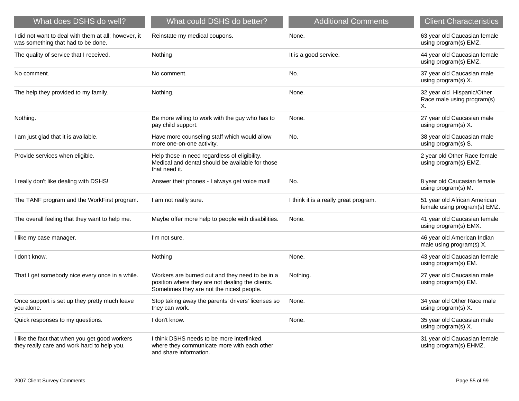| What does DSHS do well?                                                                       | What could DSHS do better?                                                                                                                       | <b>Additional Comments</b>            | <b>Client Characteristics</b>                                  |
|-----------------------------------------------------------------------------------------------|--------------------------------------------------------------------------------------------------------------------------------------------------|---------------------------------------|----------------------------------------------------------------|
| I did not want to deal with them at all; however, it<br>was something that had to be done.    | Reinstate my medical coupons.                                                                                                                    | None.                                 | 63 year old Caucasian female<br>using program(s) EMZ.          |
| The quality of service that I received.                                                       | Nothing                                                                                                                                          | It is a good service.                 | 44 year old Caucasian female<br>using program(s) EMZ.          |
| No comment.                                                                                   | No comment.                                                                                                                                      | No.                                   | 37 year old Caucasian male<br>using program(s) X.              |
| The help they provided to my family.                                                          | Nothing.                                                                                                                                         | None.                                 | 32 year old Hispanic/Other<br>Race male using program(s)<br>Χ. |
| Nothing.                                                                                      | Be more willing to work with the guy who has to<br>pay child support.                                                                            | None.                                 | 27 year old Caucasian male<br>using program(s) X.              |
| I am just glad that it is available.                                                          | Have more counseling staff which would allow<br>more one-on-one activity.                                                                        | No.                                   | 38 year old Caucasian male<br>using program(s) S.              |
| Provide services when eligible.                                                               | Help those in need regardless of eligibility.<br>Medical and dental should be available for those<br>that need it.                               |                                       | 2 year old Other Race female<br>using program(s) EMZ.          |
| I really don't like dealing with DSHS!                                                        | Answer their phones - I always get voice mail!                                                                                                   | No.                                   | 8 year old Caucasian female<br>using program(s) M.             |
| The TANF program and the WorkFirst program.                                                   | I am not really sure.                                                                                                                            | I think it is a really great program. | 51 year old African American<br>female using program(s) EMZ.   |
| The overall feeling that they want to help me.                                                | Maybe offer more help to people with disabilities.                                                                                               | None.                                 | 41 year old Caucasian female<br>using program(s) EMX.          |
| I like my case manager.                                                                       | I'm not sure.                                                                                                                                    |                                       | 46 year old American Indian<br>male using program(s) X.        |
| I don't know.                                                                                 | Nothing                                                                                                                                          | None.                                 | 43 year old Caucasian female<br>using program(s) EM.           |
| That I get somebody nice every once in a while.                                               | Workers are burned out and they need to be in a<br>position where they are not dealing the clients.<br>Sometimes they are not the nicest people. | Nothing.                              | 27 year old Caucasian male<br>using program(s) EM.             |
| Once support is set up they pretty much leave<br>you alone.                                   | Stop taking away the parents' drivers' licenses so<br>they can work.                                                                             | None.                                 | 34 year old Other Race male<br>using program(s) X.             |
| Quick responses to my questions.                                                              | I don't know.                                                                                                                                    | None.                                 | 35 year old Caucasian male<br>using program(s) X.              |
| I like the fact that when you get good workers<br>they really care and work hard to help you. | I think DSHS needs to be more interlinked,<br>where they communicate more with each other<br>and share information.                              |                                       | 31 year old Caucasian female<br>using program(s) EHMZ.         |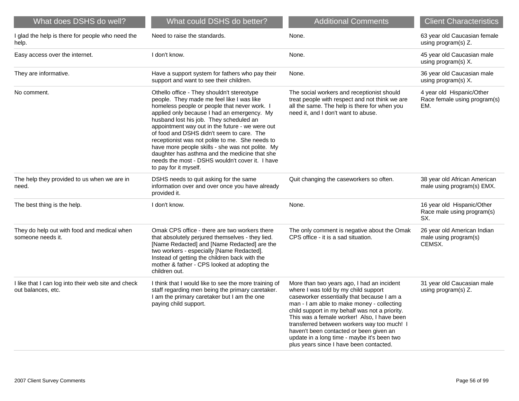| What does DSHS do well?                                                   | What could DSHS do better?                                                                                                                                                                                                                                                                                                                                                                                                                                                                                                                                            | <b>Additional Comments</b>                                                                                                                                                                                                                                                                                                                                                                                                                                          | <b>Client Characteristics</b>                                    |
|---------------------------------------------------------------------------|-----------------------------------------------------------------------------------------------------------------------------------------------------------------------------------------------------------------------------------------------------------------------------------------------------------------------------------------------------------------------------------------------------------------------------------------------------------------------------------------------------------------------------------------------------------------------|---------------------------------------------------------------------------------------------------------------------------------------------------------------------------------------------------------------------------------------------------------------------------------------------------------------------------------------------------------------------------------------------------------------------------------------------------------------------|------------------------------------------------------------------|
| I glad the help is there for people who need the<br>help.                 | Need to raise the standards.                                                                                                                                                                                                                                                                                                                                                                                                                                                                                                                                          | None.                                                                                                                                                                                                                                                                                                                                                                                                                                                               | 63 year old Caucasian female<br>using program(s) Z.              |
| Easy access over the internet.                                            | I don't know.                                                                                                                                                                                                                                                                                                                                                                                                                                                                                                                                                         | None.                                                                                                                                                                                                                                                                                                                                                                                                                                                               | 45 year old Caucasian male<br>using program(s) X.                |
| They are informative.                                                     | Have a support system for fathers who pay their<br>support and want to see their children.                                                                                                                                                                                                                                                                                                                                                                                                                                                                            | None.                                                                                                                                                                                                                                                                                                                                                                                                                                                               | 36 year old Caucasian male<br>using program(s) X.                |
| No comment.                                                               | Othello office - They shouldn't stereotype<br>people. They made me feel like I was like<br>homeless people or people that never work. I<br>applied only because I had an emergency. My<br>husband lost his job. They scheduled an<br>appointment way out in the future - we were out<br>of food and DSHS didn't seem to care. The<br>receptionist was not polite to me. She needs to<br>have more people skills - she was not polite. My<br>daughter has asthma and the medicine that she<br>needs the most - DSHS wouldn't cover it. I have<br>to pay for it myself. | The social workers and receptionist should<br>treat people with respect and not think we are<br>all the same. The help is there for when you<br>need it, and I don't want to abuse.                                                                                                                                                                                                                                                                                 | 4 year old Hispanic/Other<br>Race female using program(s)<br>EM. |
| The help they provided to us when we are in<br>need.                      | DSHS needs to quit asking for the same<br>information over and over once you have already<br>provided it.                                                                                                                                                                                                                                                                                                                                                                                                                                                             | Quit changing the caseworkers so often.                                                                                                                                                                                                                                                                                                                                                                                                                             | 38 year old African American<br>male using program(s) EMX.       |
| The best thing is the help.                                               | I don't know.                                                                                                                                                                                                                                                                                                                                                                                                                                                                                                                                                         | None.                                                                                                                                                                                                                                                                                                                                                                                                                                                               | 16 year old Hispanic/Other<br>Race male using program(s)<br>SX.  |
| They do help out with food and medical when<br>someone needs it.          | Omak CPS office - there are two workers there<br>that absolutely perjured themselves - they lied.<br>[Name Redacted] and [Name Redacted] are the<br>two workers - especially [Name Redacted].<br>Instead of getting the children back with the<br>mother & father - CPS looked at adopting the<br>children out.                                                                                                                                                                                                                                                       | The only comment is negative about the Omak<br>CPS office - it is a sad situation.                                                                                                                                                                                                                                                                                                                                                                                  | 26 year old American Indian<br>male using program(s)<br>CEMSX.   |
| I like that I can log into their web site and check<br>out balances, etc. | I think that I would like to see the more training of<br>staff regarding men being the primary caretaker.<br>I am the primary caretaker but I am the one<br>paying child support.                                                                                                                                                                                                                                                                                                                                                                                     | More than two years ago, I had an incident<br>where I was told by my child support<br>caseworker essentially that because I am a<br>man - I am able to make money - collecting<br>child support in my behalf was not a priority.<br>This was a female worker! Also, I have been<br>transferred between workers way too much! I<br>haven't been contacted or been given an<br>update in a long time - maybe it's been two<br>plus years since I have been contacted. | 31 year old Caucasian male<br>using program(s) Z.                |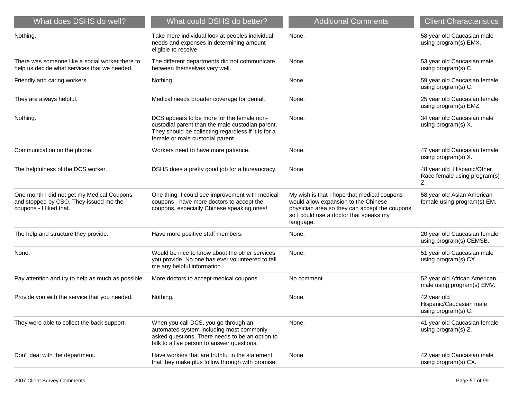| What does DSHS do well?                                                                                         | What could DSHS do better?                                                                                                                                                                | <b>Additional Comments</b>                                                                                                                                                                  | <b>Client Characteristics</b>                                    |
|-----------------------------------------------------------------------------------------------------------------|-------------------------------------------------------------------------------------------------------------------------------------------------------------------------------------------|---------------------------------------------------------------------------------------------------------------------------------------------------------------------------------------------|------------------------------------------------------------------|
| Nothing.                                                                                                        | Take more individual look at peoples individual<br>needs and expenses in determining amount<br>eligible to receive.                                                                       | None.                                                                                                                                                                                       | 58 year old Caucasian male<br>using program(s) EMX.              |
| There was someone like a social worker there to<br>help us decide what services that we needed.                 | The different departments did not communicate<br>between themselves very well.                                                                                                            | None.                                                                                                                                                                                       | 53 year old Caucasian male<br>using program(s) C.                |
| Friendly and caring workers.                                                                                    | Nothing.                                                                                                                                                                                  | None.                                                                                                                                                                                       | 59 year old Caucasian female<br>using program(s) C.              |
| They are always helpful.                                                                                        | Medical needs broader coverage for dental.                                                                                                                                                | None.                                                                                                                                                                                       | 25 year old Caucasian female<br>using program(s) EMZ.            |
| Nothing.                                                                                                        | DCS appears to be more for the female non-<br>custodial parent than the male custodian parent.<br>They should be collecting regardless if it is for a<br>female or male custodial parent. | None.                                                                                                                                                                                       | 34 year old Caucasian male<br>using program(s) X.                |
| Communication on the phone.                                                                                     | Workers need to have more patience.                                                                                                                                                       | None.                                                                                                                                                                                       | 47 year old Caucasian female<br>using program(s) X.              |
| The helpfulness of the DCS worker.                                                                              | DSHS does a pretty good job for a bureaucracy.                                                                                                                                            | None.                                                                                                                                                                                       | 48 year old Hispanic/Other<br>Race female using program(s)<br>Z. |
| One month I did not get my Medical Coupons<br>and stopped by CSO. They issued me the<br>coupons - I liked that. | One thing, I could see improvement with medical<br>coupons - have more doctors to accept the<br>coupons, especially Chinese speaking ones!                                                | My wish is that I hope that medical coupons<br>would allow expansion to the Chinese<br>physician area so they can accept the coupons<br>so I could use a doctor that speaks my<br>language. | 58 year old Asian American<br>female using program(s) EM.        |
| The help and structure they provide.                                                                            | Have more positive staff members.                                                                                                                                                         | None.                                                                                                                                                                                       | 20 year old Caucasian female<br>using program(s) CEMSB.          |
| None.                                                                                                           | Would be nice to know about the other services<br>you provide. No one has ever volunteered to tell<br>me any helpful information.                                                         | None.                                                                                                                                                                                       | 51 year old Caucasian male<br>using program(s) CX.               |
| Pay attention and try to help as much as possible.                                                              | More doctors to accept medical coupons.                                                                                                                                                   | No comment.                                                                                                                                                                                 | 52 year old African American<br>male using program(s) EMV.       |
| Provide you with the service that you needed.                                                                   | Nothing.                                                                                                                                                                                  | None.                                                                                                                                                                                       | 42 year old<br>Hispanic/Caucasian male<br>using program(s) C.    |
| They were able to collect the back support.                                                                     | When you call DCS, you go through an<br>automated system including most commonly<br>asked questions. There needs to be an option to<br>talk to a live person to answer questions.         | None.                                                                                                                                                                                       | 41 year old Caucasian female<br>using program(s) Z.              |
| Don't deal with the department.                                                                                 | Have workers that are truthful in the statement<br>that they make plus follow through with promise.                                                                                       | None.                                                                                                                                                                                       | 42 year old Caucasian male<br>using program(s) CX.               |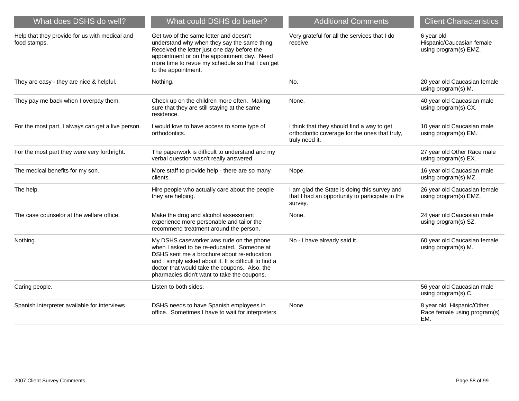| What does DSHS do well?                                        | What could DSHS do better?                                                                                                                                                                                                                                                                     | <b>Additional Comments</b>                                                                                    | <b>Client Characteristics</b>                                    |
|----------------------------------------------------------------|------------------------------------------------------------------------------------------------------------------------------------------------------------------------------------------------------------------------------------------------------------------------------------------------|---------------------------------------------------------------------------------------------------------------|------------------------------------------------------------------|
| Help that they provide for us with medical and<br>food stamps. | Get two of the same letter and doesn't<br>understand why when they say the same thing.<br>Received the letter just one day before the<br>appointment or on the appointment day. Need<br>more time to revue my schedule so that I can get<br>to the appointment.                                | Very grateful for all the services that I do<br>receive.                                                      | 6 year old<br>Hispanic/Caucasian female<br>using program(s) EMZ. |
| They are easy - they are nice & helpful.                       | Nothing.                                                                                                                                                                                                                                                                                       | No.                                                                                                           | 20 year old Caucasian female<br>using program(s) M.              |
| They pay me back when I overpay them.                          | Check up on the children more often. Making<br>sure that they are still staying at the same<br>residence.                                                                                                                                                                                      | None.                                                                                                         | 40 year old Caucasian male<br>using program(s) CX.               |
| For the most part, I always can get a live person.             | I would love to have access to some type of<br>orthodontics.                                                                                                                                                                                                                                   | I think that they should find a way to get<br>orthodontic coverage for the ones that truly,<br>truly need it. | 10 year old Caucasian male<br>using program(s) EM.               |
| For the most part they were very forthright.                   | The paperwork is difficult to understand and my<br>verbal question wasn't really answered.                                                                                                                                                                                                     |                                                                                                               | 27 year old Other Race male<br>using program(s) EX.              |
| The medical benefits for my son.                               | More staff to provide help - there are so many<br>clients.                                                                                                                                                                                                                                     | Nope.                                                                                                         | 16 year old Caucasian male<br>using program(s) MZ.               |
| The help.                                                      | Hire people who actually care about the people<br>they are helping.                                                                                                                                                                                                                            | I am glad the State is doing this survey and<br>that I had an opportunity to participate in the<br>survey.    | 26 year old Caucasian female<br>using program(s) EMZ.            |
| The case counselor at the welfare office.                      | Make the drug and alcohol assessment<br>experience more personable and tailor the<br>recommend treatment around the person.                                                                                                                                                                    | None.                                                                                                         | 24 year old Caucasian male<br>using program(s) SZ.               |
| Nothing.                                                       | My DSHS caseworker was rude on the phone<br>when I asked to be re-educated. Someone at<br>DSHS sent me a brochure about re-education<br>and I simply asked about it. It is difficult to find a<br>doctor that would take the coupons. Also, the<br>pharmacies didn't want to take the coupons. | No - I have already said it.                                                                                  | 60 year old Caucasian female<br>using program(s) M.              |
| Caring people.                                                 | Listen to both sides.                                                                                                                                                                                                                                                                          |                                                                                                               | 56 year old Caucasian male<br>using program(s) C.                |
| Spanish interpreter available for interviews.                  | DSHS needs to have Spanish employees in<br>office. Sometimes I have to wait for interpreters.                                                                                                                                                                                                  | None.                                                                                                         | 8 year old Hispanic/Other<br>Race female using program(s)<br>EM. |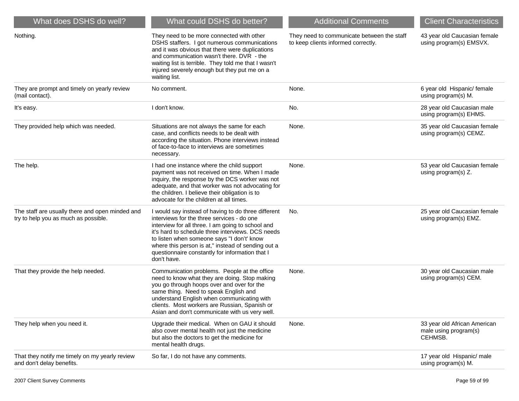| What does DSHS do well?                                                                 | What could DSHS do better?                                                                                                                                                                                                                                                                                                                                                        | <b>Additional Comments</b>                                                        | <b>Client Characteristics</b>                                    |
|-----------------------------------------------------------------------------------------|-----------------------------------------------------------------------------------------------------------------------------------------------------------------------------------------------------------------------------------------------------------------------------------------------------------------------------------------------------------------------------------|-----------------------------------------------------------------------------------|------------------------------------------------------------------|
| Nothing.                                                                                | They need to be more connected with other<br>DSHS staffers. I got numerous communications<br>and it was obvious that there were duplications<br>and communication wasn't there. DVR - the<br>waiting list is terrible. They told me that I wasn't<br>injured severely enough but they put me on a<br>waiting list.                                                                | They need to communicate between the staff<br>to keep clients informed correctly. | 43 year old Caucasian female<br>using program(s) EMSVX.          |
| They are prompt and timely on yearly review<br>(mail contact).                          | No comment.                                                                                                                                                                                                                                                                                                                                                                       | None.                                                                             | 6 year old Hispanic/ female<br>using program(s) M.               |
| It's easy.                                                                              | I don't know.                                                                                                                                                                                                                                                                                                                                                                     | No.                                                                               | 28 year old Caucasian male<br>using program(s) EHMS.             |
| They provided help which was needed.                                                    | Situations are not always the same for each<br>case, and conflicts needs to be dealt with<br>according the situation. Phone interviews instead<br>of face-to-face to interviews are sometimes<br>necessary.                                                                                                                                                                       | None.                                                                             | 35 year old Caucasian female<br>using program(s) CEMZ.           |
| The help.                                                                               | I had one instance where the child support<br>payment was not received on time. When I made<br>inquiry, the response by the DCS worker was not<br>adequate, and that worker was not advocating for<br>the children. I believe their obligation is to<br>advocate for the children at all times.                                                                                   | None.                                                                             | 53 year old Caucasian female<br>using program(s) Z.              |
| The staff are usually there and open minded and<br>try to help you as much as possible. | I would say instead of having to do three different<br>interviews for the three services - do one<br>interview for all three. I am going to school and<br>it's hard to schedule three interviews. DCS needs<br>to listen when someone says "I don't' know<br>where this person is at," instead of sending out a<br>questionnaire constantly for information that I<br>don't have. | No.                                                                               | 25 year old Caucasian female<br>using program(s) EMZ.            |
| That they provide the help needed.                                                      | Communication problems. People at the office<br>need to know what they are doing. Stop making<br>you go through hoops over and over for the<br>same thing. Need to speak English and<br>understand English when communicating with<br>clients. Most workers are Russian, Spanish or<br>Asian and don't communicate with us very well.                                             | None.                                                                             | 30 year old Caucasian male<br>using program(s) CEM.              |
| They help when you need it.                                                             | Upgrade their medical. When on GAU it should<br>also cover mental health not just the medicine<br>but also the doctors to get the medicine for<br>mental health drugs.                                                                                                                                                                                                            | None.                                                                             | 33 year old African American<br>male using program(s)<br>CEHMSB. |
| That they notify me timely on my yearly review<br>and don't delay benefits.             | So far, I do not have any comments.                                                                                                                                                                                                                                                                                                                                               |                                                                                   | 17 year old Hispanic/ male<br>using program(s) M.                |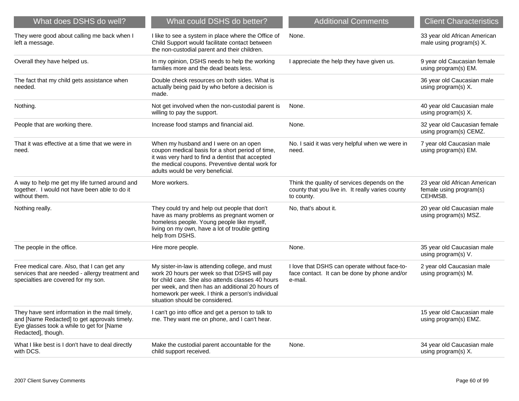| What does DSHS do well?                                                                                                                                           | What could DSHS do better?                                                                                                                                                                                                                                                                      | <b>Additional Comments</b>                                                                                     | <b>Client Characteristics</b>                                      |
|-------------------------------------------------------------------------------------------------------------------------------------------------------------------|-------------------------------------------------------------------------------------------------------------------------------------------------------------------------------------------------------------------------------------------------------------------------------------------------|----------------------------------------------------------------------------------------------------------------|--------------------------------------------------------------------|
| They were good about calling me back when I<br>left a message.                                                                                                    | I like to see a system in place where the Office of<br>Child Support would facilitate contact between<br>the non-custodial parent and their children.                                                                                                                                           | None.                                                                                                          | 33 year old African American<br>male using program(s) X.           |
| Overall they have helped us.                                                                                                                                      | In my opinion, DSHS needs to help the working<br>families more and the dead beats less.                                                                                                                                                                                                         | I appreciate the help they have given us.                                                                      | 9 year old Caucasian female<br>using program(s) EM.                |
| The fact that my child gets assistance when<br>needed.                                                                                                            | Double check resources on both sides. What is<br>actually being paid by who before a decision is<br>made.                                                                                                                                                                                       |                                                                                                                | 36 year old Caucasian male<br>using program(s) X.                  |
| Nothing.                                                                                                                                                          | Not get involved when the non-custodial parent is<br>willing to pay the support.                                                                                                                                                                                                                | None.                                                                                                          | 40 year old Caucasian male<br>using program(s) X.                  |
| People that are working there.                                                                                                                                    | Increase food stamps and financial aid.                                                                                                                                                                                                                                                         | None.                                                                                                          | 32 year old Caucasian female<br>using program(s) CEMZ.             |
| That it was effective at a time that we were in<br>need.                                                                                                          | When my husband and I were on an open<br>coupon medical basis for a short period of time,<br>it was very hard to find a dentist that accepted<br>the medical coupons. Preventive dental work for<br>adults would be very beneficial.                                                            | No. I said it was very helpful when we were in<br>need.                                                        | 7 year old Caucasian male<br>using program(s) EM.                  |
| A way to help me get my life turned around and<br>together. I would not have been able to do it<br>without them.                                                  | More workers.                                                                                                                                                                                                                                                                                   | Think the quality of services depends on the<br>county that you live in. It really varies county<br>to county. | 23 year old African American<br>female using program(s)<br>CEHMSB. |
| Nothing really.                                                                                                                                                   | They could try and help out people that don't<br>have as many problems as pregnant women or<br>homeless people. Young people like myself,<br>living on my own, have a lot of trouble getting<br>help from DSHS.                                                                                 | No, that's about it.                                                                                           | 20 year old Caucasian male<br>using program(s) MSZ.                |
| The people in the office.                                                                                                                                         | Hire more people.                                                                                                                                                                                                                                                                               | None.                                                                                                          | 35 year old Caucasian male<br>using program(s) V.                  |
| Free medical care. Also, that I can get any<br>services that are needed - allergy treatment and<br>specialties are covered for my son.                            | My sister-in-law is attending college, and must<br>work 20 hours per week so that DSHS will pay<br>for child care. She also attends classes 40 hours<br>per week, and then has an additional 20 hours of<br>homework per week. I think a person's individual<br>situation should be considered. | I love that DSHS can operate without face-to-<br>face contact. It can be done by phone and/or<br>e-mail.       | 2 year old Caucasian male<br>using program(s) M.                   |
| They have sent information in the mail timely,<br>and [Name Redacted] to get approvals timely.<br>Eye glasses took a while to get for [Name<br>Redacted], though. | I can't go into office and get a person to talk to<br>me. They want me on phone, and I can't hear.                                                                                                                                                                                              |                                                                                                                | 15 year old Caucasian male<br>using program(s) EMZ.                |
| What I like best is I don't have to deal directly<br>with DCS.                                                                                                    | Make the custodial parent accountable for the<br>child support received.                                                                                                                                                                                                                        | None.                                                                                                          | 34 year old Caucasian male<br>using program(s) X.                  |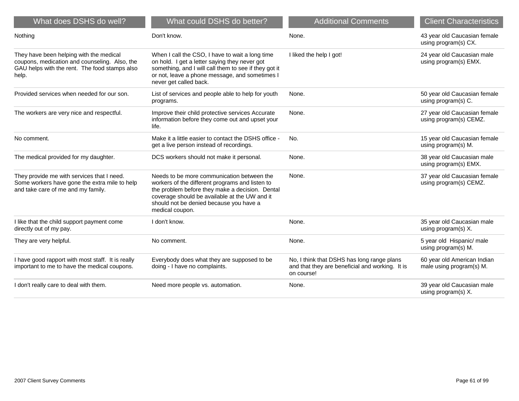| What does DSHS do well?                                                                                                                            | What could DSHS do better?                                                                                                                                                                                                                                      | <b>Additional Comments</b>                                                                                  | <b>Client Characteristics</b>                           |
|----------------------------------------------------------------------------------------------------------------------------------------------------|-----------------------------------------------------------------------------------------------------------------------------------------------------------------------------------------------------------------------------------------------------------------|-------------------------------------------------------------------------------------------------------------|---------------------------------------------------------|
| Nothing                                                                                                                                            | Don't know.                                                                                                                                                                                                                                                     | None.                                                                                                       | 43 year old Caucasian female<br>using program(s) CX.    |
| They have been helping with the medical<br>coupons, medication and counseling. Also, the<br>GAU helps with the rent. The food stamps also<br>help. | When I call the CSO, I have to wait a long time<br>on hold. I get a letter saying they never got<br>something, and I will call them to see if they got it<br>or not, leave a phone message, and sometimes I<br>never get called back.                           | I liked the help I got!                                                                                     | 24 year old Caucasian male<br>using program(s) EMX.     |
| Provided services when needed for our son.                                                                                                         | List of services and people able to help for youth<br>programs.                                                                                                                                                                                                 | None.                                                                                                       | 50 year old Caucasian female<br>using program(s) C.     |
| The workers are very nice and respectful.                                                                                                          | Improve their child protective services Accurate<br>information before they come out and upset your<br>life.                                                                                                                                                    | None.                                                                                                       | 27 year old Caucasian female<br>using program(s) CEMZ.  |
| No comment.                                                                                                                                        | Make it a little easier to contact the DSHS office -<br>get a live person instead of recordings.                                                                                                                                                                | No.                                                                                                         | 15 year old Caucasian female<br>using program(s) M.     |
| The medical provided for my daughter.                                                                                                              | DCS workers should not make it personal.                                                                                                                                                                                                                        | None.                                                                                                       | 38 year old Caucasian male<br>using program(s) EMX.     |
| They provide me with services that I need.<br>Some workers have gone the extra mile to help<br>and take care of me and my family.                  | Needs to be more communication between the<br>workers of the different programs and listen to<br>the problem before they make a decision. Dental<br>coverage should be available at the UW and it<br>should not be denied because you have a<br>medical coupon. | None.                                                                                                       | 37 year old Caucasian female<br>using program(s) CEMZ.  |
| I like that the child support payment come<br>directly out of my pay.                                                                              | I don't know.                                                                                                                                                                                                                                                   | None.                                                                                                       | 35 year old Caucasian male<br>using program(s) X.       |
| They are very helpful.                                                                                                                             | No comment.                                                                                                                                                                                                                                                     | None.                                                                                                       | 5 year old Hispanic/ male<br>using program(s) M.        |
| I have good rapport with most staff. It is really<br>important to me to have the medical coupons.                                                  | Everybody does what they are supposed to be<br>doing - I have no complaints.                                                                                                                                                                                    | No, I think that DSHS has long range plans<br>and that they are beneficial and working. It is<br>on course! | 60 year old American Indian<br>male using program(s) M. |
| I don't really care to deal with them.                                                                                                             | Need more people vs. automation.                                                                                                                                                                                                                                | None.                                                                                                       | 39 year old Caucasian male<br>using program(s) X.       |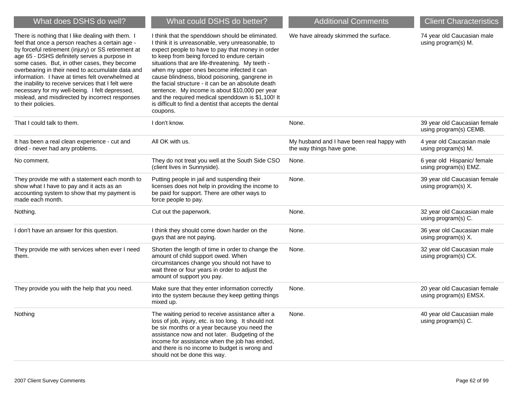| What does DSHS do well?                                                                                                                                                                                                                                                                                                                                                                                                                                                                                                                              | What could DSHS do better?                                                                                                                                                                                                                                                                                                                                                                                                                                                                                                                                                                    | <b>Additional Comments</b>                                              | <b>Client Characteristics</b>                          |
|------------------------------------------------------------------------------------------------------------------------------------------------------------------------------------------------------------------------------------------------------------------------------------------------------------------------------------------------------------------------------------------------------------------------------------------------------------------------------------------------------------------------------------------------------|-----------------------------------------------------------------------------------------------------------------------------------------------------------------------------------------------------------------------------------------------------------------------------------------------------------------------------------------------------------------------------------------------------------------------------------------------------------------------------------------------------------------------------------------------------------------------------------------------|-------------------------------------------------------------------------|--------------------------------------------------------|
| There is nothing that I like dealing with them. I<br>feel that once a person reaches a certain age -<br>by forceful retirement (injury) or SS retirement at<br>age 65 - DSHS definitely serves a purpose in<br>some cases. But, in other cases, they become<br>overbearing in their need to accumulate data and<br>information. I have at times felt overwhelmed at<br>the inability to receive services that I felt were<br>necessary for my well-being. I felt depressed,<br>mislead, and misdirected by incorrect responses<br>to their policies. | I think that the spenddown should be eliminated.<br>I think it is unreasonable, very unreasonable, to<br>expect people to have to pay that money in order<br>to keep from being forced to endure certain<br>situations that are life-threatening. My teeth -<br>when my upper ones become infected it can<br>cause blindness, blood poisoning, gangrene in<br>the facial structure - it can be an absolute death<br>sentence. My income is about \$10,000 per year<br>and the required medical spenddown is \$1,100! It<br>is difficult to find a dentist that accepts the dental<br>coupons. | We have already skimmed the surface.                                    | 74 year old Caucasian male<br>using program(s) M.      |
| That I could talk to them.                                                                                                                                                                                                                                                                                                                                                                                                                                                                                                                           | I don't know.                                                                                                                                                                                                                                                                                                                                                                                                                                                                                                                                                                                 | None.                                                                   | 39 year old Caucasian female<br>using program(s) CEMB. |
| It has been a real clean experience - cut and<br>dried - never had any problems.                                                                                                                                                                                                                                                                                                                                                                                                                                                                     | All OK with us.                                                                                                                                                                                                                                                                                                                                                                                                                                                                                                                                                                               | My husband and I have been real happy with<br>the way things have gone. | 4 year old Caucasian male<br>using program(s) M.       |
| No comment.                                                                                                                                                                                                                                                                                                                                                                                                                                                                                                                                          | They do not treat you well at the South Side CSO<br>(client lives in Sunnyside).                                                                                                                                                                                                                                                                                                                                                                                                                                                                                                              | None.                                                                   | 6 year old Hispanic/ female<br>using program(s) EMZ.   |
| They provide me with a statement each month to<br>show what I have to pay and it acts as an<br>accounting system to show that my payment is<br>made each month.                                                                                                                                                                                                                                                                                                                                                                                      | Putting people in jail and suspending their<br>licenses does not help in providing the income to<br>be paid for support. There are other ways to<br>force people to pay.                                                                                                                                                                                                                                                                                                                                                                                                                      | None.                                                                   | 39 year old Caucasian female<br>using program(s) X.    |
| Nothing.                                                                                                                                                                                                                                                                                                                                                                                                                                                                                                                                             | Cut out the paperwork.                                                                                                                                                                                                                                                                                                                                                                                                                                                                                                                                                                        | None.                                                                   | 32 year old Caucasian male<br>using program(s) C.      |
| I don't have an answer for this question.                                                                                                                                                                                                                                                                                                                                                                                                                                                                                                            | I think they should come down harder on the<br>guys that are not paying.                                                                                                                                                                                                                                                                                                                                                                                                                                                                                                                      | None.                                                                   | 36 year old Caucasian male<br>using program(s) X.      |
| They provide me with services when ever I need<br>them.                                                                                                                                                                                                                                                                                                                                                                                                                                                                                              | Shorten the length of time in order to change the<br>amount of child support owed. When<br>circumstances change you should not have to<br>wait three or four years in order to adjust the<br>amount of support you pay.                                                                                                                                                                                                                                                                                                                                                                       | None.                                                                   | 32 year old Caucasian male<br>using program(s) CX.     |
| They provide you with the help that you need.                                                                                                                                                                                                                                                                                                                                                                                                                                                                                                        | Make sure that they enter information correctly<br>into the system because they keep getting things<br>mixed up.                                                                                                                                                                                                                                                                                                                                                                                                                                                                              | None.                                                                   | 20 year old Caucasian female<br>using program(s) EMSX. |
| Nothing                                                                                                                                                                                                                                                                                                                                                                                                                                                                                                                                              | The waiting period to receive assistance after a<br>loss of job, injury, etc. is too long. It should not<br>be six months or a year because you need the<br>assistance now and not later. Budgeting of the<br>income for assistance when the job has ended,<br>and there is no income to budget is wrong and<br>should not be done this way.                                                                                                                                                                                                                                                  | None.                                                                   | 40 year old Caucasian male<br>using program(s) C.      |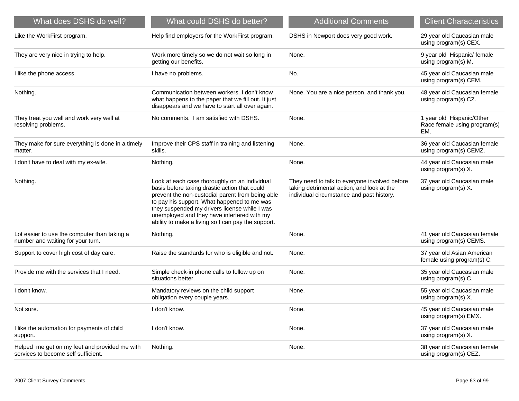| What does DSHS do well?                                                              | What could DSHS do better?                                                                                                                                                                                                                                                                                                                              | <b>Additional Comments</b>                                                                                                               | <b>Client Characteristics</b>                                    |
|--------------------------------------------------------------------------------------|---------------------------------------------------------------------------------------------------------------------------------------------------------------------------------------------------------------------------------------------------------------------------------------------------------------------------------------------------------|------------------------------------------------------------------------------------------------------------------------------------------|------------------------------------------------------------------|
| Like the WorkFirst program.                                                          | Help find employers for the WorkFirst program.                                                                                                                                                                                                                                                                                                          | DSHS in Newport does very good work.                                                                                                     | 29 year old Caucasian male<br>using program(s) CEX.              |
| They are very nice in trying to help.                                                | Work more timely so we do not wait so long in<br>getting our benefits.                                                                                                                                                                                                                                                                                  | None.                                                                                                                                    | 9 year old Hispanic/ female<br>using program(s) M.               |
| I like the phone access.                                                             | I have no problems.                                                                                                                                                                                                                                                                                                                                     | No.                                                                                                                                      | 45 year old Caucasian male<br>using program(s) CEM.              |
| Nothing.                                                                             | Communication between workers. I don't know<br>what happens to the paper that we fill out. It just<br>disappears and we have to start all over again.                                                                                                                                                                                                   | None. You are a nice person, and thank you.                                                                                              | 48 year old Caucasian female<br>using program(s) CZ.             |
| They treat you well and work very well at<br>resolving problems.                     | No comments. I am satisfied with DSHS.                                                                                                                                                                                                                                                                                                                  | None.                                                                                                                                    | 1 year old Hispanic/Other<br>Race female using program(s)<br>EM. |
| They make for sure everything is done in a timely<br>matter.                         | Improve their CPS staff in training and listening<br>skills.                                                                                                                                                                                                                                                                                            | None.                                                                                                                                    | 36 year old Caucasian female<br>using program(s) CEMZ.           |
| I don't have to deal with my ex-wife.                                                | Nothing.                                                                                                                                                                                                                                                                                                                                                | None.                                                                                                                                    | 44 year old Caucasian male<br>using program(s) X.                |
| Nothing.                                                                             | Look at each case thoroughly on an individual<br>basis before taking drastic action that could<br>prevent the non-custodial parent from being able<br>to pay his support. What happened to me was<br>they suspended my drivers license while I was<br>unemployed and they have interfered with my<br>ability to make a living so I can pay the support. | They need to talk to everyone involved before<br>taking detrimental action, and look at the<br>individual circumstance and past history. | 37 year old Caucasian male<br>using program(s) X.                |
| Lot easier to use the computer than taking a<br>number and waiting for your turn.    | Nothing.                                                                                                                                                                                                                                                                                                                                                | None.                                                                                                                                    | 41 year old Caucasian female<br>using program(s) CEMS.           |
| Support to cover high cost of day care.                                              | Raise the standards for who is eligible and not.                                                                                                                                                                                                                                                                                                        | None.                                                                                                                                    | 37 year old Asian American<br>female using program(s) C.         |
| Provide me with the services that I need.                                            | Simple check-in phone calls to follow up on<br>situations better.                                                                                                                                                                                                                                                                                       | None.                                                                                                                                    | 35 year old Caucasian male<br>using program(s) C.                |
| I don't know.                                                                        | Mandatory reviews on the child support<br>obligation every couple years.                                                                                                                                                                                                                                                                                | None.                                                                                                                                    | 55 year old Caucasian male<br>using program(s) X.                |
| Not sure.                                                                            | I don't know.                                                                                                                                                                                                                                                                                                                                           | None.                                                                                                                                    | 45 year old Caucasian male<br>using program(s) EMX.              |
| I like the automation for payments of child<br>support.                              | I don't know.                                                                                                                                                                                                                                                                                                                                           | None.                                                                                                                                    | 37 year old Caucasian male<br>using program(s) X.                |
| Helped me get on my feet and provided me with<br>services to become self sufficient. | Nothing.                                                                                                                                                                                                                                                                                                                                                | None.                                                                                                                                    | 38 year old Caucasian female<br>using program(s) CEZ.            |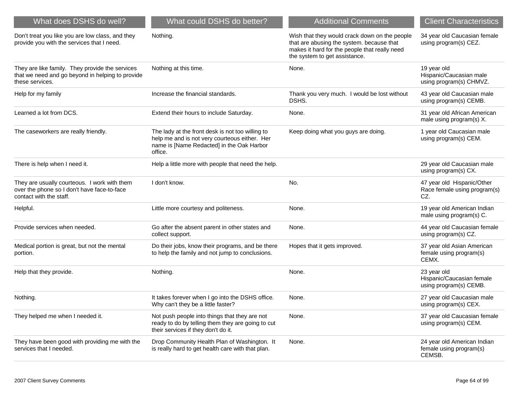| What does DSHS do well?                                                                                                | What could DSHS do better?                                                                                                                                | <b>Additional Comments</b>                                                                                                                                                   | <b>Client Characteristics</b>                                      |
|------------------------------------------------------------------------------------------------------------------------|-----------------------------------------------------------------------------------------------------------------------------------------------------------|------------------------------------------------------------------------------------------------------------------------------------------------------------------------------|--------------------------------------------------------------------|
| Don't treat you like you are low class, and they<br>provide you with the services that I need.                         | Nothing.                                                                                                                                                  | Wish that they would crack down on the people<br>that are abusing the system. because that<br>makes it hard for the people that really need<br>the system to get assistance. | 34 year old Caucasian female<br>using program(s) CEZ.              |
| They are like family. They provide the services<br>that we need and go beyond in helping to provide<br>these services. | Nothing at this time.                                                                                                                                     | None.                                                                                                                                                                        | 19 year old<br>Hispanic/Caucasian male<br>using program(s) CHMVZ.  |
| Help for my family                                                                                                     | Increase the financial standards.                                                                                                                         | Thank you very much. I would be lost without<br>DSHS.                                                                                                                        | 43 year old Caucasian male<br>using program(s) CEMB.               |
| Learned a lot from DCS.                                                                                                | Extend their hours to include Saturday.                                                                                                                   | None.                                                                                                                                                                        | 31 year old African American<br>male using program(s) X.           |
| The caseworkers are really friendly.                                                                                   | The lady at the front desk is not too willing to<br>help me and is not very courteous either. Her<br>name is [Name Redacted] in the Oak Harbor<br>office. | Keep doing what you guys are doing.                                                                                                                                          | 1 year old Caucasian male<br>using program(s) CEM.                 |
| There is help when I need it.                                                                                          | Help a little more with people that need the help.                                                                                                        |                                                                                                                                                                              | 29 year old Caucasian male<br>using program(s) CX.                 |
| They are usually courteous. I work with them<br>over the phone so I don't have face-to-face<br>contact with the staff. | I don't know.                                                                                                                                             | No.                                                                                                                                                                          | 47 year old Hispanic/Other<br>Race female using program(s)<br>CZ.  |
| Helpful.                                                                                                               | Little more courtesy and politeness.                                                                                                                      | None.                                                                                                                                                                        | 19 year old American Indian<br>male using program(s) C.            |
| Provide services when needed.                                                                                          | Go after the absent parent in other states and<br>collect support.                                                                                        | None.                                                                                                                                                                        | 44 year old Caucasian female<br>using program(s) CZ.               |
| Medical portion is great, but not the mental<br>portion.                                                               | Do their jobs, know their programs, and be there<br>to help the family and not jump to conclusions.                                                       | Hopes that it gets improved.                                                                                                                                                 | 37 year old Asian American<br>female using program(s)<br>CEMX.     |
| Help that they provide.                                                                                                | Nothing.                                                                                                                                                  | None.                                                                                                                                                                        | 23 year old<br>Hispanic/Caucasian female<br>using program(s) CEMB. |
| Nothing.                                                                                                               | It takes forever when I go into the DSHS office.<br>Why can't they be a little faster?                                                                    | None.                                                                                                                                                                        | 27 year old Caucasian male<br>using program(s) CEX.                |
| They helped me when I needed it.                                                                                       | Not push people into things that they are not<br>ready to do by telling them they are going to cut<br>their services if they don't do it.                 | None.                                                                                                                                                                        | 37 year old Caucasian female<br>using program(s) CEM.              |
| They have been good with providing me with the<br>services that I needed.                                              | Drop Community Health Plan of Washington. It<br>is really hard to get health care with that plan.                                                         | None.                                                                                                                                                                        | 24 year old American Indian<br>female using program(s)<br>CEMSB.   |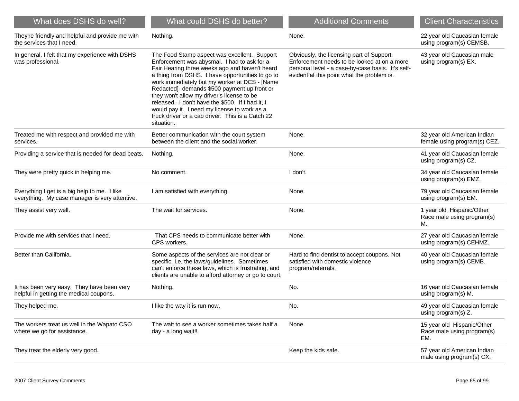| What does DSHS do well?                                                                        | What could DSHS do better?                                                                                                                                                                                                                                                                                                                                                                                                                                                                                             | <b>Additional Comments</b>                                                                                                                                                                 | <b>Client Characteristics</b>                                   |
|------------------------------------------------------------------------------------------------|------------------------------------------------------------------------------------------------------------------------------------------------------------------------------------------------------------------------------------------------------------------------------------------------------------------------------------------------------------------------------------------------------------------------------------------------------------------------------------------------------------------------|--------------------------------------------------------------------------------------------------------------------------------------------------------------------------------------------|-----------------------------------------------------------------|
| They're friendly and helpful and provide me with<br>the services that I need.                  | Nothing.                                                                                                                                                                                                                                                                                                                                                                                                                                                                                                               | None.                                                                                                                                                                                      | 22 year old Caucasian female<br>using program(s) CEMSB.         |
| In general, I felt that my experience with DSHS<br>was professional.                           | The Food Stamp aspect was excellent. Support<br>Enforcement was abysmal. I had to ask for a<br>Fair Hearing three weeks ago and haven't heard<br>a thing from DSHS. I have opportunities to go to<br>work immediately but my worker at DCS - [Name<br>Redacted]- demands \$500 payment up front or<br>they won't allow my driver's license to be<br>released. I don't have the \$500. If I had it, I<br>would pay it. I need my license to work as a<br>truck driver or a cab driver. This is a Catch 22<br>situation. | Obviously, the licensing part of Support<br>Enforcement needs to be looked at on a more<br>personal level - a case-by-case basis. It's self-<br>evident at this point what the problem is. | 43 year old Caucasian male<br>using program(s) EX.              |
| Treated me with respect and provided me with<br>services.                                      | Better communication with the court system<br>between the client and the social worker.                                                                                                                                                                                                                                                                                                                                                                                                                                | None.                                                                                                                                                                                      | 32 year old American Indian<br>female using program(s) CEZ.     |
| Providing a service that is needed for dead beats.                                             | Nothing.                                                                                                                                                                                                                                                                                                                                                                                                                                                                                                               | None.                                                                                                                                                                                      | 41 year old Caucasian female<br>using program(s) CZ.            |
| They were pretty quick in helping me.                                                          | No comment.                                                                                                                                                                                                                                                                                                                                                                                                                                                                                                            | I don't.                                                                                                                                                                                   | 34 year old Caucasian female<br>using program(s) EMZ.           |
| Everything I get is a big help to me. I like<br>everything. My case manager is very attentive. | I am satisfied with everything.                                                                                                                                                                                                                                                                                                                                                                                                                                                                                        | None.                                                                                                                                                                                      | 79 year old Caucasian female<br>using program(s) EM.            |
| They assist very well.                                                                         | The wait for services.                                                                                                                                                                                                                                                                                                                                                                                                                                                                                                 | None.                                                                                                                                                                                      | 1 year old Hispanic/Other<br>Race male using program(s)<br>М.   |
| Provide me with services that I need.                                                          | That CPS needs to communicate better with<br>CPS workers.                                                                                                                                                                                                                                                                                                                                                                                                                                                              | None.                                                                                                                                                                                      | 27 year old Caucasian female<br>using program(s) CEHMZ.         |
| Better than California.                                                                        | Some aspects of the services are not clear or<br>specific, i.e. the laws/guidelines. Sometimes<br>can't enforce these laws, which is frustrating, and<br>clients are unable to afford attorney or go to court.                                                                                                                                                                                                                                                                                                         | Hard to find dentist to accept coupons. Not<br>satisfied with domestic violence<br>program/referrals.                                                                                      | 40 year old Caucasian female<br>using program(s) CEMB.          |
| It has been very easy. They have been very<br>helpful in getting the medical coupons.          | Nothing.                                                                                                                                                                                                                                                                                                                                                                                                                                                                                                               | No.                                                                                                                                                                                        | 16 year old Caucasian female<br>using program(s) M.             |
| They helped me.                                                                                | I like the way it is run now.                                                                                                                                                                                                                                                                                                                                                                                                                                                                                          | No.                                                                                                                                                                                        | 49 year old Caucasian female<br>using program(s) Z.             |
| The workers treat us well in the Wapato CSO<br>where we go for assistance.                     | The wait to see a worker sometimes takes half a<br>day - a long wait!!                                                                                                                                                                                                                                                                                                                                                                                                                                                 | None.                                                                                                                                                                                      | 15 year old Hispanic/Other<br>Race male using program(s)<br>EM. |
| They treat the elderly very good.                                                              |                                                                                                                                                                                                                                                                                                                                                                                                                                                                                                                        | Keep the kids safe.                                                                                                                                                                        | 57 year old American Indian<br>male using program(s) CX.        |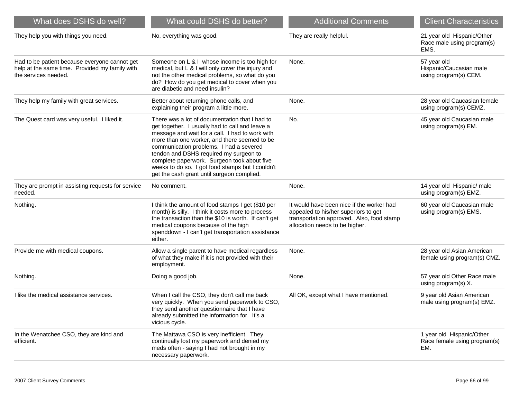| What does DSHS do well?                                                                                                 | What could DSHS do better?                                                                                                                                                                                                                                                                                                                                                                                                                 | <b>Additional Comments</b>                                                                                                                                       | <b>Client Characteristics</b>                                    |
|-------------------------------------------------------------------------------------------------------------------------|--------------------------------------------------------------------------------------------------------------------------------------------------------------------------------------------------------------------------------------------------------------------------------------------------------------------------------------------------------------------------------------------------------------------------------------------|------------------------------------------------------------------------------------------------------------------------------------------------------------------|------------------------------------------------------------------|
| They help you with things you need.                                                                                     | No, everything was good.                                                                                                                                                                                                                                                                                                                                                                                                                   | They are really helpful.                                                                                                                                         | 21 year old Hispanic/Other<br>Race male using program(s)<br>EMS. |
| Had to be patient because everyone cannot get<br>help at the same time. Provided my family with<br>the services needed. | Someone on L & I whose income is too high for<br>medical, but L & I will only cover the injury and<br>not the other medical problems, so what do you<br>do? How do you get medical to cover when you<br>are diabetic and need insulin?                                                                                                                                                                                                     | None.                                                                                                                                                            | 57 year old<br>Hispanic/Caucasian male<br>using program(s) CEM.  |
| They help my family with great services.                                                                                | Better about returning phone calls, and<br>explaining their program a little more.                                                                                                                                                                                                                                                                                                                                                         | None.                                                                                                                                                            | 28 year old Caucasian female<br>using program(s) CEMZ.           |
| The Quest card was very useful. I liked it.                                                                             | There was a lot of documentation that I had to<br>get together. I usually had to call and leave a<br>message and wait for a call. I had to work with<br>more than one worker, and there seemed to be<br>communication problems. I had a severed<br>tendon and DSHS required my surgeon to<br>complete paperwork. Surgeon took about five<br>weeks to do so. I got food stamps but I couldn't<br>get the cash grant until surgeon complied. | No.                                                                                                                                                              | 45 year old Caucasian male<br>using program(s) EM.               |
| They are prompt in assisting requests for service<br>needed.                                                            | No comment.                                                                                                                                                                                                                                                                                                                                                                                                                                | None.                                                                                                                                                            | 14 year old Hispanic/ male<br>using program(s) EMZ.              |
| Nothing.                                                                                                                | I think the amount of food stamps I get (\$10 per<br>month) is silly. I think it costs more to process<br>the transaction than the \$10 is worth. If can't get<br>medical coupons because of the high<br>spenddown - I can't get transportation assistance<br>either.                                                                                                                                                                      | It would have been nice if the worker had<br>appealed to his/her superiors to get<br>transportation approved. Also, food stamp<br>allocation needs to be higher. | 60 year old Caucasian male<br>using program(s) EMS.              |
| Provide me with medical coupons.                                                                                        | Allow a single parent to have medical regardless<br>of what they make if it is not provided with their<br>employment.                                                                                                                                                                                                                                                                                                                      | None.                                                                                                                                                            | 28 year old Asian American<br>female using program(s) CMZ.       |
| Nothing.                                                                                                                | Doing a good job.                                                                                                                                                                                                                                                                                                                                                                                                                          | None.                                                                                                                                                            | 57 year old Other Race male<br>using program(s) X.               |
| I like the medical assistance services.                                                                                 | When I call the CSO, they don't call me back<br>very quickly. When you send paperwork to CSO,<br>they send another questionnaire that I have<br>already submitted the information for. It's a<br>vicious cycle.                                                                                                                                                                                                                            | All OK, except what I have mentioned.                                                                                                                            | 9 year old Asian American<br>male using program(s) EMZ.          |
| In the Wenatchee CSO, they are kind and<br>efficient.                                                                   | The Mattawa CSO is very inefficient. They<br>continually lost my paperwork and denied my<br>meds often - saying I had not brought in my<br>necessary paperwork.                                                                                                                                                                                                                                                                            |                                                                                                                                                                  | 1 year old Hispanic/Other<br>Race female using program(s)<br>EM. |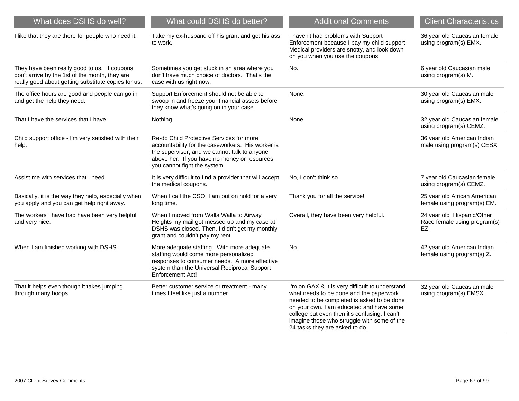| What does DSHS do well?                                                                                                                               | What could DSHS do better?                                                                                                                                                                                                     | <b>Additional Comments</b>                                                                                                                                                                                                                                                                                             | <b>Client Characteristics</b>                                     |
|-------------------------------------------------------------------------------------------------------------------------------------------------------|--------------------------------------------------------------------------------------------------------------------------------------------------------------------------------------------------------------------------------|------------------------------------------------------------------------------------------------------------------------------------------------------------------------------------------------------------------------------------------------------------------------------------------------------------------------|-------------------------------------------------------------------|
| I like that they are there for people who need it.                                                                                                    | Take my ex-husband off his grant and get his ass<br>to work.                                                                                                                                                                   | I haven't had problems with Support<br>Enforcement because I pay my child support.<br>Medical providers are snotty, and look down<br>on you when you use the coupons.                                                                                                                                                  | 36 year old Caucasian female<br>using program(s) EMX.             |
| They have been really good to us. If coupons<br>don't arrive by the 1st of the month, they are<br>really good about getting substitute copies for us. | Sometimes you get stuck in an area where you<br>don't have much choice of doctors. That's the<br>case with us right now.                                                                                                       | No.                                                                                                                                                                                                                                                                                                                    | 6 year old Caucasian male<br>using program(s) M.                  |
| The office hours are good and people can go in<br>and get the help they need.                                                                         | Support Enforcement should not be able to<br>swoop in and freeze your financial assets before<br>they know what's going on in your case.                                                                                       | None.                                                                                                                                                                                                                                                                                                                  | 30 year old Caucasian male<br>using program(s) EMX.               |
| That I have the services that I have.                                                                                                                 | Nothing.                                                                                                                                                                                                                       | None.                                                                                                                                                                                                                                                                                                                  | 32 year old Caucasian female<br>using program(s) CEMZ.            |
| Child support office - I'm very satisfied with their<br>help.                                                                                         | Re-do Child Protective Services for more<br>accountability for the caseworkers. His worker is<br>the supervisor, and we cannot talk to anyone<br>above her. If you have no money or resources,<br>you cannot fight the system. |                                                                                                                                                                                                                                                                                                                        | 36 year old American Indian<br>male using program(s) CESX.        |
| Assist me with services that I need.                                                                                                                  | It is very difficult to find a provider that will accept<br>the medical coupons.                                                                                                                                               | No, I don't think so.                                                                                                                                                                                                                                                                                                  | 7 year old Caucasian female<br>using program(s) CEMZ.             |
| Basically, it is the way they help, especially when<br>you apply and you can get help right away.                                                     | When I call the CSO, I am put on hold for a very<br>long time.                                                                                                                                                                 | Thank you for all the service!                                                                                                                                                                                                                                                                                         | 25 year old African American<br>female using program(s) EM.       |
| The workers I have had have been very helpful<br>and very nice.                                                                                       | When I moved from Walla Walla to Airway<br>Heights my mail got messed up and my case at<br>DSHS was closed. Then, I didn't get my monthly<br>grant and couldn't pay my rent.                                                   | Overall, they have been very helpful.                                                                                                                                                                                                                                                                                  | 24 year old Hispanic/Other<br>Race female using program(s)<br>EZ. |
| When I am finished working with DSHS.                                                                                                                 | More adequate staffing. With more adequate<br>staffing would come more personalized<br>responses to consumer needs. A more effective<br>system than the Universal Reciprocal Support<br><b>Enforcement Act!</b>                | No.                                                                                                                                                                                                                                                                                                                    | 42 year old American Indian<br>female using program(s) Z.         |
| That it helps even though it takes jumping<br>through many hoops.                                                                                     | Better customer service or treatment - many<br>times I feel like just a number.                                                                                                                                                | I'm on GAX & it is very difficult to understand<br>what needs to be done and the paperwork<br>needed to be completed is asked to be done<br>on your own. I am educated and have some<br>college but even then it's confusing. I can't<br>imagine those who struggle with some of the<br>24 tasks they are asked to do. | 32 year old Caucasian male<br>using program(s) EMSX.              |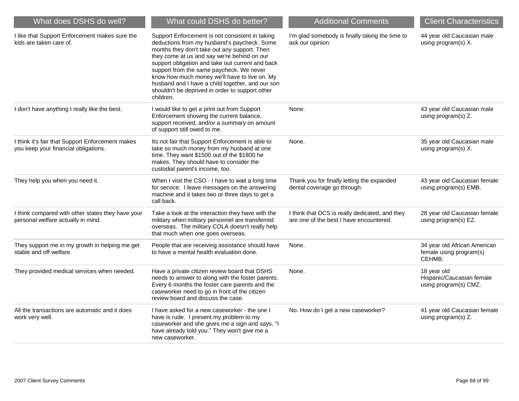| What does DSHS do well?                                                                  | What could DSHS do better?                                                                                                                                                                                                                                                                                                                                                                                                                                         | <b>Additional Comments</b>                                                                | <b>Client Characteristics</b>                                     |
|------------------------------------------------------------------------------------------|--------------------------------------------------------------------------------------------------------------------------------------------------------------------------------------------------------------------------------------------------------------------------------------------------------------------------------------------------------------------------------------------------------------------------------------------------------------------|-------------------------------------------------------------------------------------------|-------------------------------------------------------------------|
| I like that Support Enforcement makes sure the<br>kids are taken care of.                | Support Enforcement is not consistent in taking<br>deductions from my husband's paycheck. Some<br>months they don't take out any support. Then<br>they come at us and say we're behind on our<br>support obligation and take out current and back<br>support from the same paycheck. We never<br>know how much money we'll have to live on. My<br>husband and I have a child together, and our son<br>shouldn't be deprived in order to support other<br>children. | I'm glad somebody is finally taking the time to<br>ask our opinion.                       | 44 year old Caucasian male<br>using program(s) X.                 |
| I don't have anything I really like the best.                                            | I would like to get a print out from Support<br>Enforcement showing the current balance,<br>support received, and/or a summary on amount<br>of support still owed to me.                                                                                                                                                                                                                                                                                           | None.                                                                                     | 43 year old Caucasian male<br>using program(s) Z.                 |
| I think it's fair that Support Enforcement makes<br>you keep your financial obligations. | Its not fair that Support Enforcement is able to<br>take so much money from my husband at one<br>time. They want \$1500 out of the \$1800 he<br>makes. They should have to consider the<br>custodial parent's income, too.                                                                                                                                                                                                                                         | None.                                                                                     | 35 year old Caucasian male<br>using program(s) X.                 |
| They help you when you need it.                                                          | When I visit the CSO - I have to wait a long time<br>for service. I leave messages on the answering<br>machine and it takes two or three days to get a<br>call back.                                                                                                                                                                                                                                                                                               | Thank you for finally letting the expanded<br>dental coverage go through.                 | 43 year old Caucasian female<br>using program(s) EMB.             |
| I think compared with other states they have your<br>personal welfare actually in mind.  | Take a look at the interaction they have with the<br>military when military personnel are transferred<br>overseas. The military COLA doesn't really help<br>that much when one goes overseas.                                                                                                                                                                                                                                                                      | I think that DCS is really dedicated, and they<br>are one of the best I have encountered. | 28 year old Caucasian female<br>using program(s) EZ.              |
| They support me in my growth in helping me get<br>stable and off welfare.                | People that are receiving assistance should have<br>to have a mental health evaluation done.                                                                                                                                                                                                                                                                                                                                                                       | None.                                                                                     | 34 year old African American<br>female using program(s)<br>CEHMB. |
| They provided medical services when needed.                                              | Have a private citizen review board that DSHS<br>needs to answer to along with the foster parents.<br>Every 6 months the foster care parents and the<br>caseworker need to go in front of the citizen<br>review board and discuss the case.                                                                                                                                                                                                                        | None.                                                                                     | 18 year old<br>Hispanic/Caucasian female<br>using program(s) CMZ. |
| All the transactions are automatic and it does<br>work very well.                        | I have asked for a new caseworker - the one I<br>have is rude. I present my problem to my<br>caseworker and she gives me a sign and says, "I<br>have already told you." They won't give me a<br>new caseworker.                                                                                                                                                                                                                                                    | No. How do I get a new caseworker?                                                        | 41 year old Caucasian female<br>using program(s) Z.               |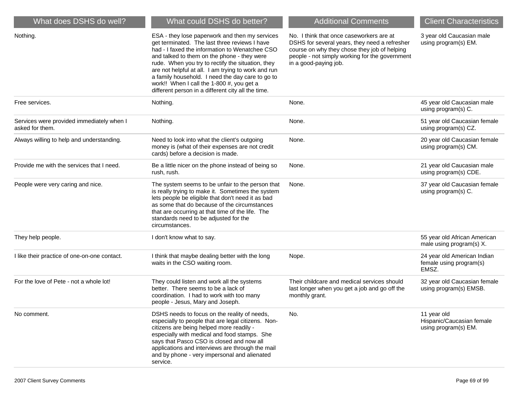| What does DSHS do well?                                      | What could DSHS do better?                                                                                                                                                                                                                                                                                                                                                                                                                                          | <b>Additional Comments</b>                                                                                                                                                                                           | <b>Client Characteristics</b>                                    |
|--------------------------------------------------------------|---------------------------------------------------------------------------------------------------------------------------------------------------------------------------------------------------------------------------------------------------------------------------------------------------------------------------------------------------------------------------------------------------------------------------------------------------------------------|----------------------------------------------------------------------------------------------------------------------------------------------------------------------------------------------------------------------|------------------------------------------------------------------|
| Nothing.                                                     | ESA - they lose paperwork and then my services<br>get terminated. The last three reviews I have<br>had - I faxed the information to Wenatchee CSO<br>and talked to them on the phone - they were<br>rude. When you try to rectify the situation, they<br>are not helpful at all. I am trying to work and run<br>a family household. I need the day care to go to<br>work!! When I call the 1-800 #, you get a<br>different person in a different city all the time. | No. I think that once caseworkers are at<br>DSHS for several years, they need a refresher<br>course on why they chose they job of helping<br>people - not simply working for the government<br>in a good-paying job. | 3 year old Caucasian male<br>using program(s) EM.                |
| Free services.                                               | Nothing.                                                                                                                                                                                                                                                                                                                                                                                                                                                            | None.                                                                                                                                                                                                                | 45 year old Caucasian male<br>using program(s) C.                |
| Services were provided immediately when I<br>asked for them. | Nothing.                                                                                                                                                                                                                                                                                                                                                                                                                                                            | None.                                                                                                                                                                                                                | 51 year old Caucasian female<br>using program(s) CZ.             |
| Always willing to help and understanding.                    | Need to look into what the client's outgoing<br>money is (what of their expenses are not credit<br>cards) before a decision is made.                                                                                                                                                                                                                                                                                                                                | None.                                                                                                                                                                                                                | 20 year old Caucasian female<br>using program(s) CM.             |
| Provide me with the services that I need.                    | Be a little nicer on the phone instead of being so<br>rush, rush.                                                                                                                                                                                                                                                                                                                                                                                                   | None.                                                                                                                                                                                                                | 21 year old Caucasian male<br>using program(s) CDE.              |
| People were very caring and nice.                            | The system seems to be unfair to the person that<br>is really trying to make it. Sometimes the system<br>lets people be eligible that don't need it as bad<br>as some that do because of the circumstances<br>that are occurring at that time of the life. The<br>standards need to be adjusted for the<br>circumstances.                                                                                                                                           | None.                                                                                                                                                                                                                | 37 year old Caucasian female<br>using program(s) C.              |
| They help people.                                            | I don't know what to say.                                                                                                                                                                                                                                                                                                                                                                                                                                           |                                                                                                                                                                                                                      | 55 year old African American<br>male using program(s) X.         |
| I like their practice of one-on-one contact.                 | I think that maybe dealing better with the long<br>waits in the CSO waiting room.                                                                                                                                                                                                                                                                                                                                                                                   | Nope.                                                                                                                                                                                                                | 24 year old American Indian<br>female using program(s)<br>EMSZ.  |
| For the love of Pete - not a whole lot!                      | They could listen and work all the systems<br>better. There seems to be a lack of<br>coordination. I had to work with too many<br>people - Jesus, Mary and Joseph.                                                                                                                                                                                                                                                                                                  | Their childcare and medical services should<br>last longer when you get a job and go off the<br>monthly grant.                                                                                                       | 32 year old Caucasian female<br>using program(s) EMSB.           |
| No comment.                                                  | DSHS needs to focus on the reality of needs,<br>especially to people that are legal citizens. Non-<br>citizens are being helped more readily -<br>especially with medical and food stamps. She<br>says that Pasco CSO is closed and now all<br>applications and interviews are through the mail<br>and by phone - very impersonal and alienated<br>service.                                                                                                         | No.                                                                                                                                                                                                                  | 11 year old<br>Hispanic/Caucasian female<br>using program(s) EM. |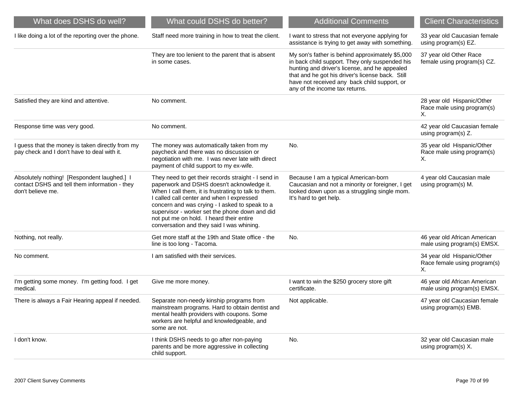| What does DSHS do well?                                                                                           | What could DSHS do better?                                                                                                                                                                                                                                                                                                                                                                          | <b>Additional Comments</b>                                                                                                                                                                                                                                                               | <b>Client Characteristics</b>                                    |
|-------------------------------------------------------------------------------------------------------------------|-----------------------------------------------------------------------------------------------------------------------------------------------------------------------------------------------------------------------------------------------------------------------------------------------------------------------------------------------------------------------------------------------------|------------------------------------------------------------------------------------------------------------------------------------------------------------------------------------------------------------------------------------------------------------------------------------------|------------------------------------------------------------------|
| I like doing a lot of the reporting over the phone.                                                               | Staff need more training in how to treat the client.                                                                                                                                                                                                                                                                                                                                                | I want to stress that not everyone applying for<br>assistance is trying to get away with something.                                                                                                                                                                                      | 33 year old Caucasian female<br>using program(s) EZ.             |
|                                                                                                                   | They are too lenient to the parent that is absent<br>in some cases.                                                                                                                                                                                                                                                                                                                                 | My son's father is behind approximately \$5,000<br>in back child support. They only suspended his<br>hunting and driver's license, and he appealed<br>that and he got his driver's license back. Still<br>have not received any back child support, or<br>any of the income tax returns. | 37 year old Other Race<br>female using program(s) CZ.            |
| Satisfied they are kind and attentive.                                                                            | No comment.                                                                                                                                                                                                                                                                                                                                                                                         |                                                                                                                                                                                                                                                                                          | 28 year old Hispanic/Other<br>Race male using program(s)<br>Х.   |
| Response time was very good.                                                                                      | No comment.                                                                                                                                                                                                                                                                                                                                                                                         |                                                                                                                                                                                                                                                                                          | 42 year old Caucasian female<br>using program(s) Z.              |
| I guess that the money is taken directly from my<br>pay check and I don't have to deal with it.                   | The money was automatically taken from my<br>paycheck and there was no discussion or<br>negotiation with me. I was never late with direct<br>payment of child support to my ex-wife.                                                                                                                                                                                                                | No.                                                                                                                                                                                                                                                                                      | 35 year old Hispanic/Other<br>Race male using program(s)<br>Х.   |
| Absolutely nothing! [Respondent laughed.] I<br>contact DSHS and tell them information - they<br>don't believe me. | They need to get their records straight - I send in<br>paperwork and DSHS doesn't acknowledge it.<br>When I call them, it is frustrating to talk to them.<br>I called call center and when I expressed<br>concern and was crying - I asked to speak to a<br>supervisor - worker set the phone down and did<br>not put me on hold. I heard their entire<br>conversation and they said I was whining. | Because I am a typical American-born<br>Caucasian and not a minority or foreigner, I get<br>looked down upon as a struggling single mom.<br>It's hard to get help.                                                                                                                       | 4 year old Caucasian male<br>using program(s) M.                 |
| Nothing, not really.                                                                                              | Get more staff at the 19th and State office - the<br>line is too long - Tacoma.                                                                                                                                                                                                                                                                                                                     | No.                                                                                                                                                                                                                                                                                      | 46 year old African American<br>male using program(s) EMSX.      |
| No comment.                                                                                                       | I am satisfied with their services.                                                                                                                                                                                                                                                                                                                                                                 |                                                                                                                                                                                                                                                                                          | 34 year old Hispanic/Other<br>Race female using program(s)<br>Х. |
| I'm getting some money. I'm getting food. I get<br>medical.                                                       | Give me more money.                                                                                                                                                                                                                                                                                                                                                                                 | I want to win the \$250 grocery store gift<br>certificate.                                                                                                                                                                                                                               | 46 year old African American<br>male using program(s) EMSX.      |
| There is always a Fair Hearing appeal if needed.                                                                  | Separate non-needy kinship programs from<br>mainstream programs. Hard to obtain dentist and<br>mental health providers with coupons. Some<br>workers are helpful and knowledgeable, and<br>some are not.                                                                                                                                                                                            | Not applicable.                                                                                                                                                                                                                                                                          | 47 year old Caucasian female<br>using program(s) EMB.            |
| I don't know.                                                                                                     | I think DSHS needs to go after non-paying<br>parents and be more aggressive in collecting<br>child support.                                                                                                                                                                                                                                                                                         | No.                                                                                                                                                                                                                                                                                      | 32 year old Caucasian male<br>using program(s) X.                |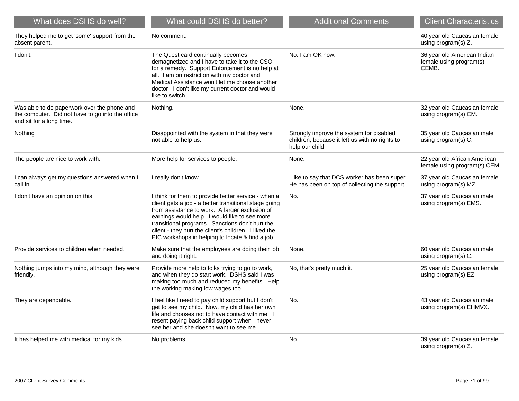| What does DSHS do well?                                                                                                     | What could DSHS do better?                                                                                                                                                                                                                                                                                                                                                      | <b>Additional Comments</b>                                                                                    | <b>Client Characteristics</b>                                   |
|-----------------------------------------------------------------------------------------------------------------------------|---------------------------------------------------------------------------------------------------------------------------------------------------------------------------------------------------------------------------------------------------------------------------------------------------------------------------------------------------------------------------------|---------------------------------------------------------------------------------------------------------------|-----------------------------------------------------------------|
| They helped me to get 'some' support from the<br>absent parent.                                                             | No comment.                                                                                                                                                                                                                                                                                                                                                                     |                                                                                                               | 40 year old Caucasian female<br>using program(s) Z.             |
| I don't.                                                                                                                    | The Quest card continually becomes<br>demagnetized and I have to take it to the CSO<br>for a remedy. Support Enforcement is no help at<br>all. I am on restriction with my doctor and<br>Medical Assistance won't let me choose another<br>doctor. I don't like my current doctor and would<br>like to switch.                                                                  | No. I am OK now.                                                                                              | 36 year old American Indian<br>female using program(s)<br>CEMB. |
| Was able to do paperwork over the phone and<br>the computer. Did not have to go into the office<br>and sit for a long time. | Nothing.                                                                                                                                                                                                                                                                                                                                                                        | None.                                                                                                         | 32 year old Caucasian female<br>using program(s) CM.            |
| Nothing                                                                                                                     | Disappointed with the system in that they were<br>not able to help us.                                                                                                                                                                                                                                                                                                          | Strongly improve the system for disabled<br>children, because it left us with no rights to<br>help our child. | 35 year old Caucasian male<br>using program(s) C.               |
| The people are nice to work with.                                                                                           | More help for services to people.                                                                                                                                                                                                                                                                                                                                               | None.                                                                                                         | 22 year old African American<br>female using program(s) CEM.    |
| I can always get my questions answered when I<br>call in.                                                                   | I really don't know.                                                                                                                                                                                                                                                                                                                                                            | I like to say that DCS worker has been super.<br>He has been on top of collecting the support.                | 37 year old Caucasian female<br>using program(s) MZ.            |
| I don't have an opinion on this.                                                                                            | I think for them to provide better service - when a<br>client gets a job - a better transitional stage going<br>from assistance to work. A larger exclusion of<br>earnings would help. I would like to see more<br>transitional programs. Sanctions don't hurt the<br>client - they hurt the client's children. I liked the<br>PIC workshops in helping to locate & find a job. | No.                                                                                                           | 37 year old Caucasian male<br>using program(s) EMS.             |
| Provide services to children when needed.                                                                                   | Make sure that the employees are doing their job<br>and doing it right.                                                                                                                                                                                                                                                                                                         | None.                                                                                                         | 60 year old Caucasian male<br>using program(s) C.               |
| Nothing jumps into my mind, although they were<br>friendly.                                                                 | Provide more help to folks trying to go to work,<br>and when they do start work. DSHS said I was<br>making too much and reduced my benefits. Help<br>the working making low wages too.                                                                                                                                                                                          | No, that's pretty much it.                                                                                    | 25 year old Caucasian female<br>using program(s) EZ.            |
| They are dependable.                                                                                                        | I feel like I need to pay child support but I don't<br>get to see my child. Now, my child has her own<br>life and chooses not to have contact with me. I<br>resent paying back child support when I never<br>see her and she doesn't want to see me.                                                                                                                            | No.                                                                                                           | 43 year old Caucasian male<br>using program(s) EHMVX.           |
| It has helped me with medical for my kids.                                                                                  | No problems.                                                                                                                                                                                                                                                                                                                                                                    | No.                                                                                                           | 39 year old Caucasian female<br>using program(s) Z.             |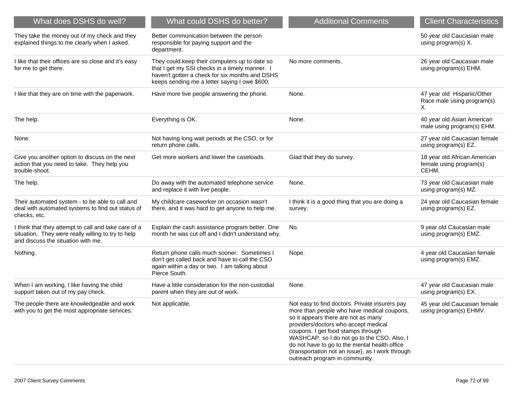| What does DSHS do well?                                                                                                                          | What could DSHS do better?                                                                                                                                                                         | <b>Additional Comments</b>                                                                                                                                                                                                                                                                                                                                                                              | <b>Client Characteristics</b>                                    |
|--------------------------------------------------------------------------------------------------------------------------------------------------|----------------------------------------------------------------------------------------------------------------------------------------------------------------------------------------------------|---------------------------------------------------------------------------------------------------------------------------------------------------------------------------------------------------------------------------------------------------------------------------------------------------------------------------------------------------------------------------------------------------------|------------------------------------------------------------------|
| They take the money out of my check and they<br>explained things to me clearly when I asked.                                                     | Better communication between the person<br>responsible for paying support and the<br>department.                                                                                                   |                                                                                                                                                                                                                                                                                                                                                                                                         | 50 year old Caucasian male<br>using program(s) X.                |
| I like that their offices are so close and it's easy<br>for me to get there.                                                                     | They could keep their computers up to date so<br>that I get my SSI checks in a timely manner. I<br>haven't gotten a check for six months and DSHS<br>keeps sending me a letter saying I owe \$600. | No more comments.                                                                                                                                                                                                                                                                                                                                                                                       | 26 year old Caucasian male<br>using program(s) EHM.              |
| I like that they are on time with the paperwork.                                                                                                 | Have more live people answering the phone.                                                                                                                                                         | None.                                                                                                                                                                                                                                                                                                                                                                                                   | 47 year old Hispanic/Other<br>Race male using program(s)<br>Х.   |
| The help.                                                                                                                                        | Everything is OK.                                                                                                                                                                                  | None.                                                                                                                                                                                                                                                                                                                                                                                                   | 40 year old Asian American<br>male using program(s) EHM.         |
| None.                                                                                                                                            | Not having long wait periods at the CSO, or for<br>return phone calls.                                                                                                                             |                                                                                                                                                                                                                                                                                                                                                                                                         | 27 year old Caucasian female<br>using program(s) EZ.             |
| Give you another option to discuss on the next<br>action that you need to take. They help you<br>trouble-shoot.                                  | Get more workers and lower the caseloads.                                                                                                                                                          | Glad that they do survey.                                                                                                                                                                                                                                                                                                                                                                               | 18 year old African American<br>female using program(s)<br>CEHM. |
| The help.                                                                                                                                        | Do away with the automated telephone service<br>and replace it with live people.                                                                                                                   | None.                                                                                                                                                                                                                                                                                                                                                                                                   | 73 year old Caucasian male<br>using program(s) MZ.               |
| Their automated system - to be able to call and<br>deal with automated systems to find out status of<br>checks, etc.                             | My childcare caseworker on occasion wasn't<br>there, and it was hard to get anyone to help me.                                                                                                     | I think it is a good thing that you are doing a<br>survey.                                                                                                                                                                                                                                                                                                                                              | 24 year old Caucasian female<br>using program(s) EZ.             |
| I think that they attempt to call and take care of a<br>situation. They were really willing to try to help<br>and discuss the situation with me. | Explain the cash assistance program better. One<br>month he was cut off and I didn't understand why.                                                                                               | No.                                                                                                                                                                                                                                                                                                                                                                                                     | 9 year old Caucasian male<br>using program(s) EMZ.               |
| Nothing.                                                                                                                                         | Return phone calls much sooner. Sometimes I<br>don't get called back and have to call the CSO<br>again within a day or two. I am talking about<br>Pierce South.                                    | Nope.                                                                                                                                                                                                                                                                                                                                                                                                   | 4 year old Caucasian female<br>using program(s) EMZ.             |
| When I am working, I like having the child<br>support taken out of my pay check.                                                                 | Have a little consideration for the non-custodial<br>parent when they are out of work.                                                                                                             | None.                                                                                                                                                                                                                                                                                                                                                                                                   | 47 year old Caucasian male<br>using program(s) EX.               |
| The people there are knowledgeable and work<br>with you to get the most appropriate services.                                                    | Not applicable.                                                                                                                                                                                    | Not easy to find doctors. Private insurers pay<br>more than people who have medical coupons,<br>so it appears there are not as many<br>providers/doctors who accept medical<br>coupons. I get food stamps through<br>WASHCAP, so I do not go to the CSO. Also, I<br>do not have to go to the mental health office<br>(transportation not an issue), as I work through<br>outreach program in community. | 45 year old Caucasian female<br>using program(s) EHMV.           |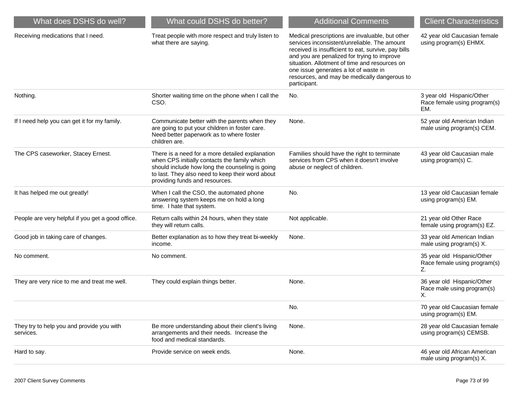| What does DSHS do well?                                | What could DSHS do better?                                                                                                                                                                                                               | <b>Additional Comments</b>                                                                                                                                                                                                                                                                                                                                      | <b>Client Characteristics</b>                                    |
|--------------------------------------------------------|------------------------------------------------------------------------------------------------------------------------------------------------------------------------------------------------------------------------------------------|-----------------------------------------------------------------------------------------------------------------------------------------------------------------------------------------------------------------------------------------------------------------------------------------------------------------------------------------------------------------|------------------------------------------------------------------|
| Receiving medications that I need.                     | Treat people with more respect and truly listen to<br>what there are saying.                                                                                                                                                             | Medical prescriptions are invaluable, but other<br>services inconsistent/unreliable. The amount<br>received is insufficient to eat, survive, pay bills<br>and you are penalized for trying to improve<br>situation. Allotment of time and resources on<br>one issue generates a lot of waste in<br>resources, and may be medically dangerous to<br>participant. | 42 year old Caucasian female<br>using program(s) EHMX.           |
| Nothing.                                               | Shorter waiting time on the phone when I call the<br>CSO.                                                                                                                                                                                | No.                                                                                                                                                                                                                                                                                                                                                             | 3 year old Hispanic/Other<br>Race female using program(s)<br>EM. |
| If I need help you can get it for my family.           | Communicate better with the parents when they<br>are going to put your children in foster care.<br>Need better paperwork as to where foster<br>children are.                                                                             | None.                                                                                                                                                                                                                                                                                                                                                           | 52 year old American Indian<br>male using program(s) CEM.        |
| The CPS caseworker, Stacey Ernest.                     | There is a need for a more detailed explanation<br>when CPS initially contacts the family which<br>should include how long the counseling is going<br>to last. They also need to keep their word about<br>providing funds and resources. | Families should have the right to terminate<br>services from CPS when it doesn't involve<br>abuse or neglect of children.                                                                                                                                                                                                                                       | 43 year old Caucasian male<br>using program(s) C.                |
| It has helped me out greatly!                          | When I call the CSO, the automated phone<br>answering system keeps me on hold a long<br>time. I hate that system.                                                                                                                        | No.                                                                                                                                                                                                                                                                                                                                                             | 13 year old Caucasian female<br>using program(s) EM.             |
| People are very helpful if you get a good office.      | Return calls within 24 hours, when they state<br>they will return calls.                                                                                                                                                                 | Not applicable.                                                                                                                                                                                                                                                                                                                                                 | 21 year old Other Race<br>female using program(s) EZ.            |
| Good job in taking care of changes.                    | Better explanation as to how they treat bi-weekly<br>income.                                                                                                                                                                             | None.                                                                                                                                                                                                                                                                                                                                                           | 33 year old American Indian<br>male using program(s) X.          |
| No comment.                                            | No comment.                                                                                                                                                                                                                              |                                                                                                                                                                                                                                                                                                                                                                 | 35 year old Hispanic/Other<br>Race female using program(s)<br>Z. |
| They are very nice to me and treat me well.            | They could explain things better.                                                                                                                                                                                                        | None.                                                                                                                                                                                                                                                                                                                                                           | 36 year old Hispanic/Other<br>Race male using program(s)<br>Х.   |
|                                                        |                                                                                                                                                                                                                                          | No.                                                                                                                                                                                                                                                                                                                                                             | 70 year old Caucasian female<br>using program(s) EM.             |
| They try to help you and provide you with<br>services. | Be more understanding about their client's living<br>arrangements and their needs. Increase the<br>food and medical standards.                                                                                                           | None.                                                                                                                                                                                                                                                                                                                                                           | 28 year old Caucasian female<br>using program(s) CEMSB.          |
| Hard to say.                                           | Provide service on week ends.                                                                                                                                                                                                            | None.                                                                                                                                                                                                                                                                                                                                                           | 46 year old African American<br>male using program(s) X.         |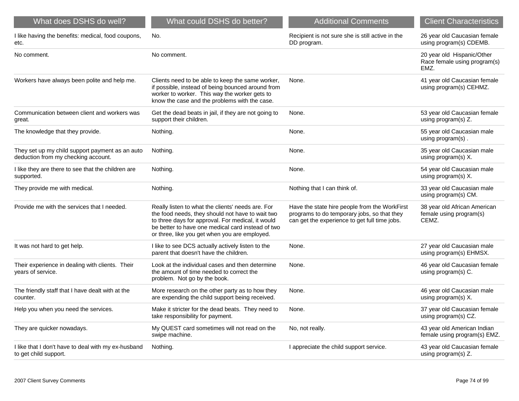| What does DSHS do well?                                                                | What could DSHS do better?                                                                                                                                                                                                                                       | <b>Additional Comments</b>                                                                                                                    | <b>Client Characteristics</b>                                      |
|----------------------------------------------------------------------------------------|------------------------------------------------------------------------------------------------------------------------------------------------------------------------------------------------------------------------------------------------------------------|-----------------------------------------------------------------------------------------------------------------------------------------------|--------------------------------------------------------------------|
| I like having the benefits: medical, food coupons,<br>etc.                             | No.                                                                                                                                                                                                                                                              | Recipient is not sure she is still active in the<br>DD program.                                                                               | 26 year old Caucasian female<br>using program(s) CDEMB.            |
| No comment.                                                                            | No comment.                                                                                                                                                                                                                                                      |                                                                                                                                               | 20 year old Hispanic/Other<br>Race female using program(s)<br>EMZ. |
| Workers have always been polite and help me.                                           | Clients need to be able to keep the same worker,<br>if possible, instead of being bounced around from<br>worker to worker. This way the worker gets to<br>know the case and the problems with the case.                                                          | None.                                                                                                                                         | 41 year old Caucasian female<br>using program(s) CEHMZ.            |
| Communication between client and workers was<br>great.                                 | Get the dead beats in jail, if they are not going to<br>support their children.                                                                                                                                                                                  | None.                                                                                                                                         | 53 year old Caucasian female<br>using program(s) Z.                |
| The knowledge that they provide.                                                       | Nothing.                                                                                                                                                                                                                                                         | None.                                                                                                                                         | 55 year old Caucasian male<br>using program(s).                    |
| They set up my child support payment as an auto<br>deduction from my checking account. | Nothing.                                                                                                                                                                                                                                                         | None.                                                                                                                                         | 35 year old Caucasian male<br>using program(s) X.                  |
| I like they are there to see that the children are<br>supported.                       | Nothing.                                                                                                                                                                                                                                                         | None.                                                                                                                                         | 54 year old Caucasian male<br>using program(s) X.                  |
| They provide me with medical.                                                          | Nothing.                                                                                                                                                                                                                                                         | Nothing that I can think of.                                                                                                                  | 33 year old Caucasian male<br>using program(s) CM.                 |
| Provide me with the services that I needed.                                            | Really listen to what the clients' needs are. For<br>the food needs, they should not have to wait two<br>to three days for approval. For medical, it would<br>be better to have one medical card instead of two<br>or three, like you get when you are employed. | Have the state hire people from the WorkFirst<br>programs to do temporary jobs, so that they<br>can get the experience to get full time jobs. | 38 year old African American<br>female using program(s)<br>CEMZ.   |
| It was not hard to get help.                                                           | I like to see DCS actually actively listen to the<br>parent that doesn't have the children.                                                                                                                                                                      | None.                                                                                                                                         | 27 year old Caucasian male<br>using program(s) EHMSX.              |
| Their experience in dealing with clients. Their<br>years of service.                   | Look at the individual cases and then determine<br>the amount of time needed to correct the<br>problem. Not go by the book.                                                                                                                                      | None.                                                                                                                                         | 46 year old Caucasian female<br>using program(s) C.                |
| The friendly staff that I have dealt with at the<br>counter.                           | More research on the other party as to how they<br>are expending the child support being received.                                                                                                                                                               | None.                                                                                                                                         | 46 year old Caucasian male<br>using program(s) X.                  |
| Help you when you need the services.                                                   | Make it stricter for the dead beats. They need to<br>take responsibility for payment.                                                                                                                                                                            | None.                                                                                                                                         | 37 year old Caucasian female<br>using program(s) CZ.               |
| They are quicker nowadays.                                                             | My QUEST card sometimes will not read on the<br>swipe machine.                                                                                                                                                                                                   | No, not really.                                                                                                                               | 43 year old American Indian<br>female using program(s) EMZ.        |
| I like that I don't have to deal with my ex-husband<br>to get child support.           | Nothing.                                                                                                                                                                                                                                                         | I appreciate the child support service.                                                                                                       | 43 year old Caucasian female<br>using program(s) Z.                |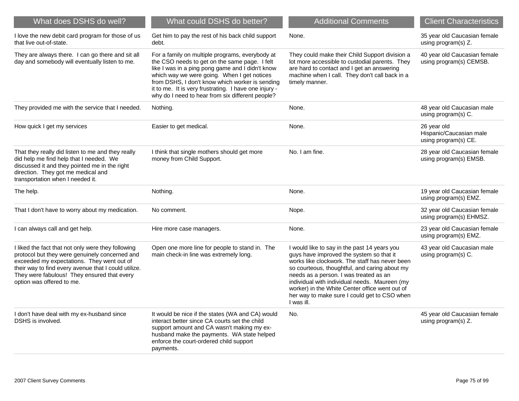| What does DSHS do well?                                                                                                                                                                                                                                                                | What could DSHS do better?                                                                                                                                                                                                                                                                                                                                          | <b>Additional Comments</b>                                                                                                                                                                                                                                                                                                                                                                             | <b>Client Characteristics</b>                                  |
|----------------------------------------------------------------------------------------------------------------------------------------------------------------------------------------------------------------------------------------------------------------------------------------|---------------------------------------------------------------------------------------------------------------------------------------------------------------------------------------------------------------------------------------------------------------------------------------------------------------------------------------------------------------------|--------------------------------------------------------------------------------------------------------------------------------------------------------------------------------------------------------------------------------------------------------------------------------------------------------------------------------------------------------------------------------------------------------|----------------------------------------------------------------|
| I love the new debit card program for those of us<br>that live out-of-state.                                                                                                                                                                                                           | Get him to pay the rest of his back child support<br>debt.                                                                                                                                                                                                                                                                                                          | None.                                                                                                                                                                                                                                                                                                                                                                                                  | 35 year old Caucasian female<br>using program(s) Z.            |
| They are always there. I can go there and sit all<br>day and somebody will eventually listen to me.                                                                                                                                                                                    | For a family on multiple programs, everybody at<br>the CSO needs to get on the same page. I felt<br>like I was in a ping pong game and I didn't know<br>which way we were going. When I get notices<br>from DSHS, I don't know which worker is sending<br>it to me. It is very frustrating. I have one injury -<br>why do I need to hear from six different people? | They could make their Child Support division a<br>lot more accessible to custodial parents. They<br>are hard to contact and I get an answering<br>machine when I call. They don't call back in a<br>timely manner.                                                                                                                                                                                     | 40 year old Caucasian female<br>using program(s) CEMSB.        |
| They provided me with the service that I needed.                                                                                                                                                                                                                                       | Nothing.                                                                                                                                                                                                                                                                                                                                                            | None.                                                                                                                                                                                                                                                                                                                                                                                                  | 48 year old Caucasian male<br>using program(s) C.              |
| How quick I get my services                                                                                                                                                                                                                                                            | Easier to get medical.                                                                                                                                                                                                                                                                                                                                              | None.                                                                                                                                                                                                                                                                                                                                                                                                  | 26 year old<br>Hispanic/Caucasian male<br>using program(s) CE. |
| That they really did listen to me and they really<br>did help me find help that I needed. We<br>discussed it and they pointed me in the right<br>direction. They got me medical and<br>transportation when I needed it.                                                                | I think that single mothers should get more<br>money from Child Support.                                                                                                                                                                                                                                                                                            | No. I am fine.                                                                                                                                                                                                                                                                                                                                                                                         | 28 year old Caucasian female<br>using program(s) EMSB.         |
| The help.                                                                                                                                                                                                                                                                              | Nothing.                                                                                                                                                                                                                                                                                                                                                            | None.                                                                                                                                                                                                                                                                                                                                                                                                  | 19 year old Caucasian female<br>using program(s) EMZ.          |
| That I don't have to worry about my medication.                                                                                                                                                                                                                                        | No comment.                                                                                                                                                                                                                                                                                                                                                         | Nope.                                                                                                                                                                                                                                                                                                                                                                                                  | 32 year old Caucasian female<br>using program(s) EHMSZ.        |
| I can always call and get help.                                                                                                                                                                                                                                                        | Hire more case managers.                                                                                                                                                                                                                                                                                                                                            | None.                                                                                                                                                                                                                                                                                                                                                                                                  | 23 year old Caucasian female<br>using program(s) EMZ.          |
| I liked the fact that not only were they following<br>protocol but they were genuinely concerned and<br>exceeded my expectations. They went out of<br>their way to find every avenue that I could utilize.<br>They were fabulous! They ensured that every<br>option was offered to me. | Open one more line for people to stand in. The<br>main check-in line was extremely long.                                                                                                                                                                                                                                                                            | I would like to say in the past 14 years you<br>guys have improved the system so that it<br>works like clockwork. The staff has never been<br>so courteous, thoughtful, and caring about my<br>needs as a person. I was treated as an<br>individual with individual needs. Maureen (my<br>worker) in the White Center office went out of<br>her way to make sure I could get to CSO when<br>I was ill. | 43 year old Caucasian male<br>using program(s) C.              |
| I don't have deal with my ex-husband since<br>DSHS is involved.                                                                                                                                                                                                                        | It would be nice if the states (WA and CA) would<br>interact better since CA courts set the child<br>support amount and CA wasn't making my ex-<br>husband make the payments. WA state helped<br>enforce the court-ordered child support<br>payments.                                                                                                               | No.                                                                                                                                                                                                                                                                                                                                                                                                    | 45 year old Caucasian female<br>using program(s) Z.            |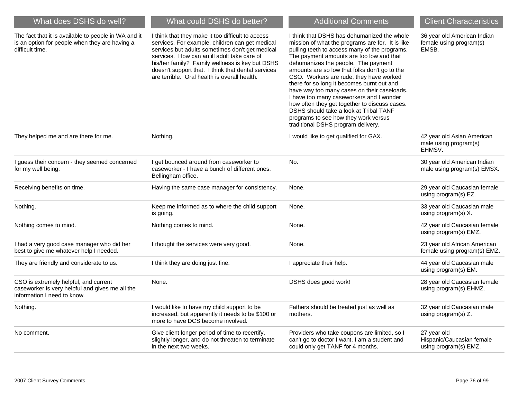| What does DSHS do well?                                                                                                   | What could DSHS do better?                                                                                                                                                                                                                                                                                                                                      | <b>Additional Comments</b>                                                                                                                                                                                                                                                                                                                                                                                                                                                                                                                                                                                                                        | <b>Client Characteristics</b>                                     |
|---------------------------------------------------------------------------------------------------------------------------|-----------------------------------------------------------------------------------------------------------------------------------------------------------------------------------------------------------------------------------------------------------------------------------------------------------------------------------------------------------------|---------------------------------------------------------------------------------------------------------------------------------------------------------------------------------------------------------------------------------------------------------------------------------------------------------------------------------------------------------------------------------------------------------------------------------------------------------------------------------------------------------------------------------------------------------------------------------------------------------------------------------------------------|-------------------------------------------------------------------|
| The fact that it is available to people in WA and it<br>is an option for people when they are having a<br>difficult time. | I think that they make it too difficult to access<br>services. For example, children can get medical<br>services but adults sometimes don't get medical<br>services. How can an ill adult take care of<br>his/her family? Family wellness is key but DSHS<br>doesn't support that. I think that dental services<br>are terrible. Oral health is overall health. | I think that DSHS has dehumanized the whole<br>mission of what the programs are for. It is like<br>pulling teeth to access many of the programs.<br>The payment amounts are too low and that<br>dehumanizes the people. The payment<br>amounts are so low that folks don't go to the<br>CSO. Workers are rude, they have worked<br>there for so long it becomes burnt out and<br>have way too many cases on their caseloads.<br>I have too many caseworkers and I wonder<br>how often they get together to discuss cases.<br>DSHS should take a look at Tribal TANF<br>programs to see how they work versus<br>traditional DSHS program delivery. | 36 year old American Indian<br>female using program(s)<br>EMSB.   |
| They helped me and are there for me.                                                                                      | Nothing.                                                                                                                                                                                                                                                                                                                                                        | I would like to get qualified for GAX.                                                                                                                                                                                                                                                                                                                                                                                                                                                                                                                                                                                                            | 42 year old Asian American<br>male using program(s)<br>EHMSV.     |
| I guess their concern - they seemed concerned<br>for my well being.                                                       | I get bounced around from caseworker to<br>caseworker - I have a bunch of different ones.<br>Bellingham office.                                                                                                                                                                                                                                                 | No.                                                                                                                                                                                                                                                                                                                                                                                                                                                                                                                                                                                                                                               | 30 year old American Indian<br>male using program(s) EMSX.        |
| Receiving benefits on time.                                                                                               | Having the same case manager for consistency.                                                                                                                                                                                                                                                                                                                   | None.                                                                                                                                                                                                                                                                                                                                                                                                                                                                                                                                                                                                                                             | 29 year old Caucasian female<br>using program(s) EZ.              |
| Nothing.                                                                                                                  | Keep me informed as to where the child support<br>is going.                                                                                                                                                                                                                                                                                                     | None.                                                                                                                                                                                                                                                                                                                                                                                                                                                                                                                                                                                                                                             | 33 year old Caucasian male<br>using program(s) X.                 |
| Nothing comes to mind.                                                                                                    | Nothing comes to mind.                                                                                                                                                                                                                                                                                                                                          | None.                                                                                                                                                                                                                                                                                                                                                                                                                                                                                                                                                                                                                                             | 42 year old Caucasian female<br>using program(s) EMZ.             |
| I had a very good case manager who did her<br>best to give me whatever help I needed.                                     | I thought the services were very good.                                                                                                                                                                                                                                                                                                                          | None.                                                                                                                                                                                                                                                                                                                                                                                                                                                                                                                                                                                                                                             | 23 year old African American<br>female using program(s) EMZ.      |
| They are friendly and considerate to us.                                                                                  | I think they are doing just fine.                                                                                                                                                                                                                                                                                                                               | I appreciate their help.                                                                                                                                                                                                                                                                                                                                                                                                                                                                                                                                                                                                                          | 44 year old Caucasian male<br>using program(s) EM.                |
| CSO is extremely helpful, and current<br>caseworker is very helpful and gives me all the<br>information I need to know.   | None.                                                                                                                                                                                                                                                                                                                                                           | DSHS does good work!                                                                                                                                                                                                                                                                                                                                                                                                                                                                                                                                                                                                                              | 28 year old Caucasian female<br>using program(s) EHMZ.            |
| Nothing.                                                                                                                  | I would like to have my child support to be<br>increased, but apparently it needs to be \$100 or<br>more to have DCS become involved.                                                                                                                                                                                                                           | Fathers should be treated just as well as<br>mothers.                                                                                                                                                                                                                                                                                                                                                                                                                                                                                                                                                                                             | 32 year old Caucasian male<br>using program(s) Z.                 |
| No comment.                                                                                                               | Give client longer period of time to recertify,<br>slightly longer, and do not threaten to terminate<br>in the next two weeks.                                                                                                                                                                                                                                  | Providers who take coupons are limited, so I<br>can't go to doctor I want. I am a student and<br>could only get TANF for 4 months.                                                                                                                                                                                                                                                                                                                                                                                                                                                                                                                | 27 year old<br>Hispanic/Caucasian female<br>using program(s) EMZ. |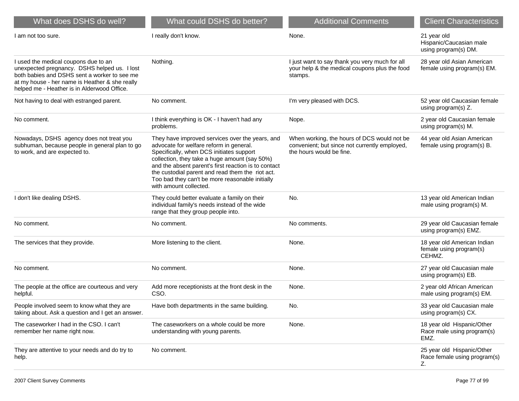| What does DSHS do well?                                                                                                                                                                                                               | What could DSHS do better?                                                                                                                                                                                                                                                                                                                                                       | <b>Additional Comments</b>                                                                                               | <b>Client Characteristics</b>                                    |
|---------------------------------------------------------------------------------------------------------------------------------------------------------------------------------------------------------------------------------------|----------------------------------------------------------------------------------------------------------------------------------------------------------------------------------------------------------------------------------------------------------------------------------------------------------------------------------------------------------------------------------|--------------------------------------------------------------------------------------------------------------------------|------------------------------------------------------------------|
| I am not too sure.                                                                                                                                                                                                                    | I really don't know.                                                                                                                                                                                                                                                                                                                                                             | None.                                                                                                                    | 21 year old<br>Hispanic/Caucasian male<br>using program(s) DM.   |
| I used the medical coupons due to an<br>unexpected pregnancy. DSHS helped us. I lost<br>both babies and DSHS sent a worker to see me<br>at my house - her name is Heather & she really<br>helped me - Heather is in Alderwood Office. | Nothing.                                                                                                                                                                                                                                                                                                                                                                         | I just want to say thank you very much for all<br>your help & the medical coupons plus the food<br>stamps.               | 28 year old Asian American<br>female using program(s) EM.        |
| Not having to deal with estranged parent.                                                                                                                                                                                             | No comment.                                                                                                                                                                                                                                                                                                                                                                      | I'm very pleased with DCS.                                                                                               | 52 year old Caucasian female<br>using program(s) Z.              |
| No comment.                                                                                                                                                                                                                           | I think everything is OK - I haven't had any<br>problems.                                                                                                                                                                                                                                                                                                                        | Nope.                                                                                                                    | 2 year old Caucasian female<br>using program(s) M.               |
| Nowadays, DSHS agency does not treat you<br>subhuman, because people in general plan to go<br>to work, and are expected to.                                                                                                           | They have improved services over the years, and<br>advocate for welfare reform in general.<br>Specifically, when DCS initiates support<br>collection, they take a huge amount (say 50%)<br>and the absent parent's first reaction is to contact<br>the custodial parent and read them the riot act.<br>Too bad they can't be more reasonable initially<br>with amount collected. | When working, the hours of DCS would not be<br>convenient; but since not currently employed,<br>the hours would be fine. | 44 year old Asian American<br>female using program(s) B.         |
| I don't like dealing DSHS.                                                                                                                                                                                                            | They could better evaluate a family on their<br>individual family's needs instead of the wide<br>range that they group people into.                                                                                                                                                                                                                                              | No.                                                                                                                      | 13 year old American Indian<br>male using program(s) M.          |
| No comment.                                                                                                                                                                                                                           | No comment.                                                                                                                                                                                                                                                                                                                                                                      | No comments.                                                                                                             | 29 year old Caucasian female<br>using program(s) EMZ.            |
| The services that they provide.                                                                                                                                                                                                       | More listening to the client.                                                                                                                                                                                                                                                                                                                                                    | None.                                                                                                                    | 18 year old American Indian<br>female using program(s)<br>CEHMZ. |
| No comment.                                                                                                                                                                                                                           | No comment.                                                                                                                                                                                                                                                                                                                                                                      | None.                                                                                                                    | 27 year old Caucasian male<br>using program(s) EB.               |
| The people at the office are courteous and very<br>helpful.                                                                                                                                                                           | Add more receptionists at the front desk in the<br>CSO.                                                                                                                                                                                                                                                                                                                          | None.                                                                                                                    | 2 year old African American<br>male using program(s) EM.         |
| People involved seem to know what they are<br>taking about. Ask a question and I get an answer.                                                                                                                                       | Have both departments in the same building.                                                                                                                                                                                                                                                                                                                                      | No.                                                                                                                      | 33 year old Caucasian male<br>using program(s) CX.               |
| The caseworker I had in the CSO. I can't<br>remember her name right now.                                                                                                                                                              | The caseworkers on a whole could be more<br>understanding with young parents.                                                                                                                                                                                                                                                                                                    | None.                                                                                                                    | 18 year old Hispanic/Other<br>Race male using program(s)<br>EMZ. |
| They are attentive to your needs and do try to<br>help.                                                                                                                                                                               | No comment.                                                                                                                                                                                                                                                                                                                                                                      |                                                                                                                          | 25 year old Hispanic/Other<br>Race female using program(s)<br>Z. |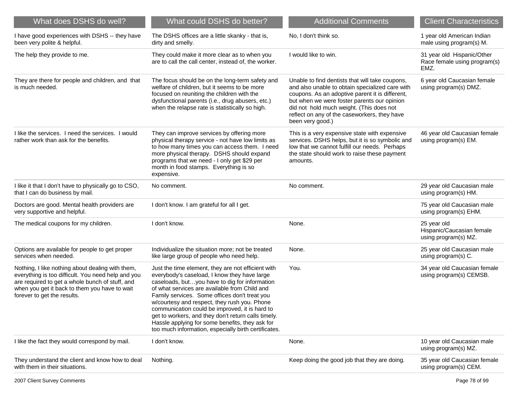| What does DSHS do well?                                                                                                                                                                                                                   | What could DSHS do better?                                                                                                                                                                                                                                                                                                                                                                                                                                                                                                | <b>Additional Comments</b>                                                                                                                                                                                                                                                                                           | <b>Client Characteristics</b>                                      |
|-------------------------------------------------------------------------------------------------------------------------------------------------------------------------------------------------------------------------------------------|---------------------------------------------------------------------------------------------------------------------------------------------------------------------------------------------------------------------------------------------------------------------------------------------------------------------------------------------------------------------------------------------------------------------------------------------------------------------------------------------------------------------------|----------------------------------------------------------------------------------------------------------------------------------------------------------------------------------------------------------------------------------------------------------------------------------------------------------------------|--------------------------------------------------------------------|
| I have good experiences with DSHS -- they have<br>been very polite & helpful.                                                                                                                                                             | The DSHS offices are a little skanky - that is,<br>dirty and smelly.                                                                                                                                                                                                                                                                                                                                                                                                                                                      | No, I don't think so.                                                                                                                                                                                                                                                                                                | 1 year old American Indian<br>male using program(s) M.             |
| The help they provide to me.                                                                                                                                                                                                              | They could make it more clear as to when you<br>are to call the call center, instead of, the worker.                                                                                                                                                                                                                                                                                                                                                                                                                      | I would like to win.                                                                                                                                                                                                                                                                                                 | 31 year old Hispanic/Other<br>Race female using program(s)<br>EMZ. |
| They are there for people and children, and that<br>is much needed.                                                                                                                                                                       | The focus should be on the long-term safety and<br>welfare of children, but it seems to be more<br>focused on reuniting the children with the<br>dysfunctional parents (i.e., drug abusers, etc.)<br>when the relapse rate is statistically so high.                                                                                                                                                                                                                                                                      | Unable to find dentists that will take coupons,<br>and also unable to obtain specialized care with<br>coupons. As an adoptive parent it is different,<br>but when we were foster parents our opinion<br>did not hold much weight. (This does not<br>reflect on any of the caseworkers, they have<br>been very good.) | 6 year old Caucasian female<br>using program(s) DMZ.               |
| I like the services. I need the services. I would<br>rather work than ask for the benefits.                                                                                                                                               | They can improve services by offering more<br>physical therapy service - not have low limits as<br>to how many times you can access them. I need<br>more physical therapy. DSHS should expand<br>programs that we need - I only get \$29 per<br>month in food stamps. Everything is so<br>expensive.                                                                                                                                                                                                                      | This is a very expensive state with expensive<br>services. DSHS helps, but it is so symbolic and<br>low that we cannot fulfill our needs. Perhaps<br>the state should work to raise these payment<br>amounts.                                                                                                        | 46 year old Caucasian female<br>using program(s) EM.               |
| I like it that I don't have to physically go to CSO,<br>that I can do business by mail.                                                                                                                                                   | No comment.                                                                                                                                                                                                                                                                                                                                                                                                                                                                                                               | No comment.                                                                                                                                                                                                                                                                                                          | 29 year old Caucasian male<br>using program(s) HM.                 |
| Doctors are good. Mental health providers are<br>very supportive and helpful.                                                                                                                                                             | I don't know. I am grateful for all I get.                                                                                                                                                                                                                                                                                                                                                                                                                                                                                |                                                                                                                                                                                                                                                                                                                      | 75 year old Caucasian male<br>using program(s) EHM.                |
| The medical coupons for my children.                                                                                                                                                                                                      | I don't know.                                                                                                                                                                                                                                                                                                                                                                                                                                                                                                             | None.                                                                                                                                                                                                                                                                                                                | 25 year old<br>Hispanic/Caucasian female<br>using program(s) MZ.   |
| Options are available for people to get proper<br>services when needed.                                                                                                                                                                   | Individualize the situation more; not be treated<br>like large group of people who need help.                                                                                                                                                                                                                                                                                                                                                                                                                             | None.                                                                                                                                                                                                                                                                                                                | 25 year old Caucasian male<br>using program(s) C.                  |
| Nothing, I like nothing about dealing with them,<br>everything is too difficult. You need help and you<br>are required to get a whole bunch of stuff, and<br>when you get it back to them you have to wait<br>forever to get the results. | Just the time element, they are not efficient with<br>everybody's caseload, I know they have large<br>caseloads, butyou have to dig for information<br>of what services are available from Child and<br>Family services. Some offices don't treat you<br>w/courtesy and respect, they rush you. Phone<br>communication could be improved, it is hard to<br>get to workers, and they don't return calls timely.<br>Hassle applying for some benefits, they ask for<br>too much information, especially birth certificates. | You.                                                                                                                                                                                                                                                                                                                 | 34 year old Caucasian female<br>using program(s) CEMSB.            |
| I like the fact they would correspond by mail.                                                                                                                                                                                            | I don't know.                                                                                                                                                                                                                                                                                                                                                                                                                                                                                                             | None.                                                                                                                                                                                                                                                                                                                | 10 year old Caucasian male<br>using program(s) MZ.                 |
| They understand the client and know how to deal<br>with them in their situations.                                                                                                                                                         | Nothing.                                                                                                                                                                                                                                                                                                                                                                                                                                                                                                                  | Keep doing the good job that they are doing.                                                                                                                                                                                                                                                                         | 35 year old Caucasian female<br>using program(s) CEM.              |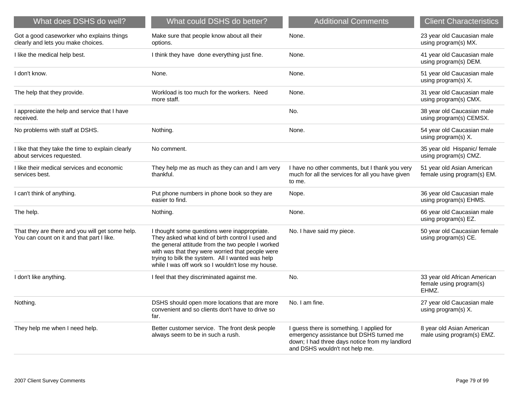| What does DSHS do well?                                                                      | What could DSHS do better?                                                                                                                                                                                                                                                                                         | <b>Additional Comments</b>                                                                                                                                               | <b>Client Characteristics</b>                                    |
|----------------------------------------------------------------------------------------------|--------------------------------------------------------------------------------------------------------------------------------------------------------------------------------------------------------------------------------------------------------------------------------------------------------------------|--------------------------------------------------------------------------------------------------------------------------------------------------------------------------|------------------------------------------------------------------|
| Got a good caseworker who explains things<br>clearly and lets you make choices.              | Make sure that people know about all their<br>options.                                                                                                                                                                                                                                                             | None.                                                                                                                                                                    | 23 year old Caucasian male<br>using program(s) MX.               |
| I like the medical help best.                                                                | I think they have done everything just fine.                                                                                                                                                                                                                                                                       | None.                                                                                                                                                                    | 41 year old Caucasian male<br>using program(s) DEM.              |
| I don't know.                                                                                | None.                                                                                                                                                                                                                                                                                                              | None.                                                                                                                                                                    | 51 year old Caucasian male<br>using program(s) X.                |
| The help that they provide.                                                                  | Workload is too much for the workers. Need<br>more staff.                                                                                                                                                                                                                                                          | None.                                                                                                                                                                    | 31 year old Caucasian male<br>using program(s) CMX.              |
| I appreciate the help and service that I have<br>received.                                   |                                                                                                                                                                                                                                                                                                                    | No.                                                                                                                                                                      | 38 year old Caucasian male<br>using program(s) CEMSX.            |
| No problems with staff at DSHS.                                                              | Nothing.                                                                                                                                                                                                                                                                                                           | None.                                                                                                                                                                    | 54 year old Caucasian male<br>using program(s) X.                |
| I like that they take the time to explain clearly<br>about services requested.               | No comment.                                                                                                                                                                                                                                                                                                        |                                                                                                                                                                          | 35 year old Hispanic/ female<br>using program(s) CMZ.            |
| I like their medical services and economic<br>services best.                                 | They help me as much as they can and I am very<br>thankful.                                                                                                                                                                                                                                                        | I have no other comments, but I thank you very<br>much for all the services for all you have given<br>to me.                                                             | 51 year old Asian American<br>female using program(s) EM.        |
| I can't think of anything.                                                                   | Put phone numbers in phone book so they are<br>easier to find.                                                                                                                                                                                                                                                     | Nope.                                                                                                                                                                    | 36 year old Caucasian male<br>using program(s) EHMS.             |
| The help.                                                                                    | Nothing.                                                                                                                                                                                                                                                                                                           | None.                                                                                                                                                                    | 66 year old Caucasian male<br>using program(s) EZ.               |
| That they are there and you will get some help.<br>You can count on it and that part I like. | I thought some questions were inappropriate.<br>They asked what kind of birth control I used and<br>the general attitude from the two people I worked<br>with was that they were worried that people were<br>trying to bilk the system. All I wanted was help<br>while I was off work so I wouldn't lose my house. | No. I have said my piece.                                                                                                                                                | 50 year old Caucasian female<br>using program(s) CE.             |
| I don't like anything.                                                                       | I feel that they discriminated against me.                                                                                                                                                                                                                                                                         | No.                                                                                                                                                                      | 33 year old African American<br>female using program(s)<br>EHMZ. |
| Nothing.                                                                                     | DSHS should open more locations that are more<br>convenient and so clients don't have to drive so<br>far.                                                                                                                                                                                                          | No. I am fine.                                                                                                                                                           | 27 year old Caucasian male<br>using program(s) X.                |
| They help me when I need help.                                                               | Better customer service. The front desk people<br>always seem to be in such a rush.                                                                                                                                                                                                                                | I guess there is something. I applied for<br>emergency assistance but DSHS turned me<br>down; I had three days notice from my landlord<br>and DSHS wouldn't not help me. | 8 year old Asian American<br>male using program(s) EMZ.          |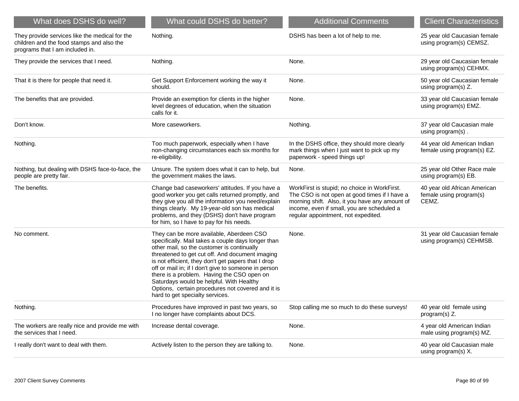| What does DSHS do well?                                                                                                        | What could DSHS do better?                                                                                                                                                                                                                                                                                                                                                                                                                                                                       | <b>Additional Comments</b>                                                                                                                                                                                                           | <b>Client Characteristics</b>                                    |
|--------------------------------------------------------------------------------------------------------------------------------|--------------------------------------------------------------------------------------------------------------------------------------------------------------------------------------------------------------------------------------------------------------------------------------------------------------------------------------------------------------------------------------------------------------------------------------------------------------------------------------------------|--------------------------------------------------------------------------------------------------------------------------------------------------------------------------------------------------------------------------------------|------------------------------------------------------------------|
| They provide services like the medical for the<br>children and the food stamps and also the<br>programs that I am included in. | Nothing.                                                                                                                                                                                                                                                                                                                                                                                                                                                                                         | DSHS has been a lot of help to me.                                                                                                                                                                                                   | 25 year old Caucasian female<br>using program(s) CEMSZ.          |
| They provide the services that I need.                                                                                         | Nothing.                                                                                                                                                                                                                                                                                                                                                                                                                                                                                         | None.                                                                                                                                                                                                                                | 29 year old Caucasian female<br>using program(s) CEHMX.          |
| That it is there for people that need it.                                                                                      | Get Support Enforcement working the way it<br>should.                                                                                                                                                                                                                                                                                                                                                                                                                                            | None.                                                                                                                                                                                                                                | 50 year old Caucasian female<br>using program(s) Z.              |
| The benefits that are provided.                                                                                                | Provide an exemption for clients in the higher<br>level degrees of education, when the situation<br>calls for it.                                                                                                                                                                                                                                                                                                                                                                                | None.                                                                                                                                                                                                                                | 33 year old Caucasian female<br>using program(s) EMZ.            |
| Don't know.                                                                                                                    | More caseworkers.                                                                                                                                                                                                                                                                                                                                                                                                                                                                                | Nothing.                                                                                                                                                                                                                             | 37 year old Caucasian male<br>using program(s).                  |
| Nothing.                                                                                                                       | Too much paperwork, especially when I have<br>non-changing circumstances each six months for<br>re-eligibility.                                                                                                                                                                                                                                                                                                                                                                                  | In the DSHS office, they should more clearly<br>mark things when I just want to pick up my<br>paperwork - speed things up!                                                                                                           | 44 year old American Indian<br>female using program(s) EZ.       |
| Nothing, but dealing with DSHS face-to-face, the<br>people are pretty fair.                                                    | Unsure. The system does what it can to help, but<br>the government makes the laws.                                                                                                                                                                                                                                                                                                                                                                                                               | None.                                                                                                                                                                                                                                | 25 year old Other Race male<br>using program(s) EB.              |
| The benefits.                                                                                                                  | Change bad caseworkers' attitudes. If you have a<br>good worker you get calls returned promptly, and<br>they give you all the information you need/explain<br>things clearly. My 19-year-old son has medical<br>problems, and they (DSHS) don't have program<br>for him, so I have to pay for his needs.                                                                                                                                                                                         | WorkFirst is stupid; no choice in WorkFirst.<br>The CSO is not open at good times if I have a<br>morning shift. Also, it you have any amount of<br>income, even if small, you are scheduled a<br>regular appointment, not expedited. | 40 year old African American<br>female using program(s)<br>CEMZ. |
| No comment.                                                                                                                    | They can be more available, Aberdeen CSO<br>specifically. Mail takes a couple days longer than<br>other mail, so the customer is continually<br>threatened to get cut off. And document imaging<br>is not efficient, they don't get papers that I drop<br>off or mail in; if I don't give to someone in person<br>there is a problem. Having the CSO open on<br>Saturdays would be helpful. With Healthy<br>Options, certain procedures not covered and it is<br>hard to get specialty services. | None.                                                                                                                                                                                                                                | 31 year old Caucasian female<br>using program(s) CEHMSB.         |
| Nothing.                                                                                                                       | Procedures have improved in past two years, so<br>I no longer have complaints about DCS.                                                                                                                                                                                                                                                                                                                                                                                                         | Stop calling me so much to do these surveys!                                                                                                                                                                                         | 40 year old female using<br>program(s) Z.                        |
| The workers are really nice and provide me with<br>the services that I need.                                                   | Increase dental coverage.                                                                                                                                                                                                                                                                                                                                                                                                                                                                        | None.                                                                                                                                                                                                                                | 4 year old American Indian<br>male using program(s) MZ.          |
| I really don't want to deal with them.                                                                                         | Actively listen to the person they are talking to.                                                                                                                                                                                                                                                                                                                                                                                                                                               | None.                                                                                                                                                                                                                                | 40 year old Caucasian male<br>using program(s) X.                |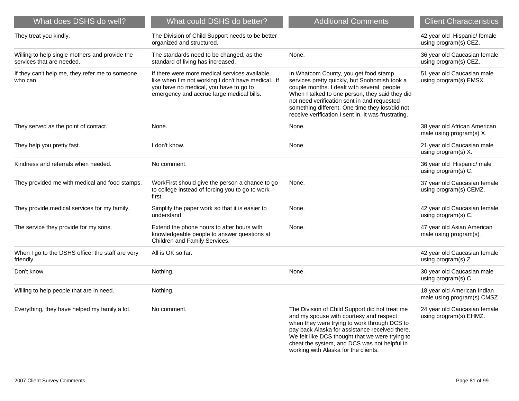| What does DSHS do well?                                                     | What could DSHS do better?                                                                                                                                                                  | <b>Additional Comments</b>                                                                                                                                                                                                                                                                                                                        | <b>Client Characteristics</b>                              |
|-----------------------------------------------------------------------------|---------------------------------------------------------------------------------------------------------------------------------------------------------------------------------------------|---------------------------------------------------------------------------------------------------------------------------------------------------------------------------------------------------------------------------------------------------------------------------------------------------------------------------------------------------|------------------------------------------------------------|
| They treat you kindly.                                                      | The Division of Child Support needs to be better<br>organized and structured.                                                                                                               |                                                                                                                                                                                                                                                                                                                                                   | 42 year old Hispanic/ female<br>using program(s) CEZ.      |
| Willing to help single mothers and provide the<br>services that are needed. | The standards need to be changed, as the<br>standard of living has increased.                                                                                                               | None.                                                                                                                                                                                                                                                                                                                                             | 36 year old Caucasian female<br>using program(s) CEZ.      |
| If they can't help me, they refer me to someone<br>who can.                 | If there were more medical services available.<br>like when I'm not working I don't have medical. If<br>you have no medical, you have to go to<br>emergency and accrue large medical bills. | In Whatcom County, you get food stamp<br>services pretty quickly, but Snohomish took a<br>couple months. I dealt with several people.<br>When I talked to one person, they said they did<br>not need verification sent in and requested<br>something different. One time they lost/did not<br>receive verification I sent in. It was frustrating. | 51 year old Caucasian male<br>using program(s) EMSX.       |
| They served as the point of contact.                                        | None.                                                                                                                                                                                       | None.                                                                                                                                                                                                                                                                                                                                             | 38 year old African American<br>male using program(s) X.   |
| They help you pretty fast.                                                  | I don't know.                                                                                                                                                                               | None.                                                                                                                                                                                                                                                                                                                                             | 21 year old Caucasian male<br>using program(s) X.          |
| Kindness and referrals when needed.                                         | No comment.                                                                                                                                                                                 |                                                                                                                                                                                                                                                                                                                                                   | 36 year old Hispanic/ male<br>using program(s) C.          |
| They provided me with medical and food stamps.                              | WorkFirst should give the person a chance to go<br>to college instead of forcing you to go to work<br>first.                                                                                | None.                                                                                                                                                                                                                                                                                                                                             | 37 year old Caucasian female<br>using program(s) CEMZ.     |
| They provide medical services for my family.                                | Simplify the paper work so that it is easier to<br>understand.                                                                                                                              | None.                                                                                                                                                                                                                                                                                                                                             | 42 year old Caucasian female<br>using program(s) C.        |
| The service they provide for my sons.                                       | Extend the phone hours to after hours with<br>knowledgeable people to answer questions at<br>Children and Family Services.                                                                  | None.                                                                                                                                                                                                                                                                                                                                             | 47 year old Asian American<br>male using program(s).       |
| When I go to the DSHS office, the staff are very<br>friendly.               | All is OK so far.                                                                                                                                                                           |                                                                                                                                                                                                                                                                                                                                                   | 42 year old Caucasian female<br>using program(s) Z.        |
| Don't know.                                                                 | Nothing.                                                                                                                                                                                    | None.                                                                                                                                                                                                                                                                                                                                             | 30 year old Caucasian male<br>using program(s) C.          |
| Willing to help people that are in need.                                    | Nothing.                                                                                                                                                                                    |                                                                                                                                                                                                                                                                                                                                                   | 18 year old American Indian<br>male using program(s) CMSZ. |
| Everything, they have helped my family a lot.                               | No comment.                                                                                                                                                                                 | The Division of Child Support did not treat me<br>and my spouse with courtesy and respect<br>when they were trying to work through DCS to<br>pay back Alaska for assistance received there.<br>We felt like DCS thought that we were trying to<br>cheat the system, and DCS was not helpful in<br>working with Alaska for the clients.            | 24 year old Caucasian female<br>using program(s) EHMZ.     |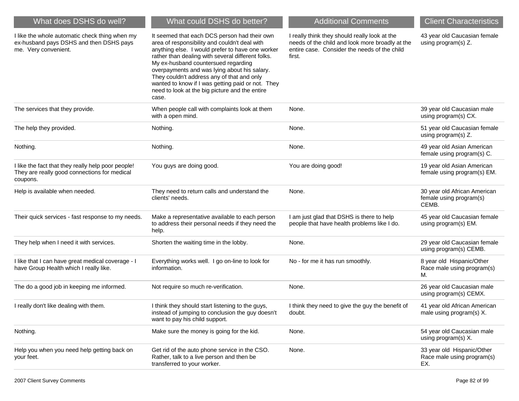| What does DSHS do well?                                                                                           | What could DSHS do better?                                                                                                                                                                                                                                                                                                                                                                                                                                  | <b>Additional Comments</b>                                                                                                                                 | <b>Client Characteristics</b>                                    |
|-------------------------------------------------------------------------------------------------------------------|-------------------------------------------------------------------------------------------------------------------------------------------------------------------------------------------------------------------------------------------------------------------------------------------------------------------------------------------------------------------------------------------------------------------------------------------------------------|------------------------------------------------------------------------------------------------------------------------------------------------------------|------------------------------------------------------------------|
| I like the whole automatic check thing when my<br>ex-husband pays DSHS and then DSHS pays<br>me. Very convenient. | It seemed that each DCS person had their own<br>area of responsibility and couldn't deal with<br>anything else. I would prefer to have one worker<br>rather than dealing with several different folks.<br>My ex-husband countersued regarding<br>overpayments and was lying about his salary.<br>They couldn't address any of that and only<br>wanted to know if I was getting paid or not. They<br>need to look at the big picture and the entire<br>case. | I really think they should really look at the<br>needs of the child and look more broadly at the<br>entire case. Consider the needs of the child<br>first. | 43 year old Caucasian female<br>using program(s) Z.              |
| The services that they provide.                                                                                   | When people call with complaints look at them<br>with a open mind.                                                                                                                                                                                                                                                                                                                                                                                          | None.                                                                                                                                                      | 39 year old Caucasian male<br>using program(s) CX.               |
| The help they provided.                                                                                           | Nothing.                                                                                                                                                                                                                                                                                                                                                                                                                                                    | None.                                                                                                                                                      | 51 year old Caucasian female<br>using program(s) Z.              |
| Nothing.                                                                                                          | Nothing.                                                                                                                                                                                                                                                                                                                                                                                                                                                    | None.                                                                                                                                                      | 49 year old Asian American<br>female using program(s) C.         |
| I like the fact that they really help poor people!<br>They are really good connections for medical<br>coupons.    | You guys are doing good.                                                                                                                                                                                                                                                                                                                                                                                                                                    | You are doing good!                                                                                                                                        | 19 year old Asian American<br>female using program(s) EM.        |
| Help is available when needed.                                                                                    | They need to return calls and understand the<br>clients' needs.                                                                                                                                                                                                                                                                                                                                                                                             | None.                                                                                                                                                      | 30 year old African American<br>female using program(s)<br>CEMB. |
| Their quick services - fast response to my needs.                                                                 | Make a representative available to each person<br>to address their personal needs if they need the<br>help.                                                                                                                                                                                                                                                                                                                                                 | I am just glad that DSHS is there to help<br>people that have health problems like I do.                                                                   | 45 year old Caucasian female<br>using program(s) EM.             |
| They help when I need it with services.                                                                           | Shorten the waiting time in the lobby.                                                                                                                                                                                                                                                                                                                                                                                                                      | None.                                                                                                                                                      | 29 year old Caucasian female<br>using program(s) CEMB.           |
| I like that I can have great medical coverage - I<br>have Group Health which I really like.                       | Everything works well. I go on-line to look for<br>information.                                                                                                                                                                                                                                                                                                                                                                                             | No - for me it has run smoothly.                                                                                                                           | 8 year old Hispanic/Other<br>Race male using program(s)<br>М.    |
| The do a good job in keeping me informed.                                                                         | Not require so much re-verification.                                                                                                                                                                                                                                                                                                                                                                                                                        | None.                                                                                                                                                      | 26 year old Caucasian male<br>using program(s) CEMX.             |
| I really don't like dealing with them.                                                                            | I think they should start listening to the guys,<br>instead of jumping to conclusion the guy doesn't<br>want to pay his child support.                                                                                                                                                                                                                                                                                                                      | I think they need to give the guy the benefit of<br>doubt.                                                                                                 | 41 year old African American<br>male using program(s) X.         |
| Nothing.                                                                                                          | Make sure the money is going for the kid.                                                                                                                                                                                                                                                                                                                                                                                                                   | None.                                                                                                                                                      | 54 year old Caucasian male<br>using program(s) X.                |
| Help you when you need help getting back on<br>your feet.                                                         | Get rid of the auto phone service in the CSO.<br>Rather, talk to a live person and then be<br>transferred to your worker.                                                                                                                                                                                                                                                                                                                                   | None.                                                                                                                                                      | 33 year old Hispanic/Other<br>Race male using program(s)<br>EX.  |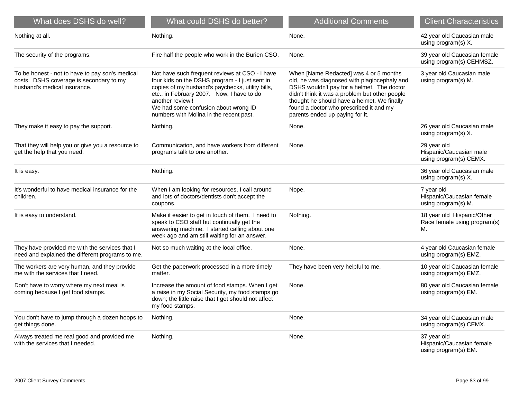| What does DSHS do well?                                                                                                    | What could DSHS do better?                                                                                                                                                                                                                                                                               | <b>Additional Comments</b>                                                                                                                                                                                                                                                                                          | <b>Client Characteristics</b>                                    |
|----------------------------------------------------------------------------------------------------------------------------|----------------------------------------------------------------------------------------------------------------------------------------------------------------------------------------------------------------------------------------------------------------------------------------------------------|---------------------------------------------------------------------------------------------------------------------------------------------------------------------------------------------------------------------------------------------------------------------------------------------------------------------|------------------------------------------------------------------|
| Nothing at all.                                                                                                            | Nothing.                                                                                                                                                                                                                                                                                                 | None.                                                                                                                                                                                                                                                                                                               | 42 year old Caucasian male<br>using program(s) X.                |
| The security of the programs.                                                                                              | Fire half the people who work in the Burien CSO.                                                                                                                                                                                                                                                         | None.                                                                                                                                                                                                                                                                                                               | 39 year old Caucasian female<br>using program(s) CEHMSZ.         |
| To be honest - not to have to pay son's medical<br>costs. DSHS coverage is secondary to my<br>husband's medical insurance. | Not have such frequent reviews at CSO - I have<br>four kids on the DSHS program - I just sent in<br>copies of my husband's paychecks, utility bills,<br>etc., in February 2007. Now, I have to do<br>another review!!<br>We had some confusion about wrong ID<br>numbers with Molina in the recent past. | When [Name Redacted] was 4 or 5 months<br>old, he was diagnosed with plagiocephaly and<br>DSHS wouldn't pay for a helmet. The doctor<br>didn't think it was a problem but other people<br>thought he should have a helmet. We finally<br>found a doctor who prescribed it and my<br>parents ended up paying for it. | 3 year old Caucasian male<br>using program(s) M.                 |
| They make it easy to pay the support.                                                                                      | Nothing.                                                                                                                                                                                                                                                                                                 | None.                                                                                                                                                                                                                                                                                                               | 26 year old Caucasian male<br>using program(s) X.                |
| That they will help you or give you a resource to<br>get the help that you need.                                           | Communication, and have workers from different<br>programs talk to one another.                                                                                                                                                                                                                          | None.                                                                                                                                                                                                                                                                                                               | 29 year old<br>Hispanic/Caucasian male<br>using program(s) CEMX. |
| It is easy.                                                                                                                | Nothing.                                                                                                                                                                                                                                                                                                 |                                                                                                                                                                                                                                                                                                                     | 36 year old Caucasian male<br>using program(s) X.                |
| It's wonderful to have medical insurance for the<br>children.                                                              | When I am looking for resources, I call around<br>and lots of doctors/dentists don't accept the<br>coupons.                                                                                                                                                                                              | Nope.                                                                                                                                                                                                                                                                                                               | 7 year old<br>Hispanic/Caucasian female<br>using program(s) M.   |
| It is easy to understand.                                                                                                  | Make it easier to get in touch of them. I need to<br>speak to CSO staff but continually get the<br>answering machine. I started calling about one<br>week ago and am still waiting for an answer.                                                                                                        | Nothing.                                                                                                                                                                                                                                                                                                            | 18 year old Hispanic/Other<br>Race female using program(s)<br>М. |
| They have provided me with the services that I<br>need and explained the different programs to me.                         | Not so much waiting at the local office.                                                                                                                                                                                                                                                                 | None.                                                                                                                                                                                                                                                                                                               | 4 year old Caucasian female<br>using program(s) EMZ.             |
| The workers are very human, and they provide<br>me with the services that I need.                                          | Get the paperwork processed in a more timely<br>matter.                                                                                                                                                                                                                                                  | They have been very helpful to me.                                                                                                                                                                                                                                                                                  | 10 year old Caucasian female<br>using program(s) EMZ.            |
| Don't have to worry where my next meal is<br>coming because I get food stamps.                                             | Increase the amount of food stamps. When I get<br>a raise in my Social Security, my food stamps go<br>down; the little raise that I get should not affect<br>my food stamps.                                                                                                                             | None.                                                                                                                                                                                                                                                                                                               | 80 year old Caucasian female<br>using program(s) EM.             |
| You don't have to jump through a dozen hoops to<br>get things done.                                                        | Nothing.                                                                                                                                                                                                                                                                                                 | None.                                                                                                                                                                                                                                                                                                               | 34 year old Caucasian male<br>using program(s) CEMX.             |
| Always treated me real good and provided me<br>with the services that I needed.                                            | Nothing.                                                                                                                                                                                                                                                                                                 | None.                                                                                                                                                                                                                                                                                                               | 37 year old<br>Hispanic/Caucasian female<br>using program(s) EM. |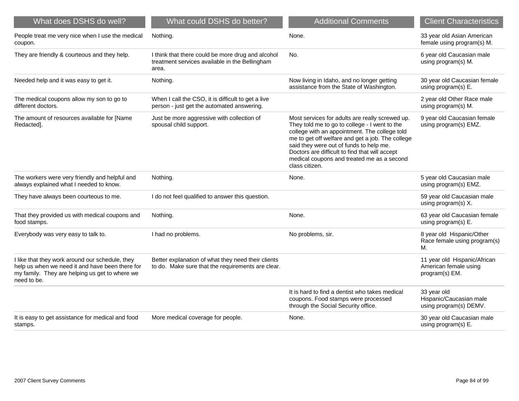| What does DSHS do well?                                                                                                                                             | What could DSHS do better?                                                                                   | <b>Additional Comments</b>                                                                                                                                                                                                                                                                                                                                         | <b>Client Characteristics</b>                                           |
|---------------------------------------------------------------------------------------------------------------------------------------------------------------------|--------------------------------------------------------------------------------------------------------------|--------------------------------------------------------------------------------------------------------------------------------------------------------------------------------------------------------------------------------------------------------------------------------------------------------------------------------------------------------------------|-------------------------------------------------------------------------|
| People treat me very nice when I use the medical<br>coupon.                                                                                                         | Nothing.                                                                                                     | None.                                                                                                                                                                                                                                                                                                                                                              | 33 year old Asian American<br>female using program(s) M.                |
| They are friendly & courteous and they help.                                                                                                                        | I think that there could be more drug and alcohol<br>treatment services available in the Bellingham<br>area. | No.                                                                                                                                                                                                                                                                                                                                                                | 6 year old Caucasian male<br>using program(s) M.                        |
| Needed help and it was easy to get it.                                                                                                                              | Nothing.                                                                                                     | Now living in Idaho, and no longer getting<br>assistance from the State of Washington.                                                                                                                                                                                                                                                                             | 30 year old Caucasian female<br>using program(s) E.                     |
| The medical coupons allow my son to go to<br>different doctors.                                                                                                     | When I call the CSO, it is difficult to get a live<br>person - just get the automated answering.             |                                                                                                                                                                                                                                                                                                                                                                    | 2 year old Other Race male<br>using program(s) M.                       |
| The amount of resources available for [Name<br>Redacted].                                                                                                           | Just be more aggressive with collection of<br>spousal child support.                                         | Most services for adults are really screwed up.<br>They told me to go to college - I went to the<br>college with an appointment. The college told<br>me to get off welfare and get a job. The college<br>said they were out of funds to help me.<br>Doctors are difficult to find that will accept<br>medical coupons and treated me as a second<br>class citizen. | 9 year old Caucasian female<br>using program(s) EMZ.                    |
| The workers were very friendly and helpful and<br>always explained what I needed to know.                                                                           | Nothing.                                                                                                     | None.                                                                                                                                                                                                                                                                                                                                                              | 5 year old Caucasian male<br>using program(s) EMZ.                      |
| They have always been courteous to me.                                                                                                                              | I do not feel qualified to answer this question.                                                             |                                                                                                                                                                                                                                                                                                                                                                    | 59 year old Caucasian male<br>using program(s) X.                       |
| That they provided us with medical coupons and<br>food stamps.                                                                                                      | Nothing.                                                                                                     | None.                                                                                                                                                                                                                                                                                                                                                              | 63 year old Caucasian female<br>using program(s) E.                     |
| Everybody was very easy to talk to.                                                                                                                                 | I had no problems.                                                                                           | No problems, sir.                                                                                                                                                                                                                                                                                                                                                  | 8 year old Hispanic/Other<br>Race female using program(s)<br>М.         |
| I like that they work around our schedule, they<br>help us when we need it and have been there for<br>my family. They are helping us get to where we<br>need to be. | Better explanation of what they need their clients<br>to do. Make sure that the requirements are clear.      |                                                                                                                                                                                                                                                                                                                                                                    | 11 year old Hispanic/African<br>American female using<br>program(s) EM. |
|                                                                                                                                                                     |                                                                                                              | It is hard to find a dentist who takes medical<br>coupons. Food stamps were processed<br>through the Social Security office.                                                                                                                                                                                                                                       | 33 year old<br>Hispanic/Caucasian male<br>using program(s) DEMV.        |
| It is easy to get assistance for medical and food<br>stamps.                                                                                                        | More medical coverage for people.                                                                            | None.                                                                                                                                                                                                                                                                                                                                                              | 30 year old Caucasian male<br>using program(s) E.                       |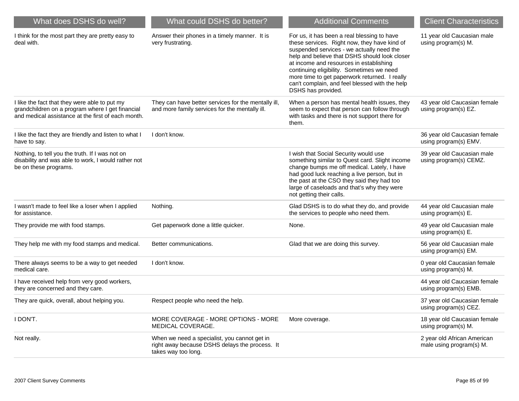| What does DSHS do well?                                                                                                                                 | What could DSHS do better?                                                                                            | <b>Additional Comments</b>                                                                                                                                                                                                                                                                                                                                                                                 | <b>Client Characteristics</b>                           |
|---------------------------------------------------------------------------------------------------------------------------------------------------------|-----------------------------------------------------------------------------------------------------------------------|------------------------------------------------------------------------------------------------------------------------------------------------------------------------------------------------------------------------------------------------------------------------------------------------------------------------------------------------------------------------------------------------------------|---------------------------------------------------------|
| I think for the most part they are pretty easy to<br>deal with.                                                                                         | Answer their phones in a timely manner. It is<br>very frustrating.                                                    | For us, it has been a real blessing to have<br>these services. Right now, they have kind of<br>suspended services - we actually need the<br>help and believe that DSHS should look closer<br>at income and resources in establishing<br>continuing eligibility. Sometimes we need<br>more time to get paperwork returned. I really<br>can't complain, and feel blessed with the help<br>DSHS has provided. | 11 year old Caucasian male<br>using program(s) M.       |
| I like the fact that they were able to put my<br>grandchildren on a program where I get financial<br>and medical assistance at the first of each month. | They can have better services for the mentally ill,<br>and more family services for the mentally ill.                 | When a person has mental health issues, they<br>seem to expect that person can follow through<br>with tasks and there is not support there for<br>them.                                                                                                                                                                                                                                                    | 43 year old Caucasian female<br>using program(s) EZ.    |
| I like the fact they are friendly and listen to what I<br>have to say.                                                                                  | I don't know.                                                                                                         |                                                                                                                                                                                                                                                                                                                                                                                                            | 36 year old Caucasian female<br>using program(s) EMV.   |
| Nothing, to tell you the truth. If I was not on<br>disability and was able to work, I would rather not<br>be on these programs.                         |                                                                                                                       | I wish that Social Security would use<br>something similar to Quest card. Slight income<br>change bumps me off medical. Lately, I have<br>had good luck reaching a live person, but in<br>the past at the CSO they said they had too<br>large of caseloads and that's why they were<br>not getting their calls.                                                                                            | 39 year old Caucasian male<br>using program(s) CEMZ.    |
| I wasn't made to feel like a loser when I applied<br>for assistance.                                                                                    | Nothing.                                                                                                              | Glad DSHS is to do what they do, and provide<br>the services to people who need them.                                                                                                                                                                                                                                                                                                                      | 44 year old Caucasian male<br>using program(s) E.       |
| They provide me with food stamps.                                                                                                                       | Get paperwork done a little quicker.                                                                                  | None.                                                                                                                                                                                                                                                                                                                                                                                                      | 49 year old Caucasian male<br>using program(s) E.       |
| They help me with my food stamps and medical.                                                                                                           | Better communications.                                                                                                | Glad that we are doing this survey.                                                                                                                                                                                                                                                                                                                                                                        | 56 year old Caucasian male<br>using program(s) EM.      |
| There always seems to be a way to get needed<br>medical care.                                                                                           | I don't know.                                                                                                         |                                                                                                                                                                                                                                                                                                                                                                                                            | 0 year old Caucasian female<br>using program(s) M.      |
| I have received help from very good workers,<br>they are concerned and they care.                                                                       |                                                                                                                       |                                                                                                                                                                                                                                                                                                                                                                                                            | 44 year old Caucasian female<br>using program(s) EMB.   |
| They are quick, overall, about helping you.                                                                                                             | Respect people who need the help.                                                                                     |                                                                                                                                                                                                                                                                                                                                                                                                            | 37 year old Caucasian female<br>using program(s) CEZ.   |
| I DON'T.                                                                                                                                                | MORE COVERAGE - MORE OPTIONS - MORE<br>MEDICAL COVERAGE.                                                              | More coverage.                                                                                                                                                                                                                                                                                                                                                                                             | 18 year old Caucasian female<br>using program(s) M.     |
| Not really.                                                                                                                                             | When we need a specialist, you cannot get in<br>right away because DSHS delays the process. It<br>takes way too long. |                                                                                                                                                                                                                                                                                                                                                                                                            | 2 year old African American<br>male using program(s) M. |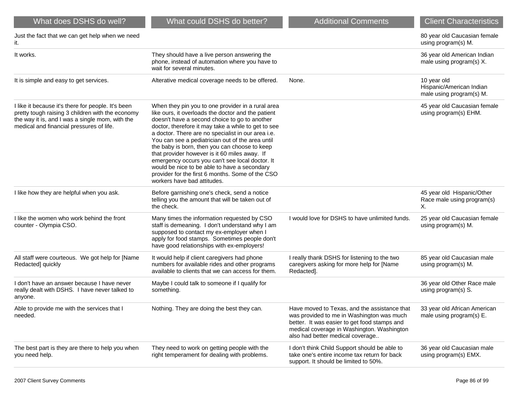| What does DSHS do well?                                                                                                                                                                               | What could DSHS do better?                                                                                                                                                                                                                                                                                                                                                                                                                                                                                                                                                                                        | <b>Additional Comments</b>                                                                                                                                                                                                  | <b>Client Characteristics</b>                                       |
|-------------------------------------------------------------------------------------------------------------------------------------------------------------------------------------------------------|-------------------------------------------------------------------------------------------------------------------------------------------------------------------------------------------------------------------------------------------------------------------------------------------------------------------------------------------------------------------------------------------------------------------------------------------------------------------------------------------------------------------------------------------------------------------------------------------------------------------|-----------------------------------------------------------------------------------------------------------------------------------------------------------------------------------------------------------------------------|---------------------------------------------------------------------|
| Just the fact that we can get help when we need<br>it.                                                                                                                                                |                                                                                                                                                                                                                                                                                                                                                                                                                                                                                                                                                                                                                   |                                                                                                                                                                                                                             | 80 year old Caucasian female<br>using program(s) M.                 |
| It works.                                                                                                                                                                                             | They should have a live person answering the<br>phone, instead of automation where you have to<br>wait for several minutes.                                                                                                                                                                                                                                                                                                                                                                                                                                                                                       |                                                                                                                                                                                                                             | 36 year old American Indian<br>male using program(s) X.             |
| It is simple and easy to get services.                                                                                                                                                                | Alterative medical coverage needs to be offered.                                                                                                                                                                                                                                                                                                                                                                                                                                                                                                                                                                  | None.                                                                                                                                                                                                                       | 10 year old<br>Hispanic/American Indian<br>male using program(s) M. |
| I like it because it's there for people. It's been<br>pretty tough raising 3 children with the economy<br>the way it is, and I was a single mom, with the<br>medical and financial pressures of life. | When they pin you to one provider in a rural area<br>like ours, it overloads the doctor and the patient<br>doesn't have a second choice to go to another<br>doctor, therefore it may take a while to get to see<br>a doctor. There are no specialist in our area i.e.<br>You can see a pediatrician out of the area until<br>the baby is born, then you can choose to keep<br>that provider however is it 60 miles away. If<br>emergency occurs you can't see local doctor. It<br>would be nice to be able to have a secondary<br>provider for the first 6 months. Some of the CSO<br>workers have bad attitudes. |                                                                                                                                                                                                                             | 45 year old Caucasian female<br>using program(s) EHM.               |
| I like how they are helpful when you ask.                                                                                                                                                             | Before garnishing one's check, send a notice<br>telling you the amount that will be taken out of<br>the check.                                                                                                                                                                                                                                                                                                                                                                                                                                                                                                    |                                                                                                                                                                                                                             | 45 year old Hispanic/Other<br>Race male using program(s)<br>X.      |
| I like the women who work behind the front<br>counter - Olympia CSO.                                                                                                                                  | Many times the information requested by CSO<br>staff is demeaning. I don't understand why I am<br>supposed to contact my ex-employer when I<br>apply for food stamps. Sometimes people don't<br>have good relationships with ex-employers!                                                                                                                                                                                                                                                                                                                                                                        | I would love for DSHS to have unlimited funds.                                                                                                                                                                              | 25 year old Caucasian female<br>using program(s) M.                 |
| All staff were courteous. We got help for [Name<br>Redacted] quickly                                                                                                                                  | It would help if client caregivers had phone<br>numbers for available rides and other programs<br>available to clients that we can access for them.                                                                                                                                                                                                                                                                                                                                                                                                                                                               | I really thank DSHS for listening to the two<br>caregivers asking for more help for [Name<br>Redacted].                                                                                                                     | 85 year old Caucasian male<br>using program(s) M.                   |
| I don't have an answer because I have never<br>really dealt with DSHS. I have never talked to<br>anyone.                                                                                              | Maybe I could talk to someone if I qualify for<br>something.                                                                                                                                                                                                                                                                                                                                                                                                                                                                                                                                                      |                                                                                                                                                                                                                             | 36 year old Other Race male<br>using program(s) S.                  |
| Able to provide me with the services that I<br>needed.                                                                                                                                                | Nothing. They are doing the best they can.                                                                                                                                                                                                                                                                                                                                                                                                                                                                                                                                                                        | Have moved to Texas, and the assistance that<br>was provided to me in Washington was much<br>better. It was easier to get food stamps and<br>medical coverage in Washington. Washington<br>also had better medical coverage | 33 year old African American<br>male using program(s) E.            |
| The best part is they are there to help you when<br>you need help.                                                                                                                                    | They need to work on getting people with the<br>right temperament for dealing with problems.                                                                                                                                                                                                                                                                                                                                                                                                                                                                                                                      | I don't think Child Support should be able to<br>take one's entire income tax return for back<br>support. It should be limited to 50%.                                                                                      | 36 year old Caucasian male<br>using program(s) EMX.                 |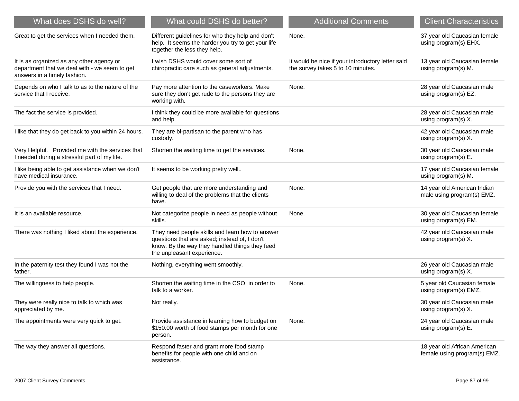| What does DSHS do well?                                                                                                    | What could DSHS do better?                                                                                                                                                       | <b>Additional Comments</b>                                                             | <b>Client Characteristics</b>                                |
|----------------------------------------------------------------------------------------------------------------------------|----------------------------------------------------------------------------------------------------------------------------------------------------------------------------------|----------------------------------------------------------------------------------------|--------------------------------------------------------------|
| Great to get the services when I needed them.                                                                              | Different guidelines for who they help and don't<br>help. It seems the harder you try to get your life<br>together the less they help.                                           | None.                                                                                  | 37 year old Caucasian female<br>using program(s) EHX.        |
| It is as organized as any other agency or<br>department that we deal with - we seem to get<br>answers in a timely fashion. | I wish DSHS would cover some sort of<br>chiropractic care such as general adjustments.                                                                                           | It would be nice if your introductory letter said<br>the survey takes 5 to 10 minutes. | 13 year old Caucasian female<br>using program(s) M.          |
| Depends on who I talk to as to the nature of the<br>service that I receive.                                                | Pay more attention to the caseworkers. Make<br>sure they don't get rude to the persons they are<br>working with.                                                                 | None.                                                                                  | 28 year old Caucasian male<br>using program(s) EZ.           |
| The fact the service is provided.                                                                                          | I think they could be more available for questions<br>and help.                                                                                                                  |                                                                                        | 28 year old Caucasian male<br>using program(s) X.            |
| I like that they do get back to you within 24 hours.                                                                       | They are bi-partisan to the parent who has<br>custody.                                                                                                                           |                                                                                        | 42 year old Caucasian male<br>using program(s) X.            |
| Very Helpful. Provided me with the services that<br>I needed during a stressful part of my life.                           | Shorten the waiting time to get the services.                                                                                                                                    | None.                                                                                  | 30 year old Caucasian male<br>using program(s) E.            |
| I like being able to get assistance when we don't<br>have medical insurance.                                               | It seems to be working pretty well                                                                                                                                               |                                                                                        | 17 year old Caucasian female<br>using program(s) M.          |
| Provide you with the services that I need.                                                                                 | Get people that are more understanding and<br>willing to deal of the problems that the clients<br>have.                                                                          | None.                                                                                  | 14 year old American Indian<br>male using program(s) EMZ.    |
| It is an available resource.                                                                                               | Not categorize people in need as people without<br>skills.                                                                                                                       | None.                                                                                  | 30 year old Caucasian female<br>using program(s) EM.         |
| There was nothing I liked about the experience.                                                                            | They need people skills and learn how to answer<br>questions that are asked; instead of, I don't<br>know. By the way they handled things they feed<br>the unpleasant experience. |                                                                                        | 42 year old Caucasian male<br>using program(s) X.            |
| In the paternity test they found I was not the<br>father.                                                                  | Nothing, everything went smoothly.                                                                                                                                               |                                                                                        | 26 year old Caucasian male<br>using program(s) X.            |
| The willingness to help people.                                                                                            | Shorten the waiting time in the CSO in order to<br>talk to a worker.                                                                                                             | None.                                                                                  | 5 year old Caucasian female<br>using program(s) EMZ.         |
| They were really nice to talk to which was<br>appreciated by me.                                                           | Not really.                                                                                                                                                                      |                                                                                        | 30 year old Caucasian male<br>using program(s) X.            |
| The appointments were very quick to get.                                                                                   | Provide assistance in learning how to budget on<br>\$150.00 worth of food stamps per month for one<br>person.                                                                    | None.                                                                                  | 24 year old Caucasian male<br>using program(s) E.            |
| The way they answer all questions.                                                                                         | Respond faster and grant more food stamp<br>benefits for people with one child and on<br>assistance.                                                                             |                                                                                        | 18 year old African American<br>female using program(s) EMZ. |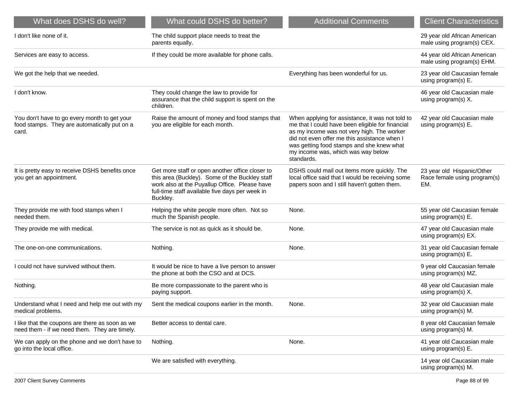| What does DSHS do well?                                                                               | What could DSHS do better?                                                                                                                                                                                        | <b>Additional Comments</b>                                                                                                                                                                                                                                                                          | <b>Client Characteristics</b>                                     |
|-------------------------------------------------------------------------------------------------------|-------------------------------------------------------------------------------------------------------------------------------------------------------------------------------------------------------------------|-----------------------------------------------------------------------------------------------------------------------------------------------------------------------------------------------------------------------------------------------------------------------------------------------------|-------------------------------------------------------------------|
| I don't like none of it.                                                                              | The child support place needs to treat the<br>parents equally.                                                                                                                                                    |                                                                                                                                                                                                                                                                                                     | 29 year old African American<br>male using program(s) CEX.        |
| Services are easy to access.                                                                          | If they could be more available for phone calls.                                                                                                                                                                  |                                                                                                                                                                                                                                                                                                     | 44 year old African American<br>male using program(s) EHM.        |
| We got the help that we needed.                                                                       |                                                                                                                                                                                                                   | Everything has been wonderful for us.                                                                                                                                                                                                                                                               | 23 year old Caucasian female<br>using program(s) E.               |
| I don't know.                                                                                         | They could change the law to provide for<br>assurance that the child support is spent on the<br>children.                                                                                                         |                                                                                                                                                                                                                                                                                                     | 46 year old Caucasian male<br>using program(s) X.                 |
| You don't have to go every month to get your<br>food stamps. They are automatically put on a<br>card. | Raise the amount of money and food stamps that<br>you are eligible for each month.                                                                                                                                | When applying for assistance, it was not told to<br>me that I could have been eligible for financial<br>as my income was not very high. The worker<br>did not even offer me this assistance when I<br>was getting food stamps and she knew what<br>my income was, which was way below<br>standards. | 42 year old Caucasian male<br>using program(s) E.                 |
| It is pretty easy to receive DSHS benefits once<br>you get an appointment.                            | Get more staff or open another office closer to<br>this area (Buckley). Some of the Buckley staff<br>work also at the Puyallup Office. Please have<br>full-time staff available five days per week in<br>Buckley. | DSHS could mail out items more quickly. The<br>local office said that I would be receiving some<br>papers soon and I still haven't gotten them.                                                                                                                                                     | 23 year old Hispanic/Other<br>Race female using program(s)<br>EM. |
| They provide me with food stamps when I<br>needed them.                                               | Helping the white people more often. Not so<br>much the Spanish people.                                                                                                                                           | None.                                                                                                                                                                                                                                                                                               | 55 year old Caucasian female<br>using program(s) E.               |
| They provide me with medical.                                                                         | The service is not as quick as it should be.                                                                                                                                                                      | None.                                                                                                                                                                                                                                                                                               | 47 year old Caucasian male<br>using program(s) EX.                |
| The one-on-one communications.                                                                        | Nothing.                                                                                                                                                                                                          | None.                                                                                                                                                                                                                                                                                               | 31 year old Caucasian female<br>using program(s) E.               |
| I could not have survived without them.                                                               | It would be nice to have a live person to answer<br>the phone at both the CSO and at DCS.                                                                                                                         |                                                                                                                                                                                                                                                                                                     | 9 year old Caucasian female<br>using program(s) MZ.               |
| Nothing.                                                                                              | Be more compassionate to the parent who is<br>paying support.                                                                                                                                                     |                                                                                                                                                                                                                                                                                                     | 48 year old Caucasian male<br>using program(s) X.                 |
| Understand what I need and help me out with my<br>medical problems.                                   | Sent the medical coupons earlier in the month.                                                                                                                                                                    | None.                                                                                                                                                                                                                                                                                               | 32 year old Caucasian male<br>using program(s) M.                 |
| I like that the coupons are there as soon as we<br>need them - if we need them. They are timely.      | Better access to dental care.                                                                                                                                                                                     |                                                                                                                                                                                                                                                                                                     | 8 year old Caucasian female<br>using program(s) M.                |
| We can apply on the phone and we don't have to<br>go into the local office.                           | Nothing.                                                                                                                                                                                                          | None.                                                                                                                                                                                                                                                                                               | 41 year old Caucasian male<br>using program(s) E.                 |
|                                                                                                       | We are satisfied with everything.                                                                                                                                                                                 |                                                                                                                                                                                                                                                                                                     | 14 year old Caucasian male<br>using program(s) M.                 |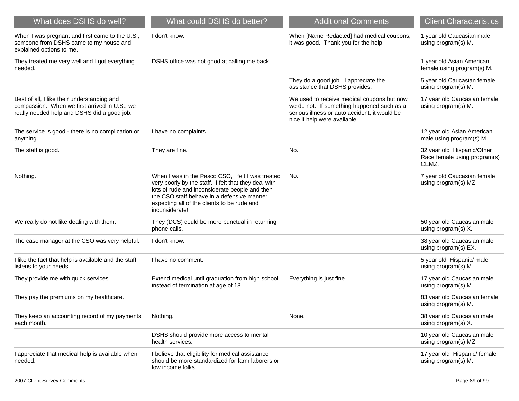| What does DSHS do well?                                                                                                                     | What could DSHS do better?                                                                                                                                                                                                                                                 | <b>Additional Comments</b>                                                                                                                                                | <b>Client Characteristics</b>                                       |
|---------------------------------------------------------------------------------------------------------------------------------------------|----------------------------------------------------------------------------------------------------------------------------------------------------------------------------------------------------------------------------------------------------------------------------|---------------------------------------------------------------------------------------------------------------------------------------------------------------------------|---------------------------------------------------------------------|
| When I was pregnant and first came to the U.S.,<br>someone from DSHS came to my house and<br>explained options to me.                       | I don't know.                                                                                                                                                                                                                                                              | When [Name Redacted] had medical coupons,<br>it was good. Thank you for the help.                                                                                         | 1 year old Caucasian male<br>using program(s) M.                    |
| They treated me very well and I got everything I<br>needed.                                                                                 | DSHS office was not good at calling me back.                                                                                                                                                                                                                               |                                                                                                                                                                           | 1 year old Asian American<br>female using program(s) M.             |
|                                                                                                                                             |                                                                                                                                                                                                                                                                            | They do a good job. I appreciate the<br>assistance that DSHS provides.                                                                                                    | 5 year old Caucasian female<br>using program(s) M.                  |
| Best of all, I like their understanding and<br>compassion. When we first arrived in U.S., we<br>really needed help and DSHS did a good job. |                                                                                                                                                                                                                                                                            | We used to receive medical coupons but now<br>we do not. If something happened such as a<br>serious illness or auto accident, it would be<br>nice if help were available. | 17 year old Caucasian female<br>using program(s) M.                 |
| The service is good - there is no complication or<br>anything.                                                                              | I have no complaints.                                                                                                                                                                                                                                                      |                                                                                                                                                                           | 12 year old Asian American<br>male using program(s) M.              |
| The staff is good.                                                                                                                          | They are fine.                                                                                                                                                                                                                                                             | No.                                                                                                                                                                       | 32 year old Hispanic/Other<br>Race female using program(s)<br>CEMZ. |
| Nothing.                                                                                                                                    | When I was in the Pasco CSO, I felt I was treated<br>very poorly by the staff. I felt that they deal with<br>lots of rude and inconsiderate people and then<br>the CSO staff behave in a defensive manner<br>expecting all of the clients to be rude and<br>inconsiderate! | No.                                                                                                                                                                       | 7 year old Caucasian female<br>using program(s) MZ.                 |
| We really do not like dealing with them.                                                                                                    | They (DCS) could be more punctual in returning<br>phone calls.                                                                                                                                                                                                             |                                                                                                                                                                           | 50 year old Caucasian male<br>using program(s) X.                   |
| The case manager at the CSO was very helpful.                                                                                               | I don't know.                                                                                                                                                                                                                                                              |                                                                                                                                                                           | 38 year old Caucasian male<br>using program(s) EX.                  |
| I like the fact that help is available and the staff<br>listens to your needs.                                                              | I have no comment.                                                                                                                                                                                                                                                         |                                                                                                                                                                           | 5 year old Hispanic/ male<br>using program(s) M.                    |
| They provide me with quick services.                                                                                                        | Extend medical until graduation from high school<br>instead of termination at age of 18.                                                                                                                                                                                   | Everything is just fine.                                                                                                                                                  | 17 year old Caucasian male<br>using program(s) M.                   |
| They pay the premiums on my healthcare.                                                                                                     |                                                                                                                                                                                                                                                                            |                                                                                                                                                                           | 83 year old Caucasian female<br>using program(s) M.                 |
| They keep an accounting record of my payments<br>each month.                                                                                | Nothing.                                                                                                                                                                                                                                                                   | None.                                                                                                                                                                     | 38 year old Caucasian male<br>using program(s) X.                   |
|                                                                                                                                             | DSHS should provide more access to mental<br>health services.                                                                                                                                                                                                              |                                                                                                                                                                           | 10 year old Caucasian male<br>using program(s) MZ.                  |
| I appreciate that medical help is available when<br>needed.                                                                                 | I believe that eligibility for medical assistance<br>should be more standardized for farm laborers or<br>low income folks.                                                                                                                                                 |                                                                                                                                                                           | 17 year old Hispanic/ female<br>using program(s) M.                 |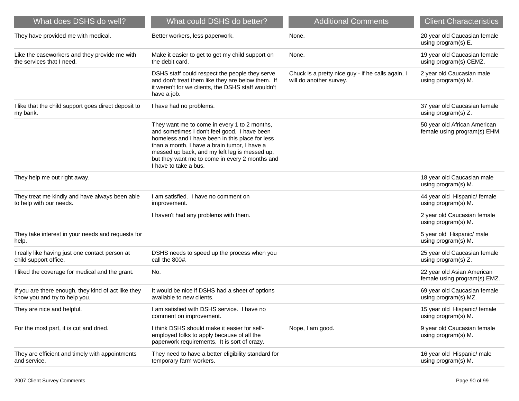| What does DSHS do well?                                                              | What could DSHS do better?                                                                                                                                                                                                                                                                                                  | <b>Additional Comments</b>                                                   | <b>Client Characteristics</b>                                |
|--------------------------------------------------------------------------------------|-----------------------------------------------------------------------------------------------------------------------------------------------------------------------------------------------------------------------------------------------------------------------------------------------------------------------------|------------------------------------------------------------------------------|--------------------------------------------------------------|
| They have provided me with medical.                                                  | Better workers, less paperwork.                                                                                                                                                                                                                                                                                             | None.                                                                        | 20 year old Caucasian female<br>using program(s) E.          |
| Like the caseworkers and they provide me with<br>the services that I need.           | Make it easier to get to get my child support on<br>the debit card.                                                                                                                                                                                                                                                         | None.                                                                        | 19 year old Caucasian female<br>using program(s) CEMZ.       |
|                                                                                      | DSHS staff could respect the people they serve<br>and don't treat them like they are below them. If<br>it weren't for we clients, the DSHS staff wouldn't<br>have a job.                                                                                                                                                    | Chuck is a pretty nice guy - if he calls again, I<br>will do another survey. | 2 year old Caucasian male<br>using program(s) M.             |
| I like that the child support goes direct deposit to<br>my bank.                     | I have had no problems.                                                                                                                                                                                                                                                                                                     |                                                                              | 37 year old Caucasian female<br>using program(s) Z.          |
|                                                                                      | They want me to come in every 1 to 2 months,<br>and sometimes I don't feel good. I have been<br>homeless and I have been in this place for less<br>than a month, I have a brain tumor, I have a<br>messed up back, and my left leg is messed up,<br>but they want me to come in every 2 months and<br>I have to take a bus. |                                                                              | 50 year old African American<br>female using program(s) EHM. |
| They help me out right away.                                                         |                                                                                                                                                                                                                                                                                                                             |                                                                              | 18 year old Caucasian male<br>using program(s) M.            |
| They treat me kindly and have always been able<br>to help with our needs.            | I am satisfied. I have no comment on<br>improvement.                                                                                                                                                                                                                                                                        |                                                                              | 44 year old Hispanic/ female<br>using program(s) M.          |
|                                                                                      | I haven't had any problems with them.                                                                                                                                                                                                                                                                                       |                                                                              | 2 year old Caucasian female<br>using program(s) M.           |
| They take interest in your needs and requests for<br>help.                           |                                                                                                                                                                                                                                                                                                                             |                                                                              | 5 year old Hispanic/ male<br>using program(s) M.             |
| I really like having just one contact person at<br>child support office.             | DSHS needs to speed up the process when you<br>call the 800#.                                                                                                                                                                                                                                                               |                                                                              | 25 year old Caucasian female<br>using program(s) Z.          |
| I liked the coverage for medical and the grant.                                      | No.                                                                                                                                                                                                                                                                                                                         |                                                                              | 22 year old Asian American<br>female using program(s) EMZ.   |
| If you are there enough, they kind of act like they<br>know you and try to help you. | It would be nice if DSHS had a sheet of options<br>available to new clients.                                                                                                                                                                                                                                                |                                                                              | 69 year old Caucasian female<br>using program(s) MZ.         |
| They are nice and helpful.                                                           | I am satisfied with DSHS service. I have no<br>comment on improvement.                                                                                                                                                                                                                                                      |                                                                              | 15 year old Hispanic/ female<br>using program(s) M.          |
| For the most part, it is cut and dried.                                              | I think DSHS should make it easier for self-<br>employed folks to apply because of all the<br>paperwork requirements. It is sort of crazy.                                                                                                                                                                                  | Nope, I am good.                                                             | 9 year old Caucasian female<br>using program(s) M.           |
| They are efficient and timely with appointments<br>and service.                      | They need to have a better eligibility standard for<br>temporary farm workers.                                                                                                                                                                                                                                              |                                                                              | 16 year old Hispanic/ male<br>using program(s) M.            |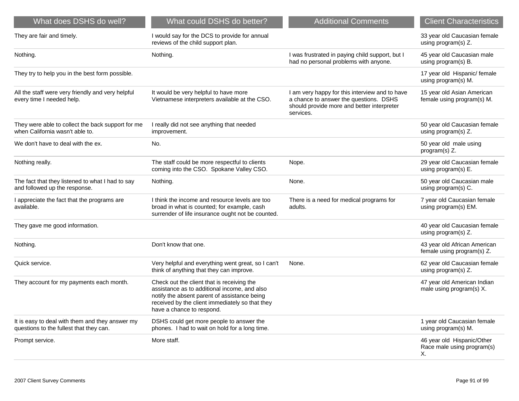| What does DSHS do well?                                                                    | What could DSHS do better?                                                                                                                                                                                                 | <b>Additional Comments</b>                                                                                                                          | <b>Client Characteristics</b>                                  |
|--------------------------------------------------------------------------------------------|----------------------------------------------------------------------------------------------------------------------------------------------------------------------------------------------------------------------------|-----------------------------------------------------------------------------------------------------------------------------------------------------|----------------------------------------------------------------|
| They are fair and timely.                                                                  | I would say for the DCS to provide for annual<br>reviews of the child support plan.                                                                                                                                        |                                                                                                                                                     | 33 year old Caucasian female<br>using program(s) Z.            |
| Nothing.                                                                                   | Nothing.                                                                                                                                                                                                                   | I was frustrated in paying child support, but I<br>had no personal problems with anyone.                                                            | 45 year old Caucasian male<br>using program(s) B.              |
| They try to help you in the best form possible.                                            |                                                                                                                                                                                                                            |                                                                                                                                                     | 17 year old Hispanic/ female<br>using program(s) M.            |
| All the staff were very friendly and very helpful<br>every time I needed help.             | It would be very helpful to have more<br>Vietnamese interpreters available at the CSO.                                                                                                                                     | I am very happy for this interview and to have<br>a chance to answer the questions. DSHS<br>should provide more and better interpreter<br>services. | 15 year old Asian American<br>female using program(s) M.       |
| They were able to collect the back support for me<br>when California wasn't able to.       | I really did not see anything that needed<br>improvement.                                                                                                                                                                  |                                                                                                                                                     | 50 year old Caucasian female<br>using program(s) Z.            |
| We don't have to deal with the ex.                                                         | No.                                                                                                                                                                                                                        |                                                                                                                                                     | 50 year old male using<br>program(s) Z.                        |
| Nothing really.                                                                            | The staff could be more respectful to clients<br>coming into the CSO. Spokane Valley CSO.                                                                                                                                  | Nope.                                                                                                                                               | 29 year old Caucasian female<br>using program(s) E.            |
| The fact that they listened to what I had to say<br>and followed up the response.          | Nothing.                                                                                                                                                                                                                   | None.                                                                                                                                               | 50 year old Caucasian male<br>using program(s) C.              |
| I appreciate the fact that the programs are<br>available.                                  | I think the income and resource levels are too<br>broad in what is counted; for example, cash<br>surrender of life insurance ought not be counted.                                                                         | There is a need for medical programs for<br>adults.                                                                                                 | 7 year old Caucasian female<br>using program(s) EM.            |
| They gave me good information.                                                             |                                                                                                                                                                                                                            |                                                                                                                                                     | 40 year old Caucasian female<br>using program(s) Z.            |
| Nothing.                                                                                   | Don't know that one.                                                                                                                                                                                                       |                                                                                                                                                     | 43 year old African American<br>female using program(s) Z.     |
| Quick service.                                                                             | Very helpful and everything went great, so I can't<br>think of anything that they can improve.                                                                                                                             | None.                                                                                                                                               | 62 year old Caucasian female<br>using program(s) Z.            |
| They account for my payments each month.                                                   | Check out the client that is receiving the<br>assistance as to additional income, and also<br>notify the absent parent of assistance being<br>received by the client immediately so that they<br>have a chance to respond. |                                                                                                                                                     | 47 year old American Indian<br>male using program(s) X.        |
| It is easy to deal with them and they answer my<br>questions to the fullest that they can. | DSHS could get more people to answer the<br>phones. I had to wait on hold for a long time.                                                                                                                                 |                                                                                                                                                     | 1 year old Caucasian female<br>using program(s) M.             |
| Prompt service.                                                                            | More staff.                                                                                                                                                                                                                |                                                                                                                                                     | 46 year old Hispanic/Other<br>Race male using program(s)<br>Х. |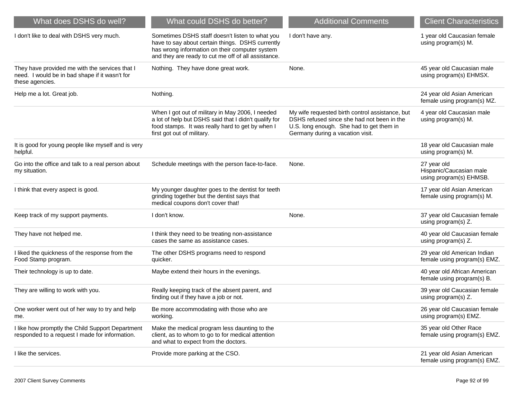| What does DSHS do well?                                                                                             | What could DSHS do better?                                                                                                                                                                                   | <b>Additional Comments</b>                                                                                                                                                    | <b>Client Characteristics</b>                                     |
|---------------------------------------------------------------------------------------------------------------------|--------------------------------------------------------------------------------------------------------------------------------------------------------------------------------------------------------------|-------------------------------------------------------------------------------------------------------------------------------------------------------------------------------|-------------------------------------------------------------------|
| I don't like to deal with DSHS very much.                                                                           | Sometimes DSHS staff doesn't listen to what you<br>have to say about certain things. DSHS currently<br>has wrong information on their computer system<br>and they are ready to cut me off of all assistance. | I don't have any.                                                                                                                                                             | 1 year old Caucasian female<br>using program(s) M.                |
| They have provided me with the services that I<br>need. I would be in bad shape if it wasn't for<br>these agencies. | Nothing. They have done great work.                                                                                                                                                                          | None.                                                                                                                                                                         | 45 year old Caucasian male<br>using program(s) EHMSX.             |
| Help me a lot. Great job.                                                                                           | Nothing.                                                                                                                                                                                                     |                                                                                                                                                                               | 24 year old Asian American<br>female using program(s) MZ.         |
|                                                                                                                     | When I got out of military in May 2006, I needed<br>a lot of help but DSHS said that I didn't qualify for<br>food stamps. It was really hard to get by when I<br>first got out of military.                  | My wife requested birth control assistance, but<br>DSHS refused since she had not been in the<br>U.S. long enough. She had to get them in<br>Germany during a vacation visit. | 4 year old Caucasian male<br>using program(s) M.                  |
| It is good for young people like myself and is very<br>helpful.                                                     |                                                                                                                                                                                                              |                                                                                                                                                                               | 18 year old Caucasian male<br>using program(s) M.                 |
| Go into the office and talk to a real person about<br>my situation.                                                 | Schedule meetings with the person face-to-face.                                                                                                                                                              | None.                                                                                                                                                                         | 27 year old<br>Hispanic/Caucasian male<br>using program(s) EHMSB. |
| I think that every aspect is good.                                                                                  | My younger daughter goes to the dentist for teeth<br>grinding together but the dentist says that<br>medical coupons don't cover that!                                                                        |                                                                                                                                                                               | 17 year old Asian American<br>female using program(s) M.          |
| Keep track of my support payments.                                                                                  | I don't know.                                                                                                                                                                                                | None.                                                                                                                                                                         | 37 year old Caucasian female<br>using program(s) Z.               |
| They have not helped me.                                                                                            | I think they need to be treating non-assistance<br>cases the same as assistance cases.                                                                                                                       |                                                                                                                                                                               | 40 year old Caucasian female<br>using program(s) Z.               |
| I liked the quickness of the response from the<br>Food Stamp program.                                               | The other DSHS programs need to respond<br>quicker.                                                                                                                                                          |                                                                                                                                                                               | 29 year old American Indian<br>female using program(s) EMZ.       |
| Their technology is up to date.                                                                                     | Maybe extend their hours in the evenings.                                                                                                                                                                    |                                                                                                                                                                               | 40 year old African American<br>female using program(s) B.        |
| They are willing to work with you.                                                                                  | Really keeping track of the absent parent, and<br>finding out if they have a job or not.                                                                                                                     |                                                                                                                                                                               | 39 year old Caucasian female<br>using program(s) Z.               |
| One worker went out of her way to try and help<br>me.                                                               | Be more accommodating with those who are<br>working.                                                                                                                                                         |                                                                                                                                                                               | 26 year old Caucasian female<br>using program(s) EMZ.             |
| I like how promptly the Child Support Department<br>responded to a request I made for information.                  | Make the medical program less daunting to the<br>client, as to whom to go to for medical attention<br>and what to expect from the doctors.                                                                   |                                                                                                                                                                               | 35 year old Other Race<br>female using program(s) EMZ.            |
| I like the services.                                                                                                | Provide more parking at the CSO.                                                                                                                                                                             |                                                                                                                                                                               | 21 year old Asian American<br>female using program(s) EMZ.        |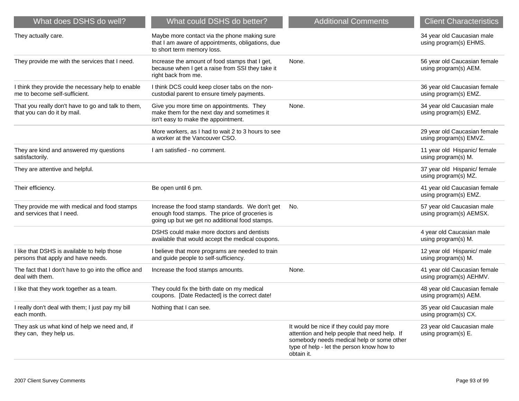| What does DSHS do well?                                                            | What could DSHS do better?                                                                                                                         | <b>Additional Comments</b>                                                                                                                                                                      | <b>Client Characteristics</b>                           |
|------------------------------------------------------------------------------------|----------------------------------------------------------------------------------------------------------------------------------------------------|-------------------------------------------------------------------------------------------------------------------------------------------------------------------------------------------------|---------------------------------------------------------|
| They actually care.                                                                | Maybe more contact via the phone making sure<br>that I am aware of appointments, obligations, due<br>to short term memory loss.                    |                                                                                                                                                                                                 | 34 year old Caucasian male<br>using program(s) EHMS.    |
| They provide me with the services that I need.                                     | Increase the amount of food stamps that I get,<br>because when I get a raise from SSI they take it<br>right back from me.                          | None.                                                                                                                                                                                           | 56 year old Caucasian female<br>using program(s) AEM.   |
| I think they provide the necessary help to enable<br>me to become self-sufficient. | I think DCS could keep closer tabs on the non-<br>custodial parent to ensure timely payments.                                                      |                                                                                                                                                                                                 | 36 year old Caucasian female<br>using program(s) EMZ.   |
| That you really don't have to go and talk to them,<br>that you can do it by mail.  | Give you more time on appointments. They<br>make them for the next day and sometimes it<br>isn't easy to make the appointment.                     | None.                                                                                                                                                                                           | 34 year old Caucasian male<br>using program(s) EMZ.     |
|                                                                                    | More workers, as I had to wait 2 to 3 hours to see<br>a worker at the Vancouver CSO.                                                               |                                                                                                                                                                                                 | 29 year old Caucasian female<br>using program(s) EMVZ.  |
| They are kind and answered my questions<br>satisfactorily.                         | I am satisfied - no comment.                                                                                                                       |                                                                                                                                                                                                 | 11 year old Hispanic/ female<br>using program(s) M.     |
| They are attentive and helpful.                                                    |                                                                                                                                                    |                                                                                                                                                                                                 | 37 year old Hispanic/ female<br>using program(s) MZ.    |
| Their efficiency.                                                                  | Be open until 6 pm.                                                                                                                                |                                                                                                                                                                                                 | 41 year old Caucasian female<br>using program(s) EMZ.   |
| They provide me with medical and food stamps<br>and services that I need.          | Increase the food stamp standards. We don't get<br>enough food stamps. The price of groceries is<br>going up but we get no additional food stamps. | No.                                                                                                                                                                                             | 57 year old Caucasian male<br>using program(s) AEMSX.   |
|                                                                                    | DSHS could make more doctors and dentists<br>available that would accept the medical coupons.                                                      |                                                                                                                                                                                                 | 4 year old Caucasian male<br>using program(s) M.        |
| I like that DSHS is available to help those<br>persons that apply and have needs.  | I believe that more programs are needed to train<br>and guide people to self-sufficiency.                                                          |                                                                                                                                                                                                 | 12 year old Hispanic/ male<br>using program(s) M.       |
| The fact that I don't have to go into the office and<br>deal with them.            | Increase the food stamps amounts.                                                                                                                  | None.                                                                                                                                                                                           | 41 year old Caucasian female<br>using program(s) AEHMV. |
| I like that they work together as a team.                                          | They could fix the birth date on my medical<br>coupons. [Date Redacted] is the correct date!                                                       |                                                                                                                                                                                                 | 48 year old Caucasian female<br>using program(s) AEM.   |
| I really don't deal with them; I just pay my bill<br>each month.                   | Nothing that I can see.                                                                                                                            |                                                                                                                                                                                                 | 35 year old Caucasian male<br>using program(s) CX.      |
| They ask us what kind of help we need and, if<br>they can, they help us.           |                                                                                                                                                    | It would be nice if they could pay more<br>attention and help people that need help. If<br>somebody needs medical help or some other<br>type of help - let the person know how to<br>obtain it. | 23 year old Caucasian male<br>using program(s) E.       |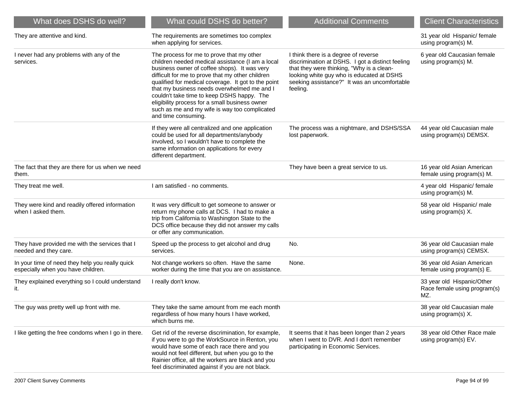| What does DSHS do well?                                                               | What could DSHS do better?                                                                                                                                                                                                                                                                                                                                                                                                                                                      | <b>Additional Comments</b>                                                                                                                                                                                                                     | <b>Client Characteristics</b>                                     |
|---------------------------------------------------------------------------------------|---------------------------------------------------------------------------------------------------------------------------------------------------------------------------------------------------------------------------------------------------------------------------------------------------------------------------------------------------------------------------------------------------------------------------------------------------------------------------------|------------------------------------------------------------------------------------------------------------------------------------------------------------------------------------------------------------------------------------------------|-------------------------------------------------------------------|
| They are attentive and kind.                                                          | The requirements are sometimes too complex<br>when applying for services.                                                                                                                                                                                                                                                                                                                                                                                                       |                                                                                                                                                                                                                                                | 31 year old Hispanic/ female<br>using program(s) M.               |
| I never had any problems with any of the<br>services.                                 | The process for me to prove that my other<br>children needed medical assistance (I am a local<br>business owner of coffee shops). It was very<br>difficult for me to prove that my other children<br>qualified for medical coverage. It got to the point<br>that my business needs overwhelmed me and I<br>couldn't take time to keep DSHS happy. The<br>eligibility process for a small business owner<br>such as me and my wife is way too complicated<br>and time consuming. | I think there is a degree of reverse<br>discrimination at DSHS. I got a distinct feeling<br>that they were thinking, "Why is a clean-<br>looking white guy who is educated at DSHS<br>seeking assistance?" It was an uncomfortable<br>feeling. | 6 year old Caucasian female<br>using program(s) M.                |
|                                                                                       | If they were all centralized and one application<br>could be used for all departments/anybody<br>involved, so I wouldn't have to complete the<br>same information on applications for every<br>different department.                                                                                                                                                                                                                                                            | The process was a nightmare, and DSHS/SSA<br>lost paperwork.                                                                                                                                                                                   | 44 year old Caucasian male<br>using program(s) DEMSX.             |
| The fact that they are there for us when we need<br>them.                             |                                                                                                                                                                                                                                                                                                                                                                                                                                                                                 | They have been a great service to us.                                                                                                                                                                                                          | 16 year old Asian American<br>female using program(s) M.          |
| They treat me well.                                                                   | I am satisfied - no comments.                                                                                                                                                                                                                                                                                                                                                                                                                                                   |                                                                                                                                                                                                                                                | 4 year old Hispanic/ female<br>using program(s) M.                |
| They were kind and readily offered information<br>when I asked them.                  | It was very difficult to get someone to answer or<br>return my phone calls at DCS. I had to make a<br>trip from California to Washington State to the<br>DCS office because they did not answer my calls<br>or offer any communication.                                                                                                                                                                                                                                         |                                                                                                                                                                                                                                                | 58 year old Hispanic/ male<br>using program(s) X.                 |
| They have provided me with the services that I<br>needed and they care.               | Speed up the process to get alcohol and drug<br>services.                                                                                                                                                                                                                                                                                                                                                                                                                       | No.                                                                                                                                                                                                                                            | 36 year old Caucasian male<br>using program(s) CEMSX.             |
| In your time of need they help you really quick<br>especially when you have children. | Not change workers so often. Have the same<br>worker during the time that you are on assistance.                                                                                                                                                                                                                                                                                                                                                                                | None.                                                                                                                                                                                                                                          | 36 year old Asian American<br>female using program(s) E.          |
| They explained everything so I could understand<br>it.                                | I really don't know.                                                                                                                                                                                                                                                                                                                                                                                                                                                            |                                                                                                                                                                                                                                                | 33 year old Hispanic/Other<br>Race female using program(s)<br>MZ. |
| The guy was pretty well up front with me.                                             | They take the same amount from me each month<br>regardless of how many hours I have worked,<br>which burns me.                                                                                                                                                                                                                                                                                                                                                                  |                                                                                                                                                                                                                                                | 38 year old Caucasian male<br>using program(s) X.                 |
| I like getting the free condoms when I go in there.                                   | Get rid of the reverse discrimination, for example,<br>if you were to go the WorkSource in Renton, you<br>would have some of each race there and you<br>would not feel different, but when you go to the<br>Rainier office, all the workers are black and you<br>feel discriminated against if you are not black.                                                                                                                                                               | It seems that it has been longer than 2 years<br>when I went to DVR. And I don't remember<br>participating in Economic Services.                                                                                                               | 38 year old Other Race male<br>using program(s) EV.               |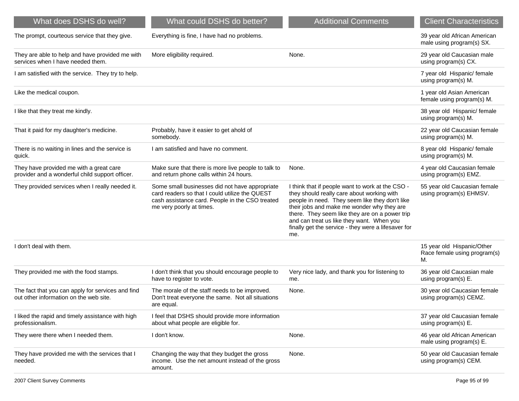| What does DSHS do well?                                                                     | What could DSHS do better?                                                                                                                                                      | <b>Additional Comments</b>                                                                                                                                                                                                                                                                                                                                  | <b>Client Characteristics</b>                                    |
|---------------------------------------------------------------------------------------------|---------------------------------------------------------------------------------------------------------------------------------------------------------------------------------|-------------------------------------------------------------------------------------------------------------------------------------------------------------------------------------------------------------------------------------------------------------------------------------------------------------------------------------------------------------|------------------------------------------------------------------|
| The prompt, courteous service that they give.                                               | Everything is fine, I have had no problems.                                                                                                                                     |                                                                                                                                                                                                                                                                                                                                                             | 39 year old African American<br>male using program(s) SX.        |
| They are able to help and have provided me with<br>services when I have needed them.        | More eligibility required.                                                                                                                                                      | None.                                                                                                                                                                                                                                                                                                                                                       | 29 year old Caucasian male<br>using program(s) CX.               |
| I am satisfied with the service. They try to help.                                          |                                                                                                                                                                                 |                                                                                                                                                                                                                                                                                                                                                             | 7 year old Hispanic/ female<br>using program(s) M.               |
| Like the medical coupon.                                                                    |                                                                                                                                                                                 |                                                                                                                                                                                                                                                                                                                                                             | 1 year old Asian American<br>female using program(s) M.          |
| I like that they treat me kindly.                                                           |                                                                                                                                                                                 |                                                                                                                                                                                                                                                                                                                                                             | 38 year old Hispanic/ female<br>using program(s) M.              |
| That it paid for my daughter's medicine.                                                    | Probably, have it easier to get ahold of<br>somebody.                                                                                                                           |                                                                                                                                                                                                                                                                                                                                                             | 22 year old Caucasian female<br>using program(s) M.              |
| There is no waiting in lines and the service is<br>quick.                                   | I am satisfied and have no comment.                                                                                                                                             |                                                                                                                                                                                                                                                                                                                                                             | 8 year old Hispanic/ female<br>using program(s) M.               |
| They have provided me with a great care<br>provider and a wonderful child support officer.  | Make sure that there is more live people to talk to<br>and return phone calls within 24 hours.                                                                                  | None.                                                                                                                                                                                                                                                                                                                                                       | 4 year old Caucasian female<br>using program(s) EMZ.             |
| They provided services when I really needed it.                                             | Some small businesses did not have appropriate<br>card readers so that I could utilize the QUEST<br>cash assistance card. People in the CSO treated<br>me very poorly at times. | I think that if people want to work at the CSO -<br>they should really care about working with<br>people in need. They seem like they don't like<br>their jobs and make me wonder why they are<br>there. They seem like they are on a power trip<br>and can treat us like they want. When you<br>finally get the service - they were a lifesaver for<br>me. | 55 year old Caucasian female<br>using program(s) EHMSV.          |
| I don't deal with them.                                                                     |                                                                                                                                                                                 |                                                                                                                                                                                                                                                                                                                                                             | 15 year old Hispanic/Other<br>Race female using program(s)<br>М. |
| They provided me with the food stamps.                                                      | I don't think that you should encourage people to<br>have to register to vote.                                                                                                  | Very nice lady, and thank you for listening to<br>me.                                                                                                                                                                                                                                                                                                       | 36 year old Caucasian male<br>using program(s) E.                |
| The fact that you can apply for services and find<br>out other information on the web site. | The morale of the staff needs to be improved.<br>Don't treat everyone the same. Not all situations<br>are equal.                                                                | None.                                                                                                                                                                                                                                                                                                                                                       | 30 year old Caucasian female<br>using program(s) CEMZ.           |
| I liked the rapid and timely assistance with high<br>professionalism.                       | I feel that DSHS should provide more information<br>about what people are eligible for.                                                                                         |                                                                                                                                                                                                                                                                                                                                                             | 37 year old Caucasian female<br>using program(s) E.              |
| They were there when I needed them.                                                         | I don't know.                                                                                                                                                                   | None.                                                                                                                                                                                                                                                                                                                                                       | 46 year old African American<br>male using program(s) E.         |
| They have provided me with the services that I<br>needed.                                   | Changing the way that they budget the gross<br>income. Use the net amount instead of the gross<br>amount.                                                                       | None.                                                                                                                                                                                                                                                                                                                                                       | 50 year old Caucasian female<br>using program(s) CEM.            |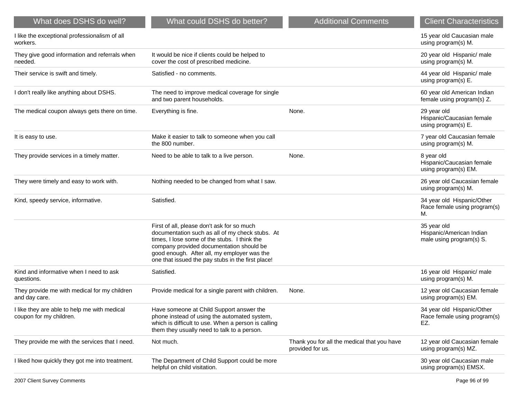| What does DSHS do well?                                                 | What could DSHS do better?                                                                                                                                                                                                                                                                    | <b>Additional Comments</b>                                      | <b>Client Characteristics</b>                                       |
|-------------------------------------------------------------------------|-----------------------------------------------------------------------------------------------------------------------------------------------------------------------------------------------------------------------------------------------------------------------------------------------|-----------------------------------------------------------------|---------------------------------------------------------------------|
| I like the exceptional professionalism of all<br>workers.               |                                                                                                                                                                                                                                                                                               |                                                                 | 15 year old Caucasian male<br>using program(s) M.                   |
| They give good information and referrals when<br>needed.                | It would be nice if clients could be helped to<br>cover the cost of prescribed medicine.                                                                                                                                                                                                      |                                                                 | 20 year old Hispanic/ male<br>using program(s) M.                   |
| Their service is swift and timely.                                      | Satisfied - no comments.                                                                                                                                                                                                                                                                      |                                                                 | 44 year old Hispanic/ male<br>using program(s) E.                   |
| I don't really like anything about DSHS.                                | The need to improve medical coverage for single<br>and two parent households.                                                                                                                                                                                                                 |                                                                 | 60 year old American Indian<br>female using program(s) Z.           |
| The medical coupon always gets there on time.                           | Everything is fine.                                                                                                                                                                                                                                                                           | None.                                                           | 29 year old<br>Hispanic/Caucasian female<br>using program(s) E.     |
| It is easy to use.                                                      | Make it easier to talk to someone when you call<br>the 800 number.                                                                                                                                                                                                                            |                                                                 | 7 year old Caucasian female<br>using program(s) M.                  |
| They provide services in a timely matter.                               | Need to be able to talk to a live person.                                                                                                                                                                                                                                                     | None.                                                           | 8 year old<br>Hispanic/Caucasian female<br>using program(s) EM.     |
| They were timely and easy to work with.                                 | Nothing needed to be changed from what I saw.                                                                                                                                                                                                                                                 |                                                                 | 26 year old Caucasian female<br>using program(s) M.                 |
| Kind, speedy service, informative.                                      | Satisfied.                                                                                                                                                                                                                                                                                    |                                                                 | 34 year old Hispanic/Other<br>Race female using program(s)<br>М.    |
|                                                                         | First of all, please don't ask for so much<br>documentation such as all of my check stubs. At<br>times, I lose some of the stubs. I think the<br>company provided documentation should be<br>good enough. After all, my employer was the<br>one that issued the pay stubs in the first place! |                                                                 | 35 year old<br>Hispanic/American Indian<br>male using program(s) S. |
| Kind and informative when I need to ask<br>questions.                   | Satisfied.                                                                                                                                                                                                                                                                                    |                                                                 | 16 year old Hispanic/ male<br>using program(s) M.                   |
| They provide me with medical for my children<br>and day care.           | Provide medical for a single parent with children.                                                                                                                                                                                                                                            | None.                                                           | 12 year old Caucasian female<br>using program(s) EM.                |
| I like they are able to help me with medical<br>coupon for my children. | Have someone at Child Support answer the<br>phone instead of using the automated system,<br>which is difficult to use. When a person is calling<br>them they usually need to talk to a person.                                                                                                |                                                                 | 34 year old Hispanic/Other<br>Race female using program(s)<br>EZ.   |
| They provide me with the services that I need.                          | Not much.                                                                                                                                                                                                                                                                                     | Thank you for all the medical that you have<br>provided for us. | 12 year old Caucasian female<br>using program(s) MZ.                |
| I liked how quickly they got me into treatment.                         | The Department of Child Support could be more<br>helpful on child visitation.                                                                                                                                                                                                                 |                                                                 | 30 year old Caucasian male<br>using program(s) EMSX.                |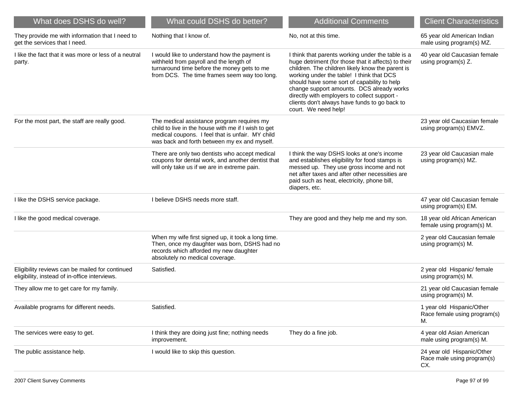| What does DSHS do well?                                                                          | What could DSHS do better?                                                                                                                                                                            | <b>Additional Comments</b>                                                                                                                                                                                                                                                                                                                                                                                                     | <b>Client Characteristics</b>                                   |
|--------------------------------------------------------------------------------------------------|-------------------------------------------------------------------------------------------------------------------------------------------------------------------------------------------------------|--------------------------------------------------------------------------------------------------------------------------------------------------------------------------------------------------------------------------------------------------------------------------------------------------------------------------------------------------------------------------------------------------------------------------------|-----------------------------------------------------------------|
| They provide me with information that I need to<br>get the services that I need.                 | Nothing that I know of.                                                                                                                                                                               | No, not at this time.                                                                                                                                                                                                                                                                                                                                                                                                          | 65 year old American Indian<br>male using program(s) MZ.        |
| I like the fact that it was more or less of a neutral<br>party.                                  | I would like to understand how the payment is<br>withheld from payroll and the length of<br>turnaround time before the money gets to me<br>from DCS. The time frames seem way too long.               | I think that parents working under the table is a<br>huge detriment (for those that it affects) to their<br>children. The children likely know the parent is<br>working under the table! I think that DCS<br>should have some sort of capability to help<br>change support amounts. DCS already works<br>directly with employers to collect support -<br>clients don't always have funds to go back to<br>court. We need help! | 40 year old Caucasian female<br>using program(s) Z.             |
| For the most part, the staff are really good.                                                    | The medical assistance program requires my<br>child to live in the house with me if I wish to get<br>medical coupons. I feel that is unfair. MY child<br>was back and forth between my ex and myself. |                                                                                                                                                                                                                                                                                                                                                                                                                                | 23 year old Caucasian female<br>using program(s) EMVZ.          |
|                                                                                                  | There are only two dentists who accept medical<br>coupons for dental work, and another dentist that<br>will only take us if we are in extreme pain.                                                   | I think the way DSHS looks at one's income<br>and establishes eligibility for food stamps is<br>messed up. They use gross income and not<br>net after taxes and after other necessities are<br>paid such as heat, electricity, phone bill,<br>diapers, etc.                                                                                                                                                                    | 23 year old Caucasian male<br>using program(s) MZ.              |
| I like the DSHS service package.                                                                 | I believe DSHS needs more staff.                                                                                                                                                                      |                                                                                                                                                                                                                                                                                                                                                                                                                                | 47 year old Caucasian female<br>using program(s) EM.            |
| I like the good medical coverage.                                                                |                                                                                                                                                                                                       | They are good and they help me and my son.                                                                                                                                                                                                                                                                                                                                                                                     | 18 year old African American<br>female using program(s) M.      |
|                                                                                                  | When my wife first signed up, it took a long time.<br>Then, once my daughter was born, DSHS had no<br>records which afforded my new daughter<br>absolutely no medical coverage.                       |                                                                                                                                                                                                                                                                                                                                                                                                                                | 2 year old Caucasian female<br>using program(s) M.              |
| Eligibility reviews can be mailed for continued<br>eligibility, instead of in-office interviews. | Satisfied.                                                                                                                                                                                            |                                                                                                                                                                                                                                                                                                                                                                                                                                | 2 year old Hispanic/ female<br>using program(s) M.              |
| They allow me to get care for my family.                                                         |                                                                                                                                                                                                       |                                                                                                                                                                                                                                                                                                                                                                                                                                | 21 year old Caucasian female<br>using program(s) M.             |
| Available programs for different needs.                                                          | Satisfied.                                                                                                                                                                                            |                                                                                                                                                                                                                                                                                                                                                                                                                                | 1 year old Hispanic/Other<br>Race female using program(s)<br>М. |
| The services were easy to get.                                                                   | I think they are doing just fine; nothing needs<br>improvement.                                                                                                                                       | They do a fine job.                                                                                                                                                                                                                                                                                                                                                                                                            | 4 year old Asian American<br>male using program(s) M.           |
| The public assistance help.                                                                      | I would like to skip this question.                                                                                                                                                                   |                                                                                                                                                                                                                                                                                                                                                                                                                                | 24 year old Hispanic/Other<br>Race male using program(s)<br>CX. |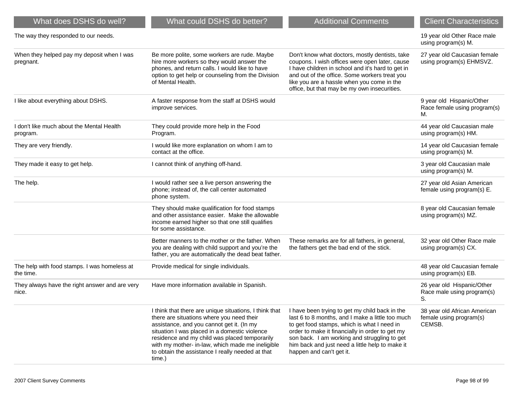| What does DSHS do well?                                   | What could DSHS do better?                                                                                                                                                                                                                                                                                                                                           | <b>Additional Comments</b>                                                                                                                                                                                                                                                                                                          | <b>Client Characteristics</b>                                     |
|-----------------------------------------------------------|----------------------------------------------------------------------------------------------------------------------------------------------------------------------------------------------------------------------------------------------------------------------------------------------------------------------------------------------------------------------|-------------------------------------------------------------------------------------------------------------------------------------------------------------------------------------------------------------------------------------------------------------------------------------------------------------------------------------|-------------------------------------------------------------------|
| The way they responded to our needs.                      |                                                                                                                                                                                                                                                                                                                                                                      |                                                                                                                                                                                                                                                                                                                                     | 19 year old Other Race male<br>using program(s) M.                |
| When they helped pay my deposit when I was<br>pregnant.   | Be more polite, some workers are rude. Maybe<br>hire more workers so they would answer the<br>phones, and return calls. I would like to have<br>option to get help or counseling from the Division<br>of Mental Health.                                                                                                                                              | Don't know what doctors, mostly dentists, take<br>coupons. I wish offices were open later, cause<br>I have children in school and it's hard to get in<br>and out of the office. Some workers treat you<br>like you are a hassle when you come in the<br>office, but that may be my own insecurities.                                | 27 year old Caucasian female<br>using program(s) EHMSVZ.          |
| I like about everything about DSHS.                       | A faster response from the staff at DSHS would<br>improve services.                                                                                                                                                                                                                                                                                                  |                                                                                                                                                                                                                                                                                                                                     | 9 year old Hispanic/Other<br>Race female using program(s)<br>М.   |
| I don't like much about the Mental Health<br>program.     | They could provide more help in the Food<br>Program.                                                                                                                                                                                                                                                                                                                 |                                                                                                                                                                                                                                                                                                                                     | 44 year old Caucasian male<br>using program(s) HM.                |
| They are very friendly.                                   | I would like more explanation on whom I am to<br>contact at the office.                                                                                                                                                                                                                                                                                              |                                                                                                                                                                                                                                                                                                                                     | 14 year old Caucasian female<br>using program(s) M.               |
| They made it easy to get help.                            | I cannot think of anything off-hand.                                                                                                                                                                                                                                                                                                                                 |                                                                                                                                                                                                                                                                                                                                     | 3 year old Caucasian male<br>using program(s) M.                  |
| The help.                                                 | I would rather see a live person answering the<br>phone; instead of, the call center automated<br>phone system.                                                                                                                                                                                                                                                      |                                                                                                                                                                                                                                                                                                                                     | 27 year old Asian American<br>female using program(s) E.          |
|                                                           | They should make qualification for food stamps<br>and other assistance easier. Make the allowable<br>income earned higher so that one still qualifies<br>for some assistance.                                                                                                                                                                                        |                                                                                                                                                                                                                                                                                                                                     | 8 year old Caucasian female<br>using program(s) MZ.               |
|                                                           | Better manners to the mother or the father. When<br>you are dealing with child support and you're the<br>father, you are automatically the dead beat father.                                                                                                                                                                                                         | These remarks are for all fathers, in general,<br>the fathers get the bad end of the stick.                                                                                                                                                                                                                                         | 32 year old Other Race male<br>using program(s) CX.               |
| The help with food stamps. I was homeless at<br>the time. | Provide medical for single individuals.                                                                                                                                                                                                                                                                                                                              |                                                                                                                                                                                                                                                                                                                                     | 48 year old Caucasian female<br>using program(s) EB.              |
| They always have the right answer and are very<br>nice.   | Have more information available in Spanish.                                                                                                                                                                                                                                                                                                                          |                                                                                                                                                                                                                                                                                                                                     | 26 year old Hispanic/Other<br>Race male using program(s)<br>S.    |
|                                                           | I think that there are unique situations, I think that<br>there are situations where you need their<br>assistance, and you cannot get it. (In my<br>situation I was placed in a domestic violence<br>residence and my child was placed temporarily<br>with my mother- in-law, which made me ineligible<br>to obtain the assistance I really needed at that<br>time.) | I have been trying to get my child back in the<br>last 6 to 8 months, and I make a little too much<br>to get food stamps, which is what I need in<br>order to make it financially in order to get my<br>son back. I am working and struggling to get<br>him back and just need a little help to make it<br>happen and can't get it. | 38 year old African American<br>female using program(s)<br>CEMSB. |